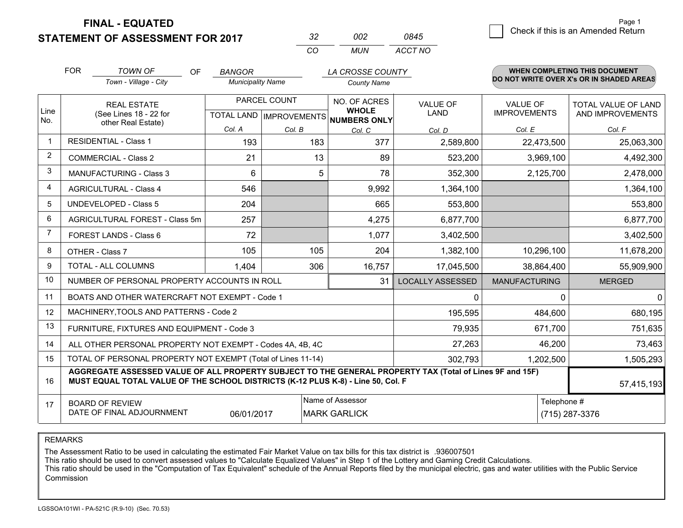**STATEMENT OF ASSESSMENT FOR 2017** 

| マツ       | nnə   | 0845    |
|----------|-------|---------|
| $\cdots$ | MI IN | ACCT NO |

|             | <b>FOR</b>                                                   | <b>TOWN OF</b><br><b>OF</b>                                                                                                                                                                  | <b>BANGOR</b>            |                           | LA CROSSE COUNTY             |                  |                      | <b>WHEN COMPLETING THIS DOCUMENT</b>     |
|-------------|--------------------------------------------------------------|----------------------------------------------------------------------------------------------------------------------------------------------------------------------------------------------|--------------------------|---------------------------|------------------------------|------------------|----------------------|------------------------------------------|
|             |                                                              | Town - Village - City                                                                                                                                                                        | <b>Municipality Name</b> |                           | <b>County Name</b>           |                  |                      | DO NOT WRITE OVER X's OR IN SHADED AREAS |
|             |                                                              | <b>REAL ESTATE</b>                                                                                                                                                                           |                          | PARCEL COUNT              | NO. OF ACRES                 | <b>VALUE OF</b>  | <b>VALUE OF</b>      | TOTAL VALUE OF LAND                      |
| Line<br>No. |                                                              | (See Lines 18 - 22 for<br>other Real Estate)                                                                                                                                                 |                          | TOTAL LAND   IMPROVEMENTS | <b>WHOLE</b><br>NUMBERS ONLY | LAND             | <b>IMPROVEMENTS</b>  | AND IMPROVEMENTS                         |
|             |                                                              |                                                                                                                                                                                              | Col. A                   | Col. B                    | Col. C                       | Col. D           | Col. E               | Col. F                                   |
| -1          |                                                              | <b>RESIDENTIAL - Class 1</b>                                                                                                                                                                 | 193                      | 183                       | 377                          | 2,589,800        | 22,473,500           | 25,063,300                               |
| 2           |                                                              | <b>COMMERCIAL - Class 2</b>                                                                                                                                                                  | 21                       | 13                        | 89                           | 523,200          | 3,969,100            | 4,492,300                                |
| 3           |                                                              | <b>MANUFACTURING - Class 3</b>                                                                                                                                                               | 6                        | 5                         | 78                           | 352,300          | 2,125,700            | 2,478,000                                |
| 4           |                                                              | <b>AGRICULTURAL - Class 4</b>                                                                                                                                                                | 546                      |                           | 9,992                        | 1,364,100        |                      | 1,364,100                                |
| 5           |                                                              | UNDEVELOPED - Class 5                                                                                                                                                                        | 204                      |                           | 665                          | 553,800          |                      | 553,800                                  |
| 6           |                                                              | AGRICULTURAL FOREST - Class 5m                                                                                                                                                               | 257                      |                           | 4,275                        | 6,877,700        |                      | 6,877,700                                |
| 7           |                                                              | FOREST LANDS - Class 6                                                                                                                                                                       | 72                       |                           | 1,077                        | 3,402,500        |                      | 3,402,500                                |
| 8           |                                                              | OTHER - Class 7                                                                                                                                                                              | 105                      | 105                       | 204                          | 1,382,100        | 10,296,100           | 11,678,200                               |
| 9           |                                                              | TOTAL - ALL COLUMNS                                                                                                                                                                          | 1,404                    | 306                       | 16,757                       | 17,045,500       | 38,864,400           | 55,909,900                               |
| 10          |                                                              | NUMBER OF PERSONAL PROPERTY ACCOUNTS IN ROLL                                                                                                                                                 |                          |                           | 31                           | LOCALLY ASSESSED | <b>MANUFACTURING</b> | <b>MERGED</b>                            |
| 11          |                                                              | BOATS AND OTHER WATERCRAFT NOT EXEMPT - Code 1                                                                                                                                               |                          |                           |                              | $\Omega$         | 0                    | $\Omega$                                 |
| 12          |                                                              | MACHINERY, TOOLS AND PATTERNS - Code 2                                                                                                                                                       |                          |                           |                              | 195,595          | 484,600              | 680,195                                  |
| 13          |                                                              | FURNITURE, FIXTURES AND EQUIPMENT - Code 3                                                                                                                                                   |                          |                           |                              | 79,935           | 671,700              | 751,635                                  |
| 14          |                                                              | ALL OTHER PERSONAL PROPERTY NOT EXEMPT - Codes 4A, 4B, 4C                                                                                                                                    |                          |                           |                              | 27,263           | 46,200               | 73,463                                   |
| 15          | TOTAL OF PERSONAL PROPERTY NOT EXEMPT (Total of Lines 11-14) |                                                                                                                                                                                              |                          |                           |                              | 302,793          | 1,202,500            | 1,505,293                                |
| 16          |                                                              | AGGREGATE ASSESSED VALUE OF ALL PROPERTY SUBJECT TO THE GENERAL PROPERTY TAX (Total of Lines 9F and 15F)<br>MUST EQUAL TOTAL VALUE OF THE SCHOOL DISTRICTS (K-12 PLUS K-8) - Line 50, Col. F |                          |                           |                              |                  |                      | 57,415,193                               |
| 17          |                                                              | <b>BOARD OF REVIEW</b>                                                                                                                                                                       |                          |                           | Name of Assessor             |                  | Telephone #          |                                          |
|             |                                                              | DATE OF FINAL ADJOURNMENT                                                                                                                                                                    | 06/01/2017               |                           | <b>MARK GARLICK</b>          |                  |                      | (715) 287-3376                           |

REMARKS

The Assessment Ratio to be used in calculating the estimated Fair Market Value on tax bills for this tax district is .936007501

This ratio should be used to convert assessed values to "Calculate Equalized Values" in Step 1 of the Lottery and Gaming Credit Calculations.<br>This ratio should be used in the "Computation of Tax Equivalent" schedule of the Commission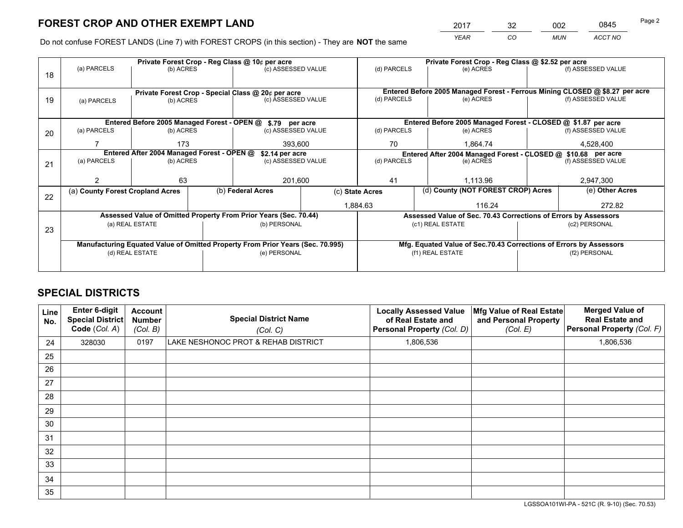*YEAR CO MUN ACCT NO* <sup>2017</sup> <sup>32</sup> <sup>002</sup> <sup>0845</sup>

Do not confuse FOREST LANDS (Line 7) with FOREST CROPS (in this section) - They are **NOT** the same

| Private Forest Crop - Reg Class @ 10¢ per acre |                                                                                |                                            |  |                                                                  |  | Private Forest Crop - Reg Class @ \$2.52 per acre             |                  |                                                                    |               |                                                                              |
|------------------------------------------------|--------------------------------------------------------------------------------|--------------------------------------------|--|------------------------------------------------------------------|--|---------------------------------------------------------------|------------------|--------------------------------------------------------------------|---------------|------------------------------------------------------------------------------|
| 18                                             | (a) PARCELS<br>(b) ACRES                                                       |                                            |  | (c) ASSESSED VALUE                                               |  | (d) PARCELS                                                   |                  | (e) ACRES                                                          |               | (f) ASSESSED VALUE                                                           |
|                                                |                                                                                |                                            |  |                                                                  |  |                                                               |                  |                                                                    |               |                                                                              |
|                                                |                                                                                |                                            |  | Private Forest Crop - Special Class @ 20¢ per acre               |  |                                                               |                  |                                                                    |               | Entered Before 2005 Managed Forest - Ferrous Mining CLOSED @ \$8.27 per acre |
| 19                                             | (a) PARCELS                                                                    | (b) ACRES                                  |  | (c) ASSESSED VALUE                                               |  | (d) PARCELS                                                   |                  | (e) ACRES                                                          |               | (f) ASSESSED VALUE                                                           |
|                                                |                                                                                |                                            |  |                                                                  |  |                                                               |                  |                                                                    |               |                                                                              |
|                                                |                                                                                |                                            |  | Entered Before 2005 Managed Forest - OPEN @ \$.79 per acre       |  |                                                               |                  | Entered Before 2005 Managed Forest - CLOSED @ \$1.87 per acre      |               |                                                                              |
| 20                                             | (a) PARCELS                                                                    | (b) ACRES                                  |  | (c) ASSESSED VALUE                                               |  | (d) PARCELS                                                   |                  | (e) ACRES                                                          |               | (f) ASSESSED VALUE                                                           |
|                                                |                                                                                | 173                                        |  | 393,600                                                          |  | 70                                                            |                  | 1.864.74                                                           |               | 4,528,400                                                                    |
|                                                |                                                                                | Entered After 2004 Managed Forest - OPEN @ |  | \$2.14 per acre                                                  |  | Entered After 2004 Managed Forest - CLOSED @ \$10.68 per acre |                  |                                                                    |               |                                                                              |
| 21                                             | (a) PARCELS                                                                    | (b) ACRES                                  |  | (c) ASSESSED VALUE                                               |  | (d) PARCELS<br>(e) ACRES                                      |                  |                                                                    |               | (f) ASSESSED VALUE                                                           |
|                                                |                                                                                |                                            |  |                                                                  |  |                                                               |                  |                                                                    |               |                                                                              |
|                                                |                                                                                | 63                                         |  | 201,600                                                          |  | 41                                                            |                  | 1,113.96                                                           |               | 2,947,300                                                                    |
| 22                                             | (a) County Forest Cropland Acres                                               |                                            |  | (b) Federal Acres                                                |  | (c) State Acres                                               |                  | (d) County (NOT FOREST CROP) Acres                                 |               | (e) Other Acres                                                              |
|                                                |                                                                                |                                            |  |                                                                  |  | 116.24<br>1,884.63                                            |                  |                                                                    | 272.82        |                                                                              |
|                                                |                                                                                |                                            |  | Assessed Value of Omitted Property From Prior Years (Sec. 70.44) |  |                                                               |                  | Assessed Value of Sec. 70.43 Corrections of Errors by Assessors    |               |                                                                              |
| 23                                             |                                                                                | (a) REAL ESTATE                            |  | (b) PERSONAL                                                     |  | (c1) REAL ESTATE                                              |                  |                                                                    |               | (c2) PERSONAL                                                                |
|                                                |                                                                                |                                            |  |                                                                  |  |                                                               |                  |                                                                    |               |                                                                              |
|                                                | Manufacturing Equated Value of Omitted Property From Prior Years (Sec. 70.995) |                                            |  |                                                                  |  |                                                               |                  | Mfg. Equated Value of Sec.70.43 Corrections of Errors by Assessors |               |                                                                              |
|                                                | (d) REAL ESTATE                                                                |                                            |  | (e) PERSONAL                                                     |  |                                                               | (f1) REAL ESTATE |                                                                    | (f2) PERSONAL |                                                                              |
|                                                |                                                                                |                                            |  |                                                                  |  |                                                               |                  |                                                                    |               |                                                                              |

## **SPECIAL DISTRICTS**

| <b>Line</b><br>No. | Enter 6-digit<br><b>Special District</b><br>Code (Col. A) | <b>Account</b><br><b>Number</b><br>(Col. B) | <b>Special District Name</b><br>(Col. C) | <b>Locally Assessed Value</b><br>of Real Estate and<br>Personal Property (Col. D) | Mfg Value of Real Estate<br>and Personal Property<br>(Col. E) | <b>Merged Value of</b><br><b>Real Estate and</b><br>Personal Property (Col. F) |
|--------------------|-----------------------------------------------------------|---------------------------------------------|------------------------------------------|-----------------------------------------------------------------------------------|---------------------------------------------------------------|--------------------------------------------------------------------------------|
| 24                 | 328030                                                    | 0197                                        | LAKE NESHONOC PROT & REHAB DISTRICT      | 1,806,536                                                                         |                                                               | 1,806,536                                                                      |
| 25                 |                                                           |                                             |                                          |                                                                                   |                                                               |                                                                                |
| 26                 |                                                           |                                             |                                          |                                                                                   |                                                               |                                                                                |
| 27                 |                                                           |                                             |                                          |                                                                                   |                                                               |                                                                                |
| 28                 |                                                           |                                             |                                          |                                                                                   |                                                               |                                                                                |
| 29                 |                                                           |                                             |                                          |                                                                                   |                                                               |                                                                                |
| 30                 |                                                           |                                             |                                          |                                                                                   |                                                               |                                                                                |
| 31                 |                                                           |                                             |                                          |                                                                                   |                                                               |                                                                                |
| 32                 |                                                           |                                             |                                          |                                                                                   |                                                               |                                                                                |
| 33                 |                                                           |                                             |                                          |                                                                                   |                                                               |                                                                                |
| 34                 |                                                           |                                             |                                          |                                                                                   |                                                               |                                                                                |
| 35                 |                                                           |                                             |                                          |                                                                                   |                                                               |                                                                                |

LGSSOA101WI-PA - 521C (R. 9-10) (Sec. 70.53)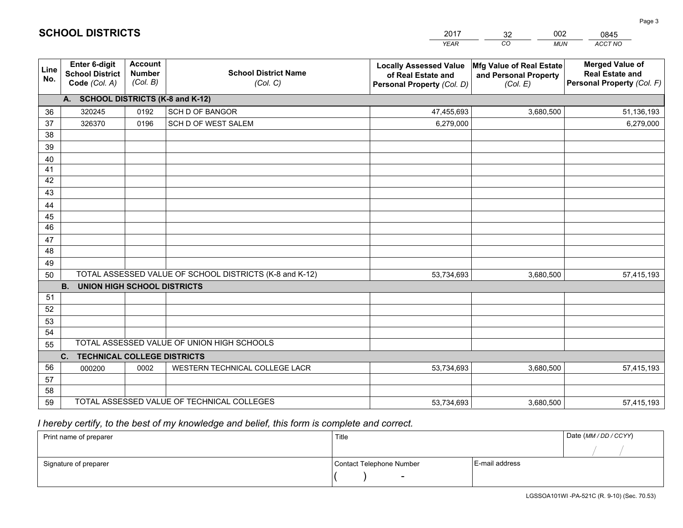|                 |                                                          |                                             |                                                         | <b>YEAR</b>                                                                       | CO<br><b>MUN</b>                                              | ACCT NO                                                                        |
|-----------------|----------------------------------------------------------|---------------------------------------------|---------------------------------------------------------|-----------------------------------------------------------------------------------|---------------------------------------------------------------|--------------------------------------------------------------------------------|
| Line<br>No.     | Enter 6-digit<br><b>School District</b><br>Code (Col. A) | <b>Account</b><br><b>Number</b><br>(Col. B) | <b>School District Name</b><br>(Col. C)                 | <b>Locally Assessed Value</b><br>of Real Estate and<br>Personal Property (Col. D) | Mfg Value of Real Estate<br>and Personal Property<br>(Col. E) | <b>Merged Value of</b><br><b>Real Estate and</b><br>Personal Property (Col. F) |
|                 | A. SCHOOL DISTRICTS (K-8 and K-12)                       |                                             |                                                         |                                                                                   |                                                               |                                                                                |
| 36              | 320245                                                   | 0192                                        | <b>SCH D OF BANGOR</b>                                  | 47,455,693                                                                        | 3,680,500                                                     | 51,136,193                                                                     |
| 37              | 326370                                                   | 0196                                        | SCH D OF WEST SALEM                                     | 6,279,000                                                                         |                                                               | 6,279,000                                                                      |
| 38              |                                                          |                                             |                                                         |                                                                                   |                                                               |                                                                                |
| 39              |                                                          |                                             |                                                         |                                                                                   |                                                               |                                                                                |
| 40              |                                                          |                                             |                                                         |                                                                                   |                                                               |                                                                                |
| 41              |                                                          |                                             |                                                         |                                                                                   |                                                               |                                                                                |
| 42              |                                                          |                                             |                                                         |                                                                                   |                                                               |                                                                                |
| 43              |                                                          |                                             |                                                         |                                                                                   |                                                               |                                                                                |
| 44<br>45        |                                                          |                                             |                                                         |                                                                                   |                                                               |                                                                                |
| $\overline{46}$ |                                                          |                                             |                                                         |                                                                                   |                                                               |                                                                                |
| 47              |                                                          |                                             |                                                         |                                                                                   |                                                               |                                                                                |
| 48              |                                                          |                                             |                                                         |                                                                                   |                                                               |                                                                                |
| 49              |                                                          |                                             |                                                         |                                                                                   |                                                               |                                                                                |
| 50              |                                                          |                                             | TOTAL ASSESSED VALUE OF SCHOOL DISTRICTS (K-8 and K-12) | 53,734,693                                                                        | 3,680,500                                                     | 57,415,193                                                                     |
|                 | <b>B.</b><br><b>UNION HIGH SCHOOL DISTRICTS</b>          |                                             |                                                         |                                                                                   |                                                               |                                                                                |
| 51              |                                                          |                                             |                                                         |                                                                                   |                                                               |                                                                                |
| 52              |                                                          |                                             |                                                         |                                                                                   |                                                               |                                                                                |
| 53              |                                                          |                                             |                                                         |                                                                                   |                                                               |                                                                                |
| 54              |                                                          |                                             |                                                         |                                                                                   |                                                               |                                                                                |
| 55              |                                                          |                                             | TOTAL ASSESSED VALUE OF UNION HIGH SCHOOLS              |                                                                                   |                                                               |                                                                                |
|                 | C.<br><b>TECHNICAL COLLEGE DISTRICTS</b>                 |                                             |                                                         |                                                                                   |                                                               |                                                                                |
| 56              | 000200                                                   | 0002                                        | WESTERN TECHNICAL COLLEGE LACR                          | 53,734,693                                                                        | 3,680,500                                                     | 57,415,193                                                                     |
| 57              |                                                          |                                             |                                                         |                                                                                   |                                                               |                                                                                |
| 58              |                                                          |                                             |                                                         |                                                                                   |                                                               |                                                                                |
| 59              |                                                          |                                             | TOTAL ASSESSED VALUE OF TECHNICAL COLLEGES              | 53,734,693                                                                        | 3,680,500                                                     | 57,415,193                                                                     |

32

002

 *I hereby certify, to the best of my knowledge and belief, this form is complete and correct.*

**SCHOOL DISTRICTS**

| Print name of preparer | Title                    |                | Date (MM / DD / CCYY) |
|------------------------|--------------------------|----------------|-----------------------|
|                        |                          |                |                       |
| Signature of preparer  | Contact Telephone Number | E-mail address |                       |
|                        | $\sim$                   |                |                       |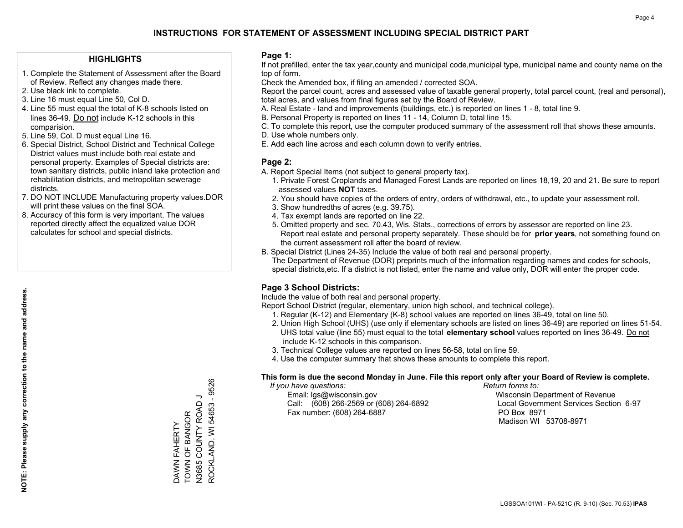#### **HIGHLIGHTS**

- 1. Complete the Statement of Assessment after the Board of Review. Reflect any changes made there.
- 2. Use black ink to complete.
- 3. Line 16 must equal Line 50, Col D.
- 4. Line 55 must equal the total of K-8 schools listed on lines 36-49. Do not include K-12 schools in this comparision.
- 5. Line 59, Col. D must equal Line 16.
- 6. Special District, School District and Technical College District values must include both real estate and personal property. Examples of Special districts are: town sanitary districts, public inland lake protection and rehabilitation districts, and metropolitan sewerage districts.
- 7. DO NOT INCLUDE Manufacturing property values.DOR will print these values on the final SOA.

DAWN FAHERTY TOWN OF BANGOR N3685 COUNTY ROAD J ROCKLAND, WI 54653 - 9526

DAWN FAHERTY<br>TOWN OF BANGOR

ROCKLAND, WI 54653 - 9526 

 8. Accuracy of this form is very important. The values reported directly affect the equalized value DOR calculates for school and special districts.

#### **Page 1:**

 If not prefilled, enter the tax year,county and municipal code,municipal type, municipal name and county name on the top of form.

Check the Amended box, if filing an amended / corrected SOA.

 Report the parcel count, acres and assessed value of taxable general property, total parcel count, (real and personal), total acres, and values from final figures set by the Board of Review.

- A. Real Estate land and improvements (buildings, etc.) is reported on lines 1 8, total line 9.
- B. Personal Property is reported on lines 11 14, Column D, total line 15.
- C. To complete this report, use the computer produced summary of the assessment roll that shows these amounts.
- D. Use whole numbers only.
- E. Add each line across and each column down to verify entries.

### **Page 2:**

- A. Report Special Items (not subject to general property tax).
- 1. Private Forest Croplands and Managed Forest Lands are reported on lines 18,19, 20 and 21. Be sure to report assessed values **NOT** taxes.
- 2. You should have copies of the orders of entry, orders of withdrawal, etc., to update your assessment roll.
	- 3. Show hundredths of acres (e.g. 39.75).
- 4. Tax exempt lands are reported on line 22.
- 5. Omitted property and sec. 70.43, Wis. Stats., corrections of errors by assessor are reported on line 23. Report real estate and personal property separately. These should be for **prior years**, not something found on the current assessment roll after the board of review.
- B. Special District (Lines 24-35) Include the value of both real and personal property.
- The Department of Revenue (DOR) preprints much of the information regarding names and codes for schools, special districts,etc. If a district is not listed, enter the name and value only, DOR will enter the proper code.

## **Page 3 School Districts:**

Include the value of both real and personal property.

Report School District (regular, elementary, union high school, and technical college).

- 1. Regular (K-12) and Elementary (K-8) school values are reported on lines 36-49, total on line 50.
- 2. Union High School (UHS) (use only if elementary schools are listed on lines 36-49) are reported on lines 51-54. UHS total value (line 55) must equal to the total **elementary school** values reported on lines 36-49. Do notinclude K-12 schools in this comparison.
- 3. Technical College values are reported on lines 56-58, total on line 59.
- 4. Use the computer summary that shows these amounts to complete this report.

#### **This form is due the second Monday in June. File this report only after your Board of Review is complete.**

 *If you have questions: Return forms to:*

 Email: lgs@wisconsin.gov Wisconsin Department of RevenueCall:  $(608)$  266-2569 or  $(608)$  264-6892 Fax number: (608) 264-6887 PO Box 8971

Local Government Services Section 6-97 Madison WI 53708-8971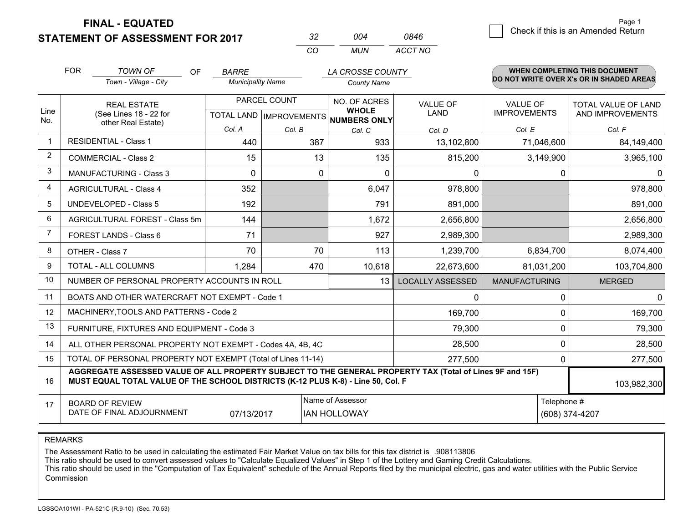**STATEMENT OF ASSESSMENT FOR 2017** 

| -32 | በበ4 | 0846    |
|-----|-----|---------|
| CO. | MUN | ACCT NO |

|                | <b>FOR</b>                                                                                                                                                                                   | <b>TOWN OF</b><br><b>OF</b>                               | <b>BARRE</b>             |                           | LA CROSSE COUNTY             |                         |                      | <b>WHEN COMPLETING THIS DOCUMENT</b>     |
|----------------|----------------------------------------------------------------------------------------------------------------------------------------------------------------------------------------------|-----------------------------------------------------------|--------------------------|---------------------------|------------------------------|-------------------------|----------------------|------------------------------------------|
|                |                                                                                                                                                                                              | Town - Village - City                                     | <b>Municipality Name</b> |                           | <b>County Name</b>           |                         |                      | DO NOT WRITE OVER X's OR IN SHADED AREAS |
|                |                                                                                                                                                                                              | <b>REAL ESTATE</b>                                        |                          | PARCEL COUNT              | NO. OF ACRES                 | <b>VALUE OF</b>         | <b>VALUE OF</b>      | TOTAL VALUE OF LAND                      |
| Line<br>No.    |                                                                                                                                                                                              | (See Lines 18 - 22 for<br>other Real Estate)              |                          | TOTAL LAND   IMPROVEMENTS | <b>WHOLE</b><br>NUMBERS ONLY | <b>LAND</b>             | <b>IMPROVEMENTS</b>  | AND IMPROVEMENTS                         |
|                |                                                                                                                                                                                              |                                                           | Col. A                   | Col. B                    | Col. C                       | Col. D                  | Col. E               | Col. F                                   |
| -1             |                                                                                                                                                                                              | <b>RESIDENTIAL - Class 1</b>                              | 440                      | 387                       | 933                          | 13,102,800              | 71,046,600           | 84,149,400                               |
| 2              |                                                                                                                                                                                              | <b>COMMERCIAL - Class 2</b>                               | 15                       | 13                        | 135                          | 815,200                 | 3,149,900            | 3,965,100                                |
| 3              |                                                                                                                                                                                              | <b>MANUFACTURING - Class 3</b>                            | $\Omega$                 | 0                         | 0                            | 0                       | $\Omega$             | $\Omega$                                 |
| 4              |                                                                                                                                                                                              | <b>AGRICULTURAL - Class 4</b>                             | 352                      |                           | 6,047                        | 978,800                 |                      | 978,800                                  |
| 5              |                                                                                                                                                                                              | UNDEVELOPED - Class 5                                     | 192                      |                           | 791                          | 891,000                 |                      | 891,000                                  |
| 6              |                                                                                                                                                                                              | AGRICULTURAL FOREST - Class 5m                            | 144                      |                           | 1,672                        | 2,656,800               |                      | 2,656,800                                |
| $\overline{7}$ |                                                                                                                                                                                              | FOREST LANDS - Class 6                                    | 71                       |                           | 927                          | 2,989,300               |                      | 2,989,300                                |
| 8              |                                                                                                                                                                                              | OTHER - Class 7                                           | 70                       | 70                        | 113                          | 1,239,700               | 6,834,700            | 8,074,400                                |
| 9              |                                                                                                                                                                                              | TOTAL - ALL COLUMNS                                       | 1,284                    | 470                       | 10,618                       | 22,673,600              | 81,031,200           | 103,704,800                              |
| 10             |                                                                                                                                                                                              | NUMBER OF PERSONAL PROPERTY ACCOUNTS IN ROLL              |                          |                           | 13                           | <b>LOCALLY ASSESSED</b> | <b>MANUFACTURING</b> | <b>MERGED</b>                            |
| 11             |                                                                                                                                                                                              | BOATS AND OTHER WATERCRAFT NOT EXEMPT - Code 1            |                          |                           |                              | 0                       | 0                    | $\overline{0}$                           |
| 12             |                                                                                                                                                                                              | MACHINERY, TOOLS AND PATTERNS - Code 2                    |                          |                           |                              | 169,700                 | 0                    | 169,700                                  |
| 13             |                                                                                                                                                                                              | FURNITURE, FIXTURES AND EQUIPMENT - Code 3                |                          |                           |                              | 79,300                  | 0                    | 79,300                                   |
| 14             |                                                                                                                                                                                              | ALL OTHER PERSONAL PROPERTY NOT EXEMPT - Codes 4A, 4B, 4C |                          |                           |                              | 28,500                  | 0                    | 28,500                                   |
| 15             | TOTAL OF PERSONAL PROPERTY NOT EXEMPT (Total of Lines 11-14)                                                                                                                                 |                                                           |                          |                           |                              | 277,500                 | 0                    | 277,500                                  |
| 16             | AGGREGATE ASSESSED VALUE OF ALL PROPERTY SUBJECT TO THE GENERAL PROPERTY TAX (Total of Lines 9F and 15F)<br>MUST EQUAL TOTAL VALUE OF THE SCHOOL DISTRICTS (K-12 PLUS K-8) - Line 50, Col. F |                                                           |                          |                           |                              |                         |                      | 103,982,300                              |
| 17             |                                                                                                                                                                                              | <b>BOARD OF REVIEW</b>                                    |                          |                           | Name of Assessor             |                         | Telephone #          |                                          |
|                |                                                                                                                                                                                              | DATE OF FINAL ADJOURNMENT                                 | 07/13/2017               |                           | <b>IAN HOLLOWAY</b>          |                         |                      | (608) 374-4207                           |

REMARKS

The Assessment Ratio to be used in calculating the estimated Fair Market Value on tax bills for this tax district is .908113806

This ratio should be used to convert assessed values to "Calculate Equalized Values" in Step 1 of the Lottery and Gaming Credit Calculations.<br>This ratio should be used in the "Computation of Tax Equivalent" schedule of the Commission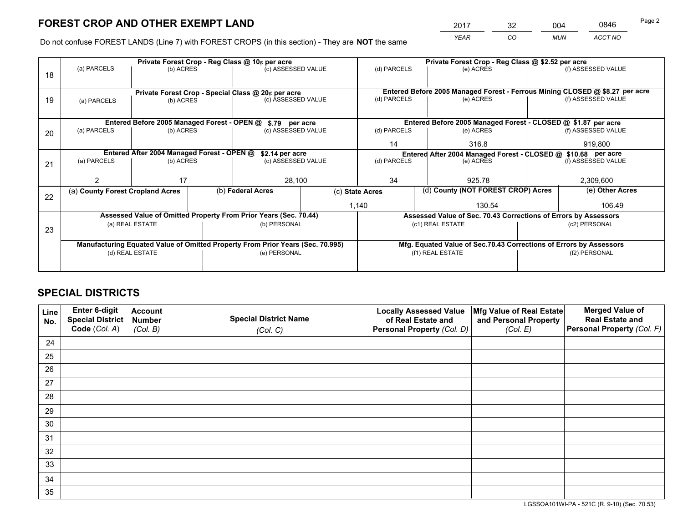*YEAR CO MUN ACCT NO* <sup>2017</sup> <sup>32</sup> <sup>004</sup> <sup>0846</sup>

Do not confuse FOREST LANDS (Line 7) with FOREST CROPS (in this section) - They are **NOT** the same

| (f) ASSESSED VALUE<br>Entered Before 2005 Managed Forest - Ferrous Mining CLOSED @ \$8.27 per acre<br>(f) ASSESSED VALUE<br>Entered Before 2005 Managed Forest - CLOSED @ \$1.87 per acre |  |  |  |
|-------------------------------------------------------------------------------------------------------------------------------------------------------------------------------------------|--|--|--|
|                                                                                                                                                                                           |  |  |  |
|                                                                                                                                                                                           |  |  |  |
|                                                                                                                                                                                           |  |  |  |
|                                                                                                                                                                                           |  |  |  |
|                                                                                                                                                                                           |  |  |  |
|                                                                                                                                                                                           |  |  |  |
| (f) ASSESSED VALUE                                                                                                                                                                        |  |  |  |
| 919.800                                                                                                                                                                                   |  |  |  |
| Entered After 2004 Managed Forest - CLOSED @ \$10.68 per acre<br>(d) PARCELS<br>(e) ACRES                                                                                                 |  |  |  |
| (f) ASSESSED VALUE                                                                                                                                                                        |  |  |  |
|                                                                                                                                                                                           |  |  |  |
| 2,309,600                                                                                                                                                                                 |  |  |  |
| (e) Other Acres                                                                                                                                                                           |  |  |  |
| 106.49                                                                                                                                                                                    |  |  |  |
| Assessed Value of Sec. 70.43 Corrections of Errors by Assessors                                                                                                                           |  |  |  |
| (c2) PERSONAL                                                                                                                                                                             |  |  |  |
|                                                                                                                                                                                           |  |  |  |
| Mfg. Equated Value of Sec.70.43 Corrections of Errors by Assessors                                                                                                                        |  |  |  |
| (f2) PERSONAL                                                                                                                                                                             |  |  |  |
|                                                                                                                                                                                           |  |  |  |
|                                                                                                                                                                                           |  |  |  |

## **SPECIAL DISTRICTS**

| Line<br>No. | Enter 6-digit<br>Special District<br>Code (Col. A) | <b>Account</b><br><b>Number</b> | <b>Special District Name</b> | <b>Locally Assessed Value</b><br>of Real Estate and | Mfg Value of Real Estate<br>and Personal Property | <b>Merged Value of</b><br><b>Real Estate and</b><br>Personal Property (Col. F) |
|-------------|----------------------------------------------------|---------------------------------|------------------------------|-----------------------------------------------------|---------------------------------------------------|--------------------------------------------------------------------------------|
|             |                                                    | (Col. B)                        | (Col. C)                     | Personal Property (Col. D)                          | (Col. E)                                          |                                                                                |
| 24          |                                                    |                                 |                              |                                                     |                                                   |                                                                                |
| 25          |                                                    |                                 |                              |                                                     |                                                   |                                                                                |
| 26          |                                                    |                                 |                              |                                                     |                                                   |                                                                                |
| 27          |                                                    |                                 |                              |                                                     |                                                   |                                                                                |
| 28          |                                                    |                                 |                              |                                                     |                                                   |                                                                                |
| 29          |                                                    |                                 |                              |                                                     |                                                   |                                                                                |
| 30          |                                                    |                                 |                              |                                                     |                                                   |                                                                                |
| 31          |                                                    |                                 |                              |                                                     |                                                   |                                                                                |
| 32          |                                                    |                                 |                              |                                                     |                                                   |                                                                                |
| 33          |                                                    |                                 |                              |                                                     |                                                   |                                                                                |
| 34          |                                                    |                                 |                              |                                                     |                                                   |                                                                                |
| 35          |                                                    |                                 |                              |                                                     |                                                   |                                                                                |

LGSSOA101WI-PA - 521C (R. 9-10) (Sec. 70.53)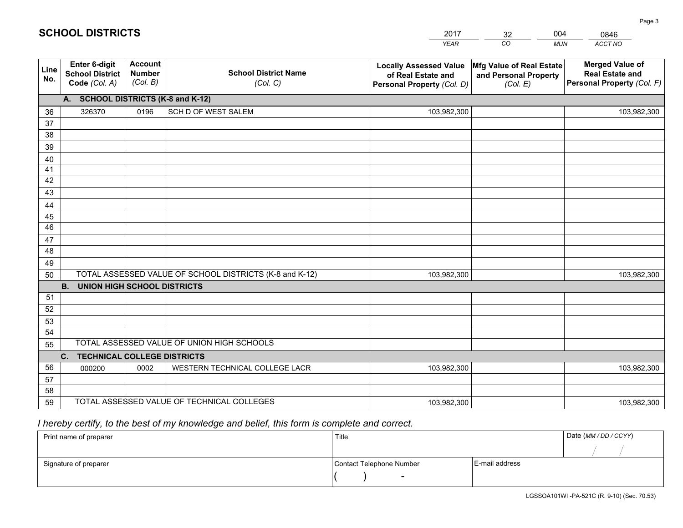|             |                                                          |                                             |                                                         | <b>YEAR</b>                                                                       | CO<br><b>MUN</b>                                              | ACCT NO                                                                        |
|-------------|----------------------------------------------------------|---------------------------------------------|---------------------------------------------------------|-----------------------------------------------------------------------------------|---------------------------------------------------------------|--------------------------------------------------------------------------------|
| Line<br>No. | Enter 6-digit<br><b>School District</b><br>Code (Col. A) | <b>Account</b><br><b>Number</b><br>(Col. B) | <b>School District Name</b><br>(Col. C)                 | <b>Locally Assessed Value</b><br>of Real Estate and<br>Personal Property (Col. D) | Mfg Value of Real Estate<br>and Personal Property<br>(Col. E) | <b>Merged Value of</b><br><b>Real Estate and</b><br>Personal Property (Col. F) |
|             | A. SCHOOL DISTRICTS (K-8 and K-12)                       |                                             |                                                         |                                                                                   |                                                               |                                                                                |
| 36          | 326370                                                   | 0196                                        | SCH D OF WEST SALEM                                     | 103,982,300                                                                       |                                                               | 103,982,300                                                                    |
| 37          |                                                          |                                             |                                                         |                                                                                   |                                                               |                                                                                |
| 38          |                                                          |                                             |                                                         |                                                                                   |                                                               |                                                                                |
| 39          |                                                          |                                             |                                                         |                                                                                   |                                                               |                                                                                |
| 40          |                                                          |                                             |                                                         |                                                                                   |                                                               |                                                                                |
| 41          |                                                          |                                             |                                                         |                                                                                   |                                                               |                                                                                |
| 42          |                                                          |                                             |                                                         |                                                                                   |                                                               |                                                                                |
| 43          |                                                          |                                             |                                                         |                                                                                   |                                                               |                                                                                |
| 44<br>45    |                                                          |                                             |                                                         |                                                                                   |                                                               |                                                                                |
| 46          |                                                          |                                             |                                                         |                                                                                   |                                                               |                                                                                |
| 47          |                                                          |                                             |                                                         |                                                                                   |                                                               |                                                                                |
| 48          |                                                          |                                             |                                                         |                                                                                   |                                                               |                                                                                |
| 49          |                                                          |                                             |                                                         |                                                                                   |                                                               |                                                                                |
| 50          |                                                          |                                             | TOTAL ASSESSED VALUE OF SCHOOL DISTRICTS (K-8 and K-12) | 103,982,300                                                                       |                                                               | 103,982,300                                                                    |
|             | <b>B.</b><br><b>UNION HIGH SCHOOL DISTRICTS</b>          |                                             |                                                         |                                                                                   |                                                               |                                                                                |
| 51          |                                                          |                                             |                                                         |                                                                                   |                                                               |                                                                                |
| 52          |                                                          |                                             |                                                         |                                                                                   |                                                               |                                                                                |
| 53          |                                                          |                                             |                                                         |                                                                                   |                                                               |                                                                                |
| 54          |                                                          |                                             |                                                         |                                                                                   |                                                               |                                                                                |
| 55          |                                                          |                                             | TOTAL ASSESSED VALUE OF UNION HIGH SCHOOLS              |                                                                                   |                                                               |                                                                                |
|             | C.<br><b>TECHNICAL COLLEGE DISTRICTS</b>                 |                                             |                                                         |                                                                                   |                                                               |                                                                                |
| 56          | 000200                                                   | 0002                                        | WESTERN TECHNICAL COLLEGE LACR                          | 103,982,300                                                                       |                                                               | 103,982,300                                                                    |
| 57          |                                                          |                                             |                                                         |                                                                                   |                                                               |                                                                                |
| 58          |                                                          |                                             |                                                         |                                                                                   |                                                               |                                                                                |
| 59          |                                                          |                                             | TOTAL ASSESSED VALUE OF TECHNICAL COLLEGES              | 103,982,300                                                                       |                                                               | 103,982,300                                                                    |

32

004

## *I hereby certify, to the best of my knowledge and belief, this form is complete and correct.*

**SCHOOL DISTRICTS**

| Print name of preparer | Title                    |                | Date (MM / DD / CCYY) |
|------------------------|--------------------------|----------------|-----------------------|
|                        |                          |                |                       |
| Signature of preparer  | Contact Telephone Number | E-mail address |                       |
|                        | $\overline{\phantom{0}}$ |                |                       |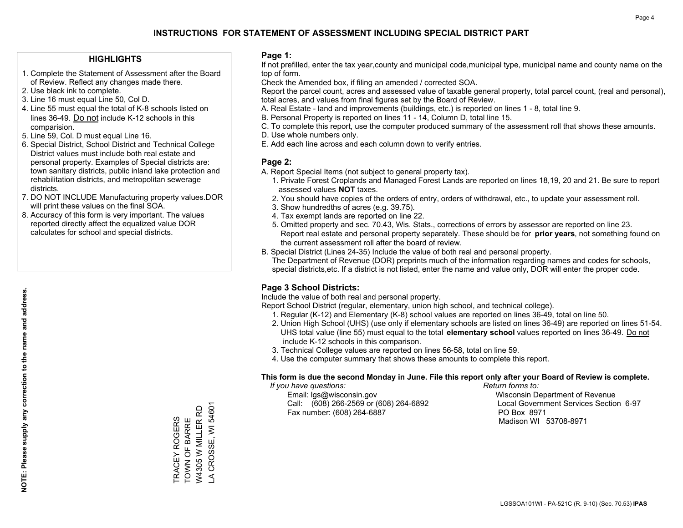#### **HIGHLIGHTS**

- 1. Complete the Statement of Assessment after the Board of Review. Reflect any changes made there.
- 2. Use black ink to complete.
- 3. Line 16 must equal Line 50, Col D.
- 4. Line 55 must equal the total of K-8 schools listed on lines 36-49. Do not include K-12 schools in this comparision.
- 5. Line 59, Col. D must equal Line 16.
- 6. Special District, School District and Technical College District values must include both real estate and personal property. Examples of Special districts are: town sanitary districts, public inland lake protection and rehabilitation districts, and metropolitan sewerage districts.
- 7. DO NOT INCLUDE Manufacturing property values.DOR will print these values on the final SOA.

TRACEY ROGERS TOWN OF BARRE W4305 W MILLER RD LA CROSSE, WI 54601

A CROSSE, WI 54601 W4305 W MILLER RD TRACEY ROGERS<br>TOWN OF BARRE

 8. Accuracy of this form is very important. The values reported directly affect the equalized value DOR calculates for school and special districts.

#### **Page 1:**

 If not prefilled, enter the tax year,county and municipal code,municipal type, municipal name and county name on the top of form.

Check the Amended box, if filing an amended / corrected SOA.

 Report the parcel count, acres and assessed value of taxable general property, total parcel count, (real and personal), total acres, and values from final figures set by the Board of Review.

- A. Real Estate land and improvements (buildings, etc.) is reported on lines 1 8, total line 9.
- B. Personal Property is reported on lines 11 14, Column D, total line 15.
- C. To complete this report, use the computer produced summary of the assessment roll that shows these amounts.
- D. Use whole numbers only.
- E. Add each line across and each column down to verify entries.

### **Page 2:**

- A. Report Special Items (not subject to general property tax).
- 1. Private Forest Croplands and Managed Forest Lands are reported on lines 18,19, 20 and 21. Be sure to report assessed values **NOT** taxes.
- 2. You should have copies of the orders of entry, orders of withdrawal, etc., to update your assessment roll.
	- 3. Show hundredths of acres (e.g. 39.75).
- 4. Tax exempt lands are reported on line 22.
- 5. Omitted property and sec. 70.43, Wis. Stats., corrections of errors by assessor are reported on line 23. Report real estate and personal property separately. These should be for **prior years**, not something found on the current assessment roll after the board of review.
- B. Special District (Lines 24-35) Include the value of both real and personal property.

 The Department of Revenue (DOR) preprints much of the information regarding names and codes for schools, special districts,etc. If a district is not listed, enter the name and value only, DOR will enter the proper code.

### **Page 3 School Districts:**

Include the value of both real and personal property.

Report School District (regular, elementary, union high school, and technical college).

- 1. Regular (K-12) and Elementary (K-8) school values are reported on lines 36-49, total on line 50.
- 2. Union High School (UHS) (use only if elementary schools are listed on lines 36-49) are reported on lines 51-54. UHS total value (line 55) must equal to the total **elementary school** values reported on lines 36-49. Do notinclude K-12 schools in this comparison.
- 3. Technical College values are reported on lines 56-58, total on line 59.
- 4. Use the computer summary that shows these amounts to complete this report.

#### **This form is due the second Monday in June. File this report only after your Board of Review is complete.**

 *If you have questions: Return forms to:*

 Email: lgs@wisconsin.gov Wisconsin Department of RevenueCall:  $(608)$  266-2569 or  $(608)$  264-6892 Fax number: (608) 264-6887 PO Box 8971

Local Government Services Section 6-97 Madison WI 53708-8971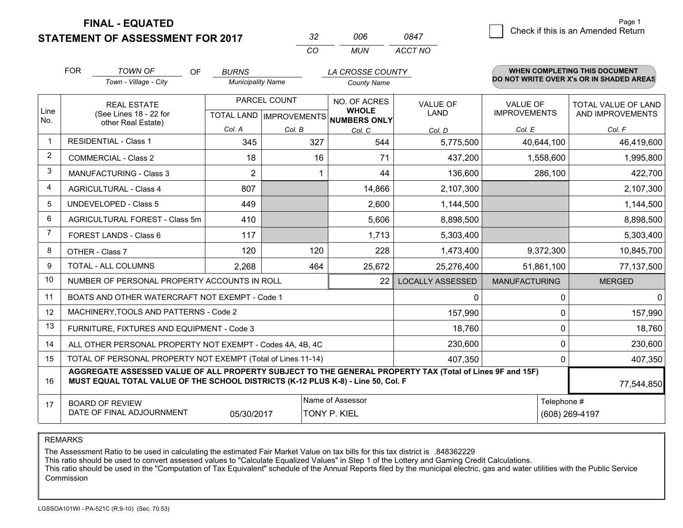**STATEMENT OF ASSESSMENT FOR 2017** 

| -32 | nnr  | 0847    |
|-----|------|---------|
| rη  | MUN. | ACCT NO |

|             | <b>FOR</b>                                                                                                                                                                                   | <b>TOWN OF</b><br><b>OF</b>                                  | <b>BURNS</b>             |                           | LA CROSSE COUNTY             |                  |                      | <b>WHEN COMPLETING THIS DOCUMENT</b>     |
|-------------|----------------------------------------------------------------------------------------------------------------------------------------------------------------------------------------------|--------------------------------------------------------------|--------------------------|---------------------------|------------------------------|------------------|----------------------|------------------------------------------|
|             |                                                                                                                                                                                              | Town - Village - City                                        | <b>Municipality Name</b> |                           | <b>County Name</b>           |                  |                      | DO NOT WRITE OVER X's OR IN SHADED AREAS |
|             |                                                                                                                                                                                              | <b>REAL ESTATE</b>                                           |                          | PARCEL COUNT              | NO. OF ACRES                 | <b>VALUE OF</b>  | <b>VALUE OF</b>      | TOTAL VALUE OF LAND                      |
| Line<br>No. |                                                                                                                                                                                              | (See Lines 18 - 22 for<br>other Real Estate)                 |                          | TOTAL LAND   IMPROVEMENTS | <b>WHOLE</b><br>NUMBERS ONLY | LAND             | <b>IMPROVEMENTS</b>  | AND IMPROVEMENTS                         |
|             |                                                                                                                                                                                              |                                                              | Col. A                   | Col. B                    | Col. C                       | Col. D           | Col. E               | Col. F                                   |
| -1          |                                                                                                                                                                                              | <b>RESIDENTIAL - Class 1</b>                                 | 345                      | 327                       | 544                          | 5,775,500        | 40,644,100           | 46,419,600                               |
| 2           |                                                                                                                                                                                              | <b>COMMERCIAL - Class 2</b>                                  | 18                       | 16                        | 71                           | 437,200          | 1,558,600            | 1,995,800                                |
| 3           |                                                                                                                                                                                              | <b>MANUFACTURING - Class 3</b>                               | $\overline{2}$           |                           | 44                           | 136,600          | 286,100              | 422,700                                  |
| 4           |                                                                                                                                                                                              | <b>AGRICULTURAL - Class 4</b>                                | 807                      |                           | 14,866                       | 2,107,300        |                      | 2,107,300                                |
| 5           |                                                                                                                                                                                              | UNDEVELOPED - Class 5                                        | 449                      |                           | 2,600                        | 1,144,500        |                      | 1,144,500                                |
| 6           | AGRICULTURAL FOREST - Class 5m                                                                                                                                                               |                                                              | 410                      |                           | 5,606                        | 8,898,500        |                      | 8,898,500                                |
| 7           | FOREST LANDS - Class 6                                                                                                                                                                       |                                                              | 117                      |                           | 1,713                        | 5,303,400        |                      | 5,303,400                                |
| 8           |                                                                                                                                                                                              | OTHER - Class 7                                              | 120                      | 120                       | 228                          | 1,473,400        | 9,372,300            | 10,845,700                               |
| 9           |                                                                                                                                                                                              | TOTAL - ALL COLUMNS                                          | 2,268                    | 464                       | 25,672                       | 25,276,400       | 51,861,100           | 77,137,500                               |
| 10          |                                                                                                                                                                                              | NUMBER OF PERSONAL PROPERTY ACCOUNTS IN ROLL                 |                          |                           | 22                           | LOCALLY ASSESSED | <b>MANUFACTURING</b> | <b>MERGED</b>                            |
| 11          |                                                                                                                                                                                              | BOATS AND OTHER WATERCRAFT NOT EXEMPT - Code 1               |                          |                           |                              | 0                | 0                    | $\Omega$                                 |
| 12          |                                                                                                                                                                                              | MACHINERY, TOOLS AND PATTERNS - Code 2                       |                          |                           |                              | 157,990          | 0                    | 157,990                                  |
| 13          |                                                                                                                                                                                              | FURNITURE, FIXTURES AND EQUIPMENT - Code 3                   |                          |                           |                              | 18,760           | 0                    | 18,760                                   |
| 14          |                                                                                                                                                                                              | ALL OTHER PERSONAL PROPERTY NOT EXEMPT - Codes 4A, 4B, 4C    |                          |                           |                              | 230,600          | 0                    | 230,600                                  |
| 15          |                                                                                                                                                                                              | TOTAL OF PERSONAL PROPERTY NOT EXEMPT (Total of Lines 11-14) |                          |                           |                              | 407,350          | 0                    | 407,350                                  |
| 16          | AGGREGATE ASSESSED VALUE OF ALL PROPERTY SUBJECT TO THE GENERAL PROPERTY TAX (Total of Lines 9F and 15F)<br>MUST EQUAL TOTAL VALUE OF THE SCHOOL DISTRICTS (K-12 PLUS K-8) - Line 50, Col. F |                                                              |                          |                           |                              |                  |                      | 77,544,850                               |
| 17          |                                                                                                                                                                                              | <b>BOARD OF REVIEW</b>                                       |                          |                           | Name of Assessor             |                  | Telephone #          |                                          |
|             |                                                                                                                                                                                              | DATE OF FINAL ADJOURNMENT                                    | 05/30/2017               |                           | <b>TONY P. KIEL</b>          |                  |                      | (608) 269-4197                           |

REMARKS

The Assessment Ratio to be used in calculating the estimated Fair Market Value on tax bills for this tax district is .848362229

This ratio should be used to convert assessed values to "Calculate Equalized Values" in Step 1 of the Lottery and Gaming Credit Calculations.<br>This ratio should be used in the "Computation of Tax Equivalent" schedule of the Commission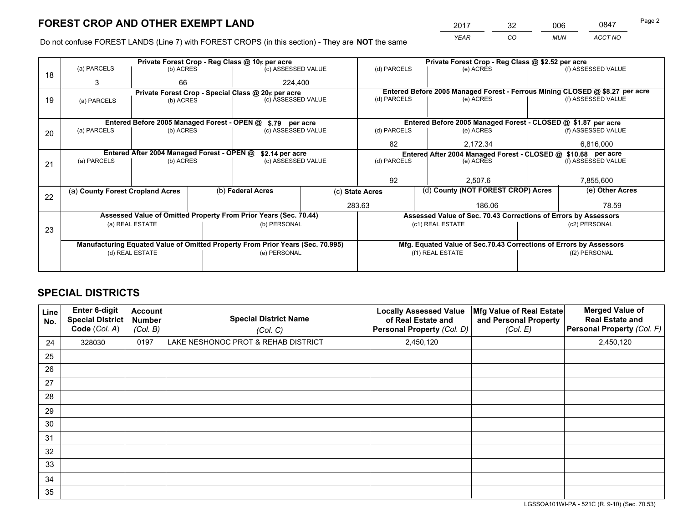*YEAR CO MUN ACCT NO* 2017 32 006 0847

Do not confuse FOREST LANDS (Line 7) with FOREST CROPS (in this section) - They are **NOT** the same

|    |                                                                                |                                                               |  | Private Forest Crop - Reg Class @ 10¢ per acre                   |                    | Private Forest Crop - Reg Class @ \$2.52 per acre                  |                                                                 |                    |  |                                                                              |  |
|----|--------------------------------------------------------------------------------|---------------------------------------------------------------|--|------------------------------------------------------------------|--------------------|--------------------------------------------------------------------|-----------------------------------------------------------------|--------------------|--|------------------------------------------------------------------------------|--|
| 18 | (a) PARCELS                                                                    | (b) ACRES                                                     |  | (c) ASSESSED VALUE                                               |                    | (d) PARCELS                                                        | (e) ACRES                                                       |                    |  | (f) ASSESSED VALUE                                                           |  |
|    | 3                                                                              | 66                                                            |  | 224.400                                                          |                    |                                                                    |                                                                 |                    |  |                                                                              |  |
|    |                                                                                |                                                               |  | Private Forest Crop - Special Class @ 20¢ per acre               |                    |                                                                    |                                                                 |                    |  | Entered Before 2005 Managed Forest - Ferrous Mining CLOSED @ \$8.27 per acre |  |
| 19 | (c) ASSESSED VALUE<br>(b) ACRES<br>(a) PARCELS                                 |                                                               |  | (d) PARCELS                                                      | (e) ACRES          |                                                                    |                                                                 | (f) ASSESSED VALUE |  |                                                                              |  |
|    |                                                                                |                                                               |  |                                                                  |                    |                                                                    |                                                                 |                    |  |                                                                              |  |
|    |                                                                                | Entered Before 2005 Managed Forest - OPEN @                   |  | \$.79 per acre                                                   |                    |                                                                    | Entered Before 2005 Managed Forest - CLOSED @ \$1.87 per acre   |                    |  |                                                                              |  |
| 20 | (a) PARCELS                                                                    | (b) ACRES                                                     |  | (c) ASSESSED VALUE                                               |                    | (d) PARCELS                                                        | (e) ACRES                                                       |                    |  | (f) ASSESSED VALUE                                                           |  |
|    |                                                                                |                                                               |  |                                                                  |                    | 82                                                                 | 2,172.34                                                        |                    |  | 6,816,000                                                                    |  |
|    |                                                                                | Entered After 2004 Managed Forest - OPEN @<br>\$2.14 per acre |  |                                                                  |                    | Entered After 2004 Managed Forest - CLOSED @ \$10.68 per acre      |                                                                 |                    |  |                                                                              |  |
| 21 | (a) PARCELS                                                                    | (b) ACRES                                                     |  |                                                                  | (c) ASSESSED VALUE |                                                                    |                                                                 | (e) ACRES          |  | (f) ASSESSED VALUE                                                           |  |
|    |                                                                                |                                                               |  |                                                                  |                    |                                                                    |                                                                 |                    |  |                                                                              |  |
|    |                                                                                |                                                               |  |                                                                  |                    | 92                                                                 | 2.507.6                                                         |                    |  | 7,855,600                                                                    |  |
|    | (a) County Forest Cropland Acres                                               |                                                               |  | (b) Federal Acres                                                |                    | (d) County (NOT FOREST CROP) Acres<br>(c) State Acres              |                                                                 |                    |  | (e) Other Acres                                                              |  |
| 22 |                                                                                |                                                               |  |                                                                  |                    |                                                                    |                                                                 |                    |  |                                                                              |  |
|    |                                                                                |                                                               |  |                                                                  |                    | 283.63                                                             |                                                                 | 186.06             |  | 78.59                                                                        |  |
|    |                                                                                |                                                               |  | Assessed Value of Omitted Property From Prior Years (Sec. 70.44) |                    |                                                                    | Assessed Value of Sec. 70.43 Corrections of Errors by Assessors |                    |  |                                                                              |  |
| 23 |                                                                                | (a) REAL ESTATE                                               |  | (b) PERSONAL                                                     |                    |                                                                    | (c1) REAL ESTATE                                                |                    |  | (c2) PERSONAL                                                                |  |
|    |                                                                                |                                                               |  |                                                                  |                    |                                                                    |                                                                 |                    |  |                                                                              |  |
|    | Manufacturing Equated Value of Omitted Property From Prior Years (Sec. 70.995) |                                                               |  |                                                                  |                    | Mfg. Equated Value of Sec.70.43 Corrections of Errors by Assessors |                                                                 |                    |  |                                                                              |  |
|    | (e) PERSONAL<br>(d) REAL ESTATE                                                |                                                               |  | (f1) REAL ESTATE                                                 |                    | (f2) PERSONAL                                                      |                                                                 |                    |  |                                                                              |  |
|    |                                                                                |                                                               |  |                                                                  |                    |                                                                    |                                                                 |                    |  |                                                                              |  |

## **SPECIAL DISTRICTS**

| Line<br>No. | Enter 6-digit<br><b>Special District</b><br>Code (Col. A) | <b>Account</b><br><b>Number</b><br>(Col. B) | <b>Special District Name</b><br>(Col. C) | <b>Locally Assessed Value</b><br>of Real Estate and<br>Personal Property (Col. D) | Mfg Value of Real Estate<br>and Personal Property<br>(Col. E) | <b>Merged Value of</b><br><b>Real Estate and</b><br>Personal Property (Col. F) |
|-------------|-----------------------------------------------------------|---------------------------------------------|------------------------------------------|-----------------------------------------------------------------------------------|---------------------------------------------------------------|--------------------------------------------------------------------------------|
| 24          | 328030                                                    | 0197                                        | LAKE NESHONOC PROT & REHAB DISTRICT      | 2,450,120                                                                         |                                                               | 2,450,120                                                                      |
| 25          |                                                           |                                             |                                          |                                                                                   |                                                               |                                                                                |
| 26          |                                                           |                                             |                                          |                                                                                   |                                                               |                                                                                |
| 27          |                                                           |                                             |                                          |                                                                                   |                                                               |                                                                                |
| 28          |                                                           |                                             |                                          |                                                                                   |                                                               |                                                                                |
| 29          |                                                           |                                             |                                          |                                                                                   |                                                               |                                                                                |
| 30          |                                                           |                                             |                                          |                                                                                   |                                                               |                                                                                |
| 31          |                                                           |                                             |                                          |                                                                                   |                                                               |                                                                                |
| 32          |                                                           |                                             |                                          |                                                                                   |                                                               |                                                                                |
| 33          |                                                           |                                             |                                          |                                                                                   |                                                               |                                                                                |
| 34          |                                                           |                                             |                                          |                                                                                   |                                                               |                                                                                |
| 35          |                                                           |                                             |                                          |                                                                                   |                                                               |                                                                                |

LGSSOA101WI-PA - 521C (R. 9-10) (Sec. 70.53)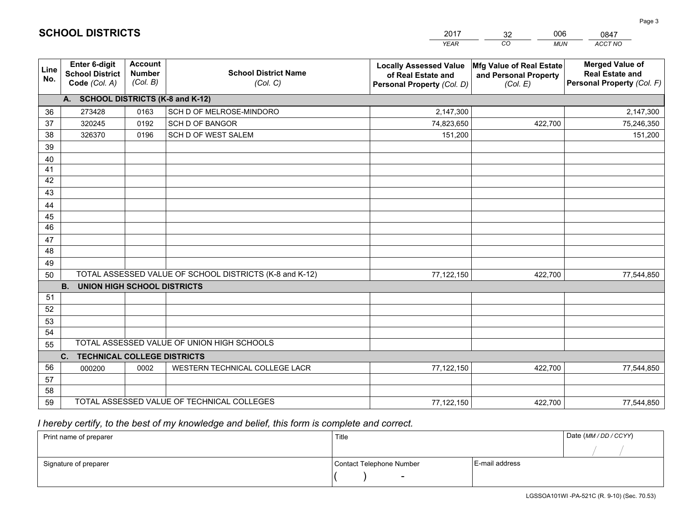|             |                                                                 |                                             |                                                         | <b>YEAR</b>                                                                       | CO<br><b>MUN</b>                                              | ACCT NO                                                                        |
|-------------|-----------------------------------------------------------------|---------------------------------------------|---------------------------------------------------------|-----------------------------------------------------------------------------------|---------------------------------------------------------------|--------------------------------------------------------------------------------|
| Line<br>No. | <b>Enter 6-digit</b><br><b>School District</b><br>Code (Col. A) | <b>Account</b><br><b>Number</b><br>(Col. B) | <b>School District Name</b><br>(Col. C)                 | <b>Locally Assessed Value</b><br>of Real Estate and<br>Personal Property (Col. D) | Mfg Value of Real Estate<br>and Personal Property<br>(Col. E) | <b>Merged Value of</b><br><b>Real Estate and</b><br>Personal Property (Col. F) |
|             | A. SCHOOL DISTRICTS (K-8 and K-12)                              |                                             |                                                         |                                                                                   |                                                               |                                                                                |
| 36          | 273428                                                          | 0163                                        | SCH D OF MELROSE-MINDORO                                | 2,147,300                                                                         |                                                               | 2,147,300                                                                      |
| 37          | 320245                                                          | 0192                                        | <b>SCH D OF BANGOR</b>                                  | 74,823,650                                                                        | 422,700                                                       | 75,246,350                                                                     |
| 38          | 326370                                                          | 0196                                        | SCH D OF WEST SALEM                                     | 151,200                                                                           |                                                               | 151,200                                                                        |
| 39          |                                                                 |                                             |                                                         |                                                                                   |                                                               |                                                                                |
| 40          |                                                                 |                                             |                                                         |                                                                                   |                                                               |                                                                                |
| 41          |                                                                 |                                             |                                                         |                                                                                   |                                                               |                                                                                |
| 42          |                                                                 |                                             |                                                         |                                                                                   |                                                               |                                                                                |
| 43          |                                                                 |                                             |                                                         |                                                                                   |                                                               |                                                                                |
| 44          |                                                                 |                                             |                                                         |                                                                                   |                                                               |                                                                                |
| 45          |                                                                 |                                             |                                                         |                                                                                   |                                                               |                                                                                |
| 46          |                                                                 |                                             |                                                         |                                                                                   |                                                               |                                                                                |
| 47          |                                                                 |                                             |                                                         |                                                                                   |                                                               |                                                                                |
| 48          |                                                                 |                                             |                                                         |                                                                                   |                                                               |                                                                                |
| 49          |                                                                 |                                             |                                                         |                                                                                   |                                                               |                                                                                |
| 50          |                                                                 |                                             | TOTAL ASSESSED VALUE OF SCHOOL DISTRICTS (K-8 and K-12) | 77,122,150                                                                        | 422,700                                                       | 77,544,850                                                                     |
|             | <b>B.</b><br>UNION HIGH SCHOOL DISTRICTS                        |                                             |                                                         |                                                                                   |                                                               |                                                                                |
| 51          |                                                                 |                                             |                                                         |                                                                                   |                                                               |                                                                                |
| 52          |                                                                 |                                             |                                                         |                                                                                   |                                                               |                                                                                |
| 53          |                                                                 |                                             |                                                         |                                                                                   |                                                               |                                                                                |
| 54          |                                                                 |                                             | TOTAL ASSESSED VALUE OF UNION HIGH SCHOOLS              |                                                                                   |                                                               |                                                                                |
| 55          |                                                                 |                                             |                                                         |                                                                                   |                                                               |                                                                                |
| 56          | C.<br><b>TECHNICAL COLLEGE DISTRICTS</b>                        |                                             |                                                         |                                                                                   |                                                               |                                                                                |
| 57          | 000200                                                          | 0002                                        | WESTERN TECHNICAL COLLEGE LACR                          | 77,122,150                                                                        | 422,700                                                       | 77,544,850                                                                     |
| 58          |                                                                 |                                             |                                                         |                                                                                   |                                                               |                                                                                |
| 59          |                                                                 |                                             | TOTAL ASSESSED VALUE OF TECHNICAL COLLEGES              | 77,122,150                                                                        | 422,700                                                       | 77,544,850                                                                     |
|             |                                                                 |                                             |                                                         |                                                                                   |                                                               |                                                                                |

32

006

 *I hereby certify, to the best of my knowledge and belief, this form is complete and correct.*

**SCHOOL DISTRICTS**

| Print name of preparer | Title                    |                | Date (MM / DD / CCYY) |
|------------------------|--------------------------|----------------|-----------------------|
|                        |                          |                |                       |
| Signature of preparer  | Contact Telephone Number | E-mail address |                       |
|                        | $\overline{\phantom{0}}$ |                |                       |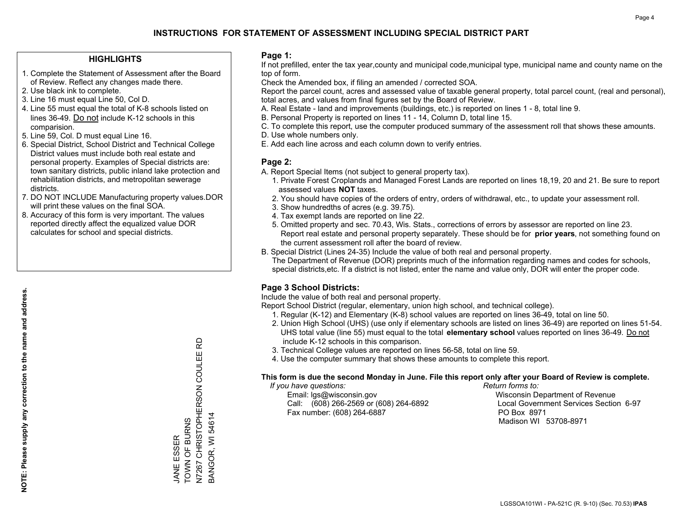#### **HIGHLIGHTS**

- 1. Complete the Statement of Assessment after the Board of Review. Reflect any changes made there.
- 2. Use black ink to complete.
- 3. Line 16 must equal Line 50, Col D.
- 4. Line 55 must equal the total of K-8 schools listed on lines 36-49. Do not include K-12 schools in this comparision.
- 5. Line 59, Col. D must equal Line 16.
- 6. Special District, School District and Technical College District values must include both real estate and personal property. Examples of Special districts are: town sanitary districts, public inland lake protection and rehabilitation districts, and metropolitan sewerage districts.
- 7. DO NOT INCLUDE Manufacturing property values.DOR will print these values on the final SOA.

JANE ESSER TOWN OF BURNS

JANE ESSER<br>TOWN OF BURNS

N7267 CHRISTOPHERSON COULEE RD

N7267 CHRISTOPHERSON COULEE RD

BANGOR, WI 54614

3ANGOR, WI 54614

 8. Accuracy of this form is very important. The values reported directly affect the equalized value DOR calculates for school and special districts.

#### **Page 1:**

 If not prefilled, enter the tax year,county and municipal code,municipal type, municipal name and county name on the top of form.

Check the Amended box, if filing an amended / corrected SOA.

 Report the parcel count, acres and assessed value of taxable general property, total parcel count, (real and personal), total acres, and values from final figures set by the Board of Review.

- A. Real Estate land and improvements (buildings, etc.) is reported on lines 1 8, total line 9.
- B. Personal Property is reported on lines 11 14, Column D, total line 15.
- C. To complete this report, use the computer produced summary of the assessment roll that shows these amounts.
- D. Use whole numbers only.
- E. Add each line across and each column down to verify entries.

#### **Page 2:**

- A. Report Special Items (not subject to general property tax).
- 1. Private Forest Croplands and Managed Forest Lands are reported on lines 18,19, 20 and 21. Be sure to report assessed values **NOT** taxes.
- 2. You should have copies of the orders of entry, orders of withdrawal, etc., to update your assessment roll.
	- 3. Show hundredths of acres (e.g. 39.75).
- 4. Tax exempt lands are reported on line 22.
- 5. Omitted property and sec. 70.43, Wis. Stats., corrections of errors by assessor are reported on line 23. Report real estate and personal property separately. These should be for **prior years**, not something found on the current assessment roll after the board of review.
- B. Special District (Lines 24-35) Include the value of both real and personal property.
- The Department of Revenue (DOR) preprints much of the information regarding names and codes for schools, special districts,etc. If a district is not listed, enter the name and value only, DOR will enter the proper code.

### **Page 3 School Districts:**

Include the value of both real and personal property.

Report School District (regular, elementary, union high school, and technical college).

- 1. Regular (K-12) and Elementary (K-8) school values are reported on lines 36-49, total on line 50.
- 2. Union High School (UHS) (use only if elementary schools are listed on lines 36-49) are reported on lines 51-54. UHS total value (line 55) must equal to the total **elementary school** values reported on lines 36-49. Do notinclude K-12 schools in this comparison.
- 3. Technical College values are reported on lines 56-58, total on line 59.
- 4. Use the computer summary that shows these amounts to complete this report.

#### **This form is due the second Monday in June. File this report only after your Board of Review is complete.**

 *If you have questions: Return forms to:*

 Email: lgs@wisconsin.gov Wisconsin Department of RevenueCall:  $(608)$  266-2569 or  $(608)$  264-6892 Fax number: (608) 264-6887 PO Box 8971

Local Government Services Section 6-97 Madison WI 53708-8971

**NOTE: Please supply any correction to the name and address.** NOTE: Please supply any correction to the name and address.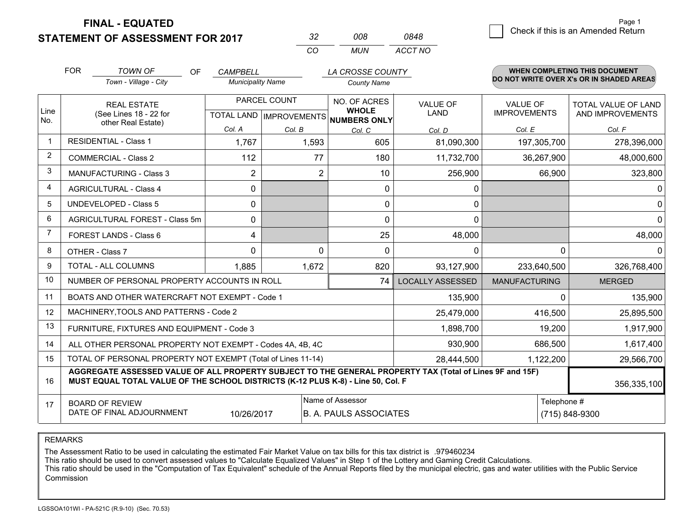**STATEMENT OF ASSESSMENT FOR 2017** 

| 32 | 008 | 0848    |
|----|-----|---------|
| rn | MUN | ACCT NO |

|                | <b>FOR</b>                                                                                                                                                                                   | <b>TOWN OF</b><br>OF<br>Town - Village - City                | <b>CAMPBELL</b><br><b>Municipality Name</b>         |                | LA CROSSE COUNTY<br><b>County Name</b> |                                |                                        | <b>WHEN COMPLETING THIS DOCUMENT</b><br>DO NOT WRITE OVER X's OR IN SHADED AREAS |
|----------------|----------------------------------------------------------------------------------------------------------------------------------------------------------------------------------------------|--------------------------------------------------------------|-----------------------------------------------------|----------------|----------------------------------------|--------------------------------|----------------------------------------|----------------------------------------------------------------------------------|
| Line           | <b>REAL ESTATE</b><br>(See Lines 18 - 22 for                                                                                                                                                 |                                                              | PARCEL COUNT<br>TOTAL LAND MPROVEMENTS NUMBERS ONLY |                | NO. OF ACRES<br><b>WHOLE</b>           | <b>VALUE OF</b><br><b>LAND</b> | <b>VALUE OF</b><br><b>IMPROVEMENTS</b> | <b>TOTAL VALUE OF LAND</b><br>AND IMPROVEMENTS                                   |
| No.            |                                                                                                                                                                                              | other Real Estate)                                           | Col. A                                              | Col. B         | Col. C                                 | Col. D                         | Col. E                                 | Col. F                                                                           |
|                |                                                                                                                                                                                              | <b>RESIDENTIAL - Class 1</b>                                 | 1,767                                               | 1,593          | 605                                    | 81,090,300                     | 197,305,700                            | 278,396,000                                                                      |
| 2              |                                                                                                                                                                                              | <b>COMMERCIAL - Class 2</b>                                  | 112                                                 | 77             | 180                                    | 11,732,700                     | 36,267,900                             | 48,000,600                                                                       |
| 3              |                                                                                                                                                                                              | <b>MANUFACTURING - Class 3</b>                               | $\overline{2}$                                      | $\overline{2}$ | 10                                     | 256,900                        | 66,900                                 | 323,800                                                                          |
| 4              |                                                                                                                                                                                              | <b>AGRICULTURAL - Class 4</b>                                | 0                                                   |                | $\mathbf{0}$                           | 0                              |                                        | $\mathbf 0$                                                                      |
| 5              |                                                                                                                                                                                              | UNDEVELOPED - Class 5                                        | $\Omega$                                            |                | $\mathbf 0$                            | $\mathbf{0}$                   |                                        | $\mathbf 0$                                                                      |
| 6              |                                                                                                                                                                                              | AGRICULTURAL FOREST - Class 5m                               | 0                                                   |                | $\mathbf{0}$                           | $\mathbf{0}$                   |                                        | $\mathbf 0$                                                                      |
| $\overline{7}$ |                                                                                                                                                                                              | FOREST LANDS - Class 6                                       | 4                                                   |                | 25                                     | 48,000                         |                                        | 48,000                                                                           |
| 8              |                                                                                                                                                                                              | OTHER - Class 7                                              | $\Omega$                                            | $\Omega$       | $\Omega$                               | $\Omega$                       |                                        | $\Omega$<br>$\Omega$                                                             |
| 9              |                                                                                                                                                                                              | TOTAL - ALL COLUMNS                                          | 1,885                                               | 1,672          | 820                                    | 93,127,900                     | 233,640,500                            | 326,768,400                                                                      |
| 10             |                                                                                                                                                                                              | NUMBER OF PERSONAL PROPERTY ACCOUNTS IN ROLL                 |                                                     |                | 74                                     | <b>LOCALLY ASSESSED</b>        | <b>MANUFACTURING</b>                   | <b>MERGED</b>                                                                    |
| 11             |                                                                                                                                                                                              | BOATS AND OTHER WATERCRAFT NOT EXEMPT - Code 1               |                                                     |                |                                        | 135,900                        |                                        | 135,900<br>∩                                                                     |
| 12             |                                                                                                                                                                                              | MACHINERY, TOOLS AND PATTERNS - Code 2                       |                                                     |                |                                        | 25,479,000                     | 416,500                                | 25,895,500                                                                       |
| 13             |                                                                                                                                                                                              | FURNITURE, FIXTURES AND EQUIPMENT - Code 3                   |                                                     |                |                                        | 1,898,700                      | 19,200                                 | 1,917,900                                                                        |
| 14             |                                                                                                                                                                                              | ALL OTHER PERSONAL PROPERTY NOT EXEMPT - Codes 4A, 4B, 4C    |                                                     |                |                                        | 930,900                        | 686,500                                | 1,617,400                                                                        |
| 15             |                                                                                                                                                                                              | TOTAL OF PERSONAL PROPERTY NOT EXEMPT (Total of Lines 11-14) |                                                     |                |                                        | 28,444,500                     | 1,122,200                              | 29,566,700                                                                       |
| 16             | AGGREGATE ASSESSED VALUE OF ALL PROPERTY SUBJECT TO THE GENERAL PROPERTY TAX (Total of Lines 9F and 15F)<br>MUST EQUAL TOTAL VALUE OF THE SCHOOL DISTRICTS (K-12 PLUS K-8) - Line 50, Col. F |                                                              |                                                     |                |                                        |                                |                                        | 356,335,100                                                                      |
| 17             | Name of Assessor<br><b>BOARD OF REVIEW</b><br>DATE OF FINAL ADJOURNMENT<br><b>B. A. PAULS ASSOCIATES</b><br>10/26/2017                                                                       |                                                              |                                                     |                |                                        |                                |                                        | Telephone #<br>(715) 848-9300                                                    |

REMARKS

The Assessment Ratio to be used in calculating the estimated Fair Market Value on tax bills for this tax district is .979460234

This ratio should be used to convert assessed values to "Calculate Equalized Values" in Step 1 of the Lottery and Gaming Credit Calculations.<br>This ratio should be used in the "Computation of Tax Equivalent" schedule of the Commission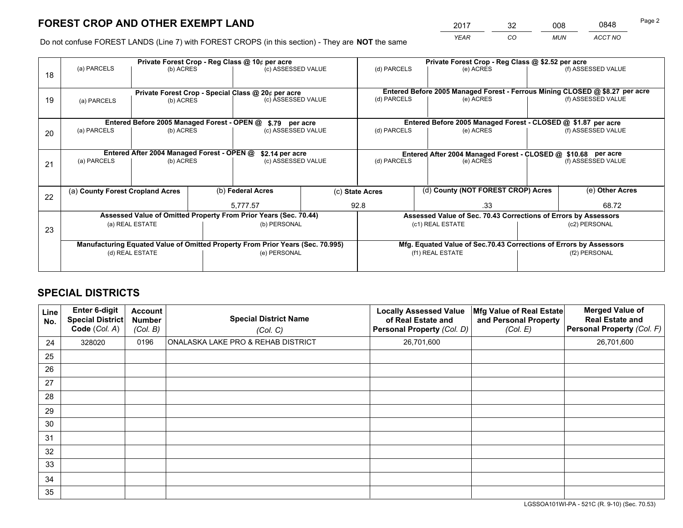*YEAR CO MUN ACCT NO* <sup>2017</sup> <sup>32</sup> <sup>008</sup> <sup>0848</sup> Page 2

Do not confuse FOREST LANDS (Line 7) with FOREST CROPS (in this section) - They are **NOT** the same

|    |                                                                                |                                             |  | Private Forest Crop - Reg Class @ 10¢ per acre                   |                                   | Private Forest Crop - Reg Class @ \$2.52 per acre     |                                                                                     |  |                                                                              |  |
|----|--------------------------------------------------------------------------------|---------------------------------------------|--|------------------------------------------------------------------|-----------------------------------|-------------------------------------------------------|-------------------------------------------------------------------------------------|--|------------------------------------------------------------------------------|--|
| 18 | (a) PARCELS                                                                    | (b) ACRES                                   |  | (c) ASSESSED VALUE                                               |                                   | (d) PARCELS                                           | (e) ACRES                                                                           |  | (f) ASSESSED VALUE                                                           |  |
|    |                                                                                |                                             |  |                                                                  |                                   |                                                       |                                                                                     |  |                                                                              |  |
|    |                                                                                |                                             |  | Private Forest Crop - Special Class @ 20¢ per acre               |                                   |                                                       |                                                                                     |  | Entered Before 2005 Managed Forest - Ferrous Mining CLOSED @ \$8.27 per acre |  |
| 19 | (a) PARCELS                                                                    | (b) ACRES                                   |  | (c) ASSESSED VALUE                                               |                                   | (d) PARCELS                                           | (e) ACRES                                                                           |  | (f) ASSESSED VALUE                                                           |  |
|    |                                                                                |                                             |  |                                                                  |                                   |                                                       |                                                                                     |  |                                                                              |  |
|    |                                                                                | Entered Before 2005 Managed Forest - OPEN @ |  | \$.79 per acre                                                   |                                   |                                                       | Entered Before 2005 Managed Forest - CLOSED @ \$1.87 per acre                       |  |                                                                              |  |
| 20 | (a) PARCELS                                                                    | (b) ACRES                                   |  | (c) ASSESSED VALUE                                               |                                   | (d) PARCELS                                           | (e) ACRES                                                                           |  | (f) ASSESSED VALUE                                                           |  |
|    |                                                                                |                                             |  |                                                                  |                                   |                                                       |                                                                                     |  |                                                                              |  |
|    |                                                                                | Entered After 2004 Managed Forest - OPEN @  |  | \$2.14 per acre                                                  |                                   |                                                       | Entered After 2004 Managed Forest - CLOSED @ \$10.68 per acre<br>(f) ASSESSED VALUE |  |                                                                              |  |
| 21 | (a) PARCELS                                                                    | (b) ACRES                                   |  |                                                                  | (c) ASSESSED VALUE<br>(d) PARCELS |                                                       | (e) ACRES                                                                           |  |                                                                              |  |
|    |                                                                                |                                             |  |                                                                  |                                   |                                                       |                                                                                     |  |                                                                              |  |
|    |                                                                                |                                             |  |                                                                  |                                   |                                                       |                                                                                     |  |                                                                              |  |
| 22 | (a) County Forest Cropland Acres                                               |                                             |  | (b) Federal Acres                                                |                                   | (d) County (NOT FOREST CROP) Acres<br>(c) State Acres |                                                                                     |  | (e) Other Acres                                                              |  |
|    |                                                                                |                                             |  | 5,777.57                                                         |                                   | 92.8                                                  | .33                                                                                 |  | 68.72                                                                        |  |
|    |                                                                                |                                             |  | Assessed Value of Omitted Property From Prior Years (Sec. 70.44) |                                   |                                                       | Assessed Value of Sec. 70.43 Corrections of Errors by Assessors                     |  |                                                                              |  |
| 23 |                                                                                | (a) REAL ESTATE                             |  | (b) PERSONAL                                                     |                                   |                                                       | (c1) REAL ESTATE                                                                    |  | (c2) PERSONAL                                                                |  |
|    |                                                                                |                                             |  |                                                                  |                                   |                                                       |                                                                                     |  |                                                                              |  |
|    | Manufacturing Equated Value of Omitted Property From Prior Years (Sec. 70.995) |                                             |  |                                                                  |                                   |                                                       | Mfg. Equated Value of Sec.70.43 Corrections of Errors by Assessors                  |  |                                                                              |  |
|    | (d) REAL ESTATE                                                                |                                             |  | (e) PERSONAL                                                     |                                   | (f1) REAL ESTATE                                      |                                                                                     |  | (f2) PERSONAL                                                                |  |
|    |                                                                                |                                             |  |                                                                  |                                   |                                                       |                                                                                     |  |                                                                              |  |

## **SPECIAL DISTRICTS**

| <b>Line</b><br>No. | Enter 6-digit<br><b>Special District</b><br>Code (Col. A) | <b>Account</b><br><b>Number</b><br>(Col. B) | <b>Special District Name</b><br>(Col. C) | <b>Locally Assessed Value</b><br>of Real Estate and<br>Personal Property (Col. D) | Mfg Value of Real Estate<br>and Personal Property<br>(Col. E) | <b>Merged Value of</b><br><b>Real Estate and</b><br>Personal Property (Col. F) |
|--------------------|-----------------------------------------------------------|---------------------------------------------|------------------------------------------|-----------------------------------------------------------------------------------|---------------------------------------------------------------|--------------------------------------------------------------------------------|
| 24                 | 328020                                                    | 0196                                        | ONALASKA LAKE PRO & REHAB DISTRICT       | 26,701,600                                                                        |                                                               | 26,701,600                                                                     |
| 25                 |                                                           |                                             |                                          |                                                                                   |                                                               |                                                                                |
| 26                 |                                                           |                                             |                                          |                                                                                   |                                                               |                                                                                |
| 27                 |                                                           |                                             |                                          |                                                                                   |                                                               |                                                                                |
| 28                 |                                                           |                                             |                                          |                                                                                   |                                                               |                                                                                |
| 29                 |                                                           |                                             |                                          |                                                                                   |                                                               |                                                                                |
| 30                 |                                                           |                                             |                                          |                                                                                   |                                                               |                                                                                |
| 31                 |                                                           |                                             |                                          |                                                                                   |                                                               |                                                                                |
| 32                 |                                                           |                                             |                                          |                                                                                   |                                                               |                                                                                |
| 33                 |                                                           |                                             |                                          |                                                                                   |                                                               |                                                                                |
| 34                 |                                                           |                                             |                                          |                                                                                   |                                                               |                                                                                |
| 35                 |                                                           |                                             |                                          |                                                                                   |                                                               |                                                                                |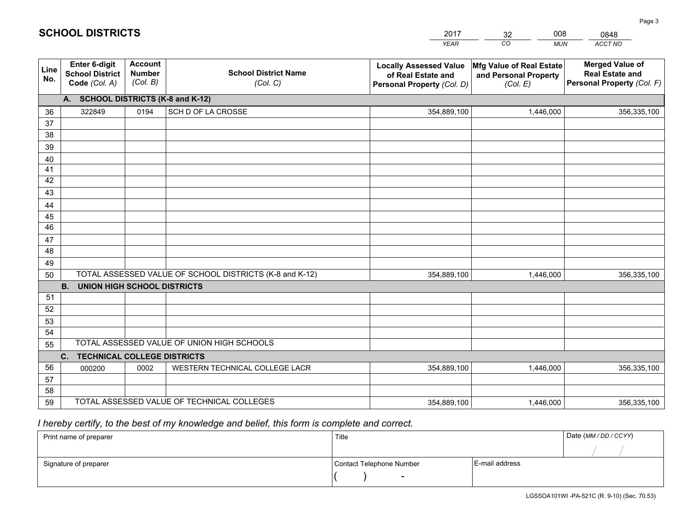|             |                                                                 |                                             |                                                         | <b>YEAR</b>                                                                       | CO<br><b>MUN</b>                                              | <b>ACCT NO</b>                                                                 |
|-------------|-----------------------------------------------------------------|---------------------------------------------|---------------------------------------------------------|-----------------------------------------------------------------------------------|---------------------------------------------------------------|--------------------------------------------------------------------------------|
| Line<br>No. | <b>Enter 6-digit</b><br><b>School District</b><br>Code (Col. A) | <b>Account</b><br><b>Number</b><br>(Col. B) | <b>School District Name</b><br>(Col. C)                 | <b>Locally Assessed Value</b><br>of Real Estate and<br>Personal Property (Col. D) | Mfg Value of Real Estate<br>and Personal Property<br>(Col. E) | <b>Merged Value of</b><br><b>Real Estate and</b><br>Personal Property (Col. F) |
|             | A. SCHOOL DISTRICTS (K-8 and K-12)                              |                                             |                                                         |                                                                                   |                                                               |                                                                                |
| 36          | 322849                                                          | 0194                                        | SCH D OF LA CROSSE                                      | 354,889,100                                                                       | 1,446,000                                                     | 356,335,100                                                                    |
| 37          |                                                                 |                                             |                                                         |                                                                                   |                                                               |                                                                                |
| 38          |                                                                 |                                             |                                                         |                                                                                   |                                                               |                                                                                |
| 39          |                                                                 |                                             |                                                         |                                                                                   |                                                               |                                                                                |
| 40          |                                                                 |                                             |                                                         |                                                                                   |                                                               |                                                                                |
| 41<br>42    |                                                                 |                                             |                                                         |                                                                                   |                                                               |                                                                                |
| 43          |                                                                 |                                             |                                                         |                                                                                   |                                                               |                                                                                |
| 44          |                                                                 |                                             |                                                         |                                                                                   |                                                               |                                                                                |
| 45          |                                                                 |                                             |                                                         |                                                                                   |                                                               |                                                                                |
| 46          |                                                                 |                                             |                                                         |                                                                                   |                                                               |                                                                                |
| 47          |                                                                 |                                             |                                                         |                                                                                   |                                                               |                                                                                |
| 48          |                                                                 |                                             |                                                         |                                                                                   |                                                               |                                                                                |
| 49          |                                                                 |                                             |                                                         |                                                                                   |                                                               |                                                                                |
| 50          |                                                                 |                                             | TOTAL ASSESSED VALUE OF SCHOOL DISTRICTS (K-8 and K-12) | 354,889,100                                                                       | 1,446,000                                                     | 356,335,100                                                                    |
|             | <b>B.</b><br><b>UNION HIGH SCHOOL DISTRICTS</b>                 |                                             |                                                         |                                                                                   |                                                               |                                                                                |
| 51          |                                                                 |                                             |                                                         |                                                                                   |                                                               |                                                                                |
| 52          |                                                                 |                                             |                                                         |                                                                                   |                                                               |                                                                                |
| 53          |                                                                 |                                             |                                                         |                                                                                   |                                                               |                                                                                |
| 54          |                                                                 |                                             | TOTAL ASSESSED VALUE OF UNION HIGH SCHOOLS              |                                                                                   |                                                               |                                                                                |
| 55          |                                                                 |                                             |                                                         |                                                                                   |                                                               |                                                                                |
| 56          | C.<br><b>TECHNICAL COLLEGE DISTRICTS</b><br>000200              | 0002                                        | WESTERN TECHNICAL COLLEGE LACR                          | 354,889,100                                                                       | 1,446,000                                                     | 356,335,100                                                                    |
| 57          |                                                                 |                                             |                                                         |                                                                                   |                                                               |                                                                                |
| 58          |                                                                 |                                             |                                                         |                                                                                   |                                                               |                                                                                |
| 59          |                                                                 |                                             | TOTAL ASSESSED VALUE OF TECHNICAL COLLEGES              | 354,889,100                                                                       | 1,446,000                                                     | 356,335,100                                                                    |

32

008

## *I hereby certify, to the best of my knowledge and belief, this form is complete and correct.*

**SCHOOL DISTRICTS**

| Print name of preparer | Title                    |                | Date (MM / DD / CCYY) |
|------------------------|--------------------------|----------------|-----------------------|
|                        |                          |                |                       |
| Signature of preparer  | Contact Telephone Number | E-mail address |                       |
|                        | $\sim$                   |                |                       |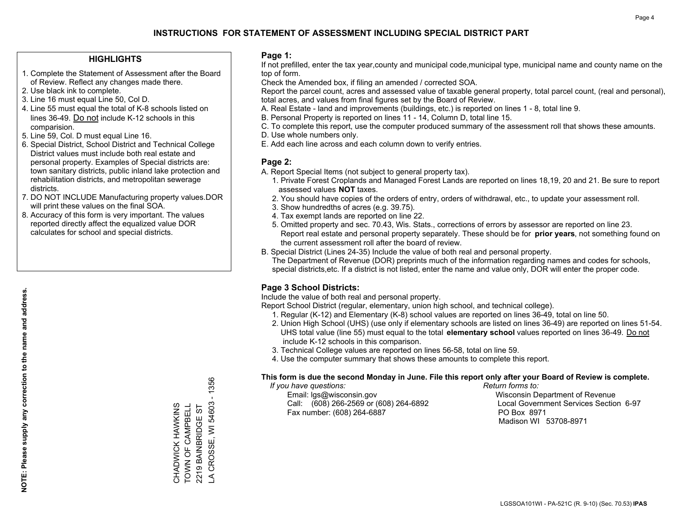#### **HIGHLIGHTS**

- 1. Complete the Statement of Assessment after the Board of Review. Reflect any changes made there.
- 2. Use black ink to complete.
- 3. Line 16 must equal Line 50, Col D.
- 4. Line 55 must equal the total of K-8 schools listed on lines 36-49. Do not include K-12 schools in this comparision.
- 5. Line 59, Col. D must equal Line 16.
- 6. Special District, School District and Technical College District values must include both real estate and personal property. Examples of Special districts are: town sanitary districts, public inland lake protection and rehabilitation districts, and metropolitan sewerage districts.
- 7. DO NOT INCLUDE Manufacturing property values.DOR will print these values on the final SOA.

CHADWICK HAWKINS TOWN OF CAMPBELL 2219 BAINBRIDGE ST

CHADWICK HAWKINS<br>TOWN OF CAMPBELL 2219 BAINBRIDGE ST LA CROSSE, WI 54603 - 1356

CROSSE, WI 54603

 $\overline{A}$ 

1356  $\mathbf{I}$ 

 8. Accuracy of this form is very important. The values reported directly affect the equalized value DOR calculates for school and special districts.

#### **Page 1:**

 If not prefilled, enter the tax year,county and municipal code,municipal type, municipal name and county name on the top of form.

Check the Amended box, if filing an amended / corrected SOA.

 Report the parcel count, acres and assessed value of taxable general property, total parcel count, (real and personal), total acres, and values from final figures set by the Board of Review.

- A. Real Estate land and improvements (buildings, etc.) is reported on lines 1 8, total line 9.
- B. Personal Property is reported on lines 11 14, Column D, total line 15.
- C. To complete this report, use the computer produced summary of the assessment roll that shows these amounts.
- D. Use whole numbers only.
- E. Add each line across and each column down to verify entries.

#### **Page 2:**

- A. Report Special Items (not subject to general property tax).
- 1. Private Forest Croplands and Managed Forest Lands are reported on lines 18,19, 20 and 21. Be sure to report assessed values **NOT** taxes.
- 2. You should have copies of the orders of entry, orders of withdrawal, etc., to update your assessment roll.
	- 3. Show hundredths of acres (e.g. 39.75).
- 4. Tax exempt lands are reported on line 22.
- 5. Omitted property and sec. 70.43, Wis. Stats., corrections of errors by assessor are reported on line 23. Report real estate and personal property separately. These should be for **prior years**, not something found on the current assessment roll after the board of review.
- B. Special District (Lines 24-35) Include the value of both real and personal property.
- The Department of Revenue (DOR) preprints much of the information regarding names and codes for schools, special districts,etc. If a district is not listed, enter the name and value only, DOR will enter the proper code.

### **Page 3 School Districts:**

Include the value of both real and personal property.

Report School District (regular, elementary, union high school, and technical college).

- 1. Regular (K-12) and Elementary (K-8) school values are reported on lines 36-49, total on line 50.
- 2. Union High School (UHS) (use only if elementary schools are listed on lines 36-49) are reported on lines 51-54. UHS total value (line 55) must equal to the total **elementary school** values reported on lines 36-49. Do notinclude K-12 schools in this comparison.
- 3. Technical College values are reported on lines 56-58, total on line 59.
- 4. Use the computer summary that shows these amounts to complete this report.

#### **This form is due the second Monday in June. File this report only after your Board of Review is complete.**

 *If you have questions: Return forms to:*

 Email: lgs@wisconsin.gov Wisconsin Department of RevenueCall:  $(608)$  266-2569 or  $(608)$  264-6892 Fax number: (608) 264-6887 PO Box 8971

Local Government Services Section 6-97 Madison WI 53708-8971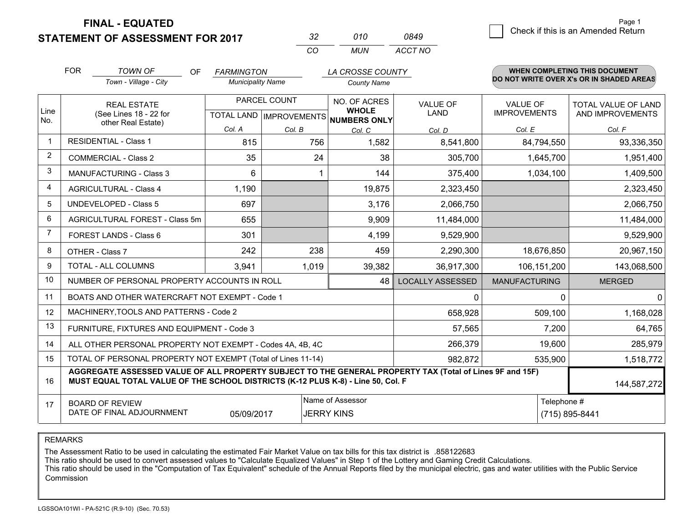**STATEMENT OF ASSESSMENT FOR 2017** 

| 32  | 010 | 0849    |
|-----|-----|---------|
| CO. | MUN | ACCT NO |

|                | <b>FOR</b>                                                                                                                | <b>TOWN OF</b><br><b>OF</b><br>Town - Village - City                                                                                                                                         | <b>FARMINGTON</b><br><b>Municipality Name</b> |              | LA CROSSE COUNTY<br><b>County Name</b>              |                         |                      | <b>WHEN COMPLETING THIS DOCUMENT</b><br>DO NOT WRITE OVER X's OR IN SHADED AREAS |
|----------------|---------------------------------------------------------------------------------------------------------------------------|----------------------------------------------------------------------------------------------------------------------------------------------------------------------------------------------|-----------------------------------------------|--------------|-----------------------------------------------------|-------------------------|----------------------|----------------------------------------------------------------------------------|
|                |                                                                                                                           |                                                                                                                                                                                              |                                               |              |                                                     |                         |                      |                                                                                  |
|                |                                                                                                                           | <b>REAL ESTATE</b>                                                                                                                                                                           |                                               | PARCEL COUNT | NO. OF ACRES                                        | <b>VALUE OF</b>         | <b>VALUE OF</b>      | TOTAL VALUE OF LAND                                                              |
| Line<br>No.    |                                                                                                                           | (See Lines 18 - 22 for<br>other Real Estate)                                                                                                                                                 |                                               |              | <b>WHOLE</b><br>TOTAL LAND MPROVEMENTS NUMBERS ONLY | <b>LAND</b>             | <b>IMPROVEMENTS</b>  | AND IMPROVEMENTS                                                                 |
|                |                                                                                                                           |                                                                                                                                                                                              | Col. A                                        | Col. B       | Col. C                                              | Col. D                  | Col. E               | Col. F                                                                           |
| $\mathbf 1$    |                                                                                                                           | <b>RESIDENTIAL - Class 1</b>                                                                                                                                                                 | 815                                           | 756          | 1,582                                               | 8,541,800               | 84,794,550           | 93,336,350                                                                       |
| $\overline{2}$ |                                                                                                                           | <b>COMMERCIAL - Class 2</b>                                                                                                                                                                  | 35                                            | 24           | 38                                                  | 305,700                 | 1,645,700            | 1,951,400                                                                        |
| 3              |                                                                                                                           | MANUFACTURING - Class 3                                                                                                                                                                      | 6                                             |              | 144                                                 | 375,400                 | 1,034,100            | 1,409,500                                                                        |
| 4              |                                                                                                                           | <b>AGRICULTURAL - Class 4</b>                                                                                                                                                                | 1,190                                         |              | 19,875                                              | 2,323,450               |                      | 2,323,450                                                                        |
| 5              |                                                                                                                           | <b>UNDEVELOPED - Class 5</b>                                                                                                                                                                 | 697                                           |              | 3,176                                               | 2,066,750               |                      | 2,066,750                                                                        |
| 6              |                                                                                                                           | AGRICULTURAL FOREST - Class 5m                                                                                                                                                               | 655                                           |              | 9,909                                               | 11,484,000              |                      | 11,484,000                                                                       |
| 7              |                                                                                                                           | FOREST LANDS - Class 6                                                                                                                                                                       | 301                                           |              | 4,199                                               | 9,529,900               |                      | 9,529,900                                                                        |
| 8              |                                                                                                                           | OTHER - Class 7                                                                                                                                                                              | 242                                           | 238          | 459                                                 | 2,290,300               | 18,676,850           | 20,967,150                                                                       |
| 9              |                                                                                                                           | TOTAL - ALL COLUMNS                                                                                                                                                                          | 3,941                                         | 1,019        | 39,382                                              | 36,917,300              | 106, 151, 200        | 143,068,500                                                                      |
| 10             |                                                                                                                           | NUMBER OF PERSONAL PROPERTY ACCOUNTS IN ROLL                                                                                                                                                 |                                               |              | 48                                                  | <b>LOCALLY ASSESSED</b> | <b>MANUFACTURING</b> | <b>MERGED</b>                                                                    |
| 11             |                                                                                                                           | BOATS AND OTHER WATERCRAFT NOT EXEMPT - Code 1                                                                                                                                               |                                               |              |                                                     | $\mathbf{0}$            | $\Omega$             | $\Omega$                                                                         |
| 12             |                                                                                                                           | MACHINERY, TOOLS AND PATTERNS - Code 2                                                                                                                                                       |                                               |              |                                                     | 658,928                 | 509,100              | 1,168,028                                                                        |
| 13             |                                                                                                                           | FURNITURE, FIXTURES AND EQUIPMENT - Code 3                                                                                                                                                   |                                               |              |                                                     | 57,565                  | 7,200                | 64,765                                                                           |
| 14             |                                                                                                                           | ALL OTHER PERSONAL PROPERTY NOT EXEMPT - Codes 4A, 4B, 4C                                                                                                                                    |                                               |              |                                                     | 266,379                 | 19,600               | 285,979                                                                          |
| 15             |                                                                                                                           | TOTAL OF PERSONAL PROPERTY NOT EXEMPT (Total of Lines 11-14)                                                                                                                                 |                                               |              |                                                     | 982,872                 | 535,900              | 1,518,772                                                                        |
| 16             |                                                                                                                           | AGGREGATE ASSESSED VALUE OF ALL PROPERTY SUBJECT TO THE GENERAL PROPERTY TAX (Total of Lines 9F and 15F)<br>MUST EQUAL TOTAL VALUE OF THE SCHOOL DISTRICTS (K-12 PLUS K-8) - Line 50, Col. F |                                               |              |                                                     |                         |                      | 144,587,272                                                                      |
| 17             | Name of Assessor<br>Telephone #<br><b>BOARD OF REVIEW</b><br>DATE OF FINAL ADJOURNMENT<br><b>JERRY KINS</b><br>05/09/2017 |                                                                                                                                                                                              |                                               |              |                                                     |                         | (715) 895-8441       |                                                                                  |

REMARKS

The Assessment Ratio to be used in calculating the estimated Fair Market Value on tax bills for this tax district is .858122683

This ratio should be used to convert assessed values to "Calculate Equalized Values" in Step 1 of the Lottery and Gaming Credit Calculations.<br>This ratio should be used in the "Computation of Tax Equivalent" schedule of the Commission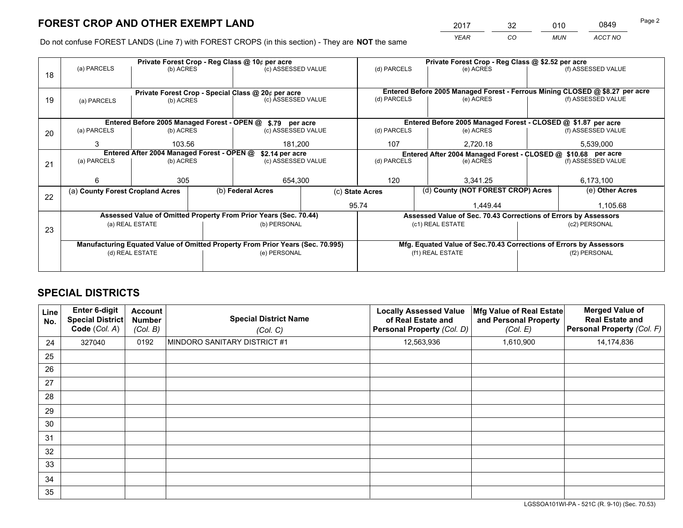*YEAR CO MUN ACCT NO* <sup>2017</sup> <sup>32</sup> <sup>010</sup> <sup>0849</sup> Page 2

Do not confuse FOREST LANDS (Line 7) with FOREST CROPS (in this section) - They are **NOT** the same

|    |                                  |                                                                                                                                |  | Private Forest Crop - Reg Class @ 10¢ per acre                                 |                                   | Private Forest Crop - Reg Class @ \$2.52 per acre |                                                                              |               |                    |
|----|----------------------------------|--------------------------------------------------------------------------------------------------------------------------------|--|--------------------------------------------------------------------------------|-----------------------------------|---------------------------------------------------|------------------------------------------------------------------------------|---------------|--------------------|
| 18 | (a) PARCELS                      | (b) ACRES                                                                                                                      |  | (c) ASSESSED VALUE                                                             |                                   | (d) PARCELS                                       | (e) ACRES                                                                    |               | (f) ASSESSED VALUE |
|    |                                  |                                                                                                                                |  | Private Forest Crop - Special Class @ 20¢ per acre                             |                                   |                                                   | Entered Before 2005 Managed Forest - Ferrous Mining CLOSED @ \$8.27 per acre |               |                    |
| 19 | (a) PARCELS                      | (b) ACRES                                                                                                                      |  | (c) ASSESSED VALUE                                                             |                                   | (d) PARCELS                                       | (e) ACRES                                                                    |               | (f) ASSESSED VALUE |
|    |                                  |                                                                                                                                |  |                                                                                |                                   |                                                   |                                                                              |               |                    |
|    |                                  | Entered Before 2005 Managed Forest - OPEN @                                                                                    |  | \$.79 per acre                                                                 |                                   |                                                   | Entered Before 2005 Managed Forest - CLOSED @ \$1.87 per acre                |               |                    |
| 20 | (a) PARCELS                      | (b) ACRES                                                                                                                      |  | (c) ASSESSED VALUE                                                             |                                   | (d) PARCELS                                       | (e) ACRES                                                                    |               | (f) ASSESSED VALUE |
|    | 3                                | 103.56                                                                                                                         |  | 181,200                                                                        |                                   | 107                                               | 2,720.18                                                                     |               | 5,539,000          |
|    |                                  | Entered After 2004 Managed Forest - OPEN @<br>\$2.14 per acre<br>Entered After 2004 Managed Forest - CLOSED @ \$10.68 per acre |  |                                                                                |                                   |                                                   |                                                                              |               |                    |
| 21 | (a) PARCELS                      | (b) ACRES                                                                                                                      |  |                                                                                | (d) PARCELS<br>(c) ASSESSED VALUE |                                                   | (e) ACRES                                                                    |               |                    |
|    |                                  |                                                                                                                                |  |                                                                                |                                   |                                                   |                                                                              |               |                    |
|    | 6                                | 305                                                                                                                            |  | 654,300                                                                        |                                   | 120                                               | 3.341.25                                                                     |               | 6,173,100          |
|    | (a) County Forest Cropland Acres |                                                                                                                                |  | (b) Federal Acres                                                              |                                   | (c) State Acres                                   | (d) County (NOT FOREST CROP) Acres                                           |               | (e) Other Acres    |
| 22 |                                  |                                                                                                                                |  |                                                                                |                                   | 95.74                                             | 1.449.44                                                                     |               | 1,105.68           |
|    |                                  |                                                                                                                                |  | Assessed Value of Omitted Property From Prior Years (Sec. 70.44)               |                                   |                                                   | Assessed Value of Sec. 70.43 Corrections of Errors by Assessors              |               |                    |
|    |                                  | (a) REAL ESTATE                                                                                                                |  | (b) PERSONAL                                                                   |                                   |                                                   | (c1) REAL ESTATE                                                             | (c2) PERSONAL |                    |
| 23 |                                  |                                                                                                                                |  |                                                                                |                                   |                                                   |                                                                              |               |                    |
|    |                                  |                                                                                                                                |  | Manufacturing Equated Value of Omitted Property From Prior Years (Sec. 70.995) |                                   |                                                   | Mfg. Equated Value of Sec.70.43 Corrections of Errors by Assessors           |               |                    |
|    |                                  | (d) REAL ESTATE                                                                                                                |  | (e) PERSONAL                                                                   |                                   |                                                   | (f1) REAL ESTATE                                                             |               | (f2) PERSONAL      |
|    |                                  |                                                                                                                                |  |                                                                                |                                   |                                                   |                                                                              |               |                    |

## **SPECIAL DISTRICTS**

| <b>Line</b><br>No. | Enter 6-digit<br><b>Special District</b><br>Code (Col. A) | <b>Account</b><br><b>Number</b><br>(Col. B) | <b>Special District Name</b><br>(Col. C) | <b>Locally Assessed Value</b><br>of Real Estate and<br>Personal Property (Col. D) | Mfg Value of Real Estate<br>and Personal Property<br>(Col. E) | <b>Merged Value of</b><br><b>Real Estate and</b><br>Personal Property (Col. F) |
|--------------------|-----------------------------------------------------------|---------------------------------------------|------------------------------------------|-----------------------------------------------------------------------------------|---------------------------------------------------------------|--------------------------------------------------------------------------------|
| 24                 | 327040                                                    | 0192                                        | MINDORO SANITARY DISTRICT #1             | 12,563,936                                                                        | 1,610,900                                                     | 14,174,836                                                                     |
| 25                 |                                                           |                                             |                                          |                                                                                   |                                                               |                                                                                |
| 26                 |                                                           |                                             |                                          |                                                                                   |                                                               |                                                                                |
| 27                 |                                                           |                                             |                                          |                                                                                   |                                                               |                                                                                |
| 28                 |                                                           |                                             |                                          |                                                                                   |                                                               |                                                                                |
| 29                 |                                                           |                                             |                                          |                                                                                   |                                                               |                                                                                |
| 30                 |                                                           |                                             |                                          |                                                                                   |                                                               |                                                                                |
| 31                 |                                                           |                                             |                                          |                                                                                   |                                                               |                                                                                |
| 32                 |                                                           |                                             |                                          |                                                                                   |                                                               |                                                                                |
| 33                 |                                                           |                                             |                                          |                                                                                   |                                                               |                                                                                |
| 34                 |                                                           |                                             |                                          |                                                                                   |                                                               |                                                                                |
| 35                 |                                                           |                                             |                                          |                                                                                   |                                                               |                                                                                |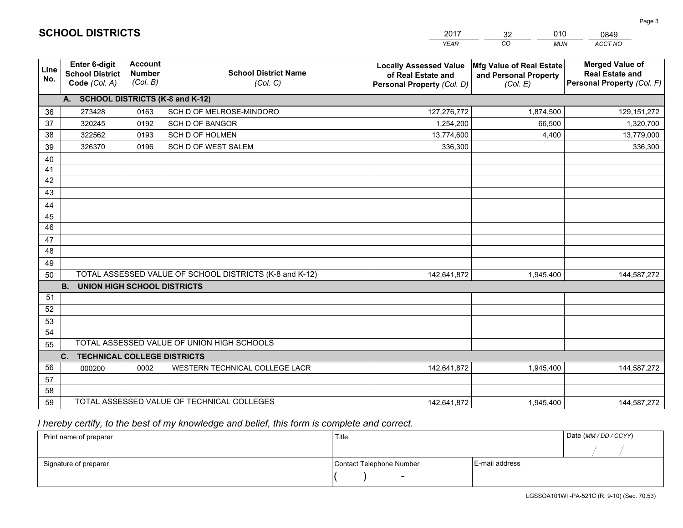|                 |                                                                 |                                             |                                                         | <b>YEAR</b>                                                                       | CO<br><b>MUN</b>                                              | <b>ACCT NO</b>                                                                 |
|-----------------|-----------------------------------------------------------------|---------------------------------------------|---------------------------------------------------------|-----------------------------------------------------------------------------------|---------------------------------------------------------------|--------------------------------------------------------------------------------|
| Line<br>No.     | <b>Enter 6-digit</b><br><b>School District</b><br>Code (Col. A) | <b>Account</b><br><b>Number</b><br>(Col. B) | <b>School District Name</b><br>(Col. C)                 | <b>Locally Assessed Value</b><br>of Real Estate and<br>Personal Property (Col. D) | Mfg Value of Real Estate<br>and Personal Property<br>(Col. E) | <b>Merged Value of</b><br><b>Real Estate and</b><br>Personal Property (Col. F) |
|                 | A. SCHOOL DISTRICTS (K-8 and K-12)                              |                                             |                                                         |                                                                                   |                                                               |                                                                                |
| 36              | 273428                                                          | 0163                                        | SCH D OF MELROSE-MINDORO                                | 127,276,772                                                                       | 1,874,500                                                     | 129, 151, 272                                                                  |
| 37              | 320245                                                          | 0192                                        | <b>SCH D OF BANGOR</b>                                  | 1,254,200                                                                         | 66,500                                                        | 1,320,700                                                                      |
| 38              | 322562                                                          | 0193                                        | SCH D OF HOLMEN                                         | 13,774,600                                                                        | 4,400                                                         | 13,779,000                                                                     |
| 39              | 326370                                                          | 0196                                        | SCH D OF WEST SALEM                                     | 336,300                                                                           |                                                               | 336,300                                                                        |
| 40              |                                                                 |                                             |                                                         |                                                                                   |                                                               |                                                                                |
| 41              |                                                                 |                                             |                                                         |                                                                                   |                                                               |                                                                                |
| 42              |                                                                 |                                             |                                                         |                                                                                   |                                                               |                                                                                |
| 43              |                                                                 |                                             |                                                         |                                                                                   |                                                               |                                                                                |
| 44              |                                                                 |                                             |                                                         |                                                                                   |                                                               |                                                                                |
| 45              |                                                                 |                                             |                                                         |                                                                                   |                                                               |                                                                                |
| $\overline{46}$ |                                                                 |                                             |                                                         |                                                                                   |                                                               |                                                                                |
| 47              |                                                                 |                                             |                                                         |                                                                                   |                                                               |                                                                                |
| 48              |                                                                 |                                             |                                                         |                                                                                   |                                                               |                                                                                |
| 49              |                                                                 |                                             |                                                         |                                                                                   |                                                               |                                                                                |
| 50              |                                                                 |                                             | TOTAL ASSESSED VALUE OF SCHOOL DISTRICTS (K-8 and K-12) | 142,641,872                                                                       | 1,945,400                                                     | 144,587,272                                                                    |
|                 | <b>B.</b><br><b>UNION HIGH SCHOOL DISTRICTS</b>                 |                                             |                                                         |                                                                                   |                                                               |                                                                                |
| 51              |                                                                 |                                             |                                                         |                                                                                   |                                                               |                                                                                |
| 52              |                                                                 |                                             |                                                         |                                                                                   |                                                               |                                                                                |
| 53              |                                                                 |                                             |                                                         |                                                                                   |                                                               |                                                                                |
| 54              |                                                                 |                                             |                                                         |                                                                                   |                                                               |                                                                                |
| 55              |                                                                 |                                             | TOTAL ASSESSED VALUE OF UNION HIGH SCHOOLS              |                                                                                   |                                                               |                                                                                |
|                 | C.<br><b>TECHNICAL COLLEGE DISTRICTS</b>                        |                                             |                                                         |                                                                                   |                                                               |                                                                                |
| 56              | 000200                                                          | 0002                                        | WESTERN TECHNICAL COLLEGE LACR                          | 142,641,872                                                                       | 1,945,400                                                     | 144,587,272                                                                    |
| 57              |                                                                 |                                             |                                                         |                                                                                   |                                                               |                                                                                |
| 58              |                                                                 |                                             |                                                         |                                                                                   |                                                               |                                                                                |
| 59              |                                                                 |                                             | TOTAL ASSESSED VALUE OF TECHNICAL COLLEGES              | 142,641,872                                                                       | 1,945,400                                                     | 144,587,272                                                                    |

32

010

 *I hereby certify, to the best of my knowledge and belief, this form is complete and correct.*

**SCHOOL DISTRICTS**

| Print name of preparer | Title                    |                | Date (MM / DD / CCYY) |
|------------------------|--------------------------|----------------|-----------------------|
|                        |                          |                |                       |
| Signature of preparer  | Contact Telephone Number | E-mail address |                       |
|                        |                          |                |                       |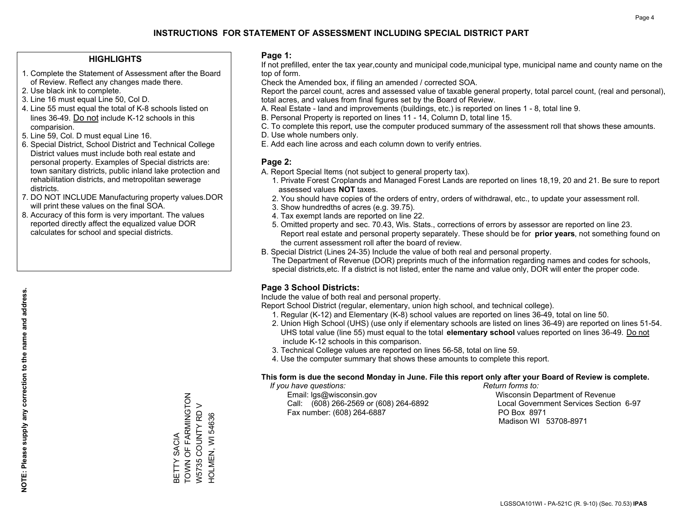#### **HIGHLIGHTS**

- 1. Complete the Statement of Assessment after the Board of Review. Reflect any changes made there.
- 2. Use black ink to complete.
- 3. Line 16 must equal Line 50, Col D.
- 4. Line 55 must equal the total of K-8 schools listed on lines 36-49. Do not include K-12 schools in this comparision.
- 5. Line 59, Col. D must equal Line 16.
- 6. Special District, School District and Technical College District values must include both real estate and personal property. Examples of Special districts are: town sanitary districts, public inland lake protection and rehabilitation districts, and metropolitan sewerage districts.
- 7. DO NOT INCLUDE Manufacturing property values.DOR will print these values on the final SOA.
- 8. Accuracy of this form is very important. The values reported directly affect the equalized value DOR calculates for school and special districts.

#### **Page 1:**

 If not prefilled, enter the tax year,county and municipal code,municipal type, municipal name and county name on the top of form.

Check the Amended box, if filing an amended / corrected SOA.

 Report the parcel count, acres and assessed value of taxable general property, total parcel count, (real and personal), total acres, and values from final figures set by the Board of Review.

- A. Real Estate land and improvements (buildings, etc.) is reported on lines 1 8, total line 9.
- B. Personal Property is reported on lines 11 14, Column D, total line 15.
- C. To complete this report, use the computer produced summary of the assessment roll that shows these amounts.
- D. Use whole numbers only.
- E. Add each line across and each column down to verify entries.

### **Page 2:**

- A. Report Special Items (not subject to general property tax).
- 1. Private Forest Croplands and Managed Forest Lands are reported on lines 18,19, 20 and 21. Be sure to report assessed values **NOT** taxes.
- 2. You should have copies of the orders of entry, orders of withdrawal, etc., to update your assessment roll.
	- 3. Show hundredths of acres (e.g. 39.75).
- 4. Tax exempt lands are reported on line 22.
- 5. Omitted property and sec. 70.43, Wis. Stats., corrections of errors by assessor are reported on line 23. Report real estate and personal property separately. These should be for **prior years**, not something found on the current assessment roll after the board of review.
- B. Special District (Lines 24-35) Include the value of both real and personal property.

 The Department of Revenue (DOR) preprints much of the information regarding names and codes for schools, special districts,etc. If a district is not listed, enter the name and value only, DOR will enter the proper code.

### **Page 3 School Districts:**

Include the value of both real and personal property.

Report School District (regular, elementary, union high school, and technical college).

- 1. Regular (K-12) and Elementary (K-8) school values are reported on lines 36-49, total on line 50.
- 2. Union High School (UHS) (use only if elementary schools are listed on lines 36-49) are reported on lines 51-54. UHS total value (line 55) must equal to the total **elementary school** values reported on lines 36-49. Do notinclude K-12 schools in this comparison.
- 3. Technical College values are reported on lines 56-58, total on line 59.
- 4. Use the computer summary that shows these amounts to complete this report.

#### **This form is due the second Monday in June. File this report only after your Board of Review is complete.**

 *If you have questions: Return forms to:*

 Email: lgs@wisconsin.gov Wisconsin Department of RevenueCall:  $(608)$  266-2569 or  $(608)$  264-6892 Fax number: (608) 264-6887 PO Box 8971

Local Government Services Section 6-97 Madison WI 53708-8971

TOWN OF FARMINGTON BETTY SACIA<br>TOWN OF FARMINGTON W5735 COUNTY RD V W5735 COUNTY RD V HOLMEN, WI 54636 HOLMEN, WI 54636 BETTY SACIA

**NOTE: Please supply any correction to the name and address.**

NOTE: Please supply any correction to the name and address.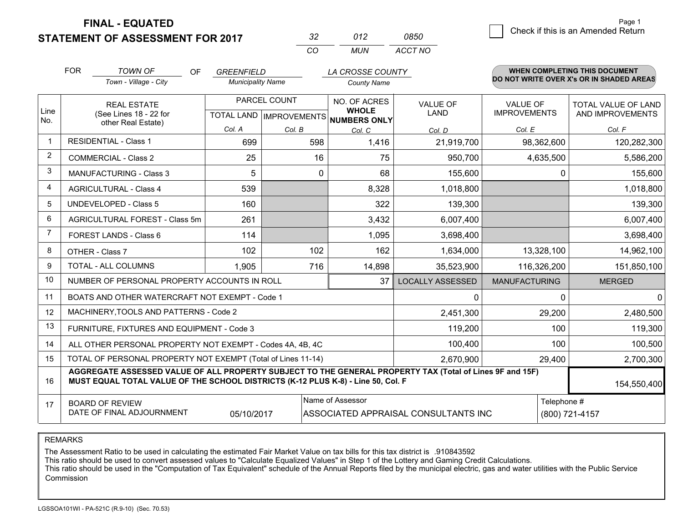**STATEMENT OF ASSESSMENT FOR 2017** 

| - 32     | 012 | 0850    |
|----------|-----|---------|
| $\cdots$ | MUN | ACCT NO |

|                | <b>FOR</b>                                                                | <b>TOWN OF</b><br><b>OF</b>                                                                                                                                                                  | <b>GREENFIELD</b>                                                                                 |              | LA CROSSE COUNTY                                     |                         |                      | <b>WHEN COMPLETING THIS DOCUMENT</b>     |
|----------------|---------------------------------------------------------------------------|----------------------------------------------------------------------------------------------------------------------------------------------------------------------------------------------|---------------------------------------------------------------------------------------------------|--------------|------------------------------------------------------|-------------------------|----------------------|------------------------------------------|
|                |                                                                           | Town - Village - City                                                                                                                                                                        | <b>Municipality Name</b>                                                                          |              | <b>County Name</b>                                   |                         |                      | DO NOT WRITE OVER X's OR IN SHADED AREAS |
|                |                                                                           | PARCEL COUNT<br><b>REAL ESTATE</b>                                                                                                                                                           |                                                                                                   |              | NO. OF ACRES                                         | <b>VALUE OF</b>         | <b>VALUE OF</b>      | <b>TOTAL VALUE OF LAND</b>               |
| Line<br>No.    |                                                                           | (See Lines 18 - 22 for<br>other Real Estate)                                                                                                                                                 |                                                                                                   |              | <b>WHOLE</b><br>TOTAL LAND IMPROVEMENTS NUMBERS ONLY | LAND                    | <b>IMPROVEMENTS</b>  | AND IMPROVEMENTS                         |
|                |                                                                           |                                                                                                                                                                                              | Col. A                                                                                            | Col. B       | Col. C                                               | Col. D                  | Col. E               | Col. F                                   |
| $\mathbf 1$    |                                                                           | <b>RESIDENTIAL - Class 1</b>                                                                                                                                                                 | 699                                                                                               | 598          | 1,416                                                | 21,919,700              | 98,362,600           | 120,282,300                              |
| $\overline{2}$ |                                                                           | <b>COMMERCIAL - Class 2</b>                                                                                                                                                                  | 25                                                                                                | 16           | 75                                                   | 950,700                 | 4,635,500            | 5,586,200                                |
| 3              |                                                                           | MANUFACTURING - Class 3                                                                                                                                                                      | 5                                                                                                 | $\mathbf{0}$ | 68                                                   | 155,600                 |                      | 0<br>155,600                             |
| 4              |                                                                           | <b>AGRICULTURAL - Class 4</b>                                                                                                                                                                | 539                                                                                               |              | 8,328                                                | 1,018,800               |                      | 1,018,800                                |
| 5              |                                                                           | <b>UNDEVELOPED - Class 5</b>                                                                                                                                                                 | 160                                                                                               |              | 322                                                  | 139,300                 |                      | 139,300                                  |
| 6              |                                                                           | <b>AGRICULTURAL FOREST - Class 5m</b>                                                                                                                                                        | 261                                                                                               |              | 3,432                                                | 6,007,400               |                      | 6,007,400                                |
| 7              |                                                                           | FOREST LANDS - Class 6                                                                                                                                                                       | 114                                                                                               |              | 1,095                                                | 3,698,400               |                      | 3,698,400                                |
| 8              |                                                                           | OTHER - Class 7                                                                                                                                                                              | 102                                                                                               | 102          | 162                                                  | 1,634,000               | 13,328,100           | 14,962,100                               |
| 9              |                                                                           | TOTAL - ALL COLUMNS                                                                                                                                                                          | 1,905                                                                                             | 716          | 14,898                                               | 35,523,900              | 116,326,200          | 151,850,100                              |
| 10             |                                                                           | NUMBER OF PERSONAL PROPERTY ACCOUNTS IN ROLL                                                                                                                                                 |                                                                                                   |              | 37                                                   | <b>LOCALLY ASSESSED</b> | <b>MANUFACTURING</b> | <b>MERGED</b>                            |
| 11             |                                                                           | BOATS AND OTHER WATERCRAFT NOT EXEMPT - Code 1                                                                                                                                               |                                                                                                   |              |                                                      | 0                       |                      | $\Omega$<br>0                            |
| 12             |                                                                           | MACHINERY, TOOLS AND PATTERNS - Code 2                                                                                                                                                       |                                                                                                   |              |                                                      | 2,451,300               | 29,200               | 2,480,500                                |
| 13             |                                                                           | FURNITURE, FIXTURES AND EQUIPMENT - Code 3                                                                                                                                                   |                                                                                                   |              |                                                      | 119,200                 | 100                  | 119,300                                  |
| 14             |                                                                           | ALL OTHER PERSONAL PROPERTY NOT EXEMPT - Codes 4A, 4B, 4C                                                                                                                                    |                                                                                                   |              |                                                      | 100,400                 | 100                  | 100,500                                  |
| 15             | TOTAL OF PERSONAL PROPERTY NOT EXEMPT (Total of Lines 11-14)<br>2,670,900 |                                                                                                                                                                                              |                                                                                                   |              |                                                      |                         | 29,400               | 2,700,300                                |
| 16             |                                                                           | AGGREGATE ASSESSED VALUE OF ALL PROPERTY SUBJECT TO THE GENERAL PROPERTY TAX (Total of Lines 9F and 15F)<br>MUST EQUAL TOTAL VALUE OF THE SCHOOL DISTRICTS (K-12 PLUS K-8) - Line 50, Col. F |                                                                                                   |              |                                                      |                         |                      | 154,550,400                              |
| 17             |                                                                           | <b>BOARD OF REVIEW</b>                                                                                                                                                                       |                                                                                                   |              | Name of Assessor                                     |                         |                      | Telephone #                              |
|                |                                                                           |                                                                                                                                                                                              | DATE OF FINAL ADJOURNMENT<br>05/10/2017<br>ASSOCIATED APPRAISAL CONSULTANTS INC<br>(800) 721-4157 |              |                                                      |                         |                      |                                          |

#### REMARKS

The Assessment Ratio to be used in calculating the estimated Fair Market Value on tax bills for this tax district is .910843592<br>This ratio should be used to convert assessed values to "Calculate Equalized Values" in Step 1 Commission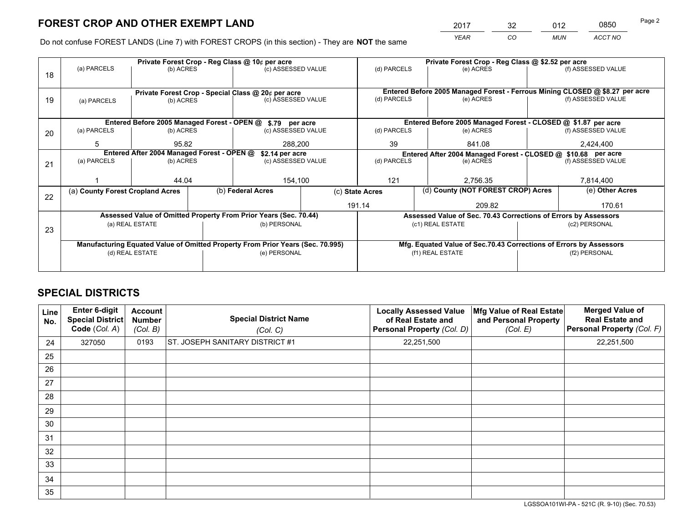*YEAR CO MUN ACCT NO* <sup>2017</sup> <sup>32</sup> <sup>012</sup> <sup>0850</sup>

Do not confuse FOREST LANDS (Line 7) with FOREST CROPS (in this section) - They are **NOT** the same

|    |                                                               |                  | Private Forest Crop - Reg Class @ 10¢ per acre                                 |                    | Private Forest Crop - Reg Class @ \$2.52 per acre |                                                                              |           |                    |  |
|----|---------------------------------------------------------------|------------------|--------------------------------------------------------------------------------|--------------------|---------------------------------------------------|------------------------------------------------------------------------------|-----------|--------------------|--|
| 18 | (a) PARCELS                                                   | (b) ACRES        |                                                                                | (c) ASSESSED VALUE | (d) PARCELS                                       | (e) ACRES                                                                    |           | (f) ASSESSED VALUE |  |
|    |                                                               |                  |                                                                                |                    |                                                   |                                                                              |           |                    |  |
|    |                                                               |                  | Private Forest Crop - Special Class @ 20¢ per acre                             |                    |                                                   | Entered Before 2005 Managed Forest - Ferrous Mining CLOSED @ \$8.27 per acre |           |                    |  |
| 19 | (a) PARCELS                                                   | (b) ACRES        |                                                                                | (c) ASSESSED VALUE | (d) PARCELS                                       | (e) ACRES                                                                    |           | (f) ASSESSED VALUE |  |
|    |                                                               |                  |                                                                                |                    |                                                   |                                                                              |           |                    |  |
|    |                                                               |                  | Entered Before 2005 Managed Forest - OPEN @ \$.79 per acre                     |                    |                                                   | Entered Before 2005 Managed Forest - CLOSED @ \$1.87 per acre                |           |                    |  |
| 20 | (a) PARCELS                                                   | (b) ACRES        |                                                                                | (c) ASSESSED VALUE | (d) PARCELS                                       | (e) ACRES                                                                    |           | (f) ASSESSED VALUE |  |
|    | 5                                                             | 95.82<br>288.200 |                                                                                |                    | 39                                                | 841.08                                                                       |           | 2,424,400          |  |
|    | Entered After 2004 Managed Forest - OPEN @<br>\$2.14 per acre |                  |                                                                                |                    |                                                   | Entered After 2004 Managed Forest - CLOSED @ \$10.68 per acre                |           |                    |  |
| 21 | (a) PARCELS                                                   | (b) ACRES        |                                                                                | (c) ASSESSED VALUE | (d) PARCELS                                       | (e) ACRES                                                                    |           |                    |  |
|    |                                                               |                  |                                                                                |                    |                                                   |                                                                              |           |                    |  |
|    |                                                               | 44.04            |                                                                                | 154,100            | 121<br>2,756.35                                   |                                                                              | 7,814,400 |                    |  |
| 22 | (a) County Forest Cropland Acres                              |                  | (b) Federal Acres                                                              |                    | (c) State Acres                                   | (d) County (NOT FOREST CROP) Acres                                           |           | (e) Other Acres    |  |
|    |                                                               |                  |                                                                                |                    | 191.14                                            | 209.82                                                                       |           | 170.61             |  |
|    |                                                               |                  | Assessed Value of Omitted Property From Prior Years (Sec. 70.44)               |                    |                                                   | Assessed Value of Sec. 70.43 Corrections of Errors by Assessors              |           |                    |  |
| 23 |                                                               | (a) REAL ESTATE  | (b) PERSONAL                                                                   |                    | (c1) REAL ESTATE                                  |                                                                              |           | (c2) PERSONAL      |  |
|    |                                                               |                  |                                                                                |                    |                                                   |                                                                              |           |                    |  |
|    |                                                               |                  | Manufacturing Equated Value of Omitted Property From Prior Years (Sec. 70.995) |                    |                                                   | Mfg. Equated Value of Sec.70.43 Corrections of Errors by Assessors           |           |                    |  |
|    |                                                               | (d) REAL ESTATE  | (e) PERSONAL                                                                   |                    |                                                   | (f1) REAL ESTATE                                                             |           | (f2) PERSONAL      |  |
|    |                                                               |                  |                                                                                |                    |                                                   |                                                                              |           |                    |  |

## **SPECIAL DISTRICTS**

| Line<br>No. | Enter 6-digit<br><b>Special District</b><br>Code (Col. A) | <b>Account</b><br><b>Number</b><br>(Col. B) | <b>Special District Name</b><br>(Col. C) | <b>Locally Assessed Value</b><br>of Real Estate and<br>Personal Property (Col. D) | Mfg Value of Real Estate<br>and Personal Property<br>(Col. E) | <b>Merged Value of</b><br><b>Real Estate and</b><br>Personal Property (Col. F) |
|-------------|-----------------------------------------------------------|---------------------------------------------|------------------------------------------|-----------------------------------------------------------------------------------|---------------------------------------------------------------|--------------------------------------------------------------------------------|
| 24          | 327050                                                    | 0193                                        | ST. JOSEPH SANITARY DISTRICT #1          | 22,251,500                                                                        |                                                               | 22,251,500                                                                     |
| 25          |                                                           |                                             |                                          |                                                                                   |                                                               |                                                                                |
| 26          |                                                           |                                             |                                          |                                                                                   |                                                               |                                                                                |
| 27          |                                                           |                                             |                                          |                                                                                   |                                                               |                                                                                |
| 28          |                                                           |                                             |                                          |                                                                                   |                                                               |                                                                                |
| 29          |                                                           |                                             |                                          |                                                                                   |                                                               |                                                                                |
| 30          |                                                           |                                             |                                          |                                                                                   |                                                               |                                                                                |
| 31          |                                                           |                                             |                                          |                                                                                   |                                                               |                                                                                |
| 32          |                                                           |                                             |                                          |                                                                                   |                                                               |                                                                                |
| 33          |                                                           |                                             |                                          |                                                                                   |                                                               |                                                                                |
| 34          |                                                           |                                             |                                          |                                                                                   |                                                               |                                                                                |
| 35          |                                                           |                                             |                                          |                                                                                   |                                                               |                                                                                |

LGSSOA101WI-PA - 521C (R. 9-10) (Sec. 70.53)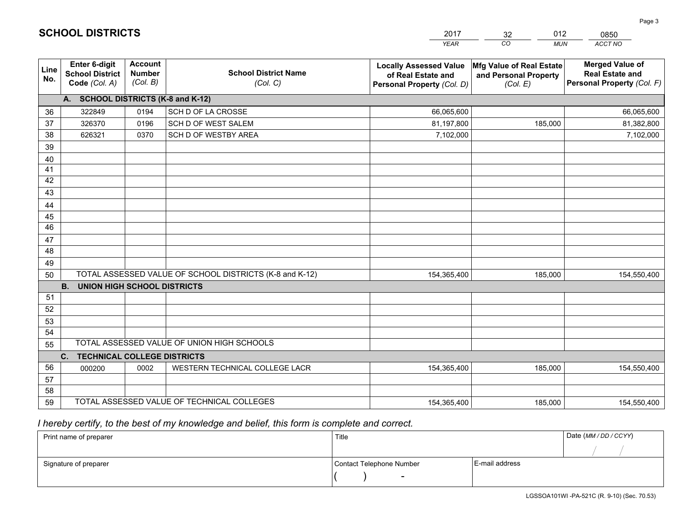| <b>Account</b><br><b>Merged Value of</b><br><b>Enter 6-digit</b><br><b>Locally Assessed Value</b><br>Mfg Value of Real Estate<br>Line<br><b>Number</b><br><b>School District Name</b><br><b>School District</b><br><b>Real Estate and</b><br>of Real Estate and<br>and Personal Property<br>No.<br>(Col. B)<br>Personal Property (Col. F)<br>Code (Col. A)<br>(Col. C)<br>Personal Property (Col. D)<br>(Col. E)<br>A. SCHOOL DISTRICTS (K-8 and K-12)<br>SCH D OF LA CROSSE<br>322849<br>0194<br>66,065,600<br>66,065,600<br>36<br>37<br>SCH D OF WEST SALEM<br>81,197,800<br>81,382,800<br>326370<br>0196<br>185,000<br>38<br>SCH D OF WESTBY AREA<br>626321<br>0370<br>7,102,000<br>7,102,000<br>39 |  |
|--------------------------------------------------------------------------------------------------------------------------------------------------------------------------------------------------------------------------------------------------------------------------------------------------------------------------------------------------------------------------------------------------------------------------------------------------------------------------------------------------------------------------------------------------------------------------------------------------------------------------------------------------------------------------------------------------------|--|
|                                                                                                                                                                                                                                                                                                                                                                                                                                                                                                                                                                                                                                                                                                        |  |
|                                                                                                                                                                                                                                                                                                                                                                                                                                                                                                                                                                                                                                                                                                        |  |
|                                                                                                                                                                                                                                                                                                                                                                                                                                                                                                                                                                                                                                                                                                        |  |
|                                                                                                                                                                                                                                                                                                                                                                                                                                                                                                                                                                                                                                                                                                        |  |
|                                                                                                                                                                                                                                                                                                                                                                                                                                                                                                                                                                                                                                                                                                        |  |
|                                                                                                                                                                                                                                                                                                                                                                                                                                                                                                                                                                                                                                                                                                        |  |
| 40                                                                                                                                                                                                                                                                                                                                                                                                                                                                                                                                                                                                                                                                                                     |  |
| 41                                                                                                                                                                                                                                                                                                                                                                                                                                                                                                                                                                                                                                                                                                     |  |
| 42                                                                                                                                                                                                                                                                                                                                                                                                                                                                                                                                                                                                                                                                                                     |  |
| 43                                                                                                                                                                                                                                                                                                                                                                                                                                                                                                                                                                                                                                                                                                     |  |
| 44                                                                                                                                                                                                                                                                                                                                                                                                                                                                                                                                                                                                                                                                                                     |  |
| 45                                                                                                                                                                                                                                                                                                                                                                                                                                                                                                                                                                                                                                                                                                     |  |
| 46                                                                                                                                                                                                                                                                                                                                                                                                                                                                                                                                                                                                                                                                                                     |  |
| 47                                                                                                                                                                                                                                                                                                                                                                                                                                                                                                                                                                                                                                                                                                     |  |
| 48                                                                                                                                                                                                                                                                                                                                                                                                                                                                                                                                                                                                                                                                                                     |  |
| 49                                                                                                                                                                                                                                                                                                                                                                                                                                                                                                                                                                                                                                                                                                     |  |
| TOTAL ASSESSED VALUE OF SCHOOL DISTRICTS (K-8 and K-12)<br>50<br>185,000<br>154,365,400<br>154,550,400                                                                                                                                                                                                                                                                                                                                                                                                                                                                                                                                                                                                 |  |
| <b>B.</b><br><b>UNION HIGH SCHOOL DISTRICTS</b>                                                                                                                                                                                                                                                                                                                                                                                                                                                                                                                                                                                                                                                        |  |
| 51                                                                                                                                                                                                                                                                                                                                                                                                                                                                                                                                                                                                                                                                                                     |  |
| 52                                                                                                                                                                                                                                                                                                                                                                                                                                                                                                                                                                                                                                                                                                     |  |
| 53<br>54                                                                                                                                                                                                                                                                                                                                                                                                                                                                                                                                                                                                                                                                                               |  |
| TOTAL ASSESSED VALUE OF UNION HIGH SCHOOLS<br>55                                                                                                                                                                                                                                                                                                                                                                                                                                                                                                                                                                                                                                                       |  |
| C.<br><b>TECHNICAL COLLEGE DISTRICTS</b>                                                                                                                                                                                                                                                                                                                                                                                                                                                                                                                                                                                                                                                               |  |
| 56<br>WESTERN TECHNICAL COLLEGE LACR<br>0002<br>154,365,400<br>185,000<br>000200<br>154,550,400                                                                                                                                                                                                                                                                                                                                                                                                                                                                                                                                                                                                        |  |
| 57                                                                                                                                                                                                                                                                                                                                                                                                                                                                                                                                                                                                                                                                                                     |  |
| 58                                                                                                                                                                                                                                                                                                                                                                                                                                                                                                                                                                                                                                                                                                     |  |
| TOTAL ASSESSED VALUE OF TECHNICAL COLLEGES<br>59<br>185,000<br>154,365,400<br>154,550,400                                                                                                                                                                                                                                                                                                                                                                                                                                                                                                                                                                                                              |  |

32

012

 *I hereby certify, to the best of my knowledge and belief, this form is complete and correct.*

**SCHOOL DISTRICTS**

| Print name of preparer | Title                    |                | Date (MM / DD / CCYY) |
|------------------------|--------------------------|----------------|-----------------------|
|                        |                          |                |                       |
| Signature of preparer  | Contact Telephone Number | E-mail address |                       |
|                        | $\sim$                   |                |                       |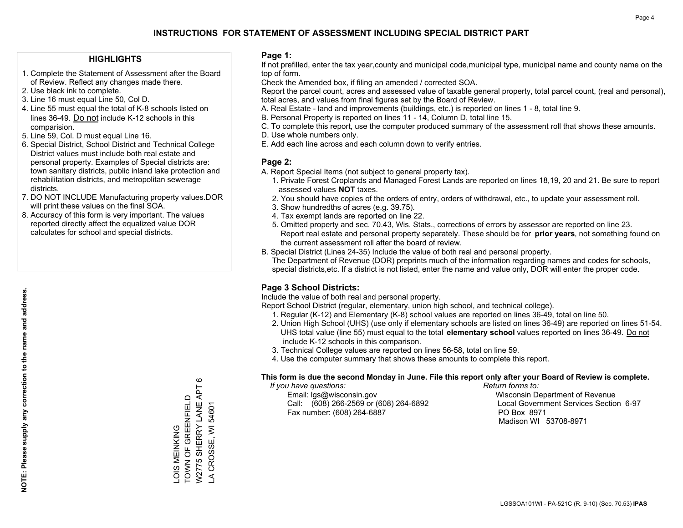#### **HIGHLIGHTS**

- 1. Complete the Statement of Assessment after the Board of Review. Reflect any changes made there.
- 2. Use black ink to complete.
- 3. Line 16 must equal Line 50, Col D.
- 4. Line 55 must equal the total of K-8 schools listed on lines 36-49. Do not include K-12 schools in this comparision.
- 5. Line 59, Col. D must equal Line 16.
- 6. Special District, School District and Technical College District values must include both real estate and personal property. Examples of Special districts are: town sanitary districts, public inland lake protection and rehabilitation districts, and metropolitan sewerage districts.
- 7. DO NOT INCLUDE Manufacturing property values.DOR will print these values on the final SOA.
- 8. Accuracy of this form is very important. The values reported directly affect the equalized value DOR calculates for school and special districts.

#### **Page 1:**

 If not prefilled, enter the tax year,county and municipal code,municipal type, municipal name and county name on the top of form.

Check the Amended box, if filing an amended / corrected SOA.

 Report the parcel count, acres and assessed value of taxable general property, total parcel count, (real and personal), total acres, and values from final figures set by the Board of Review.

- A. Real Estate land and improvements (buildings, etc.) is reported on lines 1 8, total line 9.
- B. Personal Property is reported on lines 11 14, Column D, total line 15.
- C. To complete this report, use the computer produced summary of the assessment roll that shows these amounts.
- D. Use whole numbers only.
- E. Add each line across and each column down to verify entries.

#### **Page 2:**

- A. Report Special Items (not subject to general property tax).
- 1. Private Forest Croplands and Managed Forest Lands are reported on lines 18,19, 20 and 21. Be sure to report assessed values **NOT** taxes.
- 2. You should have copies of the orders of entry, orders of withdrawal, etc., to update your assessment roll.
	- 3. Show hundredths of acres (e.g. 39.75).
- 4. Tax exempt lands are reported on line 22.
- 5. Omitted property and sec. 70.43, Wis. Stats., corrections of errors by assessor are reported on line 23. Report real estate and personal property separately. These should be for **prior years**, not something found on the current assessment roll after the board of review.
- B. Special District (Lines 24-35) Include the value of both real and personal property.
- The Department of Revenue (DOR) preprints much of the information regarding names and codes for schools, special districts,etc. If a district is not listed, enter the name and value only, DOR will enter the proper code.

### **Page 3 School Districts:**

Include the value of both real and personal property.

Report School District (regular, elementary, union high school, and technical college).

- 1. Regular (K-12) and Elementary (K-8) school values are reported on lines 36-49, total on line 50.
- 2. Union High School (UHS) (use only if elementary schools are listed on lines 36-49) are reported on lines 51-54. UHS total value (line 55) must equal to the total **elementary school** values reported on lines 36-49. Do notinclude K-12 schools in this comparison.
- 3. Technical College values are reported on lines 56-58, total on line 59.
- 4. Use the computer summary that shows these amounts to complete this report.

#### **This form is due the second Monday in June. File this report only after your Board of Review is complete.**

 *If you have questions: Return forms to:*

 Email: lgs@wisconsin.gov Wisconsin Department of RevenueCall:  $(608)$  266-2569 or  $(608)$  264-6892 Fax number: (608) 264-6887 PO Box 8971

Local Government Services Section 6-97 Madison WI 53708-8971

W2775 SHERRY LANE APT 6 W2775 SHERRY LANE APT 6 -OIS MEINKING<br>TOWN OF GREENFIELD TOWN OF GREENFIELD A CROSSE, WI 54601 LA CROSSE, WI 54601 LOIS MEINKING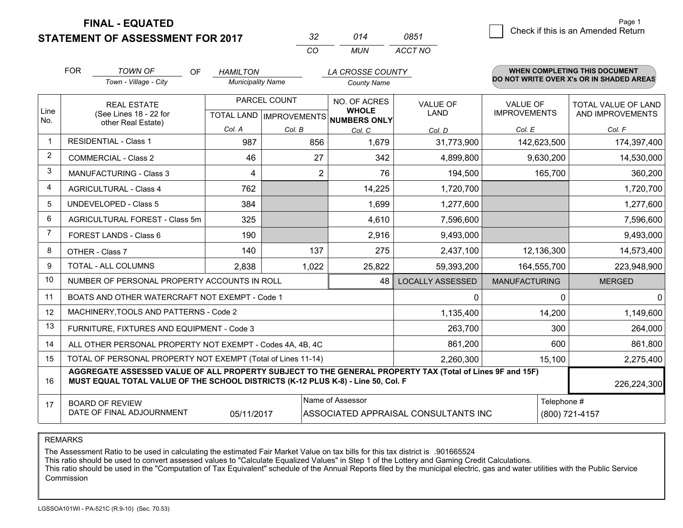**STATEMENT OF ASSESSMENT FOR 2017** 

| -32 | 014   | 0851    |
|-----|-------|---------|
| cо  | MI IN | ACCT NO |

|             | <b>FOR</b><br><b>TOWN OF</b>                                                                                                                                                                 | <b>OF</b><br><b>HAMILTON</b> |                | LA CROSSE COUNTY                                    |                                      |                      | <b>WHEN COMPLETING THIS DOCUMENT</b>     |
|-------------|----------------------------------------------------------------------------------------------------------------------------------------------------------------------------------------------|------------------------------|----------------|-----------------------------------------------------|--------------------------------------|----------------------|------------------------------------------|
|             | Town - Village - City                                                                                                                                                                        | <b>Municipality Name</b>     |                | <b>County Name</b>                                  |                                      |                      | DO NOT WRITE OVER X's OR IN SHADED AREAS |
|             | <b>REAL ESTATE</b>                                                                                                                                                                           |                              | PARCEL COUNT   | NO. OF ACRES                                        | <b>VALUE OF</b>                      | <b>VALUE OF</b>      | TOTAL VALUE OF LAND                      |
| Line<br>No. | (See Lines 18 - 22 for<br>other Real Estate)                                                                                                                                                 |                              |                | <b>WHOLE</b><br>TOTAL LAND MPROVEMENTS NUMBERS ONLY | LAND                                 | <b>IMPROVEMENTS</b>  | AND IMPROVEMENTS                         |
|             |                                                                                                                                                                                              | Col. A                       | Col. B         | Col. C                                              | Col. D                               | Col. E               | Col. F                                   |
|             | <b>RESIDENTIAL - Class 1</b>                                                                                                                                                                 | 987                          | 856            | 1.679                                               | 31,773,900                           | 142,623,500          | 174,397,400                              |
| 2           | <b>COMMERCIAL - Class 2</b>                                                                                                                                                                  | 46                           | 27             | 342                                                 | 4,899,800                            | 9,630,200            | 14,530,000                               |
| 3           | <b>MANUFACTURING - Class 3</b>                                                                                                                                                               | 4                            | $\overline{2}$ | 76                                                  | 194,500                              | 165,700              | 360,200                                  |
| 4           | <b>AGRICULTURAL - Class 4</b>                                                                                                                                                                | 762                          |                | 14,225                                              | 1,720,700                            |                      | 1,720,700                                |
| 5           | <b>UNDEVELOPED - Class 5</b>                                                                                                                                                                 | 384                          |                | 1,699                                               | 1,277,600                            |                      | 1,277,600                                |
| 6           | AGRICULTURAL FOREST - Class 5m                                                                                                                                                               | 325                          |                | 4,610                                               | 7,596,600                            |                      | 7,596,600                                |
| 7           | FOREST LANDS - Class 6                                                                                                                                                                       | 190                          |                | 2,916                                               | 9,493,000                            |                      | 9,493,000                                |
| 8           | OTHER - Class 7                                                                                                                                                                              | 140                          | 137            | 275                                                 | 2,437,100                            | 12,136,300           | 14,573,400                               |
| 9           | TOTAL - ALL COLUMNS                                                                                                                                                                          | 2,838                        | 1,022          | 25,822                                              | 59,393,200                           | 164,555,700          | 223,948,900                              |
| 10          | NUMBER OF PERSONAL PROPERTY ACCOUNTS IN ROLL                                                                                                                                                 |                              |                | 48                                                  | <b>LOCALLY ASSESSED</b>              | <b>MANUFACTURING</b> | <b>MERGED</b>                            |
| 11          | BOATS AND OTHER WATERCRAFT NOT EXEMPT - Code 1                                                                                                                                               |                              |                |                                                     | 0                                    | $\Omega$             | $\Omega$                                 |
| 12          | MACHINERY, TOOLS AND PATTERNS - Code 2                                                                                                                                                       |                              |                |                                                     | 1,135,400                            | 14,200               | 1,149,600                                |
| 13          | FURNITURE, FIXTURES AND EQUIPMENT - Code 3                                                                                                                                                   |                              |                |                                                     | 263,700                              | 300                  | 264,000                                  |
| 14          | ALL OTHER PERSONAL PROPERTY NOT EXEMPT - Codes 4A, 4B, 4C                                                                                                                                    |                              |                |                                                     | 861,200                              | 600                  | 861,800                                  |
| 15          | TOTAL OF PERSONAL PROPERTY NOT EXEMPT (Total of Lines 11-14)                                                                                                                                 |                              | 2,260,300      | 15,100                                              | 2,275,400                            |                      |                                          |
| 16          | AGGREGATE ASSESSED VALUE OF ALL PROPERTY SUBJECT TO THE GENERAL PROPERTY TAX (Total of Lines 9F and 15F)<br>MUST EQUAL TOTAL VALUE OF THE SCHOOL DISTRICTS (K-12 PLUS K-8) - Line 50, Col. F |                              |                |                                                     |                                      |                      | 226,224,300                              |
| 17          | <b>BOARD OF REVIEW</b>                                                                                                                                                                       |                              |                | Name of Assessor                                    |                                      | Telephone #          |                                          |
|             | DATE OF FINAL ADJOURNMENT                                                                                                                                                                    | 05/11/2017                   |                |                                                     | ASSOCIATED APPRAISAL CONSULTANTS INC |                      | (800) 721-4157                           |

REMARKS

The Assessment Ratio to be used in calculating the estimated Fair Market Value on tax bills for this tax district is .901665524<br>This ratio should be used to convert assessed values to "Calculate Equalized Values" in Step 1 Commission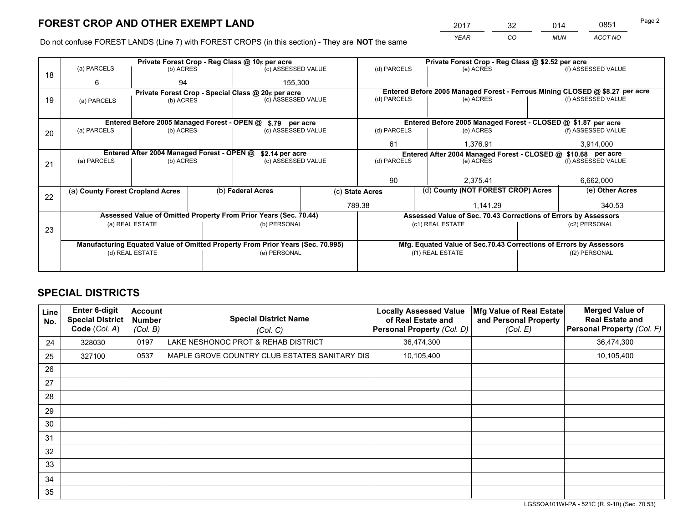*YEAR CO MUN ACCT NO* <sup>2017</sup> <sup>32</sup> <sup>014</sup> <sup>0851</sup>

Do not confuse FOREST LANDS (Line 7) with FOREST CROPS (in this section) - They are **NOT** the same

|    |                                                               |                 |  | Private Forest Crop - Reg Class @ 10¢ per acre                                 |         | Private Forest Crop - Reg Class @ \$2.52 per acre     |                  |                                                                 |                 |                                                                              |
|----|---------------------------------------------------------------|-----------------|--|--------------------------------------------------------------------------------|---------|-------------------------------------------------------|------------------|-----------------------------------------------------------------|-----------------|------------------------------------------------------------------------------|
| 18 | (a) PARCELS                                                   | (b) ACRES       |  | (c) ASSESSED VALUE                                                             |         | (d) PARCELS                                           |                  | (e) ACRES                                                       |                 | (f) ASSESSED VALUE                                                           |
|    | 6                                                             | 94              |  |                                                                                | 155,300 |                                                       |                  |                                                                 |                 |                                                                              |
|    |                                                               |                 |  | Private Forest Crop - Special Class @ 20¢ per acre                             |         |                                                       |                  |                                                                 |                 | Entered Before 2005 Managed Forest - Ferrous Mining CLOSED @ \$8.27 per acre |
| 19 | (c) ASSESSED VALUE<br>(b) ACRES<br>(a) PARCELS                |                 |  | (d) PARCELS                                                                    |         | (e) ACRES                                             |                  | (f) ASSESSED VALUE                                              |                 |                                                                              |
|    |                                                               |                 |  |                                                                                |         |                                                       |                  |                                                                 |                 |                                                                              |
|    |                                                               |                 |  | Entered Before 2005 Managed Forest - OPEN @ \$.79 per acre                     |         |                                                       |                  | Entered Before 2005 Managed Forest - CLOSED @ \$1.87 per acre   |                 |                                                                              |
| 20 | (a) PARCELS                                                   | (b) ACRES       |  | (c) ASSESSED VALUE                                                             |         | (d) PARCELS                                           |                  | (e) ACRES                                                       |                 | (f) ASSESSED VALUE                                                           |
|    |                                                               |                 |  |                                                                                |         | 61                                                    |                  | 1,376.91                                                        |                 | 3,914,000                                                                    |
|    | Entered After 2004 Managed Forest - OPEN @<br>\$2.14 per acre |                 |  |                                                                                |         |                                                       |                  | Entered After 2004 Managed Forest - CLOSED @ \$10.68 per acre   |                 |                                                                              |
| 21 | (a) PARCELS                                                   | (b) ACRES       |  | (c) ASSESSED VALUE                                                             |         | (d) PARCELS<br>(e) ACRES                              |                  | (f) ASSESSED VALUE                                              |                 |                                                                              |
|    |                                                               |                 |  |                                                                                |         |                                                       |                  |                                                                 |                 |                                                                              |
|    |                                                               |                 |  |                                                                                | 90      |                                                       |                  | 2.375.41                                                        |                 | 6,662,000                                                                    |
|    | (a) County Forest Cropland Acres                              |                 |  | (b) Federal Acres                                                              |         | (d) County (NOT FOREST CROP) Acres<br>(c) State Acres |                  |                                                                 | (e) Other Acres |                                                                              |
| 22 |                                                               |                 |  |                                                                                | 789.38  |                                                       |                  | 1.141.29                                                        |                 | 340.53                                                                       |
|    |                                                               |                 |  | Assessed Value of Omitted Property From Prior Years (Sec. 70.44)               |         |                                                       |                  | Assessed Value of Sec. 70.43 Corrections of Errors by Assessors |                 |                                                                              |
|    |                                                               | (a) REAL ESTATE |  | (b) PERSONAL                                                                   |         |                                                       | (c1) REAL ESTATE |                                                                 |                 | (c2) PERSONAL                                                                |
|    | 23                                                            |                 |  |                                                                                |         |                                                       |                  |                                                                 |                 |                                                                              |
|    |                                                               |                 |  | Manufacturing Equated Value of Omitted Property From Prior Years (Sec. 70.995) |         |                                                       |                  |                                                                 |                 | Mfg. Equated Value of Sec.70.43 Corrections of Errors by Assessors           |
|    |                                                               | (d) REAL ESTATE |  | (e) PERSONAL                                                                   |         | (f1) REAL ESTATE                                      |                  |                                                                 | (f2) PERSONAL   |                                                                              |
|    |                                                               |                 |  |                                                                                |         |                                                       |                  |                                                                 |                 |                                                                              |

## **SPECIAL DISTRICTS**

| Line<br>No. | <b>Enter 6-digit</b><br>Special District<br>Code (Col. A) | <b>Account</b><br><b>Number</b><br>(Col. B) | <b>Special District Name</b><br>(Col. C)      | <b>Locally Assessed Value</b><br>of Real Estate and<br>Personal Property (Col. D) | Mfg Value of Real Estate<br>and Personal Property<br>(Col. E) | <b>Merged Value of</b><br><b>Real Estate and</b><br>Personal Property (Col. F) |
|-------------|-----------------------------------------------------------|---------------------------------------------|-----------------------------------------------|-----------------------------------------------------------------------------------|---------------------------------------------------------------|--------------------------------------------------------------------------------|
| 24          | 328030                                                    | 0197                                        | LAKE NESHONOC PROT & REHAB DISTRICT           | 36,474,300                                                                        |                                                               | 36,474,300                                                                     |
| 25          | 327100                                                    | 0537                                        | MAPLE GROVE COUNTRY CLUB ESTATES SANITARY DIS | 10,105,400                                                                        |                                                               | 10,105,400                                                                     |
| 26          |                                                           |                                             |                                               |                                                                                   |                                                               |                                                                                |
| 27          |                                                           |                                             |                                               |                                                                                   |                                                               |                                                                                |
| 28          |                                                           |                                             |                                               |                                                                                   |                                                               |                                                                                |
| 29          |                                                           |                                             |                                               |                                                                                   |                                                               |                                                                                |
| 30          |                                                           |                                             |                                               |                                                                                   |                                                               |                                                                                |
| 31          |                                                           |                                             |                                               |                                                                                   |                                                               |                                                                                |
| 32          |                                                           |                                             |                                               |                                                                                   |                                                               |                                                                                |
| 33          |                                                           |                                             |                                               |                                                                                   |                                                               |                                                                                |
| 34          |                                                           |                                             |                                               |                                                                                   |                                                               |                                                                                |
| 35          |                                                           |                                             |                                               |                                                                                   |                                                               |                                                                                |

LGSSOA101WI-PA - 521C (R. 9-10) (Sec. 70.53)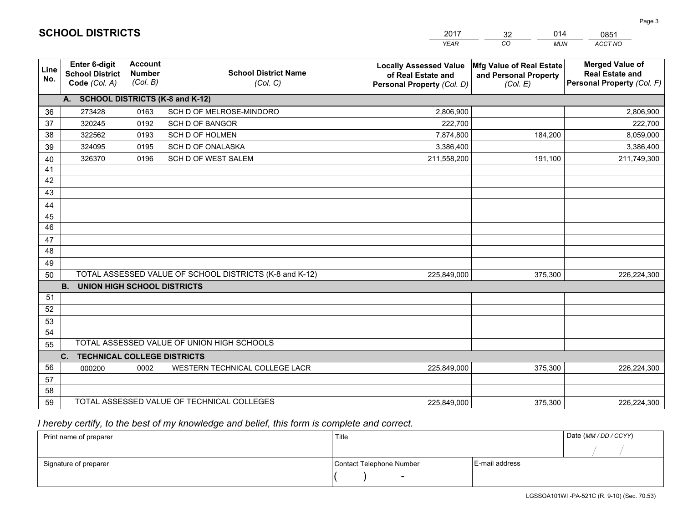|             |                                                                 |                                             |                                                         | <b>YEAR</b>                                                                       | CO<br><b>MUN</b>                                              | ACCT NO                                                                        |
|-------------|-----------------------------------------------------------------|---------------------------------------------|---------------------------------------------------------|-----------------------------------------------------------------------------------|---------------------------------------------------------------|--------------------------------------------------------------------------------|
| Line<br>No. | <b>Enter 6-digit</b><br><b>School District</b><br>Code (Col. A) | <b>Account</b><br><b>Number</b><br>(Col. B) | <b>School District Name</b><br>(Col. C)                 | <b>Locally Assessed Value</b><br>of Real Estate and<br>Personal Property (Col. D) | Mfg Value of Real Estate<br>and Personal Property<br>(Col. E) | <b>Merged Value of</b><br><b>Real Estate and</b><br>Personal Property (Col. F) |
|             | A. SCHOOL DISTRICTS (K-8 and K-12)                              |                                             |                                                         |                                                                                   |                                                               |                                                                                |
| 36          | 273428                                                          | 0163                                        | SCH D OF MELROSE-MINDORO                                | 2,806,900                                                                         |                                                               | 2,806,900                                                                      |
| 37          | 320245                                                          | 0192                                        | <b>SCH D OF BANGOR</b>                                  | 222,700                                                                           |                                                               | 222,700                                                                        |
| 38          | 322562                                                          | 0193                                        | <b>SCH D OF HOLMEN</b>                                  | 7,874,800                                                                         | 184,200                                                       | 8,059,000                                                                      |
| 39          | 324095                                                          | 0195                                        | <b>SCH D OF ONALASKA</b>                                | 3,386,400                                                                         |                                                               | 3,386,400                                                                      |
| 40          | 326370                                                          | 0196                                        | SCH D OF WEST SALEM                                     | 211,558,200                                                                       | 191,100                                                       | 211,749,300                                                                    |
| 41          |                                                                 |                                             |                                                         |                                                                                   |                                                               |                                                                                |
| 42          |                                                                 |                                             |                                                         |                                                                                   |                                                               |                                                                                |
| 43          |                                                                 |                                             |                                                         |                                                                                   |                                                               |                                                                                |
| 44          |                                                                 |                                             |                                                         |                                                                                   |                                                               |                                                                                |
| 45          |                                                                 |                                             |                                                         |                                                                                   |                                                               |                                                                                |
| 46          |                                                                 |                                             |                                                         |                                                                                   |                                                               |                                                                                |
| 47          |                                                                 |                                             |                                                         |                                                                                   |                                                               |                                                                                |
| 48          |                                                                 |                                             |                                                         |                                                                                   |                                                               |                                                                                |
| 49          |                                                                 |                                             |                                                         |                                                                                   |                                                               |                                                                                |
| 50          |                                                                 |                                             | TOTAL ASSESSED VALUE OF SCHOOL DISTRICTS (K-8 and K-12) | 225,849,000                                                                       | 375,300                                                       | 226,224,300                                                                    |
|             | <b>B.</b><br><b>UNION HIGH SCHOOL DISTRICTS</b>                 |                                             |                                                         |                                                                                   |                                                               |                                                                                |
| 51          |                                                                 |                                             |                                                         |                                                                                   |                                                               |                                                                                |
| 52          |                                                                 |                                             |                                                         |                                                                                   |                                                               |                                                                                |
| 53          |                                                                 |                                             |                                                         |                                                                                   |                                                               |                                                                                |
| 54          |                                                                 |                                             |                                                         |                                                                                   |                                                               |                                                                                |
| 55          |                                                                 |                                             | TOTAL ASSESSED VALUE OF UNION HIGH SCHOOLS              |                                                                                   |                                                               |                                                                                |
|             | C.<br><b>TECHNICAL COLLEGE DISTRICTS</b>                        |                                             |                                                         |                                                                                   |                                                               |                                                                                |
| 56          | 000200                                                          | 0002                                        | WESTERN TECHNICAL COLLEGE LACR                          | 225,849,000                                                                       | 375,300                                                       | 226,224,300                                                                    |
| 57          |                                                                 |                                             |                                                         |                                                                                   |                                                               |                                                                                |
| 58          |                                                                 |                                             |                                                         |                                                                                   |                                                               |                                                                                |
| 59          |                                                                 |                                             | TOTAL ASSESSED VALUE OF TECHNICAL COLLEGES              | 225,849,000                                                                       | 375,300                                                       | 226,224,300                                                                    |

32

014

## *I hereby certify, to the best of my knowledge and belief, this form is complete and correct.*

**SCHOOL DISTRICTS**

| Print name of preparer | Title                    |                | Date (MM / DD / CCYY) |
|------------------------|--------------------------|----------------|-----------------------|
|                        |                          |                |                       |
| Signature of preparer  | Contact Telephone Number | E-mail address |                       |
|                        | $\sim$                   |                |                       |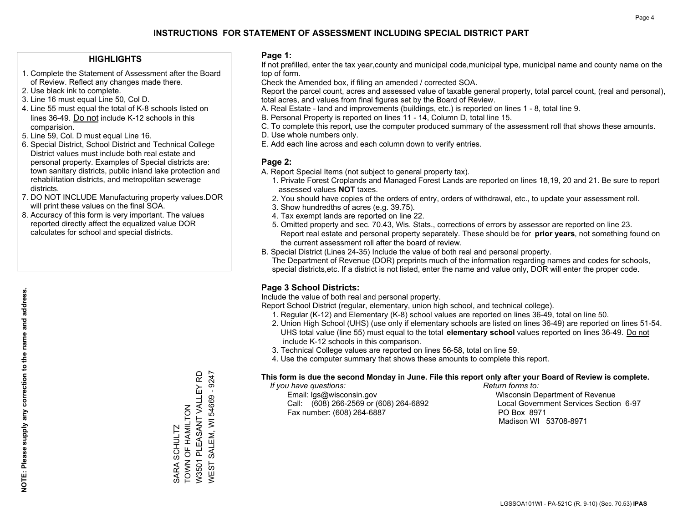#### **HIGHLIGHTS**

- 1. Complete the Statement of Assessment after the Board of Review. Reflect any changes made there.
- 2. Use black ink to complete.
- 3. Line 16 must equal Line 50, Col D.
- 4. Line 55 must equal the total of K-8 schools listed on lines 36-49. Do not include K-12 schools in this comparision.
- 5. Line 59, Col. D must equal Line 16.
- 6. Special District, School District and Technical College District values must include both real estate and personal property. Examples of Special districts are: town sanitary districts, public inland lake protection and rehabilitation districts, and metropolitan sewerage districts.
- 7. DO NOT INCLUDE Manufacturing property values.DOR will print these values on the final SOA.

SARA SCHULTZ TOWN OF HAMILTON

TOWN OF HAMILTON SARA SCHULTZ

W3501 PLEASANT VALLEY RD WEST SALEM, WI 54669 - 9247

WEST SALEM, WI 54669 - 9247 W3501 PLEASANT VALLEY RD

 8. Accuracy of this form is very important. The values reported directly affect the equalized value DOR calculates for school and special districts.

#### **Page 1:**

 If not prefilled, enter the tax year,county and municipal code,municipal type, municipal name and county name on the top of form.

Check the Amended box, if filing an amended / corrected SOA.

 Report the parcel count, acres and assessed value of taxable general property, total parcel count, (real and personal), total acres, and values from final figures set by the Board of Review.

- A. Real Estate land and improvements (buildings, etc.) is reported on lines 1 8, total line 9.
- B. Personal Property is reported on lines 11 14, Column D, total line 15.
- C. To complete this report, use the computer produced summary of the assessment roll that shows these amounts.
- D. Use whole numbers only.
- E. Add each line across and each column down to verify entries.

#### **Page 2:**

- A. Report Special Items (not subject to general property tax).
- 1. Private Forest Croplands and Managed Forest Lands are reported on lines 18,19, 20 and 21. Be sure to report assessed values **NOT** taxes.
- 2. You should have copies of the orders of entry, orders of withdrawal, etc., to update your assessment roll.
	- 3. Show hundredths of acres (e.g. 39.75).
- 4. Tax exempt lands are reported on line 22.
- 5. Omitted property and sec. 70.43, Wis. Stats., corrections of errors by assessor are reported on line 23. Report real estate and personal property separately. These should be for **prior years**, not something found on the current assessment roll after the board of review.
- B. Special District (Lines 24-35) Include the value of both real and personal property.
- The Department of Revenue (DOR) preprints much of the information regarding names and codes for schools, special districts,etc. If a district is not listed, enter the name and value only, DOR will enter the proper code.

### **Page 3 School Districts:**

Include the value of both real and personal property.

Report School District (regular, elementary, union high school, and technical college).

- 1. Regular (K-12) and Elementary (K-8) school values are reported on lines 36-49, total on line 50.
- 2. Union High School (UHS) (use only if elementary schools are listed on lines 36-49) are reported on lines 51-54. UHS total value (line 55) must equal to the total **elementary school** values reported on lines 36-49. Do notinclude K-12 schools in this comparison.
- 3. Technical College values are reported on lines 56-58, total on line 59.
- 4. Use the computer summary that shows these amounts to complete this report.

#### **This form is due the second Monday in June. File this report only after your Board of Review is complete.**

 *If you have questions: Return forms to:*

 Email: lgs@wisconsin.gov Wisconsin Department of RevenueCall:  $(608)$  266-2569 or  $(608)$  264-6892 Fax number: (608) 264-6887 PO Box 8971

Local Government Services Section 6-97 Madison WI 53708-8971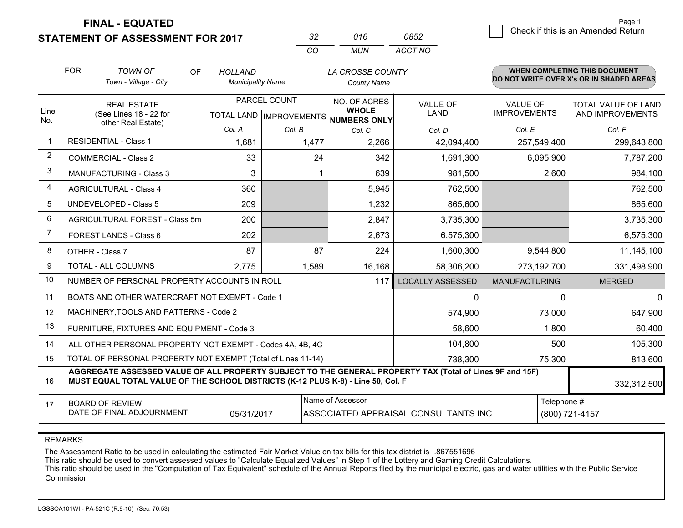**STATEMENT OF ASSESSMENT FOR 2017** 

| -32      | 016 | <b>0852</b> |
|----------|-----|-------------|
| $\cdots$ | MUN | ACCT NO     |

|                | <b>FOR</b>                                                                                                                                                                                   | <b>TOWN OF</b><br><b>OF</b><br>Town - Village - City         | <b>HOLLAND</b><br><b>Municipality Name</b>               |        | LA CROSSE COUNTY<br><b>County Name</b>                                |                         |                                        | <b>WHEN COMPLETING THIS DOCUMENT</b><br>DO NOT WRITE OVER X's OR IN SHADED AREAS |
|----------------|----------------------------------------------------------------------------------------------------------------------------------------------------------------------------------------------|--------------------------------------------------------------|----------------------------------------------------------|--------|-----------------------------------------------------------------------|-------------------------|----------------------------------------|----------------------------------------------------------------------------------|
| Line<br>No.    | <b>REAL ESTATE</b><br>(See Lines 18 - 22 for<br>other Real Estate)                                                                                                                           |                                                              | PARCEL COUNT<br>TOTAL LAND   IMPROVEMENTS   NUMBERS ONLY |        | <b>NO. OF ACRES</b><br><b>VALUE OF</b><br><b>WHOLE</b><br><b>LAND</b> |                         | <b>VALUE OF</b><br><b>IMPROVEMENTS</b> | TOTAL VALUE OF LAND<br>AND IMPROVEMENTS                                          |
|                |                                                                                                                                                                                              |                                                              | Col. A                                                   | Col. B | Col. C                                                                | Col. D                  | Col. E                                 | Col. F                                                                           |
| -1             |                                                                                                                                                                                              | <b>RESIDENTIAL - Class 1</b>                                 | 1,681                                                    | 1,477  | 2,266                                                                 | 42,094,400              | 257,549,400                            | 299,643,800                                                                      |
| $\overline{2}$ |                                                                                                                                                                                              | <b>COMMERCIAL - Class 2</b>                                  | 33                                                       | 24     | 342                                                                   | 1,691,300               | 6,095,900                              | 7,787,200                                                                        |
| 3              |                                                                                                                                                                                              | <b>MANUFACTURING - Class 3</b>                               | 3                                                        |        | 639                                                                   | 981,500                 | 2,600                                  | 984,100                                                                          |
| 4              |                                                                                                                                                                                              | <b>AGRICULTURAL - Class 4</b>                                | 360                                                      |        | 5,945                                                                 | 762,500                 |                                        | 762,500                                                                          |
| 5              |                                                                                                                                                                                              | <b>UNDEVELOPED - Class 5</b>                                 | 209                                                      |        | 1,232                                                                 | 865,600                 |                                        | 865,600                                                                          |
| 6              |                                                                                                                                                                                              | AGRICULTURAL FOREST - Class 5m                               | 200                                                      |        | 2,847                                                                 | 3,735,300               |                                        | 3,735,300                                                                        |
| 7              |                                                                                                                                                                                              | FOREST LANDS - Class 6                                       | 202                                                      |        | 2,673                                                                 | 6,575,300               |                                        | 6,575,300                                                                        |
| 8              |                                                                                                                                                                                              | OTHER - Class 7                                              | 87                                                       | 87     | 224                                                                   | 1,600,300               | 9,544,800                              | 11,145,100                                                                       |
| 9              |                                                                                                                                                                                              | TOTAL - ALL COLUMNS                                          | 2,775                                                    | 1,589  | 16,168                                                                | 58,306,200              | 273,192,700                            | 331,498,900                                                                      |
| 10             |                                                                                                                                                                                              | NUMBER OF PERSONAL PROPERTY ACCOUNTS IN ROLL                 |                                                          |        | 117                                                                   | <b>LOCALLY ASSESSED</b> | <b>MANUFACTURING</b>                   | <b>MERGED</b>                                                                    |
| 11             |                                                                                                                                                                                              | BOATS AND OTHER WATERCRAFT NOT EXEMPT - Code 1               |                                                          |        |                                                                       | $\Omega$                |                                        | $\Omega$<br>$\Omega$                                                             |
| 12             |                                                                                                                                                                                              | MACHINERY, TOOLS AND PATTERNS - Code 2                       |                                                          |        |                                                                       | 574,900                 | 73,000                                 | 647,900                                                                          |
| 13             |                                                                                                                                                                                              | FURNITURE, FIXTURES AND EQUIPMENT - Code 3                   |                                                          |        |                                                                       | 58,600                  | 1,800                                  | 60,400                                                                           |
| 14             |                                                                                                                                                                                              | ALL OTHER PERSONAL PROPERTY NOT EXEMPT - Codes 4A, 4B, 4C    |                                                          |        |                                                                       | 104,800                 |                                        | 105,300<br>500                                                                   |
| 15             |                                                                                                                                                                                              | TOTAL OF PERSONAL PROPERTY NOT EXEMPT (Total of Lines 11-14) |                                                          |        |                                                                       | 738,300                 | 75,300                                 | 813,600                                                                          |
| 16             | AGGREGATE ASSESSED VALUE OF ALL PROPERTY SUBJECT TO THE GENERAL PROPERTY TAX (Total of Lines 9F and 15F)<br>MUST EQUAL TOTAL VALUE OF THE SCHOOL DISTRICTS (K-12 PLUS K-8) - Line 50, Col. F |                                                              |                                                          |        |                                                                       |                         | 332,312,500                            |                                                                                  |
| 17             | Name of Assessor<br>Telephone #<br><b>BOARD OF REVIEW</b><br>DATE OF FINAL ADJOURNMENT<br>(800) 721-4157<br>05/31/2017<br>ASSOCIATED APPRAISAL CONSULTANTS INC                               |                                                              |                                                          |        |                                                                       |                         |                                        |                                                                                  |

REMARKS

The Assessment Ratio to be used in calculating the estimated Fair Market Value on tax bills for this tax district is .867551696

This ratio should be used to convert assessed values to "Calculate Equalized Values" in Step 1 of the Lottery and Gaming Credit Calculations.<br>This ratio should be used in the "Computation of Tax Equivalent" schedule of the Commission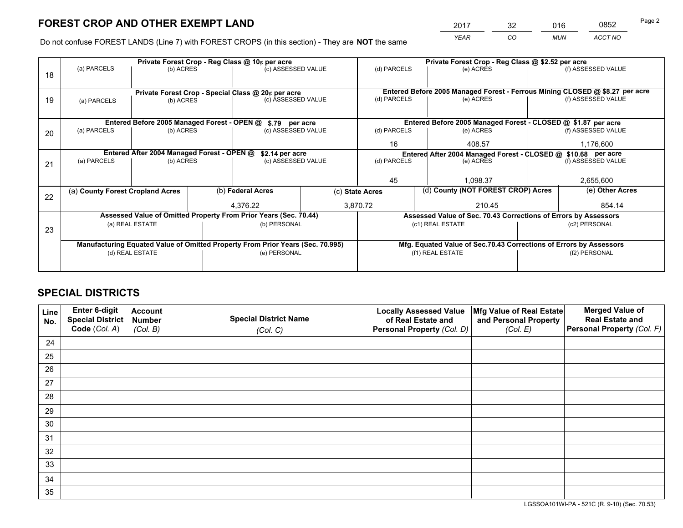*YEAR CO MUN ACCT NO* <sup>2017</sup> <sup>32</sup> <sup>016</sup> <sup>0852</sup>

Do not confuse FOREST LANDS (Line 7) with FOREST CROPS (in this section) - They are **NOT** the same

|    |                                                               |                                             |    | Private Forest Crop - Reg Class @ 10¢ per acre                                 |                 | Private Forest Crop - Reg Class @ \$2.52 per acre             |                                                                              |  |                    |  |
|----|---------------------------------------------------------------|---------------------------------------------|----|--------------------------------------------------------------------------------|-----------------|---------------------------------------------------------------|------------------------------------------------------------------------------|--|--------------------|--|
| 18 | (a) PARCELS                                                   | (b) ACRES                                   |    | (c) ASSESSED VALUE                                                             |                 | (d) PARCELS                                                   | (e) ACRES                                                                    |  | (f) ASSESSED VALUE |  |
|    |                                                               |                                             |    |                                                                                |                 |                                                               |                                                                              |  |                    |  |
|    |                                                               |                                             |    | Private Forest Crop - Special Class @ 20¢ per acre                             |                 |                                                               | Entered Before 2005 Managed Forest - Ferrous Mining CLOSED @ \$8.27 per acre |  |                    |  |
| 19 | (a) PARCELS                                                   | (b) ACRES                                   |    | (c) ASSESSED VALUE                                                             |                 | (d) PARCELS                                                   | (e) ACRES                                                                    |  | (f) ASSESSED VALUE |  |
|    |                                                               |                                             |    |                                                                                |                 |                                                               |                                                                              |  |                    |  |
|    |                                                               | Entered Before 2005 Managed Forest - OPEN @ |    | \$.79 per acre                                                                 |                 |                                                               | Entered Before 2005 Managed Forest - CLOSED @ \$1.87 per acre                |  |                    |  |
| 20 | (a) PARCELS                                                   | (b) ACRES                                   |    | (c) ASSESSED VALUE                                                             |                 | (d) PARCELS                                                   | (e) ACRES                                                                    |  | (f) ASSESSED VALUE |  |
|    |                                                               |                                             | 16 | 408.57                                                                         |                 | 1,176,600                                                     |                                                                              |  |                    |  |
|    | Entered After 2004 Managed Forest - OPEN @<br>\$2.14 per acre |                                             |    |                                                                                |                 | Entered After 2004 Managed Forest - CLOSED @ \$10.68 per acre |                                                                              |  |                    |  |
| 21 | (a) PARCELS                                                   | (b) ACRES                                   |    | (c) ASSESSED VALUE                                                             |                 | (d) PARCELS                                                   | (e) ACRES                                                                    |  | (f) ASSESSED VALUE |  |
|    |                                                               |                                             |    |                                                                                |                 |                                                               |                                                                              |  |                    |  |
|    |                                                               |                                             |    |                                                                                |                 | 45                                                            | 1.098.37                                                                     |  | 2,655,600          |  |
| 22 | (a) County Forest Cropland Acres                              |                                             |    | (b) Federal Acres                                                              | (c) State Acres |                                                               | (d) County (NOT FOREST CROP) Acres                                           |  | (e) Other Acres    |  |
|    |                                                               |                                             |    | 4,376.22                                                                       |                 | 3,870.72                                                      | 210.45                                                                       |  | 854.14             |  |
|    |                                                               |                                             |    | Assessed Value of Omitted Property From Prior Years (Sec. 70.44)               |                 |                                                               | Assessed Value of Sec. 70.43 Corrections of Errors by Assessors              |  |                    |  |
| 23 |                                                               | (a) REAL ESTATE                             |    | (b) PERSONAL                                                                   |                 |                                                               | (c1) REAL ESTATE                                                             |  | (c2) PERSONAL      |  |
|    |                                                               |                                             |    |                                                                                |                 |                                                               |                                                                              |  |                    |  |
|    |                                                               |                                             |    | Manufacturing Equated Value of Omitted Property From Prior Years (Sec. 70.995) |                 |                                                               | Mfg. Equated Value of Sec.70.43 Corrections of Errors by Assessors           |  |                    |  |
|    |                                                               | (d) REAL ESTATE                             |    | (e) PERSONAL                                                                   |                 |                                                               | (f1) REAL ESTATE                                                             |  | (f2) PERSONAL      |  |
|    |                                                               |                                             |    |                                                                                |                 |                                                               |                                                                              |  |                    |  |

## **SPECIAL DISTRICTS**

| Line<br>No. | Enter 6-digit<br>Special District<br>Code (Col. A) | <b>Account</b><br><b>Number</b><br>(Col. B) | <b>Special District Name</b><br>(Col. C) | <b>Locally Assessed Value</b><br>of Real Estate and<br>Personal Property (Col. D) | Mfg Value of Real Estate<br>and Personal Property<br>(Col. E) | <b>Merged Value of</b><br><b>Real Estate and</b><br>Personal Property (Col. F) |
|-------------|----------------------------------------------------|---------------------------------------------|------------------------------------------|-----------------------------------------------------------------------------------|---------------------------------------------------------------|--------------------------------------------------------------------------------|
| 24          |                                                    |                                             |                                          |                                                                                   |                                                               |                                                                                |
| 25          |                                                    |                                             |                                          |                                                                                   |                                                               |                                                                                |
| 26          |                                                    |                                             |                                          |                                                                                   |                                                               |                                                                                |
| 27          |                                                    |                                             |                                          |                                                                                   |                                                               |                                                                                |
| 28          |                                                    |                                             |                                          |                                                                                   |                                                               |                                                                                |
| 29          |                                                    |                                             |                                          |                                                                                   |                                                               |                                                                                |
| 30          |                                                    |                                             |                                          |                                                                                   |                                                               |                                                                                |
| 31          |                                                    |                                             |                                          |                                                                                   |                                                               |                                                                                |
| 32          |                                                    |                                             |                                          |                                                                                   |                                                               |                                                                                |
| 33          |                                                    |                                             |                                          |                                                                                   |                                                               |                                                                                |
| 34          |                                                    |                                             |                                          |                                                                                   |                                                               |                                                                                |
| 35          |                                                    |                                             |                                          |                                                                                   |                                                               |                                                                                |

LGSSOA101WI-PA - 521C (R. 9-10) (Sec. 70.53)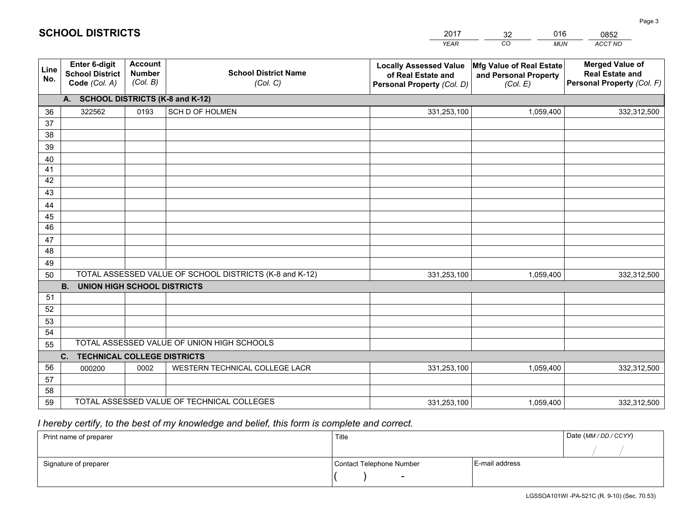| <b>Account</b><br><b>Enter 6-digit</b><br><b>Merged Value of</b><br>Mfg Value of Real Estate<br><b>Locally Assessed Value</b><br>Line<br><b>School District Name</b><br><b>Number</b><br><b>School District</b><br><b>Real Estate and</b><br>of Real Estate and<br>and Personal Property<br>No.<br>(Col. B)<br>Personal Property (Col. F)<br>Code (Col. A)<br>(Col. C)<br>Personal Property (Col. D)<br>(Col. E)<br>A. SCHOOL DISTRICTS (K-8 and K-12)<br>322562<br>0193<br>SCH D OF HOLMEN<br>331,253,100<br>1,059,400<br>36<br>332,312,500<br>37<br>38<br>39<br>40<br>41<br>42<br>43<br>44<br>45<br>$\overline{46}$<br>47<br>48<br>49<br>TOTAL ASSESSED VALUE OF SCHOOL DISTRICTS (K-8 and K-12)<br>50<br>331,253,100<br>1,059,400<br>332,312,500<br><b>B.</b><br><b>UNION HIGH SCHOOL DISTRICTS</b><br>51<br>52<br>53<br>54<br>TOTAL ASSESSED VALUE OF UNION HIGH SCHOOLS<br>55<br>C.<br><b>TECHNICAL COLLEGE DISTRICTS</b><br>56<br>WESTERN TECHNICAL COLLEGE LACR<br>000200<br>0002<br>331,253,100<br>1,059,400<br>332,312,500<br>57<br>58<br>TOTAL ASSESSED VALUE OF TECHNICAL COLLEGES |    |  | <b>YEAR</b> | CO<br><b>MUN</b> | ACCT NO     |
|-----------------------------------------------------------------------------------------------------------------------------------------------------------------------------------------------------------------------------------------------------------------------------------------------------------------------------------------------------------------------------------------------------------------------------------------------------------------------------------------------------------------------------------------------------------------------------------------------------------------------------------------------------------------------------------------------------------------------------------------------------------------------------------------------------------------------------------------------------------------------------------------------------------------------------------------------------------------------------------------------------------------------------------------------------------------------------------------------|----|--|-------------|------------------|-------------|
|                                                                                                                                                                                                                                                                                                                                                                                                                                                                                                                                                                                                                                                                                                                                                                                                                                                                                                                                                                                                                                                                                               |    |  |             |                  |             |
|                                                                                                                                                                                                                                                                                                                                                                                                                                                                                                                                                                                                                                                                                                                                                                                                                                                                                                                                                                                                                                                                                               |    |  |             |                  |             |
|                                                                                                                                                                                                                                                                                                                                                                                                                                                                                                                                                                                                                                                                                                                                                                                                                                                                                                                                                                                                                                                                                               |    |  |             |                  |             |
|                                                                                                                                                                                                                                                                                                                                                                                                                                                                                                                                                                                                                                                                                                                                                                                                                                                                                                                                                                                                                                                                                               |    |  |             |                  |             |
|                                                                                                                                                                                                                                                                                                                                                                                                                                                                                                                                                                                                                                                                                                                                                                                                                                                                                                                                                                                                                                                                                               |    |  |             |                  |             |
|                                                                                                                                                                                                                                                                                                                                                                                                                                                                                                                                                                                                                                                                                                                                                                                                                                                                                                                                                                                                                                                                                               |    |  |             |                  |             |
|                                                                                                                                                                                                                                                                                                                                                                                                                                                                                                                                                                                                                                                                                                                                                                                                                                                                                                                                                                                                                                                                                               |    |  |             |                  |             |
|                                                                                                                                                                                                                                                                                                                                                                                                                                                                                                                                                                                                                                                                                                                                                                                                                                                                                                                                                                                                                                                                                               |    |  |             |                  |             |
|                                                                                                                                                                                                                                                                                                                                                                                                                                                                                                                                                                                                                                                                                                                                                                                                                                                                                                                                                                                                                                                                                               |    |  |             |                  |             |
|                                                                                                                                                                                                                                                                                                                                                                                                                                                                                                                                                                                                                                                                                                                                                                                                                                                                                                                                                                                                                                                                                               |    |  |             |                  |             |
|                                                                                                                                                                                                                                                                                                                                                                                                                                                                                                                                                                                                                                                                                                                                                                                                                                                                                                                                                                                                                                                                                               |    |  |             |                  |             |
|                                                                                                                                                                                                                                                                                                                                                                                                                                                                                                                                                                                                                                                                                                                                                                                                                                                                                                                                                                                                                                                                                               |    |  |             |                  |             |
|                                                                                                                                                                                                                                                                                                                                                                                                                                                                                                                                                                                                                                                                                                                                                                                                                                                                                                                                                                                                                                                                                               |    |  |             |                  |             |
|                                                                                                                                                                                                                                                                                                                                                                                                                                                                                                                                                                                                                                                                                                                                                                                                                                                                                                                                                                                                                                                                                               |    |  |             |                  |             |
|                                                                                                                                                                                                                                                                                                                                                                                                                                                                                                                                                                                                                                                                                                                                                                                                                                                                                                                                                                                                                                                                                               |    |  |             |                  |             |
|                                                                                                                                                                                                                                                                                                                                                                                                                                                                                                                                                                                                                                                                                                                                                                                                                                                                                                                                                                                                                                                                                               |    |  |             |                  |             |
|                                                                                                                                                                                                                                                                                                                                                                                                                                                                                                                                                                                                                                                                                                                                                                                                                                                                                                                                                                                                                                                                                               |    |  |             |                  |             |
|                                                                                                                                                                                                                                                                                                                                                                                                                                                                                                                                                                                                                                                                                                                                                                                                                                                                                                                                                                                                                                                                                               |    |  |             |                  |             |
|                                                                                                                                                                                                                                                                                                                                                                                                                                                                                                                                                                                                                                                                                                                                                                                                                                                                                                                                                                                                                                                                                               |    |  |             |                  |             |
|                                                                                                                                                                                                                                                                                                                                                                                                                                                                                                                                                                                                                                                                                                                                                                                                                                                                                                                                                                                                                                                                                               |    |  |             |                  |             |
|                                                                                                                                                                                                                                                                                                                                                                                                                                                                                                                                                                                                                                                                                                                                                                                                                                                                                                                                                                                                                                                                                               |    |  |             |                  |             |
|                                                                                                                                                                                                                                                                                                                                                                                                                                                                                                                                                                                                                                                                                                                                                                                                                                                                                                                                                                                                                                                                                               |    |  |             |                  |             |
|                                                                                                                                                                                                                                                                                                                                                                                                                                                                                                                                                                                                                                                                                                                                                                                                                                                                                                                                                                                                                                                                                               |    |  |             |                  |             |
|                                                                                                                                                                                                                                                                                                                                                                                                                                                                                                                                                                                                                                                                                                                                                                                                                                                                                                                                                                                                                                                                                               |    |  |             |                  |             |
|                                                                                                                                                                                                                                                                                                                                                                                                                                                                                                                                                                                                                                                                                                                                                                                                                                                                                                                                                                                                                                                                                               |    |  |             |                  |             |
|                                                                                                                                                                                                                                                                                                                                                                                                                                                                                                                                                                                                                                                                                                                                                                                                                                                                                                                                                                                                                                                                                               | 59 |  | 331,253,100 | 1,059,400        | 332,312,500 |

32

016

 *I hereby certify, to the best of my knowledge and belief, this form is complete and correct.*

**SCHOOL DISTRICTS**

| Print name of preparer | Title                    |                | Date (MM / DD / CCYY) |
|------------------------|--------------------------|----------------|-----------------------|
|                        |                          |                |                       |
| Signature of preparer  | Contact Telephone Number | E-mail address |                       |
|                        | $\overline{\phantom{0}}$ |                |                       |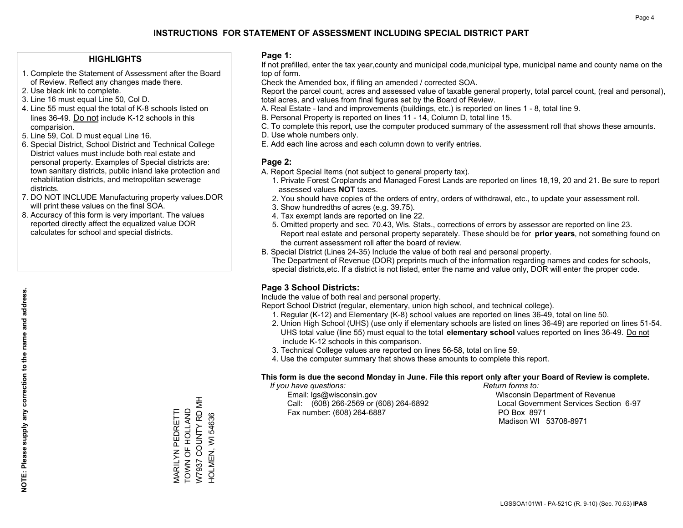#### **HIGHLIGHTS**

- 1. Complete the Statement of Assessment after the Board of Review. Reflect any changes made there.
- 2. Use black ink to complete.
- 3. Line 16 must equal Line 50, Col D.
- 4. Line 55 must equal the total of K-8 schools listed on lines 36-49. Do not include K-12 schools in this comparision.
- 5. Line 59, Col. D must equal Line 16.
- 6. Special District, School District and Technical College District values must include both real estate and personal property. Examples of Special districts are: town sanitary districts, public inland lake protection and rehabilitation districts, and metropolitan sewerage districts.
- 7. DO NOT INCLUDE Manufacturing property values.DOR will print these values on the final SOA.
- 8. Accuracy of this form is very important. The values reported directly affect the equalized value DOR calculates for school and special districts.

#### **Page 1:**

 If not prefilled, enter the tax year,county and municipal code,municipal type, municipal name and county name on the top of form.

Check the Amended box, if filing an amended / corrected SOA.

 Report the parcel count, acres and assessed value of taxable general property, total parcel count, (real and personal), total acres, and values from final figures set by the Board of Review.

- A. Real Estate land and improvements (buildings, etc.) is reported on lines 1 8, total line 9.
- B. Personal Property is reported on lines 11 14, Column D, total line 15.
- C. To complete this report, use the computer produced summary of the assessment roll that shows these amounts.
- D. Use whole numbers only.
- E. Add each line across and each column down to verify entries.

### **Page 2:**

- A. Report Special Items (not subject to general property tax).
- 1. Private Forest Croplands and Managed Forest Lands are reported on lines 18,19, 20 and 21. Be sure to report assessed values **NOT** taxes.
- 2. You should have copies of the orders of entry, orders of withdrawal, etc., to update your assessment roll.
	- 3. Show hundredths of acres (e.g. 39.75).
- 4. Tax exempt lands are reported on line 22.
- 5. Omitted property and sec. 70.43, Wis. Stats., corrections of errors by assessor are reported on line 23. Report real estate and personal property separately. These should be for **prior years**, not something found on the current assessment roll after the board of review.
- B. Special District (Lines 24-35) Include the value of both real and personal property.

 The Department of Revenue (DOR) preprints much of the information regarding names and codes for schools, special districts,etc. If a district is not listed, enter the name and value only, DOR will enter the proper code.

### **Page 3 School Districts:**

Include the value of both real and personal property.

Report School District (regular, elementary, union high school, and technical college).

- 1. Regular (K-12) and Elementary (K-8) school values are reported on lines 36-49, total on line 50.
- 2. Union High School (UHS) (use only if elementary schools are listed on lines 36-49) are reported on lines 51-54. UHS total value (line 55) must equal to the total **elementary school** values reported on lines 36-49. Do notinclude K-12 schools in this comparison.
- 3. Technical College values are reported on lines 56-58, total on line 59.
- 4. Use the computer summary that shows these amounts to complete this report.

#### **This form is due the second Monday in June. File this report only after your Board of Review is complete.**

 *If you have questions: Return forms to:*

 Email: lgs@wisconsin.gov Wisconsin Department of RevenueCall:  $(608)$  266-2569 or  $(608)$  264-6892 Fax number: (608) 264-6887 PO Box 8971

Local Government Services Section 6-97 Madison WI 53708-8971

W7937 COUNTY RD MH W7937 COUNTY RD MH MARILYN PEDRETTI<br>TOWN OF HOLLAND TOWN OF HOLLAND MARILYN PEDRETTI HOLMEN, WI 54636 HOLMEN, WI 54636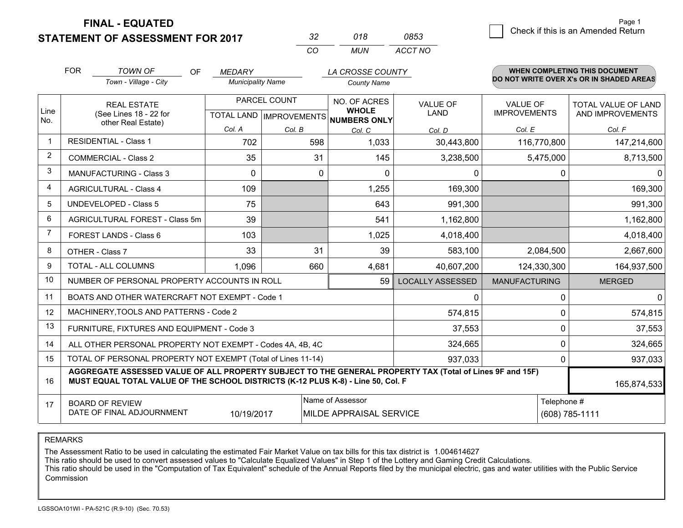**STATEMENT OF ASSESSMENT FOR 2017** 

| -32      | ก18 | 0853    |
|----------|-----|---------|
| $\cdots$ | MUN | ACCT NO |

|             | <b>FOR</b>                                                                                                                                                                                                  | <b>TOWN OF</b><br><b>OF</b>                  | <b>MEDARY</b>            |              | LA CROSSE COUNTY                                    |                         |                      | <b>WHEN COMPLETING THIS DOCUMENT</b>     |
|-------------|-------------------------------------------------------------------------------------------------------------------------------------------------------------------------------------------------------------|----------------------------------------------|--------------------------|--------------|-----------------------------------------------------|-------------------------|----------------------|------------------------------------------|
|             |                                                                                                                                                                                                             | Town - Village - City                        | <b>Municipality Name</b> |              | <b>County Name</b>                                  |                         |                      | DO NOT WRITE OVER X's OR IN SHADED AREAS |
|             | <b>REAL ESTATE</b>                                                                                                                                                                                          |                                              | PARCEL COUNT             |              | NO. OF ACRES                                        | <b>VALUE OF</b>         | <b>VALUE OF</b>      | TOTAL VALUE OF LAND                      |
| Line<br>No. |                                                                                                                                                                                                             | (See Lines 18 - 22 for<br>other Real Estate) |                          |              | <b>WHOLE</b><br>TOTAL LAND MPROVEMENTS NUMBERS ONLY | <b>LAND</b>             | <b>IMPROVEMENTS</b>  | AND IMPROVEMENTS                         |
|             |                                                                                                                                                                                                             |                                              | Col. A                   | Col. B       | Col. C                                              | Col. D                  | Col. E               | Col. F                                   |
| $\mathbf 1$ |                                                                                                                                                                                                             | <b>RESIDENTIAL - Class 1</b>                 | 702                      | 598          | 1,033                                               | 30,443,800              | 116,770,800          | 147,214,600                              |
| 2           |                                                                                                                                                                                                             | <b>COMMERCIAL - Class 2</b>                  | 35                       | 31           | 145                                                 | 3,238,500               | 5,475,000            | 8,713,500                                |
| 3           |                                                                                                                                                                                                             | <b>MANUFACTURING - Class 3</b>               | 0                        | $\mathbf{0}$ | 0                                                   | 0                       | 0                    | $\Omega$                                 |
| 4           |                                                                                                                                                                                                             | <b>AGRICULTURAL - Class 4</b>                | 109                      |              | 1,255                                               | 169,300                 |                      | 169,300                                  |
| 5           |                                                                                                                                                                                                             | <b>UNDEVELOPED - Class 5</b>                 | 75                       |              | 643                                                 | 991,300                 |                      | 991,300                                  |
| 6           |                                                                                                                                                                                                             | AGRICULTURAL FOREST - Class 5m               | 39                       |              | 541                                                 | 1,162,800               |                      | 1,162,800                                |
| 7           |                                                                                                                                                                                                             | FOREST LANDS - Class 6                       | 103                      |              | 1,025                                               | 4,018,400               |                      | 4,018,400                                |
| 8           |                                                                                                                                                                                                             | OTHER - Class 7                              | 33                       | 31           | 39                                                  | 583,100                 | 2,084,500            | 2,667,600                                |
| 9           | TOTAL - ALL COLUMNS                                                                                                                                                                                         |                                              | 1,096                    | 660          | 4,681                                               | 40,607,200              | 124,330,300          | 164,937,500                              |
| 10          | NUMBER OF PERSONAL PROPERTY ACCOUNTS IN ROLL<br>59                                                                                                                                                          |                                              |                          |              |                                                     | <b>LOCALLY ASSESSED</b> | <b>MANUFACTURING</b> | <b>MERGED</b>                            |
| 11          | BOATS AND OTHER WATERCRAFT NOT EXEMPT - Code 1                                                                                                                                                              |                                              |                          |              |                                                     | 0                       | 0                    | $\overline{0}$                           |
| 12          |                                                                                                                                                                                                             | MACHINERY, TOOLS AND PATTERNS - Code 2       |                          |              |                                                     | 574,815                 | 0                    | 574,815                                  |
| 13          | FURNITURE, FIXTURES AND EQUIPMENT - Code 3                                                                                                                                                                  |                                              |                          |              |                                                     |                         | 0                    | 37,553                                   |
| 14          | 324,665<br>ALL OTHER PERSONAL PROPERTY NOT EXEMPT - Codes 4A, 4B, 4C                                                                                                                                        |                                              |                          |              |                                                     |                         |                      | 0<br>324,665                             |
| 15          | TOTAL OF PERSONAL PROPERTY NOT EXEMPT (Total of Lines 11-14)<br>937,033<br>0                                                                                                                                |                                              |                          |              |                                                     |                         | 937,033              |                                          |
| 16          | AGGREGATE ASSESSED VALUE OF ALL PROPERTY SUBJECT TO THE GENERAL PROPERTY TAX (Total of Lines 9F and 15F)<br>MUST EQUAL TOTAL VALUE OF THE SCHOOL DISTRICTS (K-12 PLUS K-8) - Line 50, Col. F<br>165,874,533 |                                              |                          |              |                                                     |                         |                      |                                          |
| 17          | Name of Assessor<br><b>BOARD OF REVIEW</b>                                                                                                                                                                  |                                              |                          |              | Telephone #                                         |                         |                      |                                          |
|             | DATE OF FINAL ADJOURNMENT<br>10/19/2017<br>MILDE APPRAISAL SERVICE                                                                                                                                          |                                              |                          |              | (608) 785-1111                                      |                         |                      |                                          |

REMARKS

The Assessment Ratio to be used in calculating the estimated Fair Market Value on tax bills for this tax district is 1.004614627

This ratio should be used to convert assessed values to "Calculate Equalized Values" in Step 1 of the Lottery and Gaming Credit Calculations.<br>This ratio should be used in the "Computation of Tax Equivalent" schedule of the Commission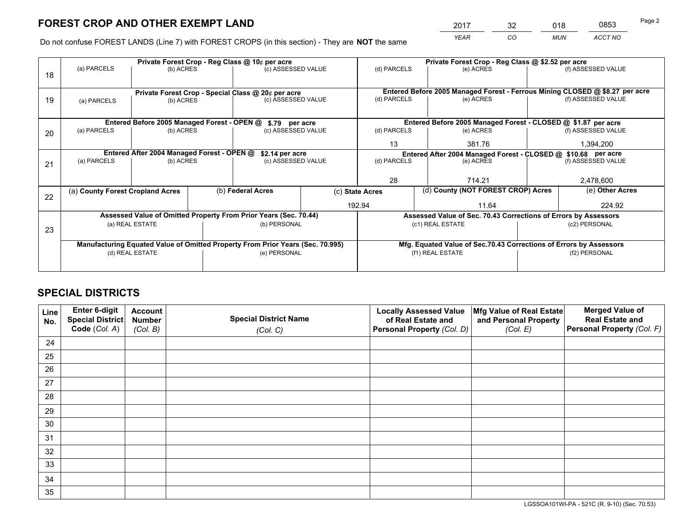*YEAR CO MUN ACCT NO* <sup>2017</sup> <sup>32</sup> <sup>018</sup> <sup>0853</sup>

Do not confuse FOREST LANDS (Line 7) with FOREST CROPS (in this section) - They are **NOT** the same

|    | Private Forest Crop - Reg Class @ 10¢ per acre                                 |                                             |              |                                                                  |                  | Private Forest Crop - Reg Class @ \$2.52 per acre                  |                                                                 |               |                                                                              |
|----|--------------------------------------------------------------------------------|---------------------------------------------|--------------|------------------------------------------------------------------|------------------|--------------------------------------------------------------------|-----------------------------------------------------------------|---------------|------------------------------------------------------------------------------|
| 18 | (a) PARCELS                                                                    | (b) ACRES                                   |              | (c) ASSESSED VALUE                                               |                  | (d) PARCELS                                                        | (e) ACRES                                                       |               | (f) ASSESSED VALUE                                                           |
|    |                                                                                |                                             |              |                                                                  |                  |                                                                    |                                                                 |               |                                                                              |
|    |                                                                                |                                             |              | Private Forest Crop - Special Class @ 20¢ per acre               |                  |                                                                    |                                                                 |               | Entered Before 2005 Managed Forest - Ferrous Mining CLOSED @ \$8.27 per acre |
| 19 | (a) PARCELS                                                                    | (b) ACRES                                   |              | (c) ASSESSED VALUE                                               |                  | (d) PARCELS                                                        | (e) ACRES                                                       |               | (f) ASSESSED VALUE                                                           |
|    |                                                                                |                                             |              |                                                                  |                  |                                                                    |                                                                 |               |                                                                              |
|    |                                                                                | Entered Before 2005 Managed Forest - OPEN @ |              | \$.79 per acre                                                   |                  |                                                                    | Entered Before 2005 Managed Forest - CLOSED @ \$1.87 per acre   |               |                                                                              |
| 20 | (a) PARCELS                                                                    | (b) ACRES                                   |              | (c) ASSESSED VALUE                                               |                  | (d) PARCELS                                                        | (e) ACRES                                                       |               | (f) ASSESSED VALUE                                                           |
|    |                                                                                |                                             |              |                                                                  |                  | 13                                                                 | 381.76                                                          |               | 1,394,200                                                                    |
|    | Entered After 2004 Managed Forest - OPEN @<br>\$2.14 per acre                  |                                             |              |                                                                  |                  | Entered After 2004 Managed Forest - CLOSED @ \$10.68 per acre      |                                                                 |               |                                                                              |
| 21 | (a) PARCELS                                                                    | (b) ACRES                                   |              | (c) ASSESSED VALUE                                               |                  | (d) PARCELS                                                        | (e) ACRES                                                       |               | (f) ASSESSED VALUE                                                           |
|    |                                                                                |                                             |              |                                                                  |                  |                                                                    |                                                                 |               |                                                                              |
|    |                                                                                |                                             |              |                                                                  |                  | 28                                                                 | 714.21                                                          |               | 2,478,600                                                                    |
| 22 | (a) County Forest Cropland Acres                                               |                                             |              | (b) Federal Acres<br>(c) State Acres                             |                  |                                                                    | (d) County (NOT FOREST CROP) Acres                              |               | (e) Other Acres                                                              |
|    |                                                                                |                                             |              |                                                                  | 192.94           |                                                                    | 11.64                                                           |               | 224.92                                                                       |
|    |                                                                                |                                             |              | Assessed Value of Omitted Property From Prior Years (Sec. 70.44) |                  |                                                                    | Assessed Value of Sec. 70.43 Corrections of Errors by Assessors |               |                                                                              |
| 23 | (a) REAL ESTATE                                                                |                                             | (b) PERSONAL |                                                                  | (c1) REAL ESTATE |                                                                    |                                                                 | (c2) PERSONAL |                                                                              |
|    |                                                                                |                                             |              |                                                                  |                  |                                                                    |                                                                 |               |                                                                              |
|    | Manufacturing Equated Value of Omitted Property From Prior Years (Sec. 70.995) |                                             |              |                                                                  |                  | Mfg. Equated Value of Sec.70.43 Corrections of Errors by Assessors |                                                                 |               |                                                                              |
|    |                                                                                | (d) REAL ESTATE                             |              | (e) PERSONAL                                                     |                  |                                                                    | (f1) REAL ESTATE                                                |               | (f2) PERSONAL                                                                |
|    |                                                                                |                                             |              |                                                                  |                  |                                                                    |                                                                 |               |                                                                              |

## **SPECIAL DISTRICTS**

| Line<br>No. | Enter 6-digit<br>Special District<br>Code (Col. A) | <b>Account</b><br><b>Number</b><br>(Col. B) | <b>Special District Name</b><br>(Col. C) | <b>Locally Assessed Value</b><br>of Real Estate and<br>Personal Property (Col. D) | Mfg Value of Real Estate<br>and Personal Property<br>(Col. E) | <b>Merged Value of</b><br><b>Real Estate and</b><br>Personal Property (Col. F) |
|-------------|----------------------------------------------------|---------------------------------------------|------------------------------------------|-----------------------------------------------------------------------------------|---------------------------------------------------------------|--------------------------------------------------------------------------------|
| 24          |                                                    |                                             |                                          |                                                                                   |                                                               |                                                                                |
| 25          |                                                    |                                             |                                          |                                                                                   |                                                               |                                                                                |
| 26          |                                                    |                                             |                                          |                                                                                   |                                                               |                                                                                |
| 27          |                                                    |                                             |                                          |                                                                                   |                                                               |                                                                                |
| 28          |                                                    |                                             |                                          |                                                                                   |                                                               |                                                                                |
| 29          |                                                    |                                             |                                          |                                                                                   |                                                               |                                                                                |
| 30          |                                                    |                                             |                                          |                                                                                   |                                                               |                                                                                |
| 31          |                                                    |                                             |                                          |                                                                                   |                                                               |                                                                                |
| 32          |                                                    |                                             |                                          |                                                                                   |                                                               |                                                                                |
| 33          |                                                    |                                             |                                          |                                                                                   |                                                               |                                                                                |
| 34          |                                                    |                                             |                                          |                                                                                   |                                                               |                                                                                |
| 35          |                                                    |                                             |                                          |                                                                                   |                                                               |                                                                                |

LGSSOA101WI-PA - 521C (R. 9-10) (Sec. 70.53)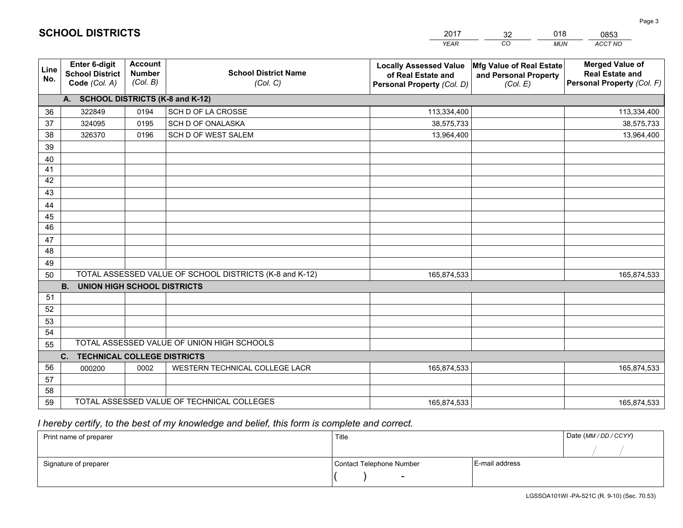|             |                                                          |                                             |                                                         | <b>YEAR</b>                                                                       | CO<br><b>MUN</b>                                              | ACCT NO                                                                        |  |  |
|-------------|----------------------------------------------------------|---------------------------------------------|---------------------------------------------------------|-----------------------------------------------------------------------------------|---------------------------------------------------------------|--------------------------------------------------------------------------------|--|--|
| Line<br>No. | Enter 6-digit<br><b>School District</b><br>Code (Col. A) | <b>Account</b><br><b>Number</b><br>(Col. B) | <b>School District Name</b><br>(Col. C)                 | <b>Locally Assessed Value</b><br>of Real Estate and<br>Personal Property (Col. D) | Mfg Value of Real Estate<br>and Personal Property<br>(Col. E) | <b>Merged Value of</b><br><b>Real Estate and</b><br>Personal Property (Col. F) |  |  |
|             | A. SCHOOL DISTRICTS (K-8 and K-12)                       |                                             |                                                         |                                                                                   |                                                               |                                                                                |  |  |
| 36          | 322849                                                   | 0194                                        | SCH D OF LA CROSSE                                      | 113,334,400                                                                       |                                                               | 113,334,400                                                                    |  |  |
| 37          | 324095                                                   | 0195                                        | SCH D OF ONALASKA                                       | 38,575,733                                                                        |                                                               | 38,575,733                                                                     |  |  |
| 38          | 326370                                                   | 0196                                        | SCH D OF WEST SALEM                                     | 13,964,400                                                                        |                                                               | 13,964,400                                                                     |  |  |
| 39          |                                                          |                                             |                                                         |                                                                                   |                                                               |                                                                                |  |  |
| 40          |                                                          |                                             |                                                         |                                                                                   |                                                               |                                                                                |  |  |
| 41          |                                                          |                                             |                                                         |                                                                                   |                                                               |                                                                                |  |  |
| 42          |                                                          |                                             |                                                         |                                                                                   |                                                               |                                                                                |  |  |
| 43          |                                                          |                                             |                                                         |                                                                                   |                                                               |                                                                                |  |  |
| 44          |                                                          |                                             |                                                         |                                                                                   |                                                               |                                                                                |  |  |
| 45          |                                                          |                                             |                                                         |                                                                                   |                                                               |                                                                                |  |  |
| 46          |                                                          |                                             |                                                         |                                                                                   |                                                               |                                                                                |  |  |
| 47          |                                                          |                                             |                                                         |                                                                                   |                                                               |                                                                                |  |  |
| 48          |                                                          |                                             |                                                         |                                                                                   |                                                               |                                                                                |  |  |
| 49          |                                                          |                                             |                                                         |                                                                                   |                                                               |                                                                                |  |  |
| 50          |                                                          |                                             | TOTAL ASSESSED VALUE OF SCHOOL DISTRICTS (K-8 and K-12) | 165,874,533                                                                       |                                                               | 165,874,533                                                                    |  |  |
|             | <b>B.</b><br><b>UNION HIGH SCHOOL DISTRICTS</b>          |                                             |                                                         |                                                                                   |                                                               |                                                                                |  |  |
| 51          |                                                          |                                             |                                                         |                                                                                   |                                                               |                                                                                |  |  |
| 52          |                                                          |                                             |                                                         |                                                                                   |                                                               |                                                                                |  |  |
| 53          |                                                          |                                             |                                                         |                                                                                   |                                                               |                                                                                |  |  |
| 54          |                                                          |                                             |                                                         |                                                                                   |                                                               |                                                                                |  |  |
|             | TOTAL ASSESSED VALUE OF UNION HIGH SCHOOLS<br>55         |                                             |                                                         |                                                                                   |                                                               |                                                                                |  |  |
|             | C. TECHNICAL COLLEGE DISTRICTS                           |                                             |                                                         |                                                                                   |                                                               |                                                                                |  |  |
| 56          | 000200                                                   | 0002                                        | WESTERN TECHNICAL COLLEGE LACR                          | 165,874,533                                                                       |                                                               | 165,874,533                                                                    |  |  |
| 57          |                                                          |                                             |                                                         |                                                                                   |                                                               |                                                                                |  |  |
| 58          |                                                          |                                             |                                                         |                                                                                   |                                                               |                                                                                |  |  |
| 59          |                                                          |                                             | TOTAL ASSESSED VALUE OF TECHNICAL COLLEGES              | 165,874,533                                                                       |                                                               | 165,874,533                                                                    |  |  |

32

018

 *I hereby certify, to the best of my knowledge and belief, this form is complete and correct.*

**SCHOOL DISTRICTS**

| Print name of preparer | Title                    |                | Date (MM / DD / CCYY) |
|------------------------|--------------------------|----------------|-----------------------|
|                        |                          |                |                       |
| Signature of preparer  | Contact Telephone Number | E-mail address |                       |
|                        | $\sim$                   |                |                       |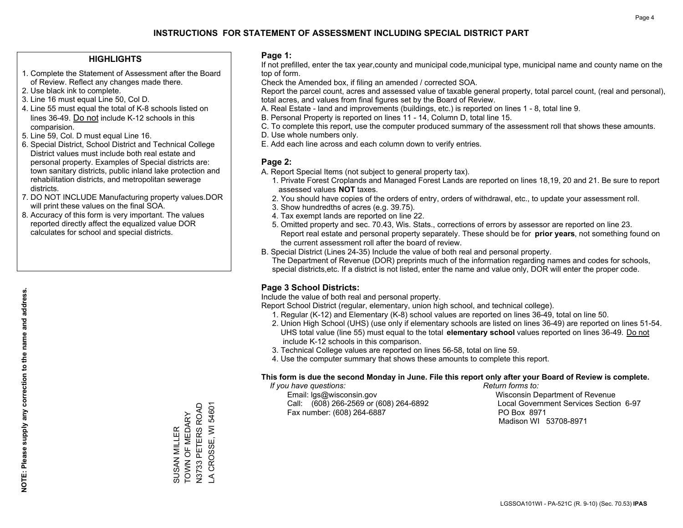#### **HIGHLIGHTS**

- 1. Complete the Statement of Assessment after the Board of Review. Reflect any changes made there.
- 2. Use black ink to complete.
- 3. Line 16 must equal Line 50, Col D.
- 4. Line 55 must equal the total of K-8 schools listed on lines 36-49. Do not include K-12 schools in this comparision.
- 5. Line 59, Col. D must equal Line 16.
- 6. Special District, School District and Technical College District values must include both real estate and personal property. Examples of Special districts are: town sanitary districts, public inland lake protection and rehabilitation districts, and metropolitan sewerage districts.
- 7. DO NOT INCLUDE Manufacturing property values.DOR will print these values on the final SOA.

SUSAN MILLER TOWN OF MEDARY N3733 PETERS ROAD LA CROSSE, WI 54601

TOWN OF MEDARY **SUSAN MILLER** 

N3733 PETERS ROAD A CROSSE, WI 54601

 8. Accuracy of this form is very important. The values reported directly affect the equalized value DOR calculates for school and special districts.

#### **Page 1:**

 If not prefilled, enter the tax year,county and municipal code,municipal type, municipal name and county name on the top of form.

Check the Amended box, if filing an amended / corrected SOA.

 Report the parcel count, acres and assessed value of taxable general property, total parcel count, (real and personal), total acres, and values from final figures set by the Board of Review.

- A. Real Estate land and improvements (buildings, etc.) is reported on lines 1 8, total line 9.
- B. Personal Property is reported on lines 11 14, Column D, total line 15.
- C. To complete this report, use the computer produced summary of the assessment roll that shows these amounts.
- D. Use whole numbers only.
- E. Add each line across and each column down to verify entries.

#### **Page 2:**

- A. Report Special Items (not subject to general property tax).
- 1. Private Forest Croplands and Managed Forest Lands are reported on lines 18,19, 20 and 21. Be sure to report assessed values **NOT** taxes.
- 2. You should have copies of the orders of entry, orders of withdrawal, etc., to update your assessment roll.
	- 3. Show hundredths of acres (e.g. 39.75).
- 4. Tax exempt lands are reported on line 22.
- 5. Omitted property and sec. 70.43, Wis. Stats., corrections of errors by assessor are reported on line 23. Report real estate and personal property separately. These should be for **prior years**, not something found on the current assessment roll after the board of review.
- B. Special District (Lines 24-35) Include the value of both real and personal property.
- The Department of Revenue (DOR) preprints much of the information regarding names and codes for schools, special districts,etc. If a district is not listed, enter the name and value only, DOR will enter the proper code.

### **Page 3 School Districts:**

Include the value of both real and personal property.

Report School District (regular, elementary, union high school, and technical college).

- 1. Regular (K-12) and Elementary (K-8) school values are reported on lines 36-49, total on line 50.
- 2. Union High School (UHS) (use only if elementary schools are listed on lines 36-49) are reported on lines 51-54. UHS total value (line 55) must equal to the total **elementary school** values reported on lines 36-49. Do notinclude K-12 schools in this comparison.
- 3. Technical College values are reported on lines 56-58, total on line 59.
- 4. Use the computer summary that shows these amounts to complete this report.

#### **This form is due the second Monday in June. File this report only after your Board of Review is complete.**

 *If you have questions: Return forms to:*

 Email: lgs@wisconsin.gov Wisconsin Department of RevenueCall:  $(608)$  266-2569 or  $(608)$  264-6892 Fax number: (608) 264-6887 PO Box 8971

Local Government Services Section 6-97

Madison WI 53708-8971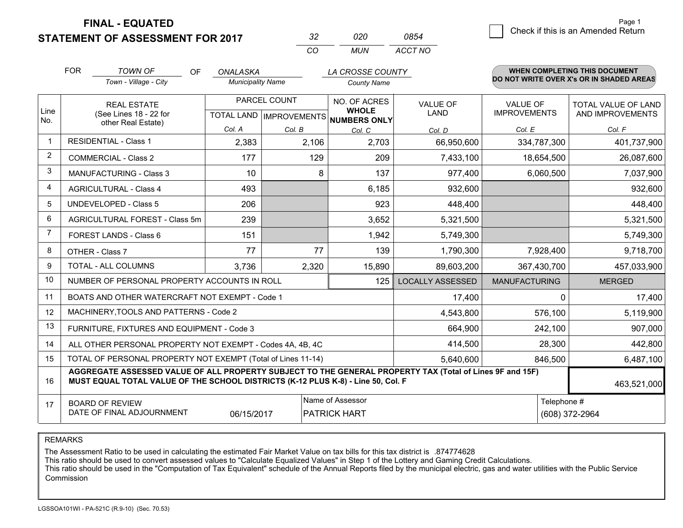**STATEMENT OF ASSESSMENT FOR 2017** 

| -32 | חכח | 0854    |
|-----|-----|---------|
| CO. | MUN | ACCT NO |

|                | <b>FOR</b>                                                                                                                                                                                   | <b>TOWN OF</b><br>OF<br>Town - Village - City             | <b>ONALASKA</b><br><b>Municipality Name</b> |              | LA CROSSE COUNTY<br><b>County Name</b>              |                         |                      | <b>WHEN COMPLETING THIS DOCUMENT</b><br>DO NOT WRITE OVER X's OR IN SHADED AREAS |
|----------------|----------------------------------------------------------------------------------------------------------------------------------------------------------------------------------------------|-----------------------------------------------------------|---------------------------------------------|--------------|-----------------------------------------------------|-------------------------|----------------------|----------------------------------------------------------------------------------|
|                |                                                                                                                                                                                              |                                                           |                                             |              |                                                     |                         |                      |                                                                                  |
|                | <b>REAL ESTATE</b>                                                                                                                                                                           |                                                           |                                             | PARCEL COUNT | NO. OF ACRES                                        | <b>VALUE OF</b>         | <b>VALUE OF</b>      | <b>TOTAL VALUE OF LAND</b>                                                       |
| Line<br>No.    |                                                                                                                                                                                              | (See Lines 18 - 22 for<br>other Real Estate)              |                                             |              | <b>WHOLE</b><br>TOTAL LAND MPROVEMENTS NUMBERS ONLY | <b>LAND</b>             | <b>IMPROVEMENTS</b>  | AND IMPROVEMENTS                                                                 |
|                |                                                                                                                                                                                              |                                                           | Col. A                                      | Col. B       | Col. C                                              | Col. D                  | Col. E               | Col. F                                                                           |
|                |                                                                                                                                                                                              | <b>RESIDENTIAL - Class 1</b>                              | 2,383                                       | 2,106        | 2,703                                               | 66,950,600              | 334,787,300          | 401,737,900                                                                      |
| 2              |                                                                                                                                                                                              | <b>COMMERCIAL - Class 2</b>                               | 177                                         | 129          | 209                                                 | 7,433,100               | 18,654,500           | 26,087,600                                                                       |
| 3              |                                                                                                                                                                                              | <b>MANUFACTURING - Class 3</b>                            | 10                                          | 8            | 137                                                 | 977,400                 | 6,060,500            | 7,037,900                                                                        |
| 4              |                                                                                                                                                                                              | <b>AGRICULTURAL - Class 4</b>                             | 493                                         |              | 6,185                                               | 932,600                 |                      | 932,600                                                                          |
| 5              |                                                                                                                                                                                              | UNDEVELOPED - Class 5                                     | 206                                         |              | 923                                                 | 448,400                 |                      | 448,400                                                                          |
| 6              |                                                                                                                                                                                              | AGRICULTURAL FOREST - Class 5m                            | 239                                         |              | 3,652                                               | 5,321,500               |                      | 5,321,500                                                                        |
| $\overline{7}$ |                                                                                                                                                                                              | FOREST LANDS - Class 6                                    | 151                                         |              | 1,942                                               | 5,749,300               |                      | 5,749,300                                                                        |
| 8              |                                                                                                                                                                                              | OTHER - Class 7                                           | 77                                          | 77           | 139                                                 | 1,790,300               | 7,928,400            | 9,718,700                                                                        |
| 9              |                                                                                                                                                                                              | TOTAL - ALL COLUMNS                                       | 3,736                                       | 2,320        | 15,890                                              | 89,603,200              | 367,430,700          | 457,033,900                                                                      |
| 10             |                                                                                                                                                                                              | NUMBER OF PERSONAL PROPERTY ACCOUNTS IN ROLL              |                                             |              | 125                                                 | <b>LOCALLY ASSESSED</b> | <b>MANUFACTURING</b> | <b>MERGED</b>                                                                    |
| 11             |                                                                                                                                                                                              | BOATS AND OTHER WATERCRAFT NOT EXEMPT - Code 1            |                                             |              |                                                     | 17,400                  |                      | 17,400<br>$\Omega$                                                               |
| 12             |                                                                                                                                                                                              | MACHINERY, TOOLS AND PATTERNS - Code 2                    |                                             |              |                                                     | 4,543,800               | 576,100              | 5,119,900                                                                        |
| 13             |                                                                                                                                                                                              | FURNITURE, FIXTURES AND EQUIPMENT - Code 3                |                                             |              |                                                     | 664,900                 | 242,100              | 907,000                                                                          |
| 14             |                                                                                                                                                                                              | ALL OTHER PERSONAL PROPERTY NOT EXEMPT - Codes 4A, 4B, 4C |                                             |              |                                                     | 414,500                 | 28,300               | 442,800                                                                          |
| 15             | TOTAL OF PERSONAL PROPERTY NOT EXEMPT (Total of Lines 11-14)<br>5,640,600<br>846,500                                                                                                         |                                                           |                                             |              |                                                     |                         |                      | 6,487,100                                                                        |
| 16             | AGGREGATE ASSESSED VALUE OF ALL PROPERTY SUBJECT TO THE GENERAL PROPERTY TAX (Total of Lines 9F and 15F)<br>MUST EQUAL TOTAL VALUE OF THE SCHOOL DISTRICTS (K-12 PLUS K-8) - Line 50, Col. F |                                                           |                                             |              |                                                     |                         | 463,521,000          |                                                                                  |
| 17             | Name of Assessor<br>Telephone #<br><b>BOARD OF REVIEW</b><br>DATE OF FINAL ADJOURNMENT<br>06/15/2017<br><b>PATRICK HART</b>                                                                  |                                                           |                                             |              |                                                     |                         | (608) 372-2964       |                                                                                  |

REMARKS

The Assessment Ratio to be used in calculating the estimated Fair Market Value on tax bills for this tax district is .874774628

This ratio should be used to convert assessed values to "Calculate Equalized Values" in Step 1 of the Lottery and Gaming Credit Calculations.<br>This ratio should be used in the "Computation of Tax Equivalent" schedule of the Commission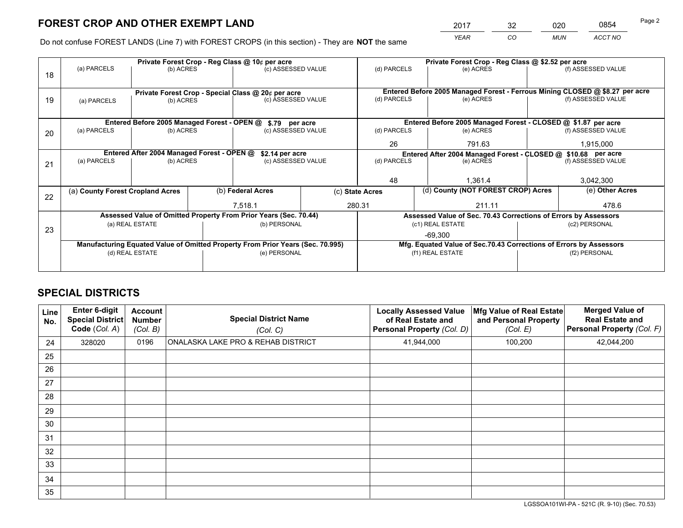*YEAR CO MUN ACCT NO* <sup>2017</sup> <sup>32</sup> <sup>020</sup> <sup>0854</sup> Page 2

Do not confuse FOREST LANDS (Line 7) with FOREST CROPS (in this section) - They are **NOT** the same

|    |                                                                                |                                             |  | Private Forest Crop - Reg Class @ 10¢ per acre                   |        | Private Forest Crop - Reg Class @ \$2.52 per acre             |                                                                              |                    |                                                                    |  |
|----|--------------------------------------------------------------------------------|---------------------------------------------|--|------------------------------------------------------------------|--------|---------------------------------------------------------------|------------------------------------------------------------------------------|--------------------|--------------------------------------------------------------------|--|
| 18 | (a) PARCELS                                                                    | (b) ACRES                                   |  | (c) ASSESSED VALUE                                               |        | (d) PARCELS                                                   | (e) ACRES                                                                    |                    | (f) ASSESSED VALUE                                                 |  |
|    |                                                                                |                                             |  |                                                                  |        |                                                               |                                                                              |                    |                                                                    |  |
|    | Private Forest Crop - Special Class @ 20¢ per acre                             |                                             |  |                                                                  |        |                                                               | Entered Before 2005 Managed Forest - Ferrous Mining CLOSED @ \$8.27 per acre |                    |                                                                    |  |
| 19 | (a) PARCELS                                                                    | (b) ACRES                                   |  | (c) ASSESSED VALUE                                               |        | (d) PARCELS                                                   | (e) ACRES                                                                    |                    | (f) ASSESSED VALUE                                                 |  |
|    |                                                                                |                                             |  |                                                                  |        |                                                               |                                                                              |                    |                                                                    |  |
|    |                                                                                | Entered Before 2005 Managed Forest - OPEN @ |  | \$.79 per acre                                                   |        |                                                               | Entered Before 2005 Managed Forest - CLOSED @ \$1.87 per acre                |                    |                                                                    |  |
| 20 | (a) PARCELS                                                                    | (b) ACRES                                   |  | (c) ASSESSED VALUE                                               |        | (d) PARCELS                                                   | (e) ACRES                                                                    |                    | (f) ASSESSED VALUE                                                 |  |
|    |                                                                                |                                             |  | 26                                                               | 791.63 |                                                               | 1,915,000                                                                    |                    |                                                                    |  |
|    |                                                                                | Entered After 2004 Managed Forest - OPEN @  |  | \$2.14 per acre                                                  |        | Entered After 2004 Managed Forest - CLOSED @ \$10.68 per acre |                                                                              |                    |                                                                    |  |
| 21 | (a) PARCELS                                                                    | (b) ACRES                                   |  | (c) ASSESSED VALUE                                               |        | (d) PARCELS<br>(e) ACRES                                      |                                                                              | (f) ASSESSED VALUE |                                                                    |  |
|    |                                                                                |                                             |  |                                                                  |        |                                                               |                                                                              |                    |                                                                    |  |
|    |                                                                                |                                             |  |                                                                  |        | 48                                                            | 1.361.4                                                                      |                    | 3,042,300                                                          |  |
|    | (a) County Forest Cropland Acres                                               |                                             |  | (b) Federal Acres                                                |        | (d) County (NOT FOREST CROP) Acres<br>(c) State Acres         |                                                                              |                    | (e) Other Acres                                                    |  |
| 22 |                                                                                |                                             |  | 7,518.1                                                          |        | 280.31<br>211.11                                              |                                                                              |                    | 478.6                                                              |  |
|    |                                                                                |                                             |  | Assessed Value of Omitted Property From Prior Years (Sec. 70.44) |        |                                                               | Assessed Value of Sec. 70.43 Corrections of Errors by Assessors              |                    |                                                                    |  |
|    |                                                                                |                                             |  | (b) PERSONAL                                                     |        |                                                               | (c1) REAL ESTATE                                                             |                    | (c2) PERSONAL                                                      |  |
| 23 |                                                                                | (a) REAL ESTATE                             |  |                                                                  |        |                                                               |                                                                              |                    |                                                                    |  |
|    | Manufacturing Equated Value of Omitted Property From Prior Years (Sec. 70.995) |                                             |  |                                                                  |        | $-69,300$                                                     |                                                                              |                    |                                                                    |  |
|    |                                                                                | (d) REAL ESTATE                             |  | (e) PERSONAL                                                     |        |                                                               | (f1) REAL ESTATE                                                             |                    | Mfg. Equated Value of Sec.70.43 Corrections of Errors by Assessors |  |
|    |                                                                                |                                             |  |                                                                  |        |                                                               |                                                                              |                    | (f2) PERSONAL                                                      |  |
|    |                                                                                |                                             |  |                                                                  |        |                                                               |                                                                              |                    |                                                                    |  |

## **SPECIAL DISTRICTS**

| Line<br>No. | Enter 6-digit<br><b>Special District</b><br>Code (Col. A) | <b>Account</b><br><b>Number</b><br>(Col. B) | <b>Special District Name</b><br>(Col. C) | <b>Locally Assessed Value</b><br>of Real Estate and<br>Personal Property (Col. D) | Mfg Value of Real Estate<br>and Personal Property<br>(Col. E) | <b>Merged Value of</b><br><b>Real Estate and</b><br>Personal Property (Col. F) |
|-------------|-----------------------------------------------------------|---------------------------------------------|------------------------------------------|-----------------------------------------------------------------------------------|---------------------------------------------------------------|--------------------------------------------------------------------------------|
| 24          | 328020                                                    | 0196                                        | ONALASKA LAKE PRO & REHAB DISTRICT       | 41,944,000                                                                        | 100,200                                                       | 42,044,200                                                                     |
| 25          |                                                           |                                             |                                          |                                                                                   |                                                               |                                                                                |
| 26          |                                                           |                                             |                                          |                                                                                   |                                                               |                                                                                |
| 27          |                                                           |                                             |                                          |                                                                                   |                                                               |                                                                                |
| 28          |                                                           |                                             |                                          |                                                                                   |                                                               |                                                                                |
| 29          |                                                           |                                             |                                          |                                                                                   |                                                               |                                                                                |
| 30          |                                                           |                                             |                                          |                                                                                   |                                                               |                                                                                |
| 31          |                                                           |                                             |                                          |                                                                                   |                                                               |                                                                                |
| 32          |                                                           |                                             |                                          |                                                                                   |                                                               |                                                                                |
| 33          |                                                           |                                             |                                          |                                                                                   |                                                               |                                                                                |
| 34          |                                                           |                                             |                                          |                                                                                   |                                                               |                                                                                |
| 35          |                                                           |                                             |                                          |                                                                                   |                                                               |                                                                                |

LGSSOA101WI-PA - 521C (R. 9-10) (Sec. 70.53)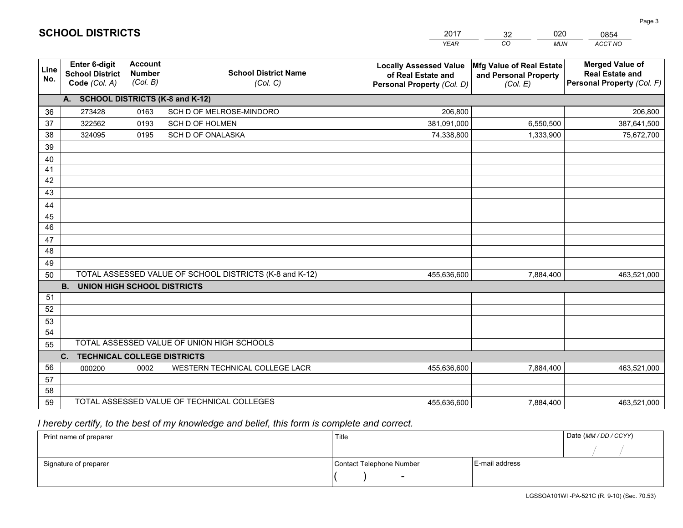|             |                                                                 |                                             |                                                         | <b>YEAR</b>                                                                       | CO<br><b>MUN</b>                                              | ACCT NO                                                                        |
|-------------|-----------------------------------------------------------------|---------------------------------------------|---------------------------------------------------------|-----------------------------------------------------------------------------------|---------------------------------------------------------------|--------------------------------------------------------------------------------|
| Line<br>No. | <b>Enter 6-digit</b><br><b>School District</b><br>Code (Col. A) | <b>Account</b><br><b>Number</b><br>(Col. B) | <b>School District Name</b><br>(Col. C)                 | <b>Locally Assessed Value</b><br>of Real Estate and<br>Personal Property (Col. D) | Mfg Value of Real Estate<br>and Personal Property<br>(Col. E) | <b>Merged Value of</b><br><b>Real Estate and</b><br>Personal Property (Col. F) |
|             | A. SCHOOL DISTRICTS (K-8 and K-12)                              |                                             |                                                         |                                                                                   |                                                               |                                                                                |
| 36          | 273428                                                          | 0163                                        | SCH D OF MELROSE-MINDORO                                | 206,800                                                                           |                                                               | 206,800                                                                        |
| 37          | 322562                                                          | 0193                                        | SCH D OF HOLMEN                                         | 381,091,000                                                                       | 6,550,500                                                     | 387,641,500                                                                    |
| 38          | 324095                                                          | 0195                                        | SCH D OF ONALASKA                                       | 74,338,800                                                                        | 1,333,900                                                     | 75,672,700                                                                     |
| 39          |                                                                 |                                             |                                                         |                                                                                   |                                                               |                                                                                |
| 40          |                                                                 |                                             |                                                         |                                                                                   |                                                               |                                                                                |
| 41          |                                                                 |                                             |                                                         |                                                                                   |                                                               |                                                                                |
| 42          |                                                                 |                                             |                                                         |                                                                                   |                                                               |                                                                                |
| 43          |                                                                 |                                             |                                                         |                                                                                   |                                                               |                                                                                |
| 44          |                                                                 |                                             |                                                         |                                                                                   |                                                               |                                                                                |
| 45          |                                                                 |                                             |                                                         |                                                                                   |                                                               |                                                                                |
| 46          |                                                                 |                                             |                                                         |                                                                                   |                                                               |                                                                                |
| 47          |                                                                 |                                             |                                                         |                                                                                   |                                                               |                                                                                |
| 48          |                                                                 |                                             |                                                         |                                                                                   |                                                               |                                                                                |
| 49          |                                                                 |                                             |                                                         |                                                                                   |                                                               |                                                                                |
| 50          |                                                                 |                                             | TOTAL ASSESSED VALUE OF SCHOOL DISTRICTS (K-8 and K-12) | 455,636,600                                                                       | 7,884,400                                                     | 463,521,000                                                                    |
|             | <b>B.</b><br><b>UNION HIGH SCHOOL DISTRICTS</b>                 |                                             |                                                         |                                                                                   |                                                               |                                                                                |
| 51<br>52    |                                                                 |                                             |                                                         |                                                                                   |                                                               |                                                                                |
|             |                                                                 |                                             |                                                         |                                                                                   |                                                               |                                                                                |
| 53<br>54    |                                                                 |                                             |                                                         |                                                                                   |                                                               |                                                                                |
| 55          |                                                                 |                                             | TOTAL ASSESSED VALUE OF UNION HIGH SCHOOLS              |                                                                                   |                                                               |                                                                                |
|             | C.<br><b>TECHNICAL COLLEGE DISTRICTS</b>                        |                                             |                                                         |                                                                                   |                                                               |                                                                                |
| 56          | 000200                                                          | 0002                                        | WESTERN TECHNICAL COLLEGE LACR                          | 455,636,600                                                                       | 7,884,400                                                     | 463,521,000                                                                    |
| 57          |                                                                 |                                             |                                                         |                                                                                   |                                                               |                                                                                |
| 58          |                                                                 |                                             |                                                         |                                                                                   |                                                               |                                                                                |
| 59          |                                                                 |                                             | TOTAL ASSESSED VALUE OF TECHNICAL COLLEGES              | 455,636,600                                                                       | 7,884,400                                                     | 463,521,000                                                                    |

32

020

 *I hereby certify, to the best of my knowledge and belief, this form is complete and correct.*

**SCHOOL DISTRICTS**

| Print name of preparer | Title                    |                | Date (MM / DD / CCYY) |
|------------------------|--------------------------|----------------|-----------------------|
|                        |                          |                |                       |
| Signature of preparer  | Contact Telephone Number | E-mail address |                       |
|                        | $\sim$                   |                |                       |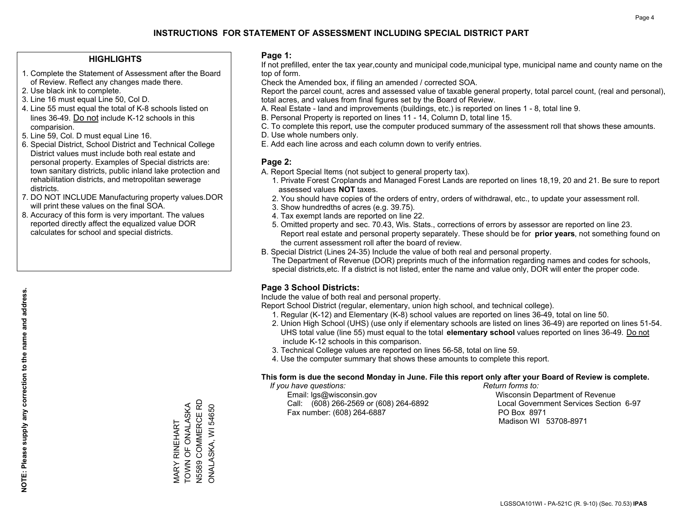## **HIGHLIGHTS**

- 1. Complete the Statement of Assessment after the Board of Review. Reflect any changes made there.
- 2. Use black ink to complete.
- 3. Line 16 must equal Line 50, Col D.
- 4. Line 55 must equal the total of K-8 schools listed on lines 36-49. Do not include K-12 schools in this comparision.
- 5. Line 59, Col. D must equal Line 16.
- 6. Special District, School District and Technical College District values must include both real estate and personal property. Examples of Special districts are: town sanitary districts, public inland lake protection and rehabilitation districts, and metropolitan sewerage districts.
- 7. DO NOT INCLUDE Manufacturing property values.DOR will print these values on the final SOA.

MARY RINEHART TOWN OF ONALASKA N5589 COMMERCE RD ONALASKA, WI 54650

N5589 COMMERCE RD MARY RINEHART<br>TOWN OF ONALASKA

ONALASKA, WI 54650

 8. Accuracy of this form is very important. The values reported directly affect the equalized value DOR calculates for school and special districts.

#### **Page 1:**

 If not prefilled, enter the tax year,county and municipal code,municipal type, municipal name and county name on the top of form.

Check the Amended box, if filing an amended / corrected SOA.

 Report the parcel count, acres and assessed value of taxable general property, total parcel count, (real and personal), total acres, and values from final figures set by the Board of Review.

- A. Real Estate land and improvements (buildings, etc.) is reported on lines 1 8, total line 9.
- B. Personal Property is reported on lines 11 14, Column D, total line 15.
- C. To complete this report, use the computer produced summary of the assessment roll that shows these amounts.
- D. Use whole numbers only.
- E. Add each line across and each column down to verify entries.

## **Page 2:**

- A. Report Special Items (not subject to general property tax).
- 1. Private Forest Croplands and Managed Forest Lands are reported on lines 18,19, 20 and 21. Be sure to report assessed values **NOT** taxes.
- 2. You should have copies of the orders of entry, orders of withdrawal, etc., to update your assessment roll.
	- 3. Show hundredths of acres (e.g. 39.75).
- 4. Tax exempt lands are reported on line 22.
- 5. Omitted property and sec. 70.43, Wis. Stats., corrections of errors by assessor are reported on line 23. Report real estate and personal property separately. These should be for **prior years**, not something found on the current assessment roll after the board of review.
- B. Special District (Lines 24-35) Include the value of both real and personal property.
- The Department of Revenue (DOR) preprints much of the information regarding names and codes for schools, special districts,etc. If a district is not listed, enter the name and value only, DOR will enter the proper code.

## **Page 3 School Districts:**

Include the value of both real and personal property.

Report School District (regular, elementary, union high school, and technical college).

- 1. Regular (K-12) and Elementary (K-8) school values are reported on lines 36-49, total on line 50.
- 2. Union High School (UHS) (use only if elementary schools are listed on lines 36-49) are reported on lines 51-54. UHS total value (line 55) must equal to the total **elementary school** values reported on lines 36-49. Do notinclude K-12 schools in this comparison.
- 3. Technical College values are reported on lines 56-58, total on line 59.
- 4. Use the computer summary that shows these amounts to complete this report.

#### **This form is due the second Monday in June. File this report only after your Board of Review is complete.**

 *If you have questions: Return forms to:*

 Email: lgs@wisconsin.gov Wisconsin Department of RevenueCall:  $(608)$  266-2569 or  $(608)$  264-6892 Fax number: (608) 264-6887 PO Box 8971

Local Government Services Section 6-97

Madison WI 53708-8971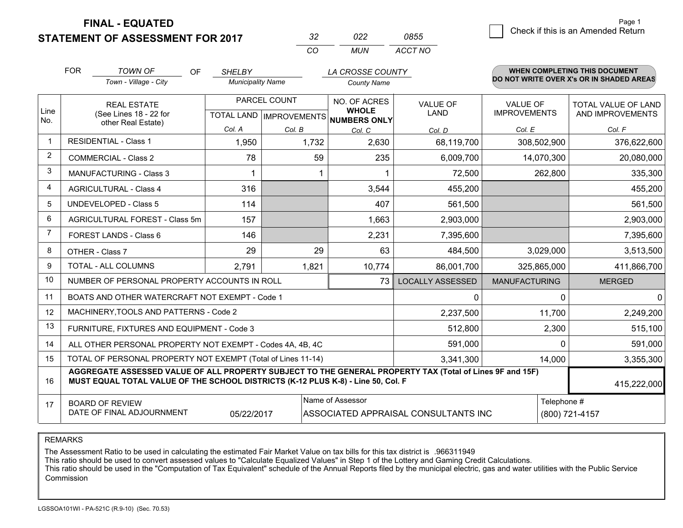**STATEMENT OF ASSESSMENT FOR 2017** 

| -32      | פפח   | 0855    |
|----------|-------|---------|
| $\cdots$ | MI IN | ACCT NO |

|             | <b>FOR</b>                                                                                                                                                                                   | <b>TOWN OF</b><br><b>OF</b>                               | <b>SHELBY</b>            |              | LA CROSSE COUNTY                                    |                         |                      | <b>WHEN COMPLETING THIS DOCUMENT</b>     |
|-------------|----------------------------------------------------------------------------------------------------------------------------------------------------------------------------------------------|-----------------------------------------------------------|--------------------------|--------------|-----------------------------------------------------|-------------------------|----------------------|------------------------------------------|
|             |                                                                                                                                                                                              | Town - Village - City                                     | <b>Municipality Name</b> |              | <b>County Name</b>                                  |                         |                      | DO NOT WRITE OVER X's OR IN SHADED AREAS |
|             |                                                                                                                                                                                              | <b>REAL ESTATE</b>                                        |                          | PARCEL COUNT | NO. OF ACRES                                        | <b>VALUE OF</b>         | <b>VALUE OF</b>      | TOTAL VALUE OF LAND                      |
| Line<br>No. |                                                                                                                                                                                              | (See Lines 18 - 22 for<br>other Real Estate)              |                          |              | <b>WHOLE</b><br>TOTAL LAND MPROVEMENTS NUMBERS ONLY | <b>LAND</b>             | <b>IMPROVEMENTS</b>  | AND IMPROVEMENTS                         |
|             |                                                                                                                                                                                              |                                                           | Col. A                   | Col. B       | Col. C                                              | Col. D                  | Col. E               | Col. F                                   |
|             |                                                                                                                                                                                              | <b>RESIDENTIAL - Class 1</b>                              | 1,950                    | 1,732        | 2,630                                               | 68,119,700              | 308,502,900          | 376,622,600                              |
| 2           |                                                                                                                                                                                              | <b>COMMERCIAL - Class 2</b>                               | 78                       | 59           | 235                                                 | 6,009,700               | 14,070,300           | 20,080,000                               |
| 3           |                                                                                                                                                                                              | <b>MANUFACTURING - Class 3</b>                            |                          |              | -1                                                  | 72,500                  | 262,800              | 335,300                                  |
| 4           |                                                                                                                                                                                              | <b>AGRICULTURAL - Class 4</b>                             | 316                      |              | 3,544                                               | 455,200                 |                      | 455,200                                  |
| 5           |                                                                                                                                                                                              | <b>UNDEVELOPED - Class 5</b>                              | 114                      |              | 407                                                 | 561,500                 |                      | 561,500                                  |
| 6           |                                                                                                                                                                                              | AGRICULTURAL FOREST - Class 5m                            | 157                      |              | 1,663                                               | 2,903,000               |                      | 2,903,000                                |
| 7           |                                                                                                                                                                                              | FOREST LANDS - Class 6                                    | 146                      |              | 2,231                                               | 7,395,600               |                      | 7,395,600                                |
| 8           |                                                                                                                                                                                              | OTHER - Class 7                                           | 29                       | 29           | 63                                                  | 484,500                 | 3,029,000            | 3,513,500                                |
| 9           |                                                                                                                                                                                              | TOTAL - ALL COLUMNS                                       | 2,791                    | 1,821        | 10,774                                              | 86,001,700              | 325,865,000          | 411,866,700                              |
| 10          |                                                                                                                                                                                              | NUMBER OF PERSONAL PROPERTY ACCOUNTS IN ROLL              |                          |              | 73                                                  | <b>LOCALLY ASSESSED</b> | <b>MANUFACTURING</b> | <b>MERGED</b>                            |
| 11          |                                                                                                                                                                                              | BOATS AND OTHER WATERCRAFT NOT EXEMPT - Code 1            |                          |              |                                                     | 0                       | 0                    | $\Omega$                                 |
| 12          |                                                                                                                                                                                              | MACHINERY, TOOLS AND PATTERNS - Code 2                    |                          |              |                                                     | 2,237,500               | 11,700               | 2,249,200                                |
| 13          |                                                                                                                                                                                              | FURNITURE, FIXTURES AND EQUIPMENT - Code 3                |                          |              |                                                     | 512,800                 | 2,300                | 515,100                                  |
| 14          |                                                                                                                                                                                              | ALL OTHER PERSONAL PROPERTY NOT EXEMPT - Codes 4A, 4B, 4C |                          |              |                                                     | 591,000                 | $\Omega$             | 591,000                                  |
| 15          | TOTAL OF PERSONAL PROPERTY NOT EXEMPT (Total of Lines 11-14)<br>3,341,300<br>14,000                                                                                                          |                                                           |                          |              |                                                     |                         |                      | 3,355,300                                |
| 16          | AGGREGATE ASSESSED VALUE OF ALL PROPERTY SUBJECT TO THE GENERAL PROPERTY TAX (Total of Lines 9F and 15F)<br>MUST EQUAL TOTAL VALUE OF THE SCHOOL DISTRICTS (K-12 PLUS K-8) - Line 50, Col. F |                                                           |                          |              |                                                     |                         | 415,222,000          |                                          |
| 17          | Name of Assessor<br>Telephone #<br><b>BOARD OF REVIEW</b><br>DATE OF FINAL ADJOURNMENT<br>05/22/2017<br>ASSOCIATED APPRAISAL CONSULTANTS INC                                                 |                                                           |                          |              |                                                     |                         | (800) 721-4157       |                                          |

REMARKS

The Assessment Ratio to be used in calculating the estimated Fair Market Value on tax bills for this tax district is .966311949

This ratio should be used to convert assessed values to "Calculate Equalized Values" in Step 1 of the Lottery and Gaming Credit Calculations.<br>This ratio should be used in the "Computation of Tax Equivalent" schedule of the Commission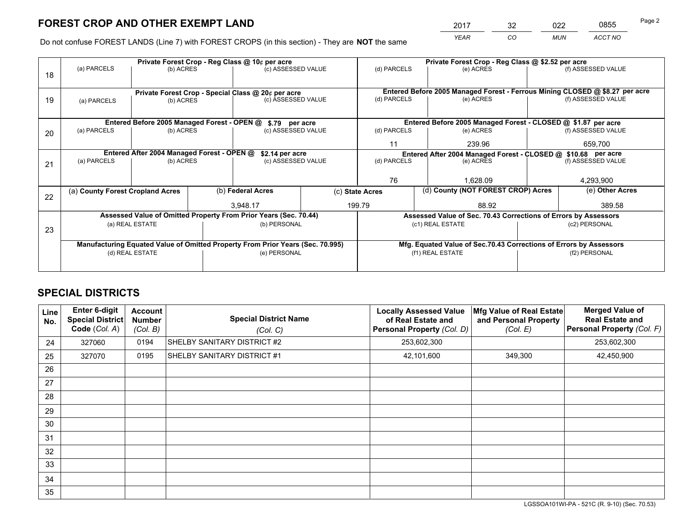*YEAR CO MUN ACCT NO* <sup>2017</sup> <sup>32</sup> <sup>022</sup> <sup>0855</sup>

Do not confuse FOREST LANDS (Line 7) with FOREST CROPS (in this section) - They are **NOT** the same

|    |                                                                                |                                             |  | Private Forest Crop - Reg Class @ 10¢ per acre                   |  | Private Forest Crop - Reg Class @ \$2.52 per acre             |                                                                              |                    |                    |  |
|----|--------------------------------------------------------------------------------|---------------------------------------------|--|------------------------------------------------------------------|--|---------------------------------------------------------------|------------------------------------------------------------------------------|--------------------|--------------------|--|
| 18 | (a) PARCELS                                                                    | (b) ACRES                                   |  | (c) ASSESSED VALUE                                               |  | (d) PARCELS                                                   | (e) ACRES                                                                    |                    | (f) ASSESSED VALUE |  |
|    |                                                                                |                                             |  |                                                                  |  |                                                               |                                                                              |                    |                    |  |
|    | Private Forest Crop - Special Class @ 20¢ per acre                             |                                             |  |                                                                  |  |                                                               | Entered Before 2005 Managed Forest - Ferrous Mining CLOSED @ \$8.27 per acre |                    |                    |  |
| 19 | (a) PARCELS                                                                    | (b) ACRES                                   |  | (c) ASSESSED VALUE                                               |  | (d) PARCELS                                                   | (e) ACRES                                                                    |                    | (f) ASSESSED VALUE |  |
|    |                                                                                |                                             |  |                                                                  |  |                                                               |                                                                              |                    |                    |  |
|    |                                                                                | Entered Before 2005 Managed Forest - OPEN @ |  | \$.79 per acre                                                   |  |                                                               | Entered Before 2005 Managed Forest - CLOSED @ \$1.87 per acre                |                    |                    |  |
| 20 | (a) PARCELS                                                                    | (b) ACRES                                   |  | (c) ASSESSED VALUE                                               |  | (d) PARCELS                                                   | (e) ACRES                                                                    |                    | (f) ASSESSED VALUE |  |
|    |                                                                                |                                             |  |                                                                  |  | 11                                                            | 239.96                                                                       |                    | 659,700            |  |
|    |                                                                                | Entered After 2004 Managed Forest - OPEN @  |  | \$2.14 per acre                                                  |  | Entered After 2004 Managed Forest - CLOSED @ \$10.68 per acre |                                                                              |                    |                    |  |
| 21 | (a) PARCELS                                                                    | (b) ACRES                                   |  | (c) ASSESSED VALUE                                               |  | (d) PARCELS                                                   | (e) ACRES                                                                    | (f) ASSESSED VALUE |                    |  |
|    |                                                                                |                                             |  |                                                                  |  |                                                               |                                                                              |                    |                    |  |
|    |                                                                                |                                             |  |                                                                  |  | 76                                                            | 1.628.09                                                                     |                    | 4,293,900          |  |
| 22 | (a) County Forest Cropland Acres                                               |                                             |  | (b) Federal Acres                                                |  | (d) County (NOT FOREST CROP) Acres<br>(c) State Acres         |                                                                              |                    | (e) Other Acres    |  |
|    |                                                                                |                                             |  | 3,948.17                                                         |  | 199.79                                                        | 88.92                                                                        |                    | 389.58             |  |
|    |                                                                                |                                             |  | Assessed Value of Omitted Property From Prior Years (Sec. 70.44) |  |                                                               | Assessed Value of Sec. 70.43 Corrections of Errors by Assessors              |                    |                    |  |
|    |                                                                                | (a) REAL ESTATE                             |  | (b) PERSONAL                                                     |  |                                                               | (c1) REAL ESTATE                                                             |                    | (c2) PERSONAL      |  |
| 23 |                                                                                |                                             |  |                                                                  |  |                                                               |                                                                              |                    |                    |  |
|    | Manufacturing Equated Value of Omitted Property From Prior Years (Sec. 70.995) |                                             |  |                                                                  |  |                                                               | Mfg. Equated Value of Sec.70.43 Corrections of Errors by Assessors           |                    |                    |  |
|    |                                                                                | (d) REAL ESTATE                             |  | (e) PERSONAL                                                     |  |                                                               | (f1) REAL ESTATE                                                             |                    | (f2) PERSONAL      |  |
|    |                                                                                |                                             |  |                                                                  |  |                                                               |                                                                              |                    |                    |  |

## **SPECIAL DISTRICTS**

| Line<br>No. | <b>Enter 6-digit</b><br>Special District<br>Code (Col. A) | <b>Account</b><br><b>Number</b><br>(Col. B) | <b>Special District Name</b><br>(Col. C) | <b>Locally Assessed Value</b><br>of Real Estate and<br>Personal Property (Col. D) | Mfg Value of Real Estate<br>and Personal Property<br>(Col. E) | <b>Merged Value of</b><br><b>Real Estate and</b><br><b>Personal Property (Col. F)</b> |
|-------------|-----------------------------------------------------------|---------------------------------------------|------------------------------------------|-----------------------------------------------------------------------------------|---------------------------------------------------------------|---------------------------------------------------------------------------------------|
| 24          | 327060                                                    | 0194                                        | SHELBY SANITARY DISTRICT #2              | 253,602,300                                                                       |                                                               | 253,602,300                                                                           |
| 25          | 327070                                                    | 0195                                        | SHELBY SANITARY DISTRICT #1              | 42,101,600                                                                        | 349,300                                                       | 42,450,900                                                                            |
| 26          |                                                           |                                             |                                          |                                                                                   |                                                               |                                                                                       |
| 27          |                                                           |                                             |                                          |                                                                                   |                                                               |                                                                                       |
| 28          |                                                           |                                             |                                          |                                                                                   |                                                               |                                                                                       |
| 29          |                                                           |                                             |                                          |                                                                                   |                                                               |                                                                                       |
| 30          |                                                           |                                             |                                          |                                                                                   |                                                               |                                                                                       |
| 31          |                                                           |                                             |                                          |                                                                                   |                                                               |                                                                                       |
| 32          |                                                           |                                             |                                          |                                                                                   |                                                               |                                                                                       |
| 33          |                                                           |                                             |                                          |                                                                                   |                                                               |                                                                                       |
| 34          |                                                           |                                             |                                          |                                                                                   |                                                               |                                                                                       |
| 35          |                                                           |                                             |                                          |                                                                                   |                                                               |                                                                                       |

LGSSOA101WI-PA - 521C (R. 9-10) (Sec. 70.53)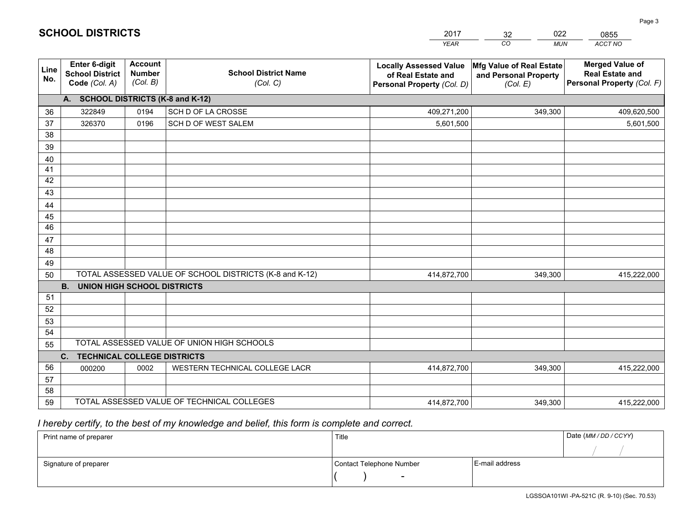|             |                                                                 |                                             |                                                         | <b>YEAR</b>                                                                       | CO<br><b>MUN</b>                                              | ACCT NO                                                                        |
|-------------|-----------------------------------------------------------------|---------------------------------------------|---------------------------------------------------------|-----------------------------------------------------------------------------------|---------------------------------------------------------------|--------------------------------------------------------------------------------|
| Line<br>No. | <b>Enter 6-digit</b><br><b>School District</b><br>Code (Col. A) | <b>Account</b><br><b>Number</b><br>(Col. B) | <b>School District Name</b><br>(Col. C)                 | <b>Locally Assessed Value</b><br>of Real Estate and<br>Personal Property (Col. D) | Mfg Value of Real Estate<br>and Personal Property<br>(Col. E) | <b>Merged Value of</b><br><b>Real Estate and</b><br>Personal Property (Col. F) |
|             | A. SCHOOL DISTRICTS (K-8 and K-12)                              |                                             |                                                         |                                                                                   |                                                               |                                                                                |
| 36          | 322849                                                          | 0194                                        | SCH D OF LA CROSSE                                      | 409,271,200                                                                       | 349,300                                                       | 409,620,500                                                                    |
| 37          | 326370                                                          | 0196                                        | SCH D OF WEST SALEM                                     | 5,601,500                                                                         |                                                               | 5,601,500                                                                      |
| 38          |                                                                 |                                             |                                                         |                                                                                   |                                                               |                                                                                |
| 39          |                                                                 |                                             |                                                         |                                                                                   |                                                               |                                                                                |
| 40          |                                                                 |                                             |                                                         |                                                                                   |                                                               |                                                                                |
| 41          |                                                                 |                                             |                                                         |                                                                                   |                                                               |                                                                                |
| 42          |                                                                 |                                             |                                                         |                                                                                   |                                                               |                                                                                |
| 43          |                                                                 |                                             |                                                         |                                                                                   |                                                               |                                                                                |
| 44          |                                                                 |                                             |                                                         |                                                                                   |                                                               |                                                                                |
| 45<br>46    |                                                                 |                                             |                                                         |                                                                                   |                                                               |                                                                                |
|             |                                                                 |                                             |                                                         |                                                                                   |                                                               |                                                                                |
| 47<br>48    |                                                                 |                                             |                                                         |                                                                                   |                                                               |                                                                                |
| 49          |                                                                 |                                             |                                                         |                                                                                   |                                                               |                                                                                |
| 50          |                                                                 |                                             | TOTAL ASSESSED VALUE OF SCHOOL DISTRICTS (K-8 and K-12) | 414,872,700                                                                       | 349,300                                                       | 415,222,000                                                                    |
|             | <b>B.</b><br><b>UNION HIGH SCHOOL DISTRICTS</b>                 |                                             |                                                         |                                                                                   |                                                               |                                                                                |
| 51          |                                                                 |                                             |                                                         |                                                                                   |                                                               |                                                                                |
| 52          |                                                                 |                                             |                                                         |                                                                                   |                                                               |                                                                                |
| 53          |                                                                 |                                             |                                                         |                                                                                   |                                                               |                                                                                |
| 54          |                                                                 |                                             |                                                         |                                                                                   |                                                               |                                                                                |
| 55          |                                                                 |                                             | TOTAL ASSESSED VALUE OF UNION HIGH SCHOOLS              |                                                                                   |                                                               |                                                                                |
|             | C.<br><b>TECHNICAL COLLEGE DISTRICTS</b>                        |                                             |                                                         |                                                                                   |                                                               |                                                                                |
| 56          | 000200                                                          | 0002                                        | WESTERN TECHNICAL COLLEGE LACR                          | 414,872,700                                                                       | 349,300                                                       | 415,222,000                                                                    |
| 57          |                                                                 |                                             |                                                         |                                                                                   |                                                               |                                                                                |
| 58          |                                                                 |                                             |                                                         |                                                                                   |                                                               |                                                                                |
| 59          |                                                                 |                                             | TOTAL ASSESSED VALUE OF TECHNICAL COLLEGES              | 414,872,700                                                                       | 349,300                                                       | 415,222,000                                                                    |

32

022

 *I hereby certify, to the best of my knowledge and belief, this form is complete and correct.*

**SCHOOL DISTRICTS**

| Print name of preparer | Title                    |                | Date (MM/DD/CCYY) |
|------------------------|--------------------------|----------------|-------------------|
|                        |                          |                |                   |
| Signature of preparer  | Contact Telephone Number | E-mail address |                   |
|                        | $\overline{\phantom{0}}$ |                |                   |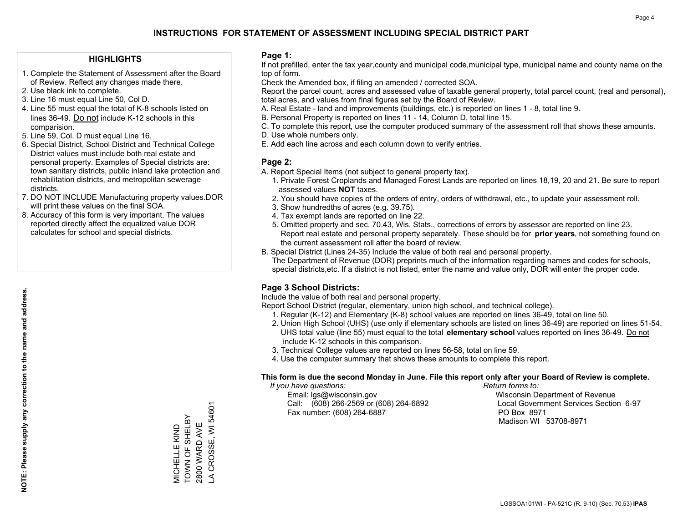### **HIGHLIGHTS**

- 1. Complete the Statement of Assessment after the Board of Review. Reflect any changes made there.
- 2. Use black ink to complete.
- 3. Line 16 must equal Line 50, Col D.
- 4. Line 55 must equal the total of K-8 schools listed on lines 36-49. Do not include K-12 schools in this comparision.
- 5. Line 59, Col. D must equal Line 16.
- 6. Special District, School District and Technical College District values must include both real estate and personal property. Examples of Special districts are: town sanitary districts, public inland lake protection and rehabilitation districts, and metropolitan sewerage districts.
- 7. DO NOT INCLUDE Manufacturing property values.DOR will print these values on the final SOA.

MICHELLE KIND TOWN OF SHELBY 2800 WARD AVE LA CROSSE, WI 54601

VICHELLE KIND<br>TOWN OF SHELBY 2800 WARD AVE

A CROSSE, WI 54601

 8. Accuracy of this form is very important. The values reported directly affect the equalized value DOR calculates for school and special districts.

#### **Page 1:**

 If not prefilled, enter the tax year,county and municipal code,municipal type, municipal name and county name on the top of form.

Check the Amended box, if filing an amended / corrected SOA.

 Report the parcel count, acres and assessed value of taxable general property, total parcel count, (real and personal), total acres, and values from final figures set by the Board of Review.

- A. Real Estate land and improvements (buildings, etc.) is reported on lines 1 8, total line 9.
- B. Personal Property is reported on lines 11 14, Column D, total line 15.
- C. To complete this report, use the computer produced summary of the assessment roll that shows these amounts.
- D. Use whole numbers only.
- E. Add each line across and each column down to verify entries.

#### **Page 2:**

- A. Report Special Items (not subject to general property tax).
- 1. Private Forest Croplands and Managed Forest Lands are reported on lines 18,19, 20 and 21. Be sure to report assessed values **NOT** taxes.
- 2. You should have copies of the orders of entry, orders of withdrawal, etc., to update your assessment roll.
	- 3. Show hundredths of acres (e.g. 39.75).
- 4. Tax exempt lands are reported on line 22.
- 5. Omitted property and sec. 70.43, Wis. Stats., corrections of errors by assessor are reported on line 23. Report real estate and personal property separately. These should be for **prior years**, not something found on the current assessment roll after the board of review.
- B. Special District (Lines 24-35) Include the value of both real and personal property.
- The Department of Revenue (DOR) preprints much of the information regarding names and codes for schools, special districts,etc. If a district is not listed, enter the name and value only, DOR will enter the proper code.

## **Page 3 School Districts:**

Include the value of both real and personal property.

Report School District (regular, elementary, union high school, and technical college).

- 1. Regular (K-12) and Elementary (K-8) school values are reported on lines 36-49, total on line 50.
- 2. Union High School (UHS) (use only if elementary schools are listed on lines 36-49) are reported on lines 51-54. UHS total value (line 55) must equal to the total **elementary school** values reported on lines 36-49. Do notinclude K-12 schools in this comparison.
- 3. Technical College values are reported on lines 56-58, total on line 59.
- 4. Use the computer summary that shows these amounts to complete this report.

#### **This form is due the second Monday in June. File this report only after your Board of Review is complete.**

 *If you have questions: Return forms to:*

 Email: lgs@wisconsin.gov Wisconsin Department of RevenueCall:  $(608)$  266-2569 or  $(608)$  264-6892 Fax number: (608) 264-6887 PO Box 8971

Local Government Services Section 6-97

Madison WI 53708-8971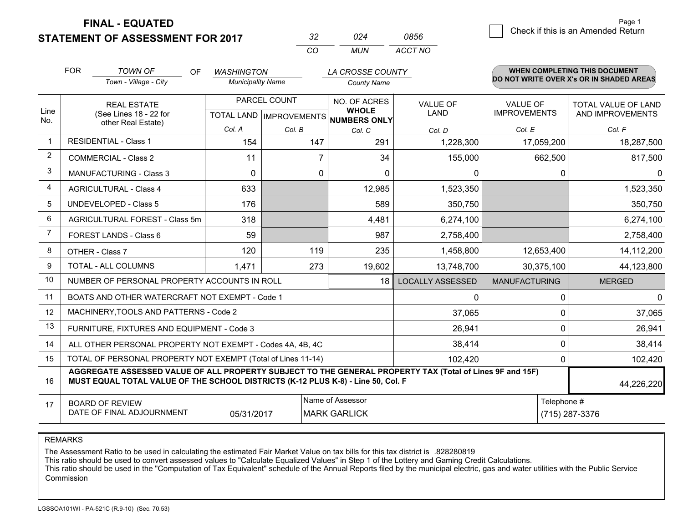**STATEMENT OF ASSESSMENT FOR 2017** 

| マン       |       | 0856    |
|----------|-------|---------|
| $\cdots$ | MI IN | ACCT NO |

|                | <b>FOR</b>                                                                                                                                                                                   | <b>TOWN OF</b><br>OF.<br>Town - Village - City            | <b>WASHINGTON</b><br><b>Municipality Name</b> |                                                      | LA CROSSE COUNTY<br><b>County Name</b> |                                |                                        | <b>WHEN COMPLETING THIS DOCUMENT</b><br>DO NOT WRITE OVER X's OR IN SHADED AREAS |
|----------------|----------------------------------------------------------------------------------------------------------------------------------------------------------------------------------------------|-----------------------------------------------------------|-----------------------------------------------|------------------------------------------------------|----------------------------------------|--------------------------------|----------------------------------------|----------------------------------------------------------------------------------|
| Line<br>No.    | <b>REAL ESTATE</b><br>(See Lines 18 - 22 for                                                                                                                                                 |                                                           |                                               | PARCEL COUNT<br>TOTAL LAND IMPROVEMENTS NUMBERS ONLY |                                        | <b>VALUE OF</b><br><b>LAND</b> | <b>VALUE OF</b><br><b>IMPROVEMENTS</b> | <b>TOTAL VALUE OF LAND</b><br>AND IMPROVEMENTS                                   |
|                |                                                                                                                                                                                              | other Real Estate)                                        | Col. A                                        | Col. B                                               | Col. C                                 | Col. D                         | Col. E                                 | Col. F                                                                           |
| $\mathbf{1}$   |                                                                                                                                                                                              | <b>RESIDENTIAL - Class 1</b>                              | 154                                           | 147                                                  | 291                                    | 1,228,300                      | 17,059,200                             | 18,287,500                                                                       |
| $\overline{2}$ |                                                                                                                                                                                              | <b>COMMERCIAL - Class 2</b>                               | 11                                            |                                                      | 34                                     | 155,000                        | 662,500                                | 817,500                                                                          |
| 3              |                                                                                                                                                                                              | <b>MANUFACTURING - Class 3</b>                            | $\Omega$                                      | 0                                                    | $\mathbf{0}$                           | 0                              | 0                                      | 0                                                                                |
| 4              |                                                                                                                                                                                              | <b>AGRICULTURAL - Class 4</b>                             | 633                                           |                                                      | 12,985                                 | 1,523,350                      |                                        | 1,523,350                                                                        |
| 5              |                                                                                                                                                                                              | <b>UNDEVELOPED - Class 5</b>                              | 176                                           |                                                      | 589                                    | 350,750                        |                                        | 350,750                                                                          |
| 6              |                                                                                                                                                                                              | AGRICULTURAL FOREST - Class 5m                            | 318                                           |                                                      | 4,481                                  | 6,274,100                      |                                        | 6,274,100                                                                        |
| $\overline{7}$ |                                                                                                                                                                                              | FOREST LANDS - Class 6                                    | 59                                            |                                                      | 987                                    | 2,758,400                      |                                        | 2,758,400                                                                        |
| 8              | OTHER - Class 7                                                                                                                                                                              |                                                           | 120                                           | 119                                                  | 235                                    | 1,458,800                      | 12,653,400                             | 14,112,200                                                                       |
| 9              |                                                                                                                                                                                              | TOTAL - ALL COLUMNS                                       | 1,471                                         | 273                                                  | 19,602                                 | 13,748,700                     | 30,375,100                             | 44,123,800                                                                       |
| 10             |                                                                                                                                                                                              | NUMBER OF PERSONAL PROPERTY ACCOUNTS IN ROLL              |                                               |                                                      | 18                                     | <b>LOCALLY ASSESSED</b>        | <b>MANUFACTURING</b>                   | <b>MERGED</b>                                                                    |
| 11             |                                                                                                                                                                                              | BOATS AND OTHER WATERCRAFT NOT EXEMPT - Code 1            |                                               |                                                      |                                        | $\mathbf{0}$                   | $\mathbf{0}$                           | $\mathbf{0}$                                                                     |
| 12             |                                                                                                                                                                                              | MACHINERY, TOOLS AND PATTERNS - Code 2                    |                                               |                                                      |                                        | 37,065                         | $\Omega$                               | 37,065                                                                           |
| 13             |                                                                                                                                                                                              | FURNITURE, FIXTURES AND EQUIPMENT - Code 3                |                                               |                                                      |                                        | 26,941                         | $\mathbf 0$                            | 26,941                                                                           |
| 14             |                                                                                                                                                                                              | ALL OTHER PERSONAL PROPERTY NOT EXEMPT - Codes 4A, 4B, 4C |                                               |                                                      |                                        | 38,414                         | $\mathbf 0$                            | 38,414                                                                           |
| 15             | TOTAL OF PERSONAL PROPERTY NOT EXEMPT (Total of Lines 11-14)                                                                                                                                 |                                                           |                                               |                                                      |                                        |                                | $\mathbf 0$                            | 102,420                                                                          |
| 16             | AGGREGATE ASSESSED VALUE OF ALL PROPERTY SUBJECT TO THE GENERAL PROPERTY TAX (Total of Lines 9F and 15F)<br>MUST EQUAL TOTAL VALUE OF THE SCHOOL DISTRICTS (K-12 PLUS K-8) - Line 50, Col. F |                                                           |                                               |                                                      |                                        |                                | 44,226,220                             |                                                                                  |
| 17             |                                                                                                                                                                                              | <b>BOARD OF REVIEW</b>                                    |                                               |                                                      | Name of Assessor                       |                                | Telephone #                            |                                                                                  |
|                | DATE OF FINAL ADJOURNMENT<br>05/31/2017<br><b>MARK GARLICK</b>                                                                                                                               |                                                           |                                               |                                                      |                                        | (715) 287-3376                 |                                        |                                                                                  |

REMARKS

The Assessment Ratio to be used in calculating the estimated Fair Market Value on tax bills for this tax district is .828280819

This ratio should be used to convert assessed values to "Calculate Equalized Values" in Step 1 of the Lottery and Gaming Credit Calculations.<br>This ratio should be used in the "Computation of Tax Equivalent" schedule of the Commission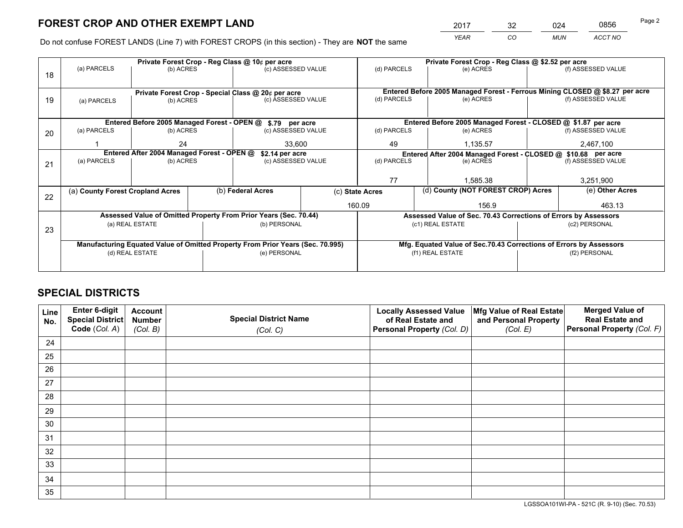*YEAR CO MUN ACCT NO* <sup>2017</sup> <sup>32</sup> <sup>024</sup> <sup>0856</sup>

Do not confuse FOREST LANDS (Line 7) with FOREST CROPS (in this section) - They are **NOT** the same

|    |                                                                                |                                             |  | Private Forest Crop - Reg Class @ 10¢ per acre                   |                                                                                  | Private Forest Crop - Reg Class @ \$2.52 per acre     |                                                                    |                    |                                                                 |  |
|----|--------------------------------------------------------------------------------|---------------------------------------------|--|------------------------------------------------------------------|----------------------------------------------------------------------------------|-------------------------------------------------------|--------------------------------------------------------------------|--------------------|-----------------------------------------------------------------|--|
| 18 | (a) PARCELS                                                                    | (b) ACRES                                   |  | (c) ASSESSED VALUE                                               |                                                                                  | (d) PARCELS                                           | (e) ACRES                                                          |                    | (f) ASSESSED VALUE                                              |  |
|    |                                                                                |                                             |  |                                                                  |                                                                                  |                                                       |                                                                    |                    |                                                                 |  |
|    | Private Forest Crop - Special Class @ 20¢ per acre                             |                                             |  |                                                                  | Entered Before 2005 Managed Forest - Ferrous Mining CLOSED @ \$8.27 per acre     |                                                       |                                                                    |                    |                                                                 |  |
| 19 | (a) PARCELS                                                                    | (b) ACRES                                   |  | (c) ASSESSED VALUE                                               |                                                                                  | (d) PARCELS                                           | (e) ACRES                                                          |                    | (f) ASSESSED VALUE                                              |  |
|    |                                                                                |                                             |  |                                                                  |                                                                                  |                                                       |                                                                    |                    |                                                                 |  |
|    |                                                                                | Entered Before 2005 Managed Forest - OPEN @ |  | \$.79 per acre                                                   |                                                                                  |                                                       | Entered Before 2005 Managed Forest - CLOSED @ \$1.87 per acre      |                    |                                                                 |  |
| 20 | (a) PARCELS                                                                    | (b) ACRES                                   |  | (c) ASSESSED VALUE                                               |                                                                                  | (d) PARCELS                                           | (e) ACRES                                                          |                    | (f) ASSESSED VALUE                                              |  |
|    |                                                                                | 24                                          |  | 33,600                                                           |                                                                                  | 49                                                    | 1.135.57                                                           |                    | 2,467,100                                                       |  |
|    | Entered After 2004 Managed Forest - OPEN @                                     |                                             |  |                                                                  | \$2.14 per acre<br>Entered After 2004 Managed Forest - CLOSED @ \$10.68 per acre |                                                       |                                                                    |                    |                                                                 |  |
| 21 | (a) PARCELS                                                                    | (b) ACRES                                   |  | (c) ASSESSED VALUE                                               |                                                                                  | (d) PARCELS<br>(e) ACRES                              |                                                                    | (f) ASSESSED VALUE |                                                                 |  |
|    |                                                                                |                                             |  |                                                                  |                                                                                  |                                                       |                                                                    |                    |                                                                 |  |
|    |                                                                                |                                             |  |                                                                  |                                                                                  | 77                                                    | 1.585.38                                                           |                    | 3,251,900                                                       |  |
| 22 | (a) County Forest Cropland Acres                                               |                                             |  | (b) Federal Acres                                                |                                                                                  | (d) County (NOT FOREST CROP) Acres<br>(c) State Acres |                                                                    |                    | (e) Other Acres                                                 |  |
|    |                                                                                |                                             |  |                                                                  | 160.09                                                                           |                                                       | 156.9                                                              |                    | 463.13                                                          |  |
|    |                                                                                |                                             |  | Assessed Value of Omitted Property From Prior Years (Sec. 70.44) |                                                                                  |                                                       |                                                                    |                    | Assessed Value of Sec. 70.43 Corrections of Errors by Assessors |  |
| 23 |                                                                                | (a) REAL ESTATE                             |  | (b) PERSONAL                                                     |                                                                                  |                                                       | (c1) REAL ESTATE                                                   |                    | (c2) PERSONAL                                                   |  |
|    |                                                                                |                                             |  |                                                                  |                                                                                  |                                                       |                                                                    |                    |                                                                 |  |
|    | Manufacturing Equated Value of Omitted Property From Prior Years (Sec. 70.995) |                                             |  |                                                                  |                                                                                  |                                                       | Mfg. Equated Value of Sec.70.43 Corrections of Errors by Assessors |                    |                                                                 |  |
|    |                                                                                | (d) REAL ESTATE                             |  | (e) PERSONAL                                                     |                                                                                  |                                                       | (f1) REAL ESTATE                                                   |                    | (f2) PERSONAL                                                   |  |
|    |                                                                                |                                             |  |                                                                  |                                                                                  |                                                       |                                                                    |                    |                                                                 |  |

## **SPECIAL DISTRICTS**

| Line<br>No. | Enter 6-digit<br>Special District<br>Code (Col. A) | <b>Account</b><br><b>Number</b> | <b>Special District Name</b> | <b>Locally Assessed Value</b><br>of Real Estate and | Mfg Value of Real Estate<br>and Personal Property | <b>Merged Value of</b><br><b>Real Estate and</b><br>Personal Property (Col. F) |
|-------------|----------------------------------------------------|---------------------------------|------------------------------|-----------------------------------------------------|---------------------------------------------------|--------------------------------------------------------------------------------|
|             |                                                    | (Col. B)                        | (Col. C)                     | Personal Property (Col. D)                          | (Col. E)                                          |                                                                                |
| 24          |                                                    |                                 |                              |                                                     |                                                   |                                                                                |
| 25          |                                                    |                                 |                              |                                                     |                                                   |                                                                                |
| 26          |                                                    |                                 |                              |                                                     |                                                   |                                                                                |
| 27          |                                                    |                                 |                              |                                                     |                                                   |                                                                                |
| 28          |                                                    |                                 |                              |                                                     |                                                   |                                                                                |
| 29          |                                                    |                                 |                              |                                                     |                                                   |                                                                                |
| 30          |                                                    |                                 |                              |                                                     |                                                   |                                                                                |
| 31          |                                                    |                                 |                              |                                                     |                                                   |                                                                                |
| 32          |                                                    |                                 |                              |                                                     |                                                   |                                                                                |
| 33          |                                                    |                                 |                              |                                                     |                                                   |                                                                                |
| 34          |                                                    |                                 |                              |                                                     |                                                   |                                                                                |
| 35          |                                                    |                                 |                              |                                                     |                                                   |                                                                                |

LGSSOA101WI-PA - 521C (R. 9-10) (Sec. 70.53)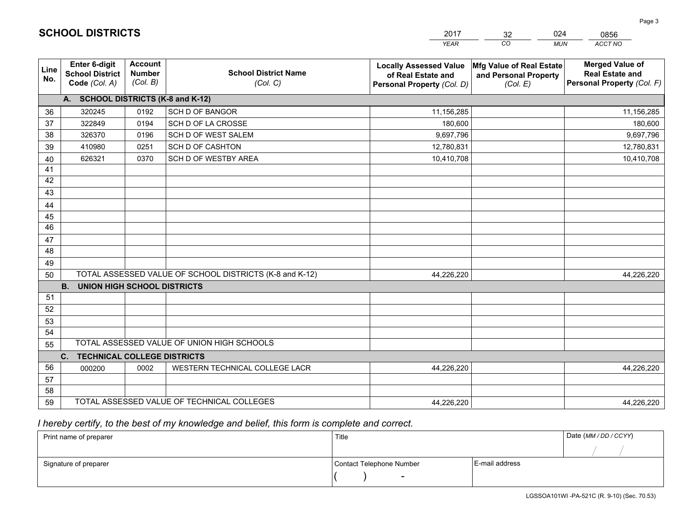|                 |                                                          |                                             |                                                         | <b>YEAR</b>                                                                       | $\overline{co}$<br><b>MUN</b>                                 | ACCT NO                                                                        |
|-----------------|----------------------------------------------------------|---------------------------------------------|---------------------------------------------------------|-----------------------------------------------------------------------------------|---------------------------------------------------------------|--------------------------------------------------------------------------------|
| Line<br>No.     | Enter 6-digit<br><b>School District</b><br>Code (Col. A) | <b>Account</b><br><b>Number</b><br>(Col. B) | <b>School District Name</b><br>(Col. C)                 | <b>Locally Assessed Value</b><br>of Real Estate and<br>Personal Property (Col. D) | Mfg Value of Real Estate<br>and Personal Property<br>(Col. E) | <b>Merged Value of</b><br><b>Real Estate and</b><br>Personal Property (Col. F) |
|                 | A. SCHOOL DISTRICTS (K-8 and K-12)                       |                                             |                                                         |                                                                                   |                                                               |                                                                                |
| 36              | 320245                                                   | 0192                                        | <b>SCH D OF BANGOR</b>                                  | 11,156,285                                                                        |                                                               | 11,156,285                                                                     |
| 37              | 322849                                                   | 0194                                        | SCH D OF LA CROSSE                                      | 180,600                                                                           |                                                               | 180,600                                                                        |
| 38              | 326370                                                   | 0196                                        | SCH D OF WEST SALEM                                     | 9,697,796                                                                         |                                                               | 9,697,796                                                                      |
| 39              | 410980                                                   | 0251                                        | <b>SCH D OF CASHTON</b>                                 | 12,780,831                                                                        |                                                               | 12,780,831                                                                     |
| 40              | 626321                                                   | 0370                                        | SCH D OF WESTBY AREA                                    | 10,410,708                                                                        |                                                               | 10,410,708                                                                     |
| 41              |                                                          |                                             |                                                         |                                                                                   |                                                               |                                                                                |
| 42              |                                                          |                                             |                                                         |                                                                                   |                                                               |                                                                                |
| 43              |                                                          |                                             |                                                         |                                                                                   |                                                               |                                                                                |
| 44              |                                                          |                                             |                                                         |                                                                                   |                                                               |                                                                                |
| 45              |                                                          |                                             |                                                         |                                                                                   |                                                               |                                                                                |
| $\overline{46}$ |                                                          |                                             |                                                         |                                                                                   |                                                               |                                                                                |
| 47              |                                                          |                                             |                                                         |                                                                                   |                                                               |                                                                                |
| 48              |                                                          |                                             |                                                         |                                                                                   |                                                               |                                                                                |
| 49              |                                                          |                                             |                                                         |                                                                                   |                                                               |                                                                                |
| 50              |                                                          |                                             | TOTAL ASSESSED VALUE OF SCHOOL DISTRICTS (K-8 and K-12) | 44,226,220                                                                        |                                                               | 44,226,220                                                                     |
|                 | <b>B.</b><br><b>UNION HIGH SCHOOL DISTRICTS</b>          |                                             |                                                         |                                                                                   |                                                               |                                                                                |
| 51              |                                                          |                                             |                                                         |                                                                                   |                                                               |                                                                                |
| 52              |                                                          |                                             |                                                         |                                                                                   |                                                               |                                                                                |
| 53              |                                                          |                                             |                                                         |                                                                                   |                                                               |                                                                                |
| 54              |                                                          |                                             |                                                         |                                                                                   |                                                               |                                                                                |
| 55              |                                                          |                                             | TOTAL ASSESSED VALUE OF UNION HIGH SCHOOLS              |                                                                                   |                                                               |                                                                                |
|                 | C.<br><b>TECHNICAL COLLEGE DISTRICTS</b>                 |                                             |                                                         |                                                                                   |                                                               |                                                                                |
| 56              | 000200                                                   | 0002                                        | WESTERN TECHNICAL COLLEGE LACR                          | 44,226,220                                                                        |                                                               | 44,226,220                                                                     |
| 57              |                                                          |                                             |                                                         |                                                                                   |                                                               |                                                                                |
| 58              |                                                          |                                             |                                                         |                                                                                   |                                                               |                                                                                |
| 59              |                                                          |                                             | TOTAL ASSESSED VALUE OF TECHNICAL COLLEGES              | 44,226,220                                                                        |                                                               | 44,226,220                                                                     |

32

024

 *I hereby certify, to the best of my knowledge and belief, this form is complete and correct.*

**SCHOOL DISTRICTS**

| Print name of preparer | Title                    |                | Date (MM / DD / CCYY) |
|------------------------|--------------------------|----------------|-----------------------|
|                        |                          |                |                       |
| Signature of preparer  | Contact Telephone Number | E-mail address |                       |
|                        | -                        |                |                       |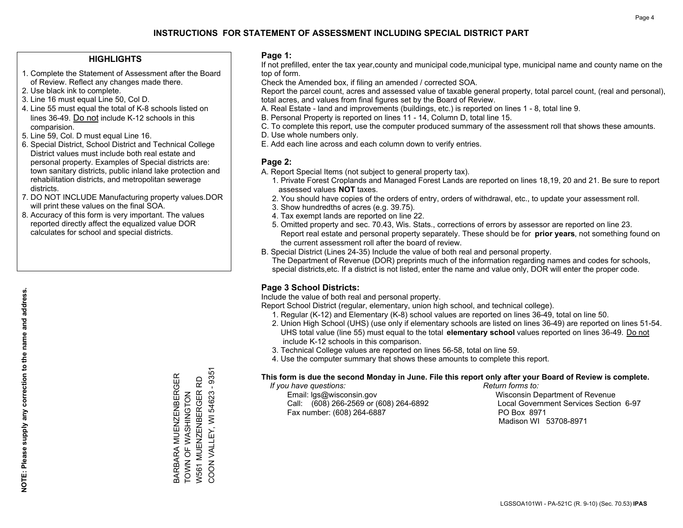## **HIGHLIGHTS**

- 1. Complete the Statement of Assessment after the Board of Review. Reflect any changes made there.
- 2. Use black ink to complete.
- 3. Line 16 must equal Line 50, Col D.
- 4. Line 55 must equal the total of K-8 schools listed on lines 36-49. Do not include K-12 schools in this comparision.
- 5. Line 59, Col. D must equal Line 16.
- 6. Special District, School District and Technical College District values must include both real estate and personal property. Examples of Special districts are: town sanitary districts, public inland lake protection and rehabilitation districts, and metropolitan sewerage districts.
- 7. DO NOT INCLUDE Manufacturing property values.DOR will print these values on the final SOA.
- 8. Accuracy of this form is very important. The values reported directly affect the equalized value DOR calculates for school and special districts.

#### **Page 1:**

 If not prefilled, enter the tax year,county and municipal code,municipal type, municipal name and county name on the top of form.

Check the Amended box, if filing an amended / corrected SOA.

 Report the parcel count, acres and assessed value of taxable general property, total parcel count, (real and personal), total acres, and values from final figures set by the Board of Review.

- A. Real Estate land and improvements (buildings, etc.) is reported on lines 1 8, total line 9.
- B. Personal Property is reported on lines 11 14, Column D, total line 15.
- C. To complete this report, use the computer produced summary of the assessment roll that shows these amounts.
- D. Use whole numbers only.
- E. Add each line across and each column down to verify entries.

## **Page 2:**

- A. Report Special Items (not subject to general property tax).
- 1. Private Forest Croplands and Managed Forest Lands are reported on lines 18,19, 20 and 21. Be sure to report assessed values **NOT** taxes.
- 2. You should have copies of the orders of entry, orders of withdrawal, etc., to update your assessment roll.
	- 3. Show hundredths of acres (e.g. 39.75).
- 4. Tax exempt lands are reported on line 22.
- 5. Omitted property and sec. 70.43, Wis. Stats., corrections of errors by assessor are reported on line 23. Report real estate and personal property separately. These should be for **prior years**, not something found on the current assessment roll after the board of review.
- B. Special District (Lines 24-35) Include the value of both real and personal property.

 The Department of Revenue (DOR) preprints much of the information regarding names and codes for schools, special districts,etc. If a district is not listed, enter the name and value only, DOR will enter the proper code.

## **Page 3 School Districts:**

Include the value of both real and personal property.

Report School District (regular, elementary, union high school, and technical college).

- 1. Regular (K-12) and Elementary (K-8) school values are reported on lines 36-49, total on line 50.
- 2. Union High School (UHS) (use only if elementary schools are listed on lines 36-49) are reported on lines 51-54. UHS total value (line 55) must equal to the total **elementary school** values reported on lines 36-49. Do notinclude K-12 schools in this comparison.
- 3. Technical College values are reported on lines 56-58, total on line 59.
- 4. Use the computer summary that shows these amounts to complete this report.

#### **This form is due the second Monday in June. File this report only after your Board of Review is complete.**

 *If you have questions: Return forms to:*

 Email: lgs@wisconsin.gov Wisconsin Department of RevenueCall:  $(608)$  266-2569 or  $(608)$  264-6892 Fax number: (608) 264-6887 PO Box 8971

Local Government Services Section 6-97 Madison WI 53708-8971

COON VALLEY, WI 54623 - 9351 COON VALLEY, WI 54623 - 9351 BARBARA MUENZENBERGER<br>TOWN OF WASHINGTON BARBARA MUENZENBERGER W561 MUENZENBERGER RD W561 MUENZENBERGER RD TOWN OF WASHINGTON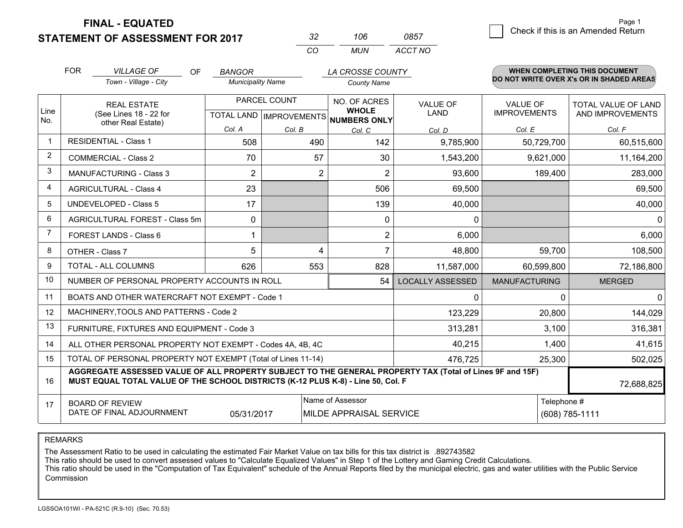**STATEMENT OF ASSESSMENT FOR 2017** 

| -32      | าเปล | <b>0857</b> |
|----------|------|-------------|
| $\cdots$ | MUN  | ACCT NO     |

|              | <b>FOR</b><br><b>VILLAGE OF</b><br><b>OF</b><br>Town - Village - City                                                                                                                        | <b>BANGOR</b><br><b>Municipality Name</b> |              | LA CROSSE COUNTY                                     |                         |                      | <b>WHEN COMPLETING THIS DOCUMENT</b><br>DO NOT WRITE OVER X's OR IN SHADED AREAS |
|--------------|----------------------------------------------------------------------------------------------------------------------------------------------------------------------------------------------|-------------------------------------------|--------------|------------------------------------------------------|-------------------------|----------------------|----------------------------------------------------------------------------------|
|              |                                                                                                                                                                                              |                                           |              | <b>County Name</b>                                   |                         |                      |                                                                                  |
|              | <b>REAL ESTATE</b>                                                                                                                                                                           |                                           | PARCEL COUNT | NO. OF ACRES                                         | <b>VALUE OF</b>         | <b>VALUE OF</b>      | <b>TOTAL VALUE OF LAND</b>                                                       |
| Line<br>No.  | (See Lines 18 - 22 for<br>other Real Estate)                                                                                                                                                 |                                           |              | <b>WHOLE</b><br>TOTAL LAND IMPROVEMENTS NUMBERS ONLY | <b>LAND</b>             | <b>IMPROVEMENTS</b>  | AND IMPROVEMENTS                                                                 |
|              |                                                                                                                                                                                              | Col. A                                    | Col. B       | Col. C                                               | Col. D                  | Col. E               | Col. F                                                                           |
| $\mathbf{1}$ | <b>RESIDENTIAL - Class 1</b>                                                                                                                                                                 | 508                                       | 490          | 142                                                  | 9,785,900               | 50,729,700           | 60,515,600                                                                       |
| 2            | <b>COMMERCIAL - Class 2</b>                                                                                                                                                                  | 70                                        | 57           | 30                                                   | 1,543,200               | 9,621,000            | 11,164,200                                                                       |
| 3            | <b>MANUFACTURING - Class 3</b>                                                                                                                                                               | $\overline{2}$                            | 2            | $\overline{2}$                                       | 93,600                  | 189,400              | 283,000                                                                          |
| 4            | <b>AGRICULTURAL - Class 4</b>                                                                                                                                                                | 23                                        |              | 506                                                  | 69,500                  |                      | 69,500                                                                           |
| 5            | <b>UNDEVELOPED - Class 5</b>                                                                                                                                                                 | 17                                        |              | 139                                                  | 40,000                  |                      | 40,000                                                                           |
| 6            | AGRICULTURAL FOREST - Class 5m                                                                                                                                                               | $\Omega$                                  |              | $\Omega$                                             | 0                       |                      | $\Omega$                                                                         |
| 7            | FOREST LANDS - Class 6                                                                                                                                                                       |                                           |              | $\overline{2}$                                       | 6,000                   |                      | 6,000                                                                            |
| 8            | OTHER - Class 7                                                                                                                                                                              | 5                                         | 4            | $\overline{7}$                                       | 48,800                  | 59,700               | 108,500                                                                          |
| 9            | TOTAL - ALL COLUMNS                                                                                                                                                                          | 626                                       | 553          | 828                                                  | 11,587,000              | 60,599,800           | 72,186,800                                                                       |
| 10           | NUMBER OF PERSONAL PROPERTY ACCOUNTS IN ROLL                                                                                                                                                 |                                           |              | 54                                                   | <b>LOCALLY ASSESSED</b> | <b>MANUFACTURING</b> | <b>MERGED</b>                                                                    |
| 11           | BOATS AND OTHER WATERCRAFT NOT EXEMPT - Code 1                                                                                                                                               |                                           |              |                                                      | $\mathbf{0}$            | $\Omega$             | 0                                                                                |
| 12           | MACHINERY, TOOLS AND PATTERNS - Code 2                                                                                                                                                       |                                           |              |                                                      | 123,229                 | 20,800               | 144,029                                                                          |
| 13           | FURNITURE, FIXTURES AND EQUIPMENT - Code 3                                                                                                                                                   |                                           |              |                                                      | 313,281                 | 3,100                | 316,381                                                                          |
| 14           | ALL OTHER PERSONAL PROPERTY NOT EXEMPT - Codes 4A, 4B, 4C                                                                                                                                    |                                           |              |                                                      | 40,215                  | 1,400                | 41,615                                                                           |
| 15           | TOTAL OF PERSONAL PROPERTY NOT EXEMPT (Total of Lines 11-14)                                                                                                                                 | 25,300                                    | 502,025      |                                                      |                         |                      |                                                                                  |
| 16           | AGGREGATE ASSESSED VALUE OF ALL PROPERTY SUBJECT TO THE GENERAL PROPERTY TAX (Total of Lines 9F and 15F)<br>MUST EQUAL TOTAL VALUE OF THE SCHOOL DISTRICTS (K-12 PLUS K-8) - Line 50, Col. F |                                           |              |                                                      |                         |                      |                                                                                  |
| 17           | <b>BOARD OF REVIEW</b>                                                                                                                                                                       |                                           |              | Name of Assessor                                     |                         | Telephone #          |                                                                                  |
|              | DATE OF FINAL ADJOURNMENT<br>(608) 785-1111<br>05/31/2017<br>MILDE APPRAISAL SERVICE                                                                                                         |                                           |              |                                                      |                         |                      |                                                                                  |

REMARKS

The Assessment Ratio to be used in calculating the estimated Fair Market Value on tax bills for this tax district is .892743582<br>This ratio should be used to convert assessed values to "Calculate Equalized Values" in Step 1 Commission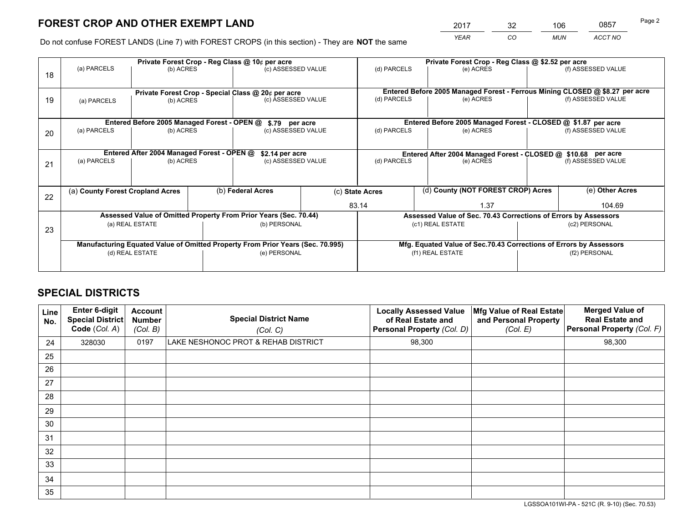*YEAR CO MUN ACCT NO* <sup>2017</sup> <sup>32</sup> <sup>106</sup> <sup>0857</sup> Page 2

Do not confuse FOREST LANDS (Line 7) with FOREST CROPS (in this section) - They are **NOT** the same

|    | Private Forest Crop - Reg Class @ 10¢ per acre                                 |                                             |  |                                                                  |                                      |                                                                    | Private Forest Crop - Reg Class @ \$2.52 per acre                            |               |                    |  |
|----|--------------------------------------------------------------------------------|---------------------------------------------|--|------------------------------------------------------------------|--------------------------------------|--------------------------------------------------------------------|------------------------------------------------------------------------------|---------------|--------------------|--|
| 18 | (a) PARCELS                                                                    | (b) ACRES                                   |  | (c) ASSESSED VALUE                                               |                                      | (d) PARCELS                                                        | (e) ACRES                                                                    |               | (f) ASSESSED VALUE |  |
|    |                                                                                |                                             |  | Private Forest Crop - Special Class @ 20¢ per acre               |                                      |                                                                    | Entered Before 2005 Managed Forest - Ferrous Mining CLOSED @ \$8.27 per acre |               |                    |  |
| 19 | (a) PARCELS                                                                    | (b) ACRES                                   |  | (c) ASSESSED VALUE                                               |                                      | (d) PARCELS                                                        | (e) ACRES                                                                    |               | (f) ASSESSED VALUE |  |
|    |                                                                                | Entered Before 2005 Managed Forest - OPEN @ |  |                                                                  |                                      |                                                                    | Entered Before 2005 Managed Forest - CLOSED @ \$1.87 per acre                |               |                    |  |
| 20 | (a) PARCELS<br>(b) ACRES                                                       |                                             |  |                                                                  | \$.79 per acre<br>(c) ASSESSED VALUE |                                                                    | (e) ACRES                                                                    |               | (f) ASSESSED VALUE |  |
|    | Entered After 2004 Managed Forest - OPEN @<br>\$2.14 per acre                  |                                             |  |                                                                  |                                      | Entered After 2004 Managed Forest - CLOSED @ \$10.68 per acre      |                                                                              |               |                    |  |
| 21 | (a) PARCELS                                                                    | (b) ACRES                                   |  | (c) ASSESSED VALUE                                               |                                      | (d) PARCELS                                                        | (e) ACRES                                                                    |               | (f) ASSESSED VALUE |  |
| 22 | (a) County Forest Cropland Acres                                               |                                             |  | (b) Federal Acres                                                |                                      | (d) County (NOT FOREST CROP) Acres<br>(c) State Acres              |                                                                              |               | (e) Other Acres    |  |
|    |                                                                                |                                             |  |                                                                  |                                      | 83.14                                                              | 1.37                                                                         |               | 104.69             |  |
|    |                                                                                |                                             |  | Assessed Value of Omitted Property From Prior Years (Sec. 70.44) |                                      |                                                                    | Assessed Value of Sec. 70.43 Corrections of Errors by Assessors              |               |                    |  |
| 23 | (a) REAL ESTATE                                                                |                                             |  | (b) PERSONAL                                                     |                                      | (c1) REAL ESTATE                                                   |                                                                              | (c2) PERSONAL |                    |  |
|    | Manufacturing Equated Value of Omitted Property From Prior Years (Sec. 70.995) |                                             |  |                                                                  |                                      | Mfg. Equated Value of Sec.70.43 Corrections of Errors by Assessors |                                                                              |               |                    |  |
|    |                                                                                | (d) REAL ESTATE                             |  | (e) PERSONAL                                                     |                                      |                                                                    | (f1) REAL ESTATE                                                             | (f2) PERSONAL |                    |  |
|    |                                                                                |                                             |  |                                                                  |                                      |                                                                    |                                                                              |               |                    |  |

## **SPECIAL DISTRICTS**

| Line<br>No. | Enter 6-digit<br><b>Special District</b><br>Code (Col. A) | <b>Account</b><br><b>Number</b><br>(Col. B) | <b>Special District Name</b><br>(Col. C) | <b>Locally Assessed Value</b><br>of Real Estate and<br>Personal Property (Col. D) | Mfg Value of Real Estate<br>and Personal Property<br>(Col. E) | <b>Merged Value of</b><br><b>Real Estate and</b><br>Personal Property (Col. F) |
|-------------|-----------------------------------------------------------|---------------------------------------------|------------------------------------------|-----------------------------------------------------------------------------------|---------------------------------------------------------------|--------------------------------------------------------------------------------|
| 24          | 328030                                                    | 0197                                        | LAKE NESHONOC PROT & REHAB DISTRICT      | 98,300                                                                            |                                                               | 98,300                                                                         |
| 25          |                                                           |                                             |                                          |                                                                                   |                                                               |                                                                                |
| 26          |                                                           |                                             |                                          |                                                                                   |                                                               |                                                                                |
| 27          |                                                           |                                             |                                          |                                                                                   |                                                               |                                                                                |
| 28          |                                                           |                                             |                                          |                                                                                   |                                                               |                                                                                |
| 29          |                                                           |                                             |                                          |                                                                                   |                                                               |                                                                                |
| 30          |                                                           |                                             |                                          |                                                                                   |                                                               |                                                                                |
| 31          |                                                           |                                             |                                          |                                                                                   |                                                               |                                                                                |
| 32          |                                                           |                                             |                                          |                                                                                   |                                                               |                                                                                |
| 33          |                                                           |                                             |                                          |                                                                                   |                                                               |                                                                                |
| 34          |                                                           |                                             |                                          |                                                                                   |                                                               |                                                                                |
| 35          |                                                           |                                             |                                          |                                                                                   |                                                               |                                                                                |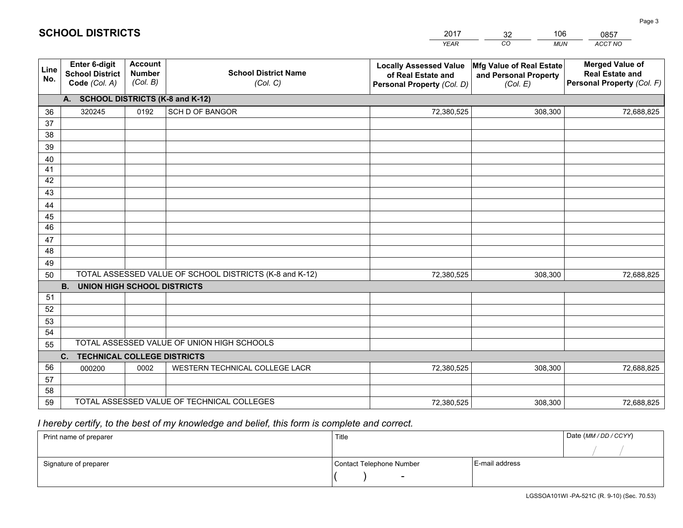|             |                                                                 |                                             |                                                         | <b>YEAR</b>                                                                       | CO<br><b>MUN</b>                                              | ACCT NO                                                                        |
|-------------|-----------------------------------------------------------------|---------------------------------------------|---------------------------------------------------------|-----------------------------------------------------------------------------------|---------------------------------------------------------------|--------------------------------------------------------------------------------|
| Line<br>No. | <b>Enter 6-digit</b><br><b>School District</b><br>Code (Col. A) | <b>Account</b><br><b>Number</b><br>(Col. B) | <b>School District Name</b><br>(Col. C)                 | <b>Locally Assessed Value</b><br>of Real Estate and<br>Personal Property (Col. D) | Mfg Value of Real Estate<br>and Personal Property<br>(Col. E) | <b>Merged Value of</b><br><b>Real Estate and</b><br>Personal Property (Col. F) |
|             | A. SCHOOL DISTRICTS (K-8 and K-12)                              |                                             |                                                         |                                                                                   |                                                               |                                                                                |
| 36          | 320245                                                          | 0192                                        | <b>SCH D OF BANGOR</b>                                  | 72,380,525                                                                        | 308,300                                                       | 72,688,825                                                                     |
| 37          |                                                                 |                                             |                                                         |                                                                                   |                                                               |                                                                                |
| 38          |                                                                 |                                             |                                                         |                                                                                   |                                                               |                                                                                |
| 39          |                                                                 |                                             |                                                         |                                                                                   |                                                               |                                                                                |
| 40          |                                                                 |                                             |                                                         |                                                                                   |                                                               |                                                                                |
| 41<br>42    |                                                                 |                                             |                                                         |                                                                                   |                                                               |                                                                                |
| 43          |                                                                 |                                             |                                                         |                                                                                   |                                                               |                                                                                |
|             |                                                                 |                                             |                                                         |                                                                                   |                                                               |                                                                                |
| 44<br>45    |                                                                 |                                             |                                                         |                                                                                   |                                                               |                                                                                |
| 46          |                                                                 |                                             |                                                         |                                                                                   |                                                               |                                                                                |
| 47          |                                                                 |                                             |                                                         |                                                                                   |                                                               |                                                                                |
| 48          |                                                                 |                                             |                                                         |                                                                                   |                                                               |                                                                                |
| 49          |                                                                 |                                             |                                                         |                                                                                   |                                                               |                                                                                |
| 50          |                                                                 |                                             | TOTAL ASSESSED VALUE OF SCHOOL DISTRICTS (K-8 and K-12) | 72,380,525                                                                        | 308,300                                                       | 72,688,825                                                                     |
|             | <b>B.</b><br>UNION HIGH SCHOOL DISTRICTS                        |                                             |                                                         |                                                                                   |                                                               |                                                                                |
| 51          |                                                                 |                                             |                                                         |                                                                                   |                                                               |                                                                                |
| 52          |                                                                 |                                             |                                                         |                                                                                   |                                                               |                                                                                |
| 53          |                                                                 |                                             |                                                         |                                                                                   |                                                               |                                                                                |
| 54          |                                                                 |                                             |                                                         |                                                                                   |                                                               |                                                                                |
| 55          |                                                                 |                                             | TOTAL ASSESSED VALUE OF UNION HIGH SCHOOLS              |                                                                                   |                                                               |                                                                                |
|             | C.<br><b>TECHNICAL COLLEGE DISTRICTS</b>                        |                                             |                                                         |                                                                                   |                                                               |                                                                                |
| 56          | 000200                                                          | 0002                                        | WESTERN TECHNICAL COLLEGE LACR                          | 72,380,525                                                                        | 308,300                                                       | 72,688,825                                                                     |
| 57<br>58    |                                                                 |                                             |                                                         |                                                                                   |                                                               |                                                                                |
| 59          |                                                                 |                                             | TOTAL ASSESSED VALUE OF TECHNICAL COLLEGES              | 72,380,525                                                                        | 308,300                                                       | 72,688,825                                                                     |
|             |                                                                 |                                             |                                                         |                                                                                   |                                                               |                                                                                |

32

106

 *I hereby certify, to the best of my knowledge and belief, this form is complete and correct.*

**SCHOOL DISTRICTS**

| Print name of preparer | Title                    |                | Date (MM/DD/CCYY) |
|------------------------|--------------------------|----------------|-------------------|
|                        |                          |                |                   |
| Signature of preparer  | Contact Telephone Number | E-mail address |                   |
|                        | $\overline{\phantom{0}}$ |                |                   |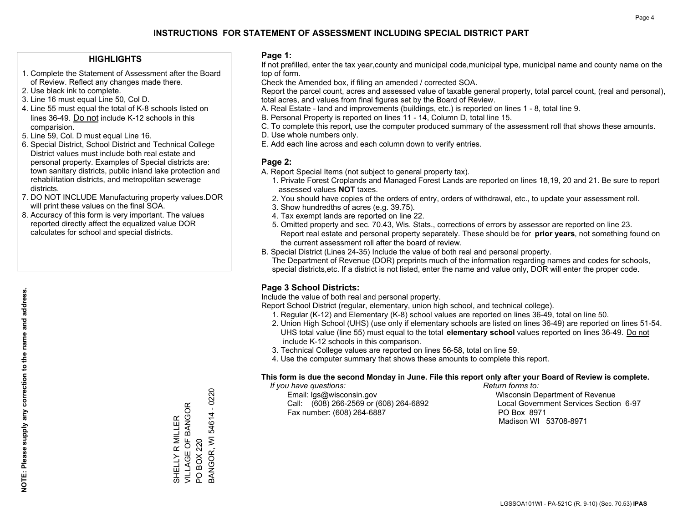## **HIGHLIGHTS**

- 1. Complete the Statement of Assessment after the Board of Review. Reflect any changes made there.
- 2. Use black ink to complete.
- 3. Line 16 must equal Line 50, Col D.
- 4. Line 55 must equal the total of K-8 schools listed on lines 36-49. Do not include K-12 schools in this comparision.
- 5. Line 59, Col. D must equal Line 16.
- 6. Special District, School District and Technical College District values must include both real estate and personal property. Examples of Special districts are: town sanitary districts, public inland lake protection and rehabilitation districts, and metropolitan sewerage districts.
- 7. DO NOT INCLUDE Manufacturing property values.DOR will print these values on the final SOA.

SHELLY R MILLER VILLAGE OF BANGOR

VILLAGE OF BANGOR SHELLY R MILLER

PO BOX 220

 $\overline{S}$ 

BOX 220 BANGOR, WI

BANGOR, WI 54614 - 0220

54614 - 0220

 8. Accuracy of this form is very important. The values reported directly affect the equalized value DOR calculates for school and special districts.

#### **Page 1:**

 If not prefilled, enter the tax year,county and municipal code,municipal type, municipal name and county name on the top of form.

Check the Amended box, if filing an amended / corrected SOA.

 Report the parcel count, acres and assessed value of taxable general property, total parcel count, (real and personal), total acres, and values from final figures set by the Board of Review.

- A. Real Estate land and improvements (buildings, etc.) is reported on lines 1 8, total line 9.
- B. Personal Property is reported on lines 11 14, Column D, total line 15.
- C. To complete this report, use the computer produced summary of the assessment roll that shows these amounts.
- D. Use whole numbers only.
- E. Add each line across and each column down to verify entries.

## **Page 2:**

- A. Report Special Items (not subject to general property tax).
- 1. Private Forest Croplands and Managed Forest Lands are reported on lines 18,19, 20 and 21. Be sure to report assessed values **NOT** taxes.
- 2. You should have copies of the orders of entry, orders of withdrawal, etc., to update your assessment roll.
	- 3. Show hundredths of acres (e.g. 39.75).
- 4. Tax exempt lands are reported on line 22.
- 5. Omitted property and sec. 70.43, Wis. Stats., corrections of errors by assessor are reported on line 23. Report real estate and personal property separately. These should be for **prior years**, not something found on the current assessment roll after the board of review.
- B. Special District (Lines 24-35) Include the value of both real and personal property.

 The Department of Revenue (DOR) preprints much of the information regarding names and codes for schools, special districts,etc. If a district is not listed, enter the name and value only, DOR will enter the proper code.

## **Page 3 School Districts:**

Include the value of both real and personal property.

Report School District (regular, elementary, union high school, and technical college).

- 1. Regular (K-12) and Elementary (K-8) school values are reported on lines 36-49, total on line 50.
- 2. Union High School (UHS) (use only if elementary schools are listed on lines 36-49) are reported on lines 51-54. UHS total value (line 55) must equal to the total **elementary school** values reported on lines 36-49. Do notinclude K-12 schools in this comparison.
- 3. Technical College values are reported on lines 56-58, total on line 59.
- 4. Use the computer summary that shows these amounts to complete this report.

#### **This form is due the second Monday in June. File this report only after your Board of Review is complete.**

 *If you have questions: Return forms to:*

 Email: lgs@wisconsin.gov Wisconsin Department of RevenueCall:  $(608)$  266-2569 or  $(608)$  264-6892 Fax number: (608) 264-6887 PO Box 8971

Local Government Services Section 6-97 Madison WI 53708-8971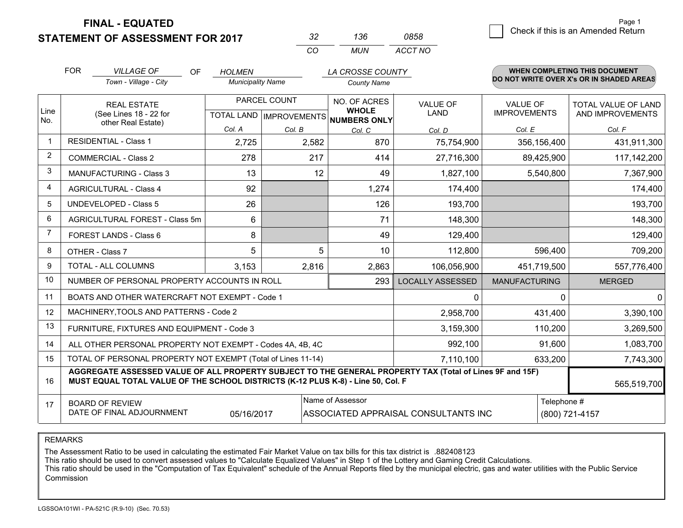## **STATEMENT OF ASSESSMENT FOR 2017**

| っつ  | 136 | 0858    |
|-----|-----|---------|
| CO. | MUN | ACCT NO |

|                | <b>FOR</b><br><b>VILLAGE OF</b><br><b>OF</b><br>Town - Village - City                                                                                                                        | <b>HOLMEN</b><br><b>Municipality Name</b> |                                           | LA CROSSE COUNTY<br><b>County Name</b> |                                |                                        | <b>WHEN COMPLETING THIS DOCUMENT</b><br>DO NOT WRITE OVER X's OR IN SHADED AREAS |
|----------------|----------------------------------------------------------------------------------------------------------------------------------------------------------------------------------------------|-------------------------------------------|-------------------------------------------|----------------------------------------|--------------------------------|----------------------------------------|----------------------------------------------------------------------------------|
| Line<br>No.    | <b>REAL ESTATE</b><br>(See Lines 18 - 22 for<br>other Real Estate)                                                                                                                           |                                           | PARCEL COUNT<br>TOTAL LAND   IMPROVEMENTS |                                        | <b>VALUE OF</b><br><b>LAND</b> | <b>VALUE OF</b><br><b>IMPROVEMENTS</b> | TOTAL VALUE OF LAND<br>AND IMPROVEMENTS                                          |
|                |                                                                                                                                                                                              | Col. A                                    | Col. B                                    | NUMBERS ONLY<br>Col. C                 | Col. D                         | Col. E                                 | Col. F                                                                           |
| $\mathbf 1$    | <b>RESIDENTIAL - Class 1</b>                                                                                                                                                                 | 2,725                                     | 2,582                                     | 870                                    | 75,754,900                     | 356,156,400                            | 431,911,300                                                                      |
| 2              | <b>COMMERCIAL - Class 2</b>                                                                                                                                                                  | 278                                       | 217                                       | 414                                    | 27,716,300                     | 89,425,900                             | 117,142,200                                                                      |
| 3              | <b>MANUFACTURING - Class 3</b>                                                                                                                                                               | 13                                        | 12                                        | 49                                     | 1,827,100                      | 5,540,800                              | 7,367,900                                                                        |
| 4              | <b>AGRICULTURAL - Class 4</b>                                                                                                                                                                | 92                                        |                                           | 1,274                                  | 174,400                        |                                        | 174,400                                                                          |
| 5              | <b>UNDEVELOPED - Class 5</b>                                                                                                                                                                 | 26                                        |                                           | 126                                    | 193,700                        |                                        | 193,700                                                                          |
| 6              | AGRICULTURAL FOREST - Class 5m                                                                                                                                                               | 6                                         |                                           | 71                                     | 148,300                        |                                        | 148,300                                                                          |
| $\overline{7}$ | FOREST LANDS - Class 6                                                                                                                                                                       | 8                                         |                                           | 49                                     | 129,400                        |                                        | 129,400                                                                          |
| 8              | OTHER - Class 7                                                                                                                                                                              | 5                                         | 5                                         | 10                                     | 112,800                        | 596,400                                | 709,200                                                                          |
| 9              | TOTAL - ALL COLUMNS                                                                                                                                                                          | 3,153                                     | 2,816                                     | 2,863                                  | 106,056,900                    | 451,719,500                            | 557,776,400                                                                      |
| 10             | NUMBER OF PERSONAL PROPERTY ACCOUNTS IN ROLL                                                                                                                                                 |                                           |                                           | 293                                    | <b>LOCALLY ASSESSED</b>        | <b>MANUFACTURING</b>                   | <b>MERGED</b>                                                                    |
| 11             | BOATS AND OTHER WATERCRAFT NOT EXEMPT - Code 1                                                                                                                                               |                                           |                                           |                                        | $\mathbf{0}$                   | <sup>0</sup>                           | $\Omega$                                                                         |
| 12             | MACHINERY, TOOLS AND PATTERNS - Code 2                                                                                                                                                       |                                           |                                           |                                        | 2,958,700                      | 431,400                                | 3,390,100                                                                        |
| 13             | FURNITURE, FIXTURES AND EQUIPMENT - Code 3                                                                                                                                                   |                                           |                                           |                                        | 3,159,300                      | 110,200                                | 3,269,500                                                                        |
| 14             | ALL OTHER PERSONAL PROPERTY NOT EXEMPT - Codes 4A, 4B, 4C                                                                                                                                    |                                           |                                           |                                        | 992,100                        | 91,600                                 | 1,083,700                                                                        |
| 15             | TOTAL OF PERSONAL PROPERTY NOT EXEMPT (Total of Lines 11-14)<br>7,110,100<br>633,200                                                                                                         |                                           |                                           |                                        |                                |                                        | 7,743,300                                                                        |
| 16             | AGGREGATE ASSESSED VALUE OF ALL PROPERTY SUBJECT TO THE GENERAL PROPERTY TAX (Total of Lines 9F and 15F)<br>MUST EQUAL TOTAL VALUE OF THE SCHOOL DISTRICTS (K-12 PLUS K-8) - Line 50, Col. F |                                           |                                           |                                        |                                |                                        | 565,519,700                                                                      |
| 17             | Name of Assessor<br>Telephone #<br><b>BOARD OF REVIEW</b><br>DATE OF FINAL ADJOURNMENT<br>(800) 721-4157<br>05/16/2017<br>ASSOCIATED APPRAISAL CONSULTANTS INC                               |                                           |                                           |                                        |                                |                                        |                                                                                  |

REMARKS

The Assessment Ratio to be used in calculating the estimated Fair Market Value on tax bills for this tax district is .882408123<br>This ratio should be used to convert assessed values to "Calculate Equalized Values" in Step 1 Commission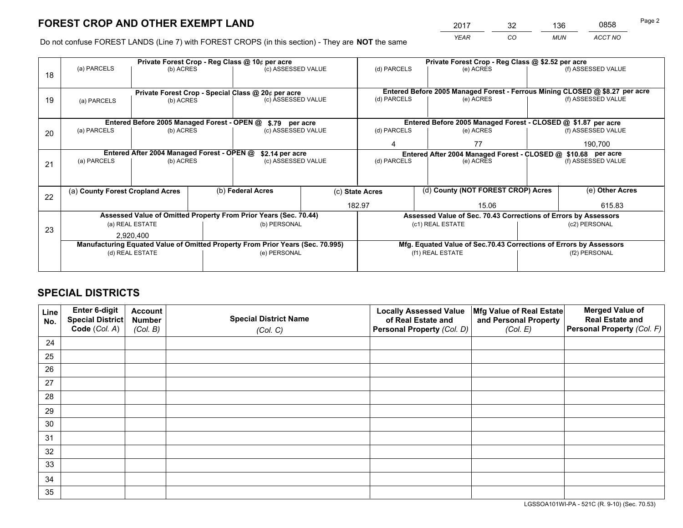*YEAR CO MUN ACCT NO* <sup>2017</sup> <sup>32</sup> <sup>136</sup> <sup>0858</sup>

Do not confuse FOREST LANDS (Line 7) with FOREST CROPS (in this section) - They are **NOT** the same

|    |                                                                                |                                             |  | Private Forest Crop - Reg Class @ 10¢ per acre                   |                                                                              | Private Forest Crop - Reg Class @ \$2.52 per acre             |                                                                 |  |                                                                    |  |
|----|--------------------------------------------------------------------------------|---------------------------------------------|--|------------------------------------------------------------------|------------------------------------------------------------------------------|---------------------------------------------------------------|-----------------------------------------------------------------|--|--------------------------------------------------------------------|--|
| 18 | (a) PARCELS                                                                    | (b) ACRES                                   |  | (c) ASSESSED VALUE                                               |                                                                              | (d) PARCELS                                                   | (e) ACRES                                                       |  | (f) ASSESSED VALUE                                                 |  |
|    | Private Forest Crop - Special Class @ 20¢ per acre                             |                                             |  |                                                                  | Entered Before 2005 Managed Forest - Ferrous Mining CLOSED @ \$8.27 per acre |                                                               |                                                                 |  |                                                                    |  |
| 19 | (a) PARCELS                                                                    | (b) ACRES                                   |  | (c) ASSESSED VALUE                                               |                                                                              | (d) PARCELS                                                   | (e) ACRES                                                       |  | (f) ASSESSED VALUE                                                 |  |
|    |                                                                                | Entered Before 2005 Managed Forest - OPEN @ |  | \$.79 per acre                                                   |                                                                              |                                                               | Entered Before 2005 Managed Forest - CLOSED @ \$1.87 per acre   |  |                                                                    |  |
| 20 | (a) PARCELS                                                                    | (b) ACRES                                   |  | (c) ASSESSED VALUE                                               |                                                                              | (d) PARCELS                                                   | (e) ACRES                                                       |  | (f) ASSESSED VALUE                                                 |  |
|    |                                                                                |                                             |  |                                                                  |                                                                              | 4                                                             | 77                                                              |  | 190.700                                                            |  |
|    | Entered After 2004 Managed Forest - OPEN @<br>\$2.14 per acre                  |                                             |  |                                                                  |                                                                              | Entered After 2004 Managed Forest - CLOSED @ \$10.68 per acre |                                                                 |  |                                                                    |  |
| 21 | (a) PARCELS                                                                    | (b) ACRES                                   |  | (c) ASSESSED VALUE                                               |                                                                              | (d) PARCELS<br>(e) ACRES                                      |                                                                 |  | (f) ASSESSED VALUE                                                 |  |
|    |                                                                                |                                             |  |                                                                  |                                                                              |                                                               |                                                                 |  |                                                                    |  |
| 22 | (a) County Forest Cropland Acres                                               |                                             |  | (b) Federal Acres                                                |                                                                              | (d) County (NOT FOREST CROP) Acres<br>(c) State Acres         |                                                                 |  | (e) Other Acres                                                    |  |
|    |                                                                                |                                             |  |                                                                  |                                                                              | 182.97                                                        | 15.06                                                           |  | 615.83                                                             |  |
|    |                                                                                |                                             |  | Assessed Value of Omitted Property From Prior Years (Sec. 70.44) |                                                                              |                                                               | Assessed Value of Sec. 70.43 Corrections of Errors by Assessors |  |                                                                    |  |
| 23 |                                                                                | (a) REAL ESTATE                             |  | (b) PERSONAL                                                     |                                                                              |                                                               | (c1) REAL ESTATE                                                |  | (c2) PERSONAL                                                      |  |
|    | 2.920.400                                                                      |                                             |  |                                                                  |                                                                              |                                                               |                                                                 |  |                                                                    |  |
|    | Manufacturing Equated Value of Omitted Property From Prior Years (Sec. 70.995) |                                             |  |                                                                  |                                                                              |                                                               |                                                                 |  | Mfg. Equated Value of Sec.70.43 Corrections of Errors by Assessors |  |
|    |                                                                                | (d) REAL ESTATE                             |  | (e) PERSONAL                                                     |                                                                              | (f1) REAL ESTATE                                              |                                                                 |  | (f2) PERSONAL                                                      |  |
|    |                                                                                |                                             |  |                                                                  |                                                                              |                                                               |                                                                 |  |                                                                    |  |

## **SPECIAL DISTRICTS**

| Line<br>No. | Enter 6-digit<br>Special District<br>Code (Col. A) | <b>Account</b><br><b>Number</b> | <b>Special District Name</b> | <b>Locally Assessed Value</b><br>of Real Estate and | Mfg Value of Real Estate<br>and Personal Property | <b>Merged Value of</b><br><b>Real Estate and</b><br>Personal Property (Col. F) |
|-------------|----------------------------------------------------|---------------------------------|------------------------------|-----------------------------------------------------|---------------------------------------------------|--------------------------------------------------------------------------------|
|             |                                                    | (Col. B)                        | (Col. C)                     | Personal Property (Col. D)                          | (Col. E)                                          |                                                                                |
| 24          |                                                    |                                 |                              |                                                     |                                                   |                                                                                |
| 25          |                                                    |                                 |                              |                                                     |                                                   |                                                                                |
| 26          |                                                    |                                 |                              |                                                     |                                                   |                                                                                |
| 27          |                                                    |                                 |                              |                                                     |                                                   |                                                                                |
| 28          |                                                    |                                 |                              |                                                     |                                                   |                                                                                |
| 29          |                                                    |                                 |                              |                                                     |                                                   |                                                                                |
| 30          |                                                    |                                 |                              |                                                     |                                                   |                                                                                |
| 31          |                                                    |                                 |                              |                                                     |                                                   |                                                                                |
| 32          |                                                    |                                 |                              |                                                     |                                                   |                                                                                |
| 33          |                                                    |                                 |                              |                                                     |                                                   |                                                                                |
| 34          |                                                    |                                 |                              |                                                     |                                                   |                                                                                |
| 35          |                                                    |                                 |                              |                                                     |                                                   |                                                                                |

LGSSOA101WI-PA - 521C (R. 9-10) (Sec. 70.53)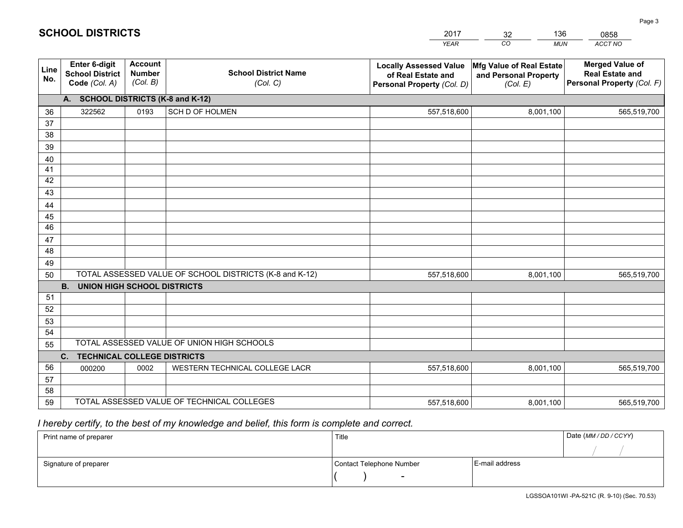|             |                                                                 |                                             |                                                         | <b>YEAR</b>                                                                       | CO<br><b>MUN</b>                                              | <b>ACCT NO</b>                                                                 |
|-------------|-----------------------------------------------------------------|---------------------------------------------|---------------------------------------------------------|-----------------------------------------------------------------------------------|---------------------------------------------------------------|--------------------------------------------------------------------------------|
| Line<br>No. | <b>Enter 6-digit</b><br><b>School District</b><br>Code (Col. A) | <b>Account</b><br><b>Number</b><br>(Col. B) | <b>School District Name</b><br>(Col. C)                 | <b>Locally Assessed Value</b><br>of Real Estate and<br>Personal Property (Col. D) | Mfg Value of Real Estate<br>and Personal Property<br>(Col. E) | <b>Merged Value of</b><br><b>Real Estate and</b><br>Personal Property (Col. F) |
|             | A. SCHOOL DISTRICTS (K-8 and K-12)                              |                                             |                                                         |                                                                                   |                                                               |                                                                                |
| 36          | 322562                                                          | 0193                                        | SCH D OF HOLMEN                                         | 557,518,600                                                                       | 8,001,100                                                     | 565,519,700                                                                    |
| 37          |                                                                 |                                             |                                                         |                                                                                   |                                                               |                                                                                |
| 38          |                                                                 |                                             |                                                         |                                                                                   |                                                               |                                                                                |
| 39          |                                                                 |                                             |                                                         |                                                                                   |                                                               |                                                                                |
| 40          |                                                                 |                                             |                                                         |                                                                                   |                                                               |                                                                                |
| 41          |                                                                 |                                             |                                                         |                                                                                   |                                                               |                                                                                |
| 42          |                                                                 |                                             |                                                         |                                                                                   |                                                               |                                                                                |
| 43          |                                                                 |                                             |                                                         |                                                                                   |                                                               |                                                                                |
| 44<br>45    |                                                                 |                                             |                                                         |                                                                                   |                                                               |                                                                                |
| 46          |                                                                 |                                             |                                                         |                                                                                   |                                                               |                                                                                |
| 47          |                                                                 |                                             |                                                         |                                                                                   |                                                               |                                                                                |
| 48          |                                                                 |                                             |                                                         |                                                                                   |                                                               |                                                                                |
| 49          |                                                                 |                                             |                                                         |                                                                                   |                                                               |                                                                                |
| 50          |                                                                 |                                             | TOTAL ASSESSED VALUE OF SCHOOL DISTRICTS (K-8 and K-12) | 557,518,600                                                                       | 8,001,100                                                     | 565,519,700                                                                    |
|             | <b>B.</b><br><b>UNION HIGH SCHOOL DISTRICTS</b>                 |                                             |                                                         |                                                                                   |                                                               |                                                                                |
| 51          |                                                                 |                                             |                                                         |                                                                                   |                                                               |                                                                                |
| 52          |                                                                 |                                             |                                                         |                                                                                   |                                                               |                                                                                |
| 53          |                                                                 |                                             |                                                         |                                                                                   |                                                               |                                                                                |
| 54          |                                                                 |                                             |                                                         |                                                                                   |                                                               |                                                                                |
| 55          |                                                                 |                                             | TOTAL ASSESSED VALUE OF UNION HIGH SCHOOLS              |                                                                                   |                                                               |                                                                                |
|             | C.<br><b>TECHNICAL COLLEGE DISTRICTS</b>                        |                                             |                                                         |                                                                                   |                                                               |                                                                                |
| 56          | 000200                                                          | 0002                                        | WESTERN TECHNICAL COLLEGE LACR                          | 557,518,600                                                                       | 8,001,100                                                     | 565,519,700                                                                    |
| 57          |                                                                 |                                             |                                                         |                                                                                   |                                                               |                                                                                |
| 58          |                                                                 |                                             | TOTAL ASSESSED VALUE OF TECHNICAL COLLEGES              |                                                                                   |                                                               |                                                                                |
| 59          |                                                                 |                                             |                                                         | 557,518,600                                                                       | 8,001,100                                                     | 565,519,700                                                                    |

32

136

## *I hereby certify, to the best of my knowledge and belief, this form is complete and correct.*

**SCHOOL DISTRICTS**

| Print name of preparer | Title                    |                | Date (MM / DD / CCYY) |
|------------------------|--------------------------|----------------|-----------------------|
|                        |                          |                |                       |
| Signature of preparer  | Contact Telephone Number | E-mail address |                       |
|                        | $\overline{\phantom{0}}$ |                |                       |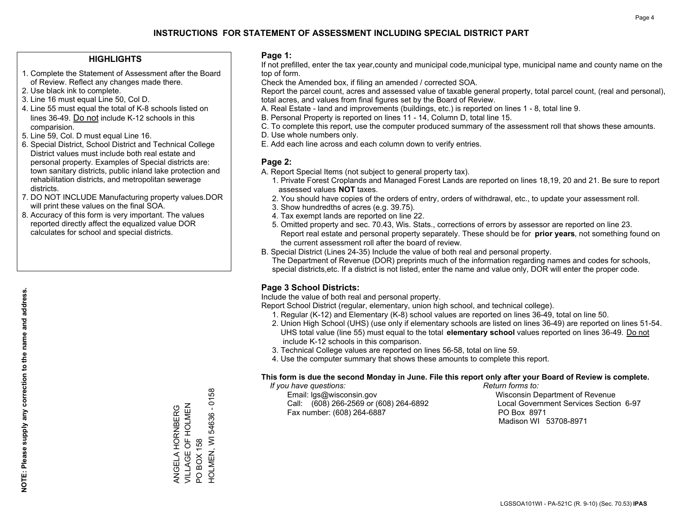## **HIGHLIGHTS**

- 1. Complete the Statement of Assessment after the Board of Review. Reflect any changes made there.
- 2. Use black ink to complete.
- 3. Line 16 must equal Line 50, Col D.
- 4. Line 55 must equal the total of K-8 schools listed on lines 36-49. Do not include K-12 schools in this comparision.
- 5. Line 59, Col. D must equal Line 16.
- 6. Special District, School District and Technical College District values must include both real estate and personal property. Examples of Special districts are: town sanitary districts, public inland lake protection and rehabilitation districts, and metropolitan sewerage districts.
- 7. DO NOT INCLUDE Manufacturing property values.DOR will print these values on the final SOA.

ANGELA HORNBERG VILLAGE OF HOLMEN

ANGELA HORNBERG<br>VILLAGE OF HOLMEN

PO BOX 158

 $\overline{Q}$ 

HOLMEN, WI 54636 - 0158

HOLMEN, WI BOX 158

54636 - 0158

 8. Accuracy of this form is very important. The values reported directly affect the equalized value DOR calculates for school and special districts.

#### **Page 1:**

 If not prefilled, enter the tax year,county and municipal code,municipal type, municipal name and county name on the top of form.

Check the Amended box, if filing an amended / corrected SOA.

 Report the parcel count, acres and assessed value of taxable general property, total parcel count, (real and personal), total acres, and values from final figures set by the Board of Review.

- A. Real Estate land and improvements (buildings, etc.) is reported on lines 1 8, total line 9.
- B. Personal Property is reported on lines 11 14, Column D, total line 15.
- C. To complete this report, use the computer produced summary of the assessment roll that shows these amounts.
- D. Use whole numbers only.
- E. Add each line across and each column down to verify entries.

## **Page 2:**

- A. Report Special Items (not subject to general property tax).
- 1. Private Forest Croplands and Managed Forest Lands are reported on lines 18,19, 20 and 21. Be sure to report assessed values **NOT** taxes.
- 2. You should have copies of the orders of entry, orders of withdrawal, etc., to update your assessment roll.
	- 3. Show hundredths of acres (e.g. 39.75).
- 4. Tax exempt lands are reported on line 22.
- 5. Omitted property and sec. 70.43, Wis. Stats., corrections of errors by assessor are reported on line 23. Report real estate and personal property separately. These should be for **prior years**, not something found on the current assessment roll after the board of review.
- B. Special District (Lines 24-35) Include the value of both real and personal property.
- The Department of Revenue (DOR) preprints much of the information regarding names and codes for schools, special districts,etc. If a district is not listed, enter the name and value only, DOR will enter the proper code.

## **Page 3 School Districts:**

Include the value of both real and personal property.

Report School District (regular, elementary, union high school, and technical college).

- 1. Regular (K-12) and Elementary (K-8) school values are reported on lines 36-49, total on line 50.
- 2. Union High School (UHS) (use only if elementary schools are listed on lines 36-49) are reported on lines 51-54. UHS total value (line 55) must equal to the total **elementary school** values reported on lines 36-49. Do notinclude K-12 schools in this comparison.
- 3. Technical College values are reported on lines 56-58, total on line 59.
- 4. Use the computer summary that shows these amounts to complete this report.

#### **This form is due the second Monday in June. File this report only after your Board of Review is complete.**

 *If you have questions: Return forms to:*

 Email: lgs@wisconsin.gov Wisconsin Department of RevenueCall:  $(608)$  266-2569 or  $(608)$  264-6892 Fax number: (608) 264-6887 PO Box 8971

Local Government Services Section 6-97 Madison WI 53708-8971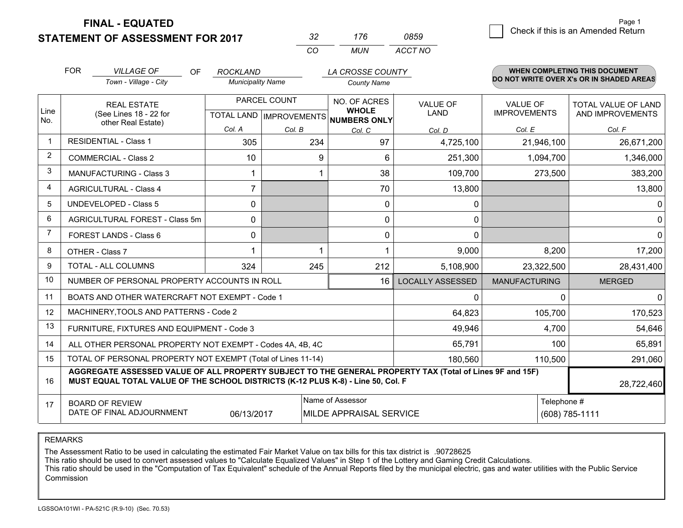**STATEMENT OF ASSESSMENT FOR 2017** 

| -32      | 176 | 850     |
|----------|-----|---------|
| $\cdots$ | MUN | ACCT NO |

|                         | <b>FOR</b><br><b>VILLAGE OF</b><br>Town - Village - City                                                                                                                                     | <b>OF</b><br><b>ROCKLAND</b> | <b>Municipality Name</b> | LA CROSSE COUNTY<br><b>County Name</b> |                         |                                                  | WHEN COMPLETING THIS DOCUMENT<br>DO NOT WRITE OVER X's OR IN SHADED AREAS |
|-------------------------|----------------------------------------------------------------------------------------------------------------------------------------------------------------------------------------------|------------------------------|--------------------------|----------------------------------------|-------------------------|--------------------------------------------------|---------------------------------------------------------------------------|
| Line<br>No.             | PARCEL COUNT<br><b>REAL ESTATE</b><br>(See Lines 18 - 22 for<br>TOTAL LAND IMPROVEMENTS NUMBERS ONLY<br>other Real Estate)<br>Col. A                                                         |                              |                          | NO. OF ACRES<br><b>WHOLE</b>           | <b>VALUE OF</b><br>LAND | <b>VALUE OF</b><br><b>IMPROVEMENTS</b><br>Col. E | <b>TOTAL VALUE OF LAND</b><br>AND IMPROVEMENTS<br>Col. F                  |
| $\mathbf 1$             | <b>RESIDENTIAL - Class 1</b>                                                                                                                                                                 | 305                          | Col. B<br>234            | Col. C<br>97                           | Col. D<br>4,725,100     | 21,946,100                                       | 26,671,200                                                                |
| $\overline{2}$          | <b>COMMERCIAL - Class 2</b>                                                                                                                                                                  | 10                           | 9                        | 6                                      | 251,300                 | 1,094,700                                        | 1,346,000                                                                 |
| 3                       | MANUFACTURING - Class 3                                                                                                                                                                      |                              |                          | 38                                     | 109,700                 | 273,500                                          | 383,200                                                                   |
| $\overline{\mathbf{4}}$ | <b>AGRICULTURAL - Class 4</b>                                                                                                                                                                | $\overline{7}$               |                          | 70                                     | 13,800                  |                                                  | 13,800                                                                    |
| 5                       | <b>UNDEVELOPED - Class 5</b>                                                                                                                                                                 | $\Omega$                     |                          | $\Omega$                               | 0                       |                                                  | $\mathbf{0}$                                                              |
| 6                       | AGRICULTURAL FOREST - Class 5m                                                                                                                                                               | 0                            |                          | $\mathbf 0$                            | 0                       |                                                  | $\mathbf 0$                                                               |
| $\overline{7}$          | FOREST LANDS - Class 6                                                                                                                                                                       | 0                            |                          | $\mathbf{0}$                           | $\mathbf{0}$            |                                                  | $\mathbf 0$                                                               |
| 8                       | OTHER - Class 7                                                                                                                                                                              | 1                            |                          |                                        | 9,000                   | 8,200                                            | 17,200                                                                    |
| 9                       | <b>TOTAL - ALL COLUMNS</b>                                                                                                                                                                   | 324                          | 245                      | 212                                    | 5,108,900               | 23,322,500                                       | 28,431,400                                                                |
| 10                      | NUMBER OF PERSONAL PROPERTY ACCOUNTS IN ROLL                                                                                                                                                 |                              |                          | 16                                     | <b>LOCALLY ASSESSED</b> | <b>MANUFACTURING</b>                             | <b>MERGED</b>                                                             |
| 11                      | BOATS AND OTHER WATERCRAFT NOT EXEMPT - Code 1                                                                                                                                               |                              |                          |                                        | 0                       | $\Omega$                                         | $\Omega$                                                                  |
| 12                      | MACHINERY, TOOLS AND PATTERNS - Code 2                                                                                                                                                       |                              |                          |                                        | 64,823                  | 105,700                                          | 170,523                                                                   |
| 13                      | FURNITURE, FIXTURES AND EQUIPMENT - Code 3                                                                                                                                                   |                              |                          |                                        | 49,946                  | 4,700                                            | 54,646                                                                    |
| 14                      | ALL OTHER PERSONAL PROPERTY NOT EXEMPT - Codes 4A, 4B, 4C                                                                                                                                    |                              |                          |                                        | 65,791                  | 100                                              | 65,891                                                                    |
| 15                      | TOTAL OF PERSONAL PROPERTY NOT EXEMPT (Total of Lines 11-14)<br>180,560<br>110,500                                                                                                           |                              |                          |                                        |                         |                                                  | 291,060                                                                   |
| 16                      | AGGREGATE ASSESSED VALUE OF ALL PROPERTY SUBJECT TO THE GENERAL PROPERTY TAX (Total of Lines 9F and 15F)<br>MUST EQUAL TOTAL VALUE OF THE SCHOOL DISTRICTS (K-12 PLUS K-8) - Line 50, Col. F |                              |                          |                                        |                         |                                                  | 28,722,460                                                                |
| 17                      | Name of Assessor<br><b>BOARD OF REVIEW</b><br>DATE OF FINAL ADJOURNMENT<br>06/13/2017<br>MILDE APPRAISAL SERVICE                                                                             |                              |                          |                                        |                         | Telephone #                                      | (608) 785-1111                                                            |

REMARKS

The Assessment Ratio to be used in calculating the estimated Fair Market Value on tax bills for this tax district is .90728625

This ratio should be used to convert assessed values to "Calculate Equalized Values" in Step 1 of the Lottery and Gaming Credit Calculations.<br>This ratio should be used in the "Computation of Tax Equivalent" schedule of the Commission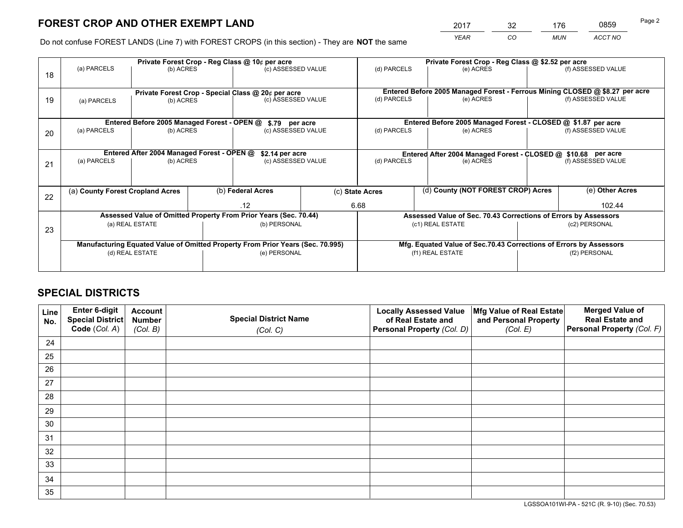*YEAR CO MUN ACCT NO* <sup>2017</sup> <sup>32</sup> <sup>176</sup> <sup>0859</sup>

Do not confuse FOREST LANDS (Line 7) with FOREST CROPS (in this section) - They are **NOT** the same

|    | Private Forest Crop - Reg Class @ 10¢ per acre                                 |                                             |  |                                                                  |  |                                                                    | Private Forest Crop - Reg Class @ \$2.52 per acre               |  |                                                                              |  |
|----|--------------------------------------------------------------------------------|---------------------------------------------|--|------------------------------------------------------------------|--|--------------------------------------------------------------------|-----------------------------------------------------------------|--|------------------------------------------------------------------------------|--|
| 18 | (a) PARCELS                                                                    | (b) ACRES                                   |  | (c) ASSESSED VALUE                                               |  | (d) PARCELS                                                        | (e) ACRES                                                       |  | (f) ASSESSED VALUE                                                           |  |
|    |                                                                                |                                             |  | Private Forest Crop - Special Class @ 20¢ per acre               |  |                                                                    |                                                                 |  | Entered Before 2005 Managed Forest - Ferrous Mining CLOSED @ \$8.27 per acre |  |
| 19 | (a) PARCELS                                                                    | (b) ACRES                                   |  | (c) ASSESSED VALUE                                               |  | (d) PARCELS                                                        | (e) ACRES                                                       |  | (f) ASSESSED VALUE                                                           |  |
|    |                                                                                | Entered Before 2005 Managed Forest - OPEN @ |  | \$.79 per acre                                                   |  |                                                                    | Entered Before 2005 Managed Forest - CLOSED @ \$1.87 per acre   |  |                                                                              |  |
| 20 | (a) PARCELS                                                                    | (b) ACRES                                   |  | (c) ASSESSED VALUE                                               |  | (d) PARCELS                                                        | (e) ACRES                                                       |  | (f) ASSESSED VALUE                                                           |  |
|    |                                                                                |                                             |  |                                                                  |  |                                                                    |                                                                 |  |                                                                              |  |
|    | Entered After 2004 Managed Forest - OPEN @<br>\$2.14 per acre                  |                                             |  |                                                                  |  | Entered After 2004 Managed Forest - CLOSED @ \$10.68 per acre      |                                                                 |  |                                                                              |  |
| 21 | (a) PARCELS                                                                    | (b) ACRES                                   |  | (c) ASSESSED VALUE                                               |  | (d) PARCELS<br>(e) ACRES                                           |                                                                 |  | (f) ASSESSED VALUE                                                           |  |
|    |                                                                                |                                             |  |                                                                  |  |                                                                    |                                                                 |  |                                                                              |  |
| 22 | (a) County Forest Cropland Acres                                               |                                             |  | (b) Federal Acres                                                |  | (c) State Acres                                                    | (d) County (NOT FOREST CROP) Acres                              |  | (e) Other Acres                                                              |  |
|    |                                                                                |                                             |  | .12                                                              |  | 6.68                                                               |                                                                 |  | 102.44                                                                       |  |
|    |                                                                                |                                             |  | Assessed Value of Omitted Property From Prior Years (Sec. 70.44) |  |                                                                    | Assessed Value of Sec. 70.43 Corrections of Errors by Assessors |  |                                                                              |  |
| 23 |                                                                                | (a) REAL ESTATE                             |  | (b) PERSONAL                                                     |  |                                                                    | (c1) REAL ESTATE                                                |  | (c2) PERSONAL                                                                |  |
|    |                                                                                |                                             |  |                                                                  |  |                                                                    |                                                                 |  |                                                                              |  |
|    | Manufacturing Equated Value of Omitted Property From Prior Years (Sec. 70.995) |                                             |  |                                                                  |  | Mfg. Equated Value of Sec.70.43 Corrections of Errors by Assessors |                                                                 |  |                                                                              |  |
|    |                                                                                | (d) REAL ESTATE                             |  | (e) PERSONAL                                                     |  | (f1) REAL ESTATE                                                   |                                                                 |  | (f2) PERSONAL                                                                |  |
|    |                                                                                |                                             |  |                                                                  |  |                                                                    |                                                                 |  |                                                                              |  |

## **SPECIAL DISTRICTS**

| Line<br>No. | Enter 6-digit<br>Special District<br>Code (Col. A) | <b>Account</b><br><b>Number</b> | <b>Special District Name</b> | <b>Locally Assessed Value</b><br>of Real Estate and | Mfg Value of Real Estate<br>and Personal Property | <b>Merged Value of</b><br><b>Real Estate and</b><br>Personal Property (Col. F) |
|-------------|----------------------------------------------------|---------------------------------|------------------------------|-----------------------------------------------------|---------------------------------------------------|--------------------------------------------------------------------------------|
|             |                                                    | (Col. B)                        | (Col. C)                     | Personal Property (Col. D)                          | (Col. E)                                          |                                                                                |
| 24          |                                                    |                                 |                              |                                                     |                                                   |                                                                                |
| 25          |                                                    |                                 |                              |                                                     |                                                   |                                                                                |
| 26          |                                                    |                                 |                              |                                                     |                                                   |                                                                                |
| 27          |                                                    |                                 |                              |                                                     |                                                   |                                                                                |
| 28          |                                                    |                                 |                              |                                                     |                                                   |                                                                                |
| 29          |                                                    |                                 |                              |                                                     |                                                   |                                                                                |
| 30          |                                                    |                                 |                              |                                                     |                                                   |                                                                                |
| 31          |                                                    |                                 |                              |                                                     |                                                   |                                                                                |
| 32          |                                                    |                                 |                              |                                                     |                                                   |                                                                                |
| 33          |                                                    |                                 |                              |                                                     |                                                   |                                                                                |
| 34          |                                                    |                                 |                              |                                                     |                                                   |                                                                                |
| 35          |                                                    |                                 |                              |                                                     |                                                   |                                                                                |

LGSSOA101WI-PA - 521C (R. 9-10) (Sec. 70.53)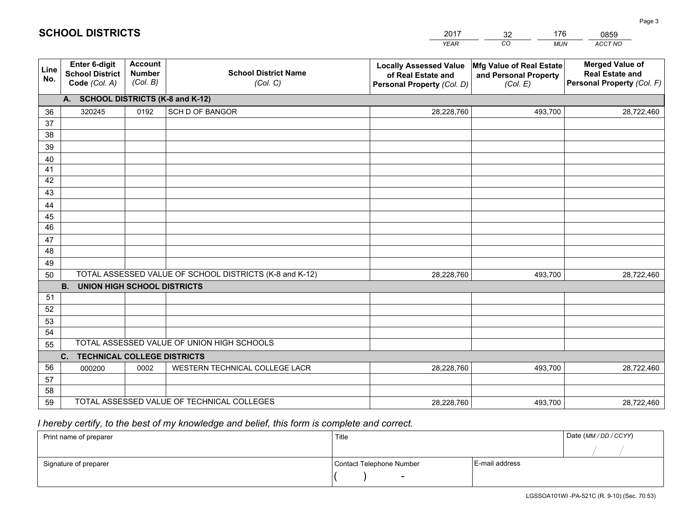|             |                                                                 |                                             |                                                         | <b>YEAR</b>                                                                       | CO<br><b>MUN</b>                                              | ACCT NO                                                                        |
|-------------|-----------------------------------------------------------------|---------------------------------------------|---------------------------------------------------------|-----------------------------------------------------------------------------------|---------------------------------------------------------------|--------------------------------------------------------------------------------|
| Line<br>No. | <b>Enter 6-digit</b><br><b>School District</b><br>Code (Col. A) | <b>Account</b><br><b>Number</b><br>(Col. B) | <b>School District Name</b><br>(Col. C)                 | <b>Locally Assessed Value</b><br>of Real Estate and<br>Personal Property (Col. D) | Mfg Value of Real Estate<br>and Personal Property<br>(Col. E) | <b>Merged Value of</b><br><b>Real Estate and</b><br>Personal Property (Col. F) |
|             | A. SCHOOL DISTRICTS (K-8 and K-12)                              |                                             |                                                         |                                                                                   |                                                               |                                                                                |
| 36          | 320245                                                          | 0192                                        | <b>SCH D OF BANGOR</b>                                  | 28,228,760                                                                        | 493,700                                                       | 28,722,460                                                                     |
| 37          |                                                                 |                                             |                                                         |                                                                                   |                                                               |                                                                                |
| 38          |                                                                 |                                             |                                                         |                                                                                   |                                                               |                                                                                |
| 39          |                                                                 |                                             |                                                         |                                                                                   |                                                               |                                                                                |
| 40          |                                                                 |                                             |                                                         |                                                                                   |                                                               |                                                                                |
| 41<br>42    |                                                                 |                                             |                                                         |                                                                                   |                                                               |                                                                                |
| 43          |                                                                 |                                             |                                                         |                                                                                   |                                                               |                                                                                |
| 44          |                                                                 |                                             |                                                         |                                                                                   |                                                               |                                                                                |
| 45          |                                                                 |                                             |                                                         |                                                                                   |                                                               |                                                                                |
| 46          |                                                                 |                                             |                                                         |                                                                                   |                                                               |                                                                                |
| 47          |                                                                 |                                             |                                                         |                                                                                   |                                                               |                                                                                |
| 48          |                                                                 |                                             |                                                         |                                                                                   |                                                               |                                                                                |
| 49          |                                                                 |                                             |                                                         |                                                                                   |                                                               |                                                                                |
| 50          |                                                                 |                                             | TOTAL ASSESSED VALUE OF SCHOOL DISTRICTS (K-8 and K-12) | 28,228,760                                                                        | 493,700                                                       | 28,722,460                                                                     |
|             | <b>B. UNION HIGH SCHOOL DISTRICTS</b>                           |                                             |                                                         |                                                                                   |                                                               |                                                                                |
| 51          |                                                                 |                                             |                                                         |                                                                                   |                                                               |                                                                                |
| 52          |                                                                 |                                             |                                                         |                                                                                   |                                                               |                                                                                |
| 53<br>54    |                                                                 |                                             |                                                         |                                                                                   |                                                               |                                                                                |
| 55          |                                                                 |                                             | TOTAL ASSESSED VALUE OF UNION HIGH SCHOOLS              |                                                                                   |                                                               |                                                                                |
|             | C.<br><b>TECHNICAL COLLEGE DISTRICTS</b>                        |                                             |                                                         |                                                                                   |                                                               |                                                                                |
| 56          | 000200                                                          | 0002                                        | WESTERN TECHNICAL COLLEGE LACR                          | 28,228,760                                                                        | 493,700                                                       | 28,722,460                                                                     |
| 57          |                                                                 |                                             |                                                         |                                                                                   |                                                               |                                                                                |
| 58          |                                                                 |                                             |                                                         |                                                                                   |                                                               |                                                                                |
| 59          |                                                                 |                                             | TOTAL ASSESSED VALUE OF TECHNICAL COLLEGES              | 28,228,760                                                                        | 493,700                                                       | 28,722,460                                                                     |

32

176

 *I hereby certify, to the best of my knowledge and belief, this form is complete and correct.*

**SCHOOL DISTRICTS**

| Print name of preparer | Title                    |                | Date (MM / DD / CCYY) |
|------------------------|--------------------------|----------------|-----------------------|
|                        |                          |                |                       |
| Signature of preparer  | Contact Telephone Number | E-mail address |                       |
|                        | $\sim$                   |                |                       |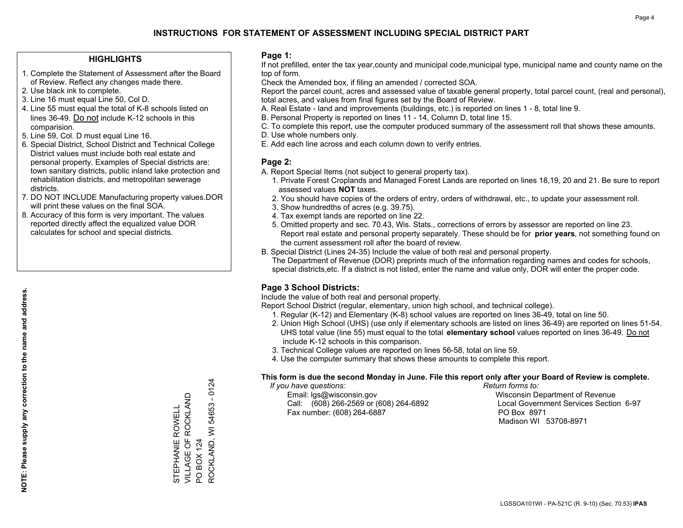## **HIGHLIGHTS**

- 1. Complete the Statement of Assessment after the Board of Review. Reflect any changes made there.
- 2. Use black ink to complete.
- 3. Line 16 must equal Line 50, Col D.
- 4. Line 55 must equal the total of K-8 schools listed on lines 36-49. Do not include K-12 schools in this comparision.
- 5. Line 59, Col. D must equal Line 16.
- 6. Special District, School District and Technical College District values must include both real estate and personal property. Examples of Special districts are: town sanitary districts, public inland lake protection and rehabilitation districts, and metropolitan sewerage districts.
- 7. DO NOT INCLUDE Manufacturing property values.DOR will print these values on the final SOA.

STEPHANIE ROWELL VILLAGE OF ROCKLAND

STEPHANIE ROWELL<br>VILLAGE OF ROCKLAND

PO BOX 124

 $\overline{S}$ 

ROCKLAND, WI 54653 - 0124

ROCKLAND, WI 54653 **BOX 124** 

 $-0124$ 

 8. Accuracy of this form is very important. The values reported directly affect the equalized value DOR calculates for school and special districts.

#### **Page 1:**

 If not prefilled, enter the tax year,county and municipal code,municipal type, municipal name and county name on the top of form.

Check the Amended box, if filing an amended / corrected SOA.

 Report the parcel count, acres and assessed value of taxable general property, total parcel count, (real and personal), total acres, and values from final figures set by the Board of Review.

- A. Real Estate land and improvements (buildings, etc.) is reported on lines 1 8, total line 9.
- B. Personal Property is reported on lines 11 14, Column D, total line 15.
- C. To complete this report, use the computer produced summary of the assessment roll that shows these amounts.
- D. Use whole numbers only.
- E. Add each line across and each column down to verify entries.

## **Page 2:**

- A. Report Special Items (not subject to general property tax).
- 1. Private Forest Croplands and Managed Forest Lands are reported on lines 18,19, 20 and 21. Be sure to report assessed values **NOT** taxes.
- 2. You should have copies of the orders of entry, orders of withdrawal, etc., to update your assessment roll.
	- 3. Show hundredths of acres (e.g. 39.75).
- 4. Tax exempt lands are reported on line 22.
- 5. Omitted property and sec. 70.43, Wis. Stats., corrections of errors by assessor are reported on line 23. Report real estate and personal property separately. These should be for **prior years**, not something found on the current assessment roll after the board of review.
- B. Special District (Lines 24-35) Include the value of both real and personal property.
- The Department of Revenue (DOR) preprints much of the information regarding names and codes for schools, special districts,etc. If a district is not listed, enter the name and value only, DOR will enter the proper code.

## **Page 3 School Districts:**

Include the value of both real and personal property.

Report School District (regular, elementary, union high school, and technical college).

- 1. Regular (K-12) and Elementary (K-8) school values are reported on lines 36-49, total on line 50.
- 2. Union High School (UHS) (use only if elementary schools are listed on lines 36-49) are reported on lines 51-54. UHS total value (line 55) must equal to the total **elementary school** values reported on lines 36-49. Do notinclude K-12 schools in this comparison.
- 3. Technical College values are reported on lines 56-58, total on line 59.
- 4. Use the computer summary that shows these amounts to complete this report.

#### **This form is due the second Monday in June. File this report only after your Board of Review is complete.**

 *If you have questions: Return forms to:*

 Email: lgs@wisconsin.gov Wisconsin Department of RevenueCall:  $(608)$  266-2569 or  $(608)$  264-6892 Fax number: (608) 264-6887 PO Box 8971

Local Government Services Section 6-97

Madison WI 53708-8971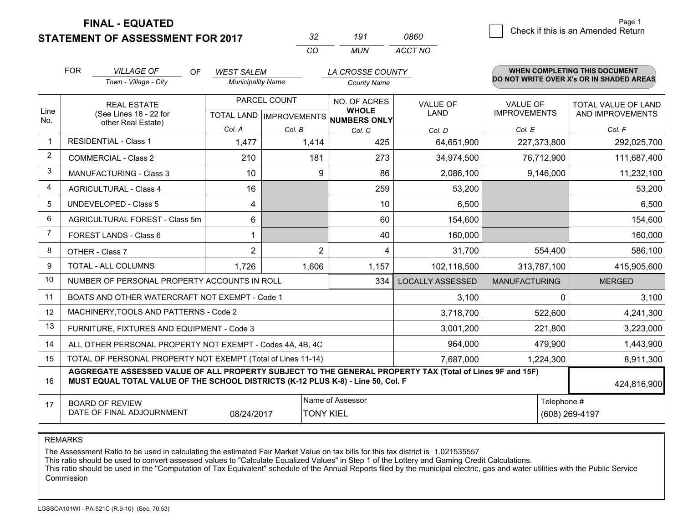## **STATEMENT OF ASSESSMENT FOR 2017**

| っつ | 191 | 0860    |
|----|-----|---------|
| rη | MUN | ACCT NO |

|             | <b>FOR</b>                                                                                                                                                                                   | <b>VILLAGE OF</b><br>OF<br>Town - Village - City             | <b>WEST SALEM</b><br><b>Municipality Name</b> |                           | LA CROSSE COUNTY<br><b>County Name</b> |                         |                      | <b>WHEN COMPLETING THIS DOCUMENT</b><br>DO NOT WRITE OVER X's OR IN SHADED AREAS |
|-------------|----------------------------------------------------------------------------------------------------------------------------------------------------------------------------------------------|--------------------------------------------------------------|-----------------------------------------------|---------------------------|----------------------------------------|-------------------------|----------------------|----------------------------------------------------------------------------------|
|             |                                                                                                                                                                                              | <b>REAL ESTATE</b>                                           |                                               | PARCEL COUNT              | NO. OF ACRES                           | <b>VALUE OF</b>         | <b>VALUE OF</b>      | <b>TOTAL VALUE OF LAND</b>                                                       |
| Line<br>No. |                                                                                                                                                                                              | (See Lines 18 - 22 for<br>other Real Estate)                 |                                               | TOTAL LAND   IMPROVEMENTS | <b>WHOLE</b><br>NUMBERS ONLY           | <b>LAND</b>             | <b>IMPROVEMENTS</b>  | AND IMPROVEMENTS                                                                 |
|             |                                                                                                                                                                                              |                                                              | Col. A                                        | Col. B                    | Col. C                                 | Col. D                  | Col. E               | Col. F                                                                           |
| -1          |                                                                                                                                                                                              | <b>RESIDENTIAL - Class 1</b>                                 | 1,477                                         | 1,414                     | 425                                    | 64,651,900              | 227,373,800          | 292,025,700                                                                      |
| 2           |                                                                                                                                                                                              | <b>COMMERCIAL - Class 2</b>                                  | 210                                           | 181                       | 273                                    | 34,974,500              | 76,712,900           | 111,687,400                                                                      |
| 3           |                                                                                                                                                                                              | MANUFACTURING - Class 3                                      | 10                                            | 9                         | 86                                     | 2,086,100               | 9,146,000            | 11,232,100                                                                       |
| 4           |                                                                                                                                                                                              | <b>AGRICULTURAL - Class 4</b>                                | 16                                            |                           | 259                                    | 53,200                  |                      | 53,200                                                                           |
| 5           |                                                                                                                                                                                              | <b>UNDEVELOPED - Class 5</b>                                 | 4                                             |                           | 10                                     | 6,500                   |                      | 6,500                                                                            |
| 6           |                                                                                                                                                                                              | AGRICULTURAL FOREST - Class 5m                               | 6                                             |                           | 60                                     | 154,600                 |                      | 154,600                                                                          |
| 7           |                                                                                                                                                                                              | FOREST LANDS - Class 6                                       | 1                                             |                           | 40                                     | 160,000                 |                      | 160,000                                                                          |
| 8           |                                                                                                                                                                                              | OTHER - Class 7                                              | $\overline{2}$                                | $\overline{2}$            | 4                                      | 31,700                  | 554,400              | 586,100                                                                          |
| 9           |                                                                                                                                                                                              | TOTAL - ALL COLUMNS                                          | 1,726                                         | 1,606                     | 1,157                                  | 102,118,500             | 313,787,100          | 415,905,600                                                                      |
| 10          |                                                                                                                                                                                              | NUMBER OF PERSONAL PROPERTY ACCOUNTS IN ROLL                 |                                               |                           | 334                                    | <b>LOCALLY ASSESSED</b> | <b>MANUFACTURING</b> | <b>MERGED</b>                                                                    |
| 11          |                                                                                                                                                                                              | BOATS AND OTHER WATERCRAFT NOT EXEMPT - Code 1               |                                               |                           |                                        | 3,100                   | $\Omega$             | 3,100                                                                            |
| 12          |                                                                                                                                                                                              | MACHINERY, TOOLS AND PATTERNS - Code 2                       |                                               |                           |                                        | 3,718,700               | 522,600              | 4,241,300                                                                        |
| 13          |                                                                                                                                                                                              | FURNITURE, FIXTURES AND EQUIPMENT - Code 3                   |                                               |                           |                                        | 3,001,200               | 221,800              | 3,223,000                                                                        |
| 14          |                                                                                                                                                                                              | ALL OTHER PERSONAL PROPERTY NOT EXEMPT - Codes 4A, 4B, 4C    |                                               |                           |                                        | 964,000                 | 479,900              | 1,443,900                                                                        |
| 15          |                                                                                                                                                                                              | TOTAL OF PERSONAL PROPERTY NOT EXEMPT (Total of Lines 11-14) | 7,687,000                                     | 1,224,300                 | 8,911,300                              |                         |                      |                                                                                  |
| 16          | AGGREGATE ASSESSED VALUE OF ALL PROPERTY SUBJECT TO THE GENERAL PROPERTY TAX (Total of Lines 9F and 15F)<br>MUST EQUAL TOTAL VALUE OF THE SCHOOL DISTRICTS (K-12 PLUS K-8) - Line 50, Col. F |                                                              |                                               |                           |                                        |                         | 424,816,900          |                                                                                  |
| 17          |                                                                                                                                                                                              | <b>BOARD OF REVIEW</b>                                       |                                               |                           | Name of Assessor                       |                         | Telephone #          |                                                                                  |
|             |                                                                                                                                                                                              | DATE OF FINAL ADJOURNMENT                                    | 08/24/2017                                    |                           | <b>TONY KIEL</b>                       |                         |                      | (608) 269-4197                                                                   |

REMARKS

The Assessment Ratio to be used in calculating the estimated Fair Market Value on tax bills for this tax district is 1.021535557<br>This ratio should be used to convert assessed values to "Calculate Equalized Values" in Step Commission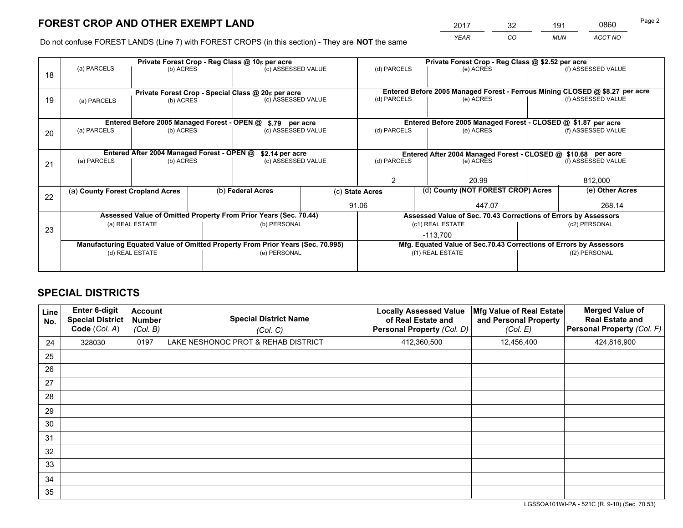*YEAR CO MUN ACCT NO* <sup>2017</sup> <sup>32</sup> <sup>191</sup> <sup>0860</sup>

Do not confuse FOREST LANDS (Line 7) with FOREST CROPS (in this section) - They are **NOT** the same

|    | Private Forest Crop - Reg Class @ 10¢ per acre                                 |                                             |  |                                                                  |                 |                          | Private Forest Crop - Reg Class @ \$2.52 per acre                            |               |                                                                    |  |
|----|--------------------------------------------------------------------------------|---------------------------------------------|--|------------------------------------------------------------------|-----------------|--------------------------|------------------------------------------------------------------------------|---------------|--------------------------------------------------------------------|--|
| 18 | (a) PARCELS                                                                    | (b) ACRES                                   |  | (c) ASSESSED VALUE                                               |                 | (d) PARCELS              | (e) ACRES                                                                    |               | (f) ASSESSED VALUE                                                 |  |
|    |                                                                                |                                             |  |                                                                  |                 |                          | Entered Before 2005 Managed Forest - Ferrous Mining CLOSED @ \$8.27 per acre |               |                                                                    |  |
| 19 | Private Forest Crop - Special Class @ 20¢ per acre<br>(b) ACRES<br>(a) PARCELS |                                             |  | (c) ASSESSED VALUE                                               |                 | (d) PARCELS              | (e) ACRES                                                                    |               | (f) ASSESSED VALUE                                                 |  |
|    |                                                                                |                                             |  |                                                                  |                 |                          |                                                                              |               |                                                                    |  |
|    |                                                                                | Entered Before 2005 Managed Forest - OPEN @ |  |                                                                  |                 |                          | Entered Before 2005 Managed Forest - CLOSED @ \$1.87 per acre                |               |                                                                    |  |
|    | (a) PARCELS                                                                    | (b) ACRES                                   |  | \$.79 per acre<br>(c) ASSESSED VALUE                             |                 | (d) PARCELS              | (e) ACRES                                                                    |               | (f) ASSESSED VALUE                                                 |  |
| 20 |                                                                                |                                             |  |                                                                  |                 |                          |                                                                              |               |                                                                    |  |
|    |                                                                                |                                             |  |                                                                  |                 |                          |                                                                              |               |                                                                    |  |
|    | Entered After 2004 Managed Forest - OPEN @                                     |                                             |  |                                                                  | \$2.14 per acre |                          | Entered After 2004 Managed Forest - CLOSED @ \$10.68 per acre                |               |                                                                    |  |
| 21 | (a) PARCELS                                                                    | (b) ACRES                                   |  | (c) ASSESSED VALUE                                               |                 | (d) PARCELS<br>(e) ACRES |                                                                              |               | (f) ASSESSED VALUE                                                 |  |
|    |                                                                                |                                             |  |                                                                  |                 |                          |                                                                              |               |                                                                    |  |
|    |                                                                                |                                             |  |                                                                  |                 | $\mathfrak{D}$           | 20.99                                                                        |               |                                                                    |  |
| 22 | (a) County Forest Cropland Acres                                               |                                             |  | (b) Federal Acres                                                |                 | (c) State Acres          | (d) County (NOT FOREST CROP) Acres                                           |               | (e) Other Acres                                                    |  |
|    |                                                                                |                                             |  |                                                                  |                 | 91.06                    | 447.07                                                                       |               | 268.14                                                             |  |
|    |                                                                                |                                             |  | Assessed Value of Omitted Property From Prior Years (Sec. 70.44) |                 |                          | Assessed Value of Sec. 70.43 Corrections of Errors by Assessors              |               |                                                                    |  |
|    |                                                                                | (a) REAL ESTATE                             |  | (b) PERSONAL                                                     |                 |                          | (c1) REAL ESTATE                                                             |               | (c2) PERSONAL                                                      |  |
| 23 |                                                                                |                                             |  |                                                                  |                 |                          |                                                                              |               |                                                                    |  |
|    | Manufacturing Equated Value of Omitted Property From Prior Years (Sec. 70.995) |                                             |  |                                                                  |                 |                          | $-113,700$                                                                   |               |                                                                    |  |
|    |                                                                                |                                             |  |                                                                  |                 |                          |                                                                              |               | Mfg. Equated Value of Sec.70.43 Corrections of Errors by Assessors |  |
|    |                                                                                | (d) REAL ESTATE                             |  | (e) PERSONAL                                                     |                 |                          | (f1) REAL ESTATE                                                             | (f2) PERSONAL |                                                                    |  |
|    |                                                                                |                                             |  |                                                                  |                 |                          |                                                                              |               |                                                                    |  |

## **SPECIAL DISTRICTS**

| Line<br>No. | Enter 6-digit<br><b>Special District</b><br>Code (Col. A) | <b>Account</b><br><b>Number</b><br>(Col. B) | <b>Special District Name</b><br>(Col. C) | <b>Locally Assessed Value</b><br>of Real Estate and<br><b>Personal Property (Col. D)</b> | Mfg Value of Real Estate<br>and Personal Property<br>(Col. E) | <b>Merged Value of</b><br><b>Real Estate and</b><br>Personal Property (Col. F) |
|-------------|-----------------------------------------------------------|---------------------------------------------|------------------------------------------|------------------------------------------------------------------------------------------|---------------------------------------------------------------|--------------------------------------------------------------------------------|
| 24          | 328030                                                    | 0197                                        | LAKE NESHONOC PROT & REHAB DISTRICT      | 412,360,500                                                                              | 12,456,400                                                    | 424,816,900                                                                    |
| 25          |                                                           |                                             |                                          |                                                                                          |                                                               |                                                                                |
| 26          |                                                           |                                             |                                          |                                                                                          |                                                               |                                                                                |
| 27          |                                                           |                                             |                                          |                                                                                          |                                                               |                                                                                |
| 28          |                                                           |                                             |                                          |                                                                                          |                                                               |                                                                                |
| 29          |                                                           |                                             |                                          |                                                                                          |                                                               |                                                                                |
| 30          |                                                           |                                             |                                          |                                                                                          |                                                               |                                                                                |
| 31          |                                                           |                                             |                                          |                                                                                          |                                                               |                                                                                |
| 32          |                                                           |                                             |                                          |                                                                                          |                                                               |                                                                                |
| 33          |                                                           |                                             |                                          |                                                                                          |                                                               |                                                                                |
| 34          |                                                           |                                             |                                          |                                                                                          |                                                               |                                                                                |
| 35          |                                                           |                                             |                                          |                                                                                          |                                                               |                                                                                |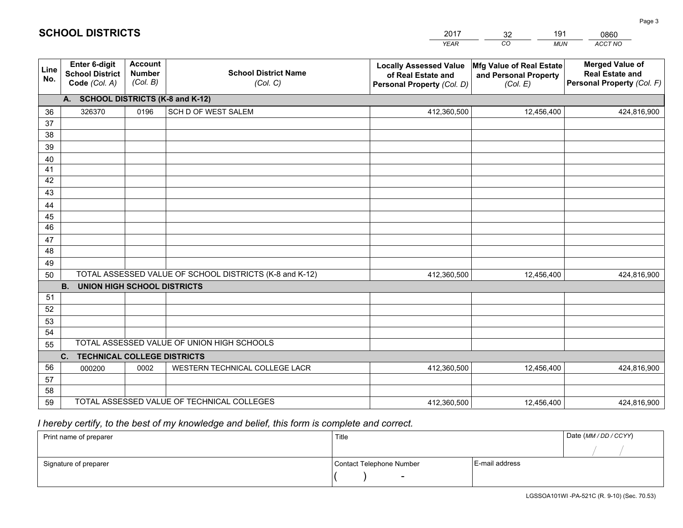|             |                                                          |                                             |                                                         | <b>YEAR</b>                                                                       | CO<br><b>MUN</b>                                              | <b>ACCT NO</b>                                                                 |
|-------------|----------------------------------------------------------|---------------------------------------------|---------------------------------------------------------|-----------------------------------------------------------------------------------|---------------------------------------------------------------|--------------------------------------------------------------------------------|
| Line<br>No. | Enter 6-digit<br><b>School District</b><br>Code (Col. A) | <b>Account</b><br><b>Number</b><br>(Col. B) | <b>School District Name</b><br>(Col. C)                 | <b>Locally Assessed Value</b><br>of Real Estate and<br>Personal Property (Col. D) | Mfg Value of Real Estate<br>and Personal Property<br>(Col. E) | <b>Merged Value of</b><br><b>Real Estate and</b><br>Personal Property (Col. F) |
|             | A. SCHOOL DISTRICTS (K-8 and K-12)                       |                                             |                                                         |                                                                                   |                                                               |                                                                                |
| 36          | 326370                                                   | 0196                                        | SCH D OF WEST SALEM                                     | 412,360,500                                                                       | 12,456,400                                                    | 424,816,900                                                                    |
| 37          |                                                          |                                             |                                                         |                                                                                   |                                                               |                                                                                |
| 38          |                                                          |                                             |                                                         |                                                                                   |                                                               |                                                                                |
| 39          |                                                          |                                             |                                                         |                                                                                   |                                                               |                                                                                |
| 40          |                                                          |                                             |                                                         |                                                                                   |                                                               |                                                                                |
| 41<br>42    |                                                          |                                             |                                                         |                                                                                   |                                                               |                                                                                |
| 43          |                                                          |                                             |                                                         |                                                                                   |                                                               |                                                                                |
|             |                                                          |                                             |                                                         |                                                                                   |                                                               |                                                                                |
| 44<br>45    |                                                          |                                             |                                                         |                                                                                   |                                                               |                                                                                |
| 46          |                                                          |                                             |                                                         |                                                                                   |                                                               |                                                                                |
| 47          |                                                          |                                             |                                                         |                                                                                   |                                                               |                                                                                |
| 48          |                                                          |                                             |                                                         |                                                                                   |                                                               |                                                                                |
| 49          |                                                          |                                             |                                                         |                                                                                   |                                                               |                                                                                |
| 50          |                                                          |                                             | TOTAL ASSESSED VALUE OF SCHOOL DISTRICTS (K-8 and K-12) | 412,360,500                                                                       | 12,456,400                                                    | 424,816,900                                                                    |
|             | <b>B.</b><br>UNION HIGH SCHOOL DISTRICTS                 |                                             |                                                         |                                                                                   |                                                               |                                                                                |
| 51          |                                                          |                                             |                                                         |                                                                                   |                                                               |                                                                                |
| 52          |                                                          |                                             |                                                         |                                                                                   |                                                               |                                                                                |
| 53          |                                                          |                                             |                                                         |                                                                                   |                                                               |                                                                                |
| 54          |                                                          |                                             |                                                         |                                                                                   |                                                               |                                                                                |
| 55          |                                                          |                                             | TOTAL ASSESSED VALUE OF UNION HIGH SCHOOLS              |                                                                                   |                                                               |                                                                                |
|             | C.<br><b>TECHNICAL COLLEGE DISTRICTS</b>                 |                                             |                                                         |                                                                                   |                                                               |                                                                                |
| 56          | 000200                                                   | 0002                                        | WESTERN TECHNICAL COLLEGE LACR                          | 412,360,500                                                                       | 12,456,400                                                    | 424,816,900                                                                    |
| 57<br>58    |                                                          |                                             |                                                         |                                                                                   |                                                               |                                                                                |
| 59          |                                                          |                                             | TOTAL ASSESSED VALUE OF TECHNICAL COLLEGES              | 412,360,500                                                                       | 12,456,400                                                    | 424,816,900                                                                    |
|             |                                                          |                                             |                                                         |                                                                                   |                                                               |                                                                                |

32

191

 *I hereby certify, to the best of my knowledge and belief, this form is complete and correct.*

**SCHOOL DISTRICTS**

| Print name of preparer | Title                    |                | Date (MM / DD / CCYY) |
|------------------------|--------------------------|----------------|-----------------------|
|                        |                          |                |                       |
| Signature of preparer  | Contact Telephone Number | E-mail address |                       |
|                        | $\sim$                   |                |                       |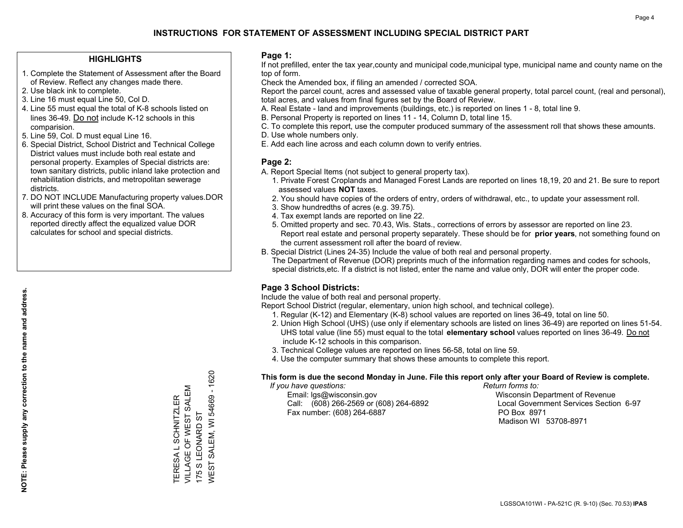## **HIGHLIGHTS**

- 1. Complete the Statement of Assessment after the Board of Review. Reflect any changes made there.
- 2. Use black ink to complete.
- 3. Line 16 must equal Line 50, Col D.
- 4. Line 55 must equal the total of K-8 schools listed on lines 36-49. Do not include K-12 schools in this comparision.
- 5. Line 59, Col. D must equal Line 16.
- 6. Special District, School District and Technical College District values must include both real estate and personal property. Examples of Special districts are: town sanitary districts, public inland lake protection and rehabilitation districts, and metropolitan sewerage districts.
- 7. DO NOT INCLUDE Manufacturing property values.DOR will print these values on the final SOA.

TERESA L SCHNITZLER VILLAGE OF WEST SALEM

TERESA L SCHNITZLER<br>VILLAGE OF WEST SALEM

175 S LEONARD ST

175 S LEONARD ST

WEST SALEM, WI 54669 - 1620

WEST SALEM, WI 54669 - 1620

 8. Accuracy of this form is very important. The values reported directly affect the equalized value DOR calculates for school and special districts.

#### **Page 1:**

 If not prefilled, enter the tax year,county and municipal code,municipal type, municipal name and county name on the top of form.

Check the Amended box, if filing an amended / corrected SOA.

 Report the parcel count, acres and assessed value of taxable general property, total parcel count, (real and personal), total acres, and values from final figures set by the Board of Review.

- A. Real Estate land and improvements (buildings, etc.) is reported on lines 1 8, total line 9.
- B. Personal Property is reported on lines 11 14, Column D, total line 15.
- C. To complete this report, use the computer produced summary of the assessment roll that shows these amounts.
- D. Use whole numbers only.
- E. Add each line across and each column down to verify entries.

## **Page 2:**

- A. Report Special Items (not subject to general property tax).
- 1. Private Forest Croplands and Managed Forest Lands are reported on lines 18,19, 20 and 21. Be sure to report assessed values **NOT** taxes.
- 2. You should have copies of the orders of entry, orders of withdrawal, etc., to update your assessment roll.
	- 3. Show hundredths of acres (e.g. 39.75).
- 4. Tax exempt lands are reported on line 22.
- 5. Omitted property and sec. 70.43, Wis. Stats., corrections of errors by assessor are reported on line 23. Report real estate and personal property separately. These should be for **prior years**, not something found on the current assessment roll after the board of review.
- B. Special District (Lines 24-35) Include the value of both real and personal property.
- The Department of Revenue (DOR) preprints much of the information regarding names and codes for schools, special districts,etc. If a district is not listed, enter the name and value only, DOR will enter the proper code.

## **Page 3 School Districts:**

Include the value of both real and personal property.

Report School District (regular, elementary, union high school, and technical college).

- 1. Regular (K-12) and Elementary (K-8) school values are reported on lines 36-49, total on line 50.
- 2. Union High School (UHS) (use only if elementary schools are listed on lines 36-49) are reported on lines 51-54. UHS total value (line 55) must equal to the total **elementary school** values reported on lines 36-49. Do notinclude K-12 schools in this comparison.
- 3. Technical College values are reported on lines 56-58, total on line 59.
- 4. Use the computer summary that shows these amounts to complete this report.

#### **This form is due the second Monday in June. File this report only after your Board of Review is complete.**

 *If you have questions: Return forms to:*

 Email: lgs@wisconsin.gov Wisconsin Department of RevenueCall:  $(608)$  266-2569 or  $(608)$  264-6892 Fax number: (608) 264-6887 PO Box 8971

Local Government Services Section 6-97 Madison WI 53708-8971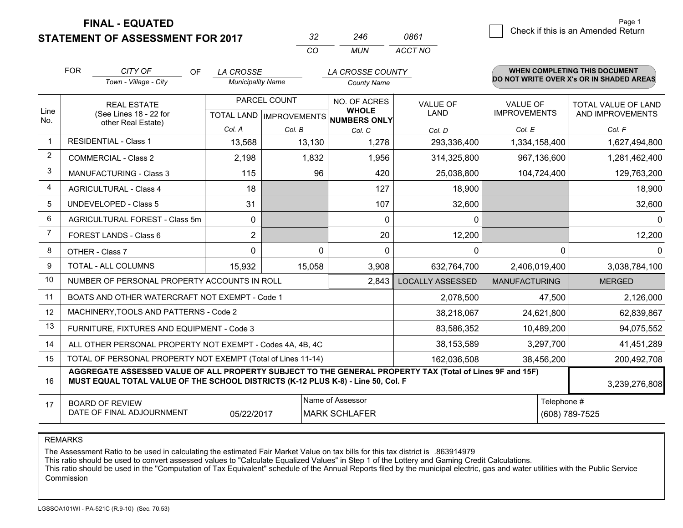## **STATEMENT OF ASSESSMENT FOR 2017**

| -32      | 246 | 0861    |
|----------|-----|---------|
| $\cdots$ | MUN | ACCT NO |

|                | <b>FOR</b>                                                                                                                                                                                   | CITY OF<br><b>OF</b><br>Town - Village - City                | <b>LA CROSSE</b><br><b>Municipality Name</b> |              | LA CROSSE COUNTY<br><b>County Name</b>                                                                 |                         |                                        | WHEN COMPLETING THIS DOCUMENT<br>DO NOT WRITE OVER X's OR IN SHADED AREAS |
|----------------|----------------------------------------------------------------------------------------------------------------------------------------------------------------------------------------------|--------------------------------------------------------------|----------------------------------------------|--------------|--------------------------------------------------------------------------------------------------------|-------------------------|----------------------------------------|---------------------------------------------------------------------------|
| Line           | <b>REAL ESTATE</b><br>(See Lines 18 - 22 for                                                                                                                                                 |                                                              |                                              | PARCEL COUNT | NO. OF ACRES<br><b>VALUE OF</b><br><b>WHOLE</b><br><b>LAND</b><br>TOTAL LAND IMPROVEMENTS NUMBERS ONLY |                         | <b>VALUE OF</b><br><b>IMPROVEMENTS</b> | TOTAL VALUE OF LAND<br>AND IMPROVEMENTS                                   |
| No.            |                                                                                                                                                                                              | other Real Estate)                                           | Col. A                                       | Col. B       | Col. C                                                                                                 | Col. D                  | Col. E                                 | Col. F                                                                    |
| $\mathbf{1}$   |                                                                                                                                                                                              | <b>RESIDENTIAL - Class 1</b>                                 | 13,568                                       | 13,130       | 1,278                                                                                                  | 293,336,400             | 1,334,158,400                          | 1,627,494,800                                                             |
| 2              |                                                                                                                                                                                              | <b>COMMERCIAL - Class 2</b>                                  | 2,198                                        | 1,832        | 1,956                                                                                                  | 314,325,800             | 967,136,600                            | 1,281,462,400                                                             |
| 3              |                                                                                                                                                                                              | <b>MANUFACTURING - Class 3</b>                               | 115                                          | 96           | 420                                                                                                    | 25,038,800              | 104,724,400                            | 129,763,200                                                               |
| 4              |                                                                                                                                                                                              | <b>AGRICULTURAL - Class 4</b>                                | 18                                           |              | 127                                                                                                    | 18,900                  |                                        | 18,900                                                                    |
| 5              |                                                                                                                                                                                              | <b>UNDEVELOPED - Class 5</b>                                 | 31                                           |              | 107                                                                                                    | 32,600                  |                                        | 32,600                                                                    |
| 6              | AGRICULTURAL FOREST - Class 5m                                                                                                                                                               |                                                              | $\mathbf{0}$                                 |              | $\mathbf{0}$                                                                                           | 0                       |                                        | $\Omega$                                                                  |
| $\overline{7}$ | FOREST LANDS - Class 6                                                                                                                                                                       |                                                              | $\overline{2}$                               |              | 20                                                                                                     | 12,200                  |                                        | 12,200                                                                    |
| 8              |                                                                                                                                                                                              | OTHER - Class 7                                              | $\Omega$                                     | $\Omega$     | $\Omega$                                                                                               | 0                       | $\Omega$                               | 0                                                                         |
| 9              |                                                                                                                                                                                              | <b>TOTAL - ALL COLUMNS</b>                                   | 15,932                                       | 15,058       | 3,908                                                                                                  | 632,764,700             | 2,406,019,400                          | 3,038,784,100                                                             |
| 10             |                                                                                                                                                                                              | NUMBER OF PERSONAL PROPERTY ACCOUNTS IN ROLL                 |                                              |              | 2,843                                                                                                  | <b>LOCALLY ASSESSED</b> | <b>MANUFACTURING</b>                   | <b>MERGED</b>                                                             |
| 11             |                                                                                                                                                                                              | BOATS AND OTHER WATERCRAFT NOT EXEMPT - Code 1               |                                              |              |                                                                                                        | 2,078,500               | 47,500                                 | 2,126,000                                                                 |
| 12             |                                                                                                                                                                                              | MACHINERY, TOOLS AND PATTERNS - Code 2                       |                                              |              |                                                                                                        | 38,218,067              | 24,621,800                             | 62,839,867                                                                |
| 13             |                                                                                                                                                                                              | FURNITURE, FIXTURES AND EQUIPMENT - Code 3                   |                                              |              |                                                                                                        | 83,586,352              | 10,489,200                             | 94,075,552                                                                |
| 14             |                                                                                                                                                                                              | ALL OTHER PERSONAL PROPERTY NOT EXEMPT - Codes 4A, 4B, 4C    |                                              |              |                                                                                                        | 38,153,589              | 3,297,700                              | 41,451,289                                                                |
| 15             |                                                                                                                                                                                              | TOTAL OF PERSONAL PROPERTY NOT EXEMPT (Total of Lines 11-14) | 162,036,508                                  | 38,456,200   | 200,492,708                                                                                            |                         |                                        |                                                                           |
| 16             | AGGREGATE ASSESSED VALUE OF ALL PROPERTY SUBJECT TO THE GENERAL PROPERTY TAX (Total of Lines 9F and 15F)<br>MUST EQUAL TOTAL VALUE OF THE SCHOOL DISTRICTS (K-12 PLUS K-8) - Line 50, Col. F |                                                              |                                              |              |                                                                                                        |                         |                                        | 3,239,276,808                                                             |
| 17             | Name of Assessor<br>Telephone #<br><b>BOARD OF REVIEW</b><br>DATE OF FINAL ADJOURNMENT<br><b>MARK SCHLAFER</b><br>(608) 789-7525<br>05/22/2017                                               |                                                              |                                              |              |                                                                                                        |                         |                                        |                                                                           |

REMARKS

The Assessment Ratio to be used in calculating the estimated Fair Market Value on tax bills for this tax district is .863914979

This ratio should be used to convert assessed values to "Calculate Equalized Values" in Step 1 of the Lottery and Gaming Credit Calculations.<br>This ratio should be used in the "Computation of Tax Equivalent" schedule of the Commission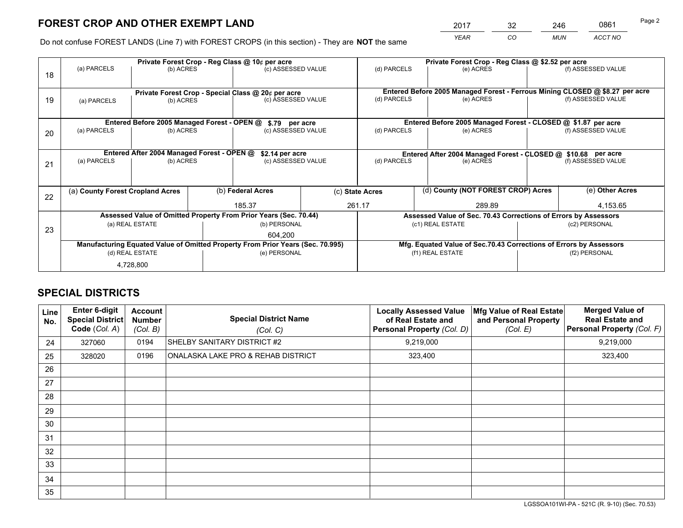*YEAR CO MUN ACCT NO* <sup>2017</sup> <sup>32</sup> <sup>246</sup> <sup>0861</sup>

Do not confuse FOREST LANDS (Line 7) with FOREST CROPS (in this section) - They are **NOT** the same

|    |                                                                                |                                             |  | Private Forest Crop - Reg Class @ 10¢ per acre                   |  | Private Forest Crop - Reg Class @ \$2.52 per acre                            |                                                                 |                    |                    |
|----|--------------------------------------------------------------------------------|---------------------------------------------|--|------------------------------------------------------------------|--|------------------------------------------------------------------------------|-----------------------------------------------------------------|--------------------|--------------------|
| 18 | (a) PARCELS                                                                    | (b) ACRES                                   |  | (c) ASSESSED VALUE                                               |  | (d) PARCELS                                                                  | (e) ACRES                                                       |                    | (f) ASSESSED VALUE |
|    |                                                                                |                                             |  |                                                                  |  |                                                                              |                                                                 |                    |                    |
|    | Private Forest Crop - Special Class @ 20¢ per acre                             |                                             |  |                                                                  |  | Entered Before 2005 Managed Forest - Ferrous Mining CLOSED @ \$8.27 per acre |                                                                 |                    |                    |
| 19 | (a) PARCELS                                                                    | (b) ACRES                                   |  | (c) ASSESSED VALUE                                               |  | (d) PARCELS                                                                  | (e) ACRES                                                       |                    | (f) ASSESSED VALUE |
|    |                                                                                |                                             |  |                                                                  |  |                                                                              |                                                                 |                    |                    |
|    |                                                                                | Entered Before 2005 Managed Forest - OPEN @ |  | \$.79 per acre                                                   |  |                                                                              | Entered Before 2005 Managed Forest - CLOSED @ \$1.87 per acre   |                    |                    |
| 20 | (a) PARCELS                                                                    | (b) ACRES                                   |  | (c) ASSESSED VALUE                                               |  | (d) PARCELS                                                                  | (e) ACRES                                                       |                    | (f) ASSESSED VALUE |
|    |                                                                                |                                             |  |                                                                  |  |                                                                              |                                                                 |                    |                    |
|    | Entered After 2004 Managed Forest - OPEN @<br>\$2.14 per acre                  |                                             |  |                                                                  |  | Entered After 2004 Managed Forest - CLOSED @ \$10.68 per acre                |                                                                 |                    |                    |
| 21 | (a) PARCELS                                                                    | (b) ACRES                                   |  | (c) ASSESSED VALUE                                               |  | (d) PARCELS<br>(e) ACRES                                                     |                                                                 | (f) ASSESSED VALUE |                    |
|    |                                                                                |                                             |  |                                                                  |  |                                                                              |                                                                 |                    |                    |
|    |                                                                                |                                             |  |                                                                  |  |                                                                              |                                                                 |                    |                    |
| 22 | (a) County Forest Cropland Acres                                               |                                             |  | (b) Federal Acres                                                |  | (d) County (NOT FOREST CROP) Acres<br>(c) State Acres                        |                                                                 |                    | (e) Other Acres    |
|    |                                                                                |                                             |  | 185.37                                                           |  | 261.17<br>289.89                                                             |                                                                 |                    | 4,153.65           |
|    |                                                                                |                                             |  | Assessed Value of Omitted Property From Prior Years (Sec. 70.44) |  |                                                                              | Assessed Value of Sec. 70.43 Corrections of Errors by Assessors |                    |                    |
| 23 |                                                                                | (a) REAL ESTATE                             |  | (b) PERSONAL                                                     |  |                                                                              | (c1) REAL ESTATE                                                |                    | (c2) PERSONAL      |
|    |                                                                                |                                             |  | 604.200                                                          |  |                                                                              |                                                                 |                    |                    |
|    | Manufacturing Equated Value of Omitted Property From Prior Years (Sec. 70.995) |                                             |  |                                                                  |  | Mfg. Equated Value of Sec.70.43 Corrections of Errors by Assessors           |                                                                 |                    |                    |
|    |                                                                                | (d) REAL ESTATE                             |  | (e) PERSONAL                                                     |  | (f1) REAL ESTATE                                                             |                                                                 | (f2) PERSONAL      |                    |
|    |                                                                                | 4,728,800                                   |  |                                                                  |  |                                                                              |                                                                 |                    |                    |

## **SPECIAL DISTRICTS**

| Line<br>No. | <b>Enter 6-digit</b><br><b>Special District</b><br>Code (Col. A) | <b>Account</b><br><b>Number</b><br>(Col. B) | <b>Special District Name</b><br>(Col. C) | <b>Locally Assessed Value</b><br>of Real Estate and<br>Personal Property (Col. D) | Mfg Value of Real Estate<br>and Personal Property<br>(Col. E) | <b>Merged Value of</b><br><b>Real Estate and</b><br>Personal Property (Col. F) |
|-------------|------------------------------------------------------------------|---------------------------------------------|------------------------------------------|-----------------------------------------------------------------------------------|---------------------------------------------------------------|--------------------------------------------------------------------------------|
| 24          | 327060                                                           | 0194                                        | SHELBY SANITARY DISTRICT #2              | 9,219,000                                                                         |                                                               | 9,219,000                                                                      |
| 25          | 328020                                                           | 0196                                        | ONALASKA LAKE PRO & REHAB DISTRICT       | 323,400                                                                           |                                                               | 323,400                                                                        |
| 26          |                                                                  |                                             |                                          |                                                                                   |                                                               |                                                                                |
| 27          |                                                                  |                                             |                                          |                                                                                   |                                                               |                                                                                |
| 28          |                                                                  |                                             |                                          |                                                                                   |                                                               |                                                                                |
| 29          |                                                                  |                                             |                                          |                                                                                   |                                                               |                                                                                |
| 30          |                                                                  |                                             |                                          |                                                                                   |                                                               |                                                                                |
| 31          |                                                                  |                                             |                                          |                                                                                   |                                                               |                                                                                |
| 32          |                                                                  |                                             |                                          |                                                                                   |                                                               |                                                                                |
| 33          |                                                                  |                                             |                                          |                                                                                   |                                                               |                                                                                |
| 34          |                                                                  |                                             |                                          |                                                                                   |                                                               |                                                                                |
| 35          |                                                                  |                                             |                                          |                                                                                   |                                                               |                                                                                |

LGSSOA101WI-PA - 521C (R. 9-10) (Sec. 70.53)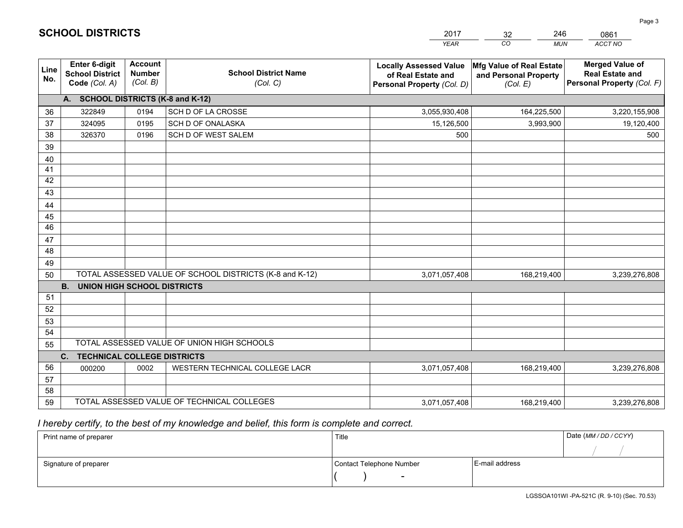|             |                                                                 |                                             |                                                         | <b>YEAR</b>                                                                       | CO<br><b>MUN</b>                                              | ACCT NO                                                                        |
|-------------|-----------------------------------------------------------------|---------------------------------------------|---------------------------------------------------------|-----------------------------------------------------------------------------------|---------------------------------------------------------------|--------------------------------------------------------------------------------|
| Line<br>No. | <b>Enter 6-digit</b><br><b>School District</b><br>Code (Col. A) | <b>Account</b><br><b>Number</b><br>(Col. B) | <b>School District Name</b><br>(Col. C)                 | <b>Locally Assessed Value</b><br>of Real Estate and<br>Personal Property (Col. D) | Mfg Value of Real Estate<br>and Personal Property<br>(Col. E) | <b>Merged Value of</b><br><b>Real Estate and</b><br>Personal Property (Col. F) |
|             | A. SCHOOL DISTRICTS (K-8 and K-12)                              |                                             |                                                         |                                                                                   |                                                               |                                                                                |
| 36          | 322849                                                          | 0194                                        | SCH D OF LA CROSSE                                      | 3,055,930,408                                                                     | 164,225,500                                                   | 3,220,155,908                                                                  |
| 37          | 324095                                                          | 0195                                        | SCH D OF ONALASKA                                       | 15,126,500                                                                        | 3,993,900                                                     | 19,120,400                                                                     |
| 38          | 326370                                                          | 0196                                        | SCH D OF WEST SALEM                                     | 500                                                                               |                                                               | 500                                                                            |
| 39          |                                                                 |                                             |                                                         |                                                                                   |                                                               |                                                                                |
| 40          |                                                                 |                                             |                                                         |                                                                                   |                                                               |                                                                                |
| 41          |                                                                 |                                             |                                                         |                                                                                   |                                                               |                                                                                |
| 42          |                                                                 |                                             |                                                         |                                                                                   |                                                               |                                                                                |
| 43          |                                                                 |                                             |                                                         |                                                                                   |                                                               |                                                                                |
| 44          |                                                                 |                                             |                                                         |                                                                                   |                                                               |                                                                                |
| 45          |                                                                 |                                             |                                                         |                                                                                   |                                                               |                                                                                |
| 46          |                                                                 |                                             |                                                         |                                                                                   |                                                               |                                                                                |
| 47          |                                                                 |                                             |                                                         |                                                                                   |                                                               |                                                                                |
| 48          |                                                                 |                                             |                                                         |                                                                                   |                                                               |                                                                                |
| 49          |                                                                 |                                             |                                                         |                                                                                   |                                                               |                                                                                |
| 50          |                                                                 |                                             | TOTAL ASSESSED VALUE OF SCHOOL DISTRICTS (K-8 and K-12) | 3,071,057,408                                                                     | 168,219,400                                                   | 3,239,276,808                                                                  |
|             | <b>B.</b><br><b>UNION HIGH SCHOOL DISTRICTS</b>                 |                                             |                                                         |                                                                                   |                                                               |                                                                                |
| 51          |                                                                 |                                             |                                                         |                                                                                   |                                                               |                                                                                |
| 52          |                                                                 |                                             |                                                         |                                                                                   |                                                               |                                                                                |
| 53          |                                                                 |                                             |                                                         |                                                                                   |                                                               |                                                                                |
| 54          |                                                                 |                                             | TOTAL ASSESSED VALUE OF UNION HIGH SCHOOLS              |                                                                                   |                                                               |                                                                                |
| 55          |                                                                 |                                             |                                                         |                                                                                   |                                                               |                                                                                |
|             | C.<br><b>TECHNICAL COLLEGE DISTRICTS</b>                        |                                             |                                                         |                                                                                   |                                                               |                                                                                |
| 56          | 000200                                                          | 0002                                        | WESTERN TECHNICAL COLLEGE LACR                          | 3,071,057,408                                                                     | 168,219,400                                                   | 3,239,276,808                                                                  |
| 57<br>58    |                                                                 |                                             |                                                         |                                                                                   |                                                               |                                                                                |
| 59          |                                                                 |                                             | TOTAL ASSESSED VALUE OF TECHNICAL COLLEGES              | 3,071,057,408                                                                     | 168,219,400                                                   | 3,239,276,808                                                                  |
|             |                                                                 |                                             |                                                         |                                                                                   |                                                               |                                                                                |

32

246

 *I hereby certify, to the best of my knowledge and belief, this form is complete and correct.*

**SCHOOL DISTRICTS**

| Print name of preparer | Title                    | Date (MM / DD / CCYY) |  |
|------------------------|--------------------------|-----------------------|--|
|                        |                          |                       |  |
| Signature of preparer  | Contact Telephone Number | E-mail address        |  |
|                        | $\sim$                   |                       |  |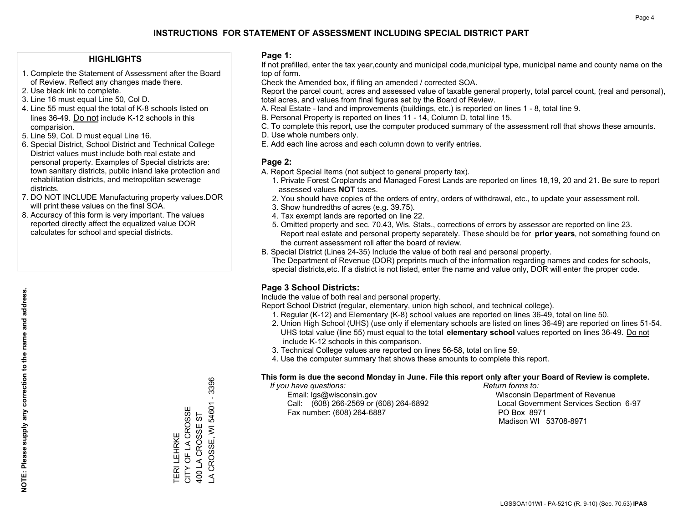## **HIGHLIGHTS**

- 1. Complete the Statement of Assessment after the Board of Review. Reflect any changes made there.
- 2. Use black ink to complete.
- 3. Line 16 must equal Line 50, Col D.
- 4. Line 55 must equal the total of K-8 schools listed on lines 36-49. Do not include K-12 schools in this comparision.
- 5. Line 59, Col. D must equal Line 16.
- 6. Special District, School District and Technical College District values must include both real estate and personal property. Examples of Special districts are: town sanitary districts, public inland lake protection and rehabilitation districts, and metropolitan sewerage districts.
- 7. DO NOT INCLUDE Manufacturing property values.DOR will print these values on the final SOA.
- 8. Accuracy of this form is very important. The values reported directly affect the equalized value DOR calculates for school and special districts.

#### **Page 1:**

 If not prefilled, enter the tax year,county and municipal code,municipal type, municipal name and county name on the top of form.

Check the Amended box, if filing an amended / corrected SOA.

 Report the parcel count, acres and assessed value of taxable general property, total parcel count, (real and personal), total acres, and values from final figures set by the Board of Review.

- A. Real Estate land and improvements (buildings, etc.) is reported on lines 1 8, total line 9.
- B. Personal Property is reported on lines 11 14, Column D, total line 15.
- C. To complete this report, use the computer produced summary of the assessment roll that shows these amounts.
- D. Use whole numbers only.
- E. Add each line across and each column down to verify entries.

## **Page 2:**

- A. Report Special Items (not subject to general property tax).
- 1. Private Forest Croplands and Managed Forest Lands are reported on lines 18,19, 20 and 21. Be sure to report assessed values **NOT** taxes.
- 2. You should have copies of the orders of entry, orders of withdrawal, etc., to update your assessment roll.
	- 3. Show hundredths of acres (e.g. 39.75).
- 4. Tax exempt lands are reported on line 22.
- 5. Omitted property and sec. 70.43, Wis. Stats., corrections of errors by assessor are reported on line 23. Report real estate and personal property separately. These should be for **prior years**, not something found on the current assessment roll after the board of review.
- B. Special District (Lines 24-35) Include the value of both real and personal property.
- The Department of Revenue (DOR) preprints much of the information regarding names and codes for schools, special districts,etc. If a district is not listed, enter the name and value only, DOR will enter the proper code.

## **Page 3 School Districts:**

Include the value of both real and personal property.

Report School District (regular, elementary, union high school, and technical college).

- 1. Regular (K-12) and Elementary (K-8) school values are reported on lines 36-49, total on line 50.
- 2. Union High School (UHS) (use only if elementary schools are listed on lines 36-49) are reported on lines 51-54. UHS total value (line 55) must equal to the total **elementary school** values reported on lines 36-49. Do notinclude K-12 schools in this comparison.
- 3. Technical College values are reported on lines 56-58, total on line 59.
- 4. Use the computer summary that shows these amounts to complete this report.

#### **This form is due the second Monday in June. File this report only after your Board of Review is complete.**

 *If you have questions: Return forms to:*

 Email: lgs@wisconsin.gov Wisconsin Department of RevenueCall:  $(608)$  266-2569 or  $(608)$  264-6892 Fax number: (608) 264-6887 PO Box 8971

Local Government Services Section 6-97 Madison WI 53708-8971

3396 LA CROSSE, WI 54601 - 3396  $\mathbf{r}$ A CROSSE, WI 54601 CITY OF LA CROSSE TERI LEHRKE<br>CITY OF LA CROSSE 400 LA CROSSE ST 400 LA CROSSE ST TERI LEHRKE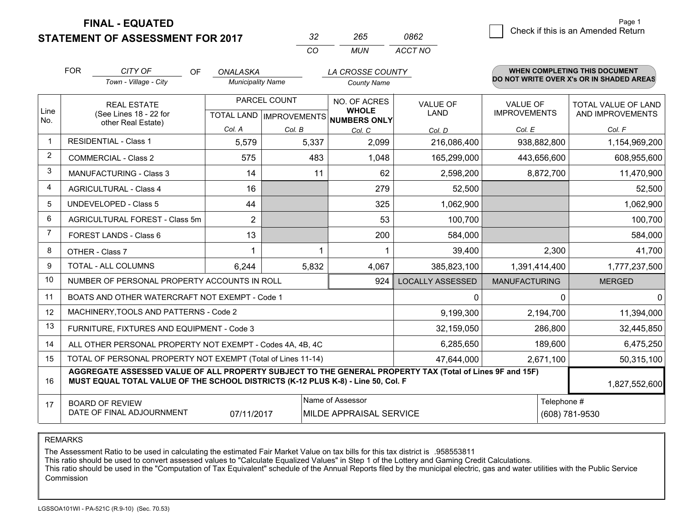**STATEMENT OF ASSESSMENT FOR 2017** 

| -32 | -265 | 0862    |  |
|-----|------|---------|--|
| ΩO  | MUN  | ACCT NO |  |

|                | <b>FOR</b>                                                                                                                                                                                                    | CITY OF<br><b>OF</b><br>Town - Village - City | ONALASKA<br><b>Municipality Name</b>                     |        | LA CROSSE COUNTY<br><b>County Name</b> |                                |                                 | <b>WHEN COMPLETING THIS DOCUMENT</b><br>DO NOT WRITE OVER X's OR IN SHADED AREAS |
|----------------|---------------------------------------------------------------------------------------------------------------------------------------------------------------------------------------------------------------|-----------------------------------------------|----------------------------------------------------------|--------|----------------------------------------|--------------------------------|---------------------------------|----------------------------------------------------------------------------------|
| Line<br>No.    | <b>REAL ESTATE</b><br>(See Lines 18 - 22 for<br>other Real Estate)                                                                                                                                            |                                               | PARCEL COUNT<br>TOTAL LAND   IMPROVEMENTS   NUMBERS ONLY |        | NO. OF ACRES<br><b>WHOLE</b>           | <b>VALUE OF</b><br><b>LAND</b> | VALUE OF<br><b>IMPROVEMENTS</b> | TOTAL VALUE OF LAND<br>AND IMPROVEMENTS                                          |
|                |                                                                                                                                                                                                               |                                               | Col. A                                                   | Col. B | Col. C                                 | Col. D                         | Col. E                          | Col. F                                                                           |
| $\mathbf 1$    |                                                                                                                                                                                                               | <b>RESIDENTIAL - Class 1</b>                  | 5,579                                                    | 5,337  | 2,099                                  | 216,086,400                    | 938,882,800                     | 1,154,969,200                                                                    |
| $\overline{2}$ |                                                                                                                                                                                                               | <b>COMMERCIAL - Class 2</b>                   | 575                                                      | 483    | 1,048                                  | 165,299,000                    | 443,656,600                     | 608,955,600                                                                      |
| 3              |                                                                                                                                                                                                               | <b>MANUFACTURING - Class 3</b>                | 14                                                       | 11     | 62                                     | 2,598,200                      | 8,872,700                       | 11,470,900                                                                       |
| 4              |                                                                                                                                                                                                               | <b>AGRICULTURAL - Class 4</b>                 | 16                                                       |        | 279                                    | 52,500                         |                                 | 52,500                                                                           |
| 5              |                                                                                                                                                                                                               | <b>UNDEVELOPED - Class 5</b>                  | 44                                                       |        | 325                                    | 1,062,900                      |                                 | 1,062,900                                                                        |
| 6              |                                                                                                                                                                                                               | AGRICULTURAL FOREST - Class 5m                | $\overline{2}$                                           |        | 53                                     | 100,700                        |                                 | 100,700                                                                          |
| 7              |                                                                                                                                                                                                               | FOREST LANDS - Class 6                        | 13                                                       |        | 200                                    | 584,000                        |                                 | 584,000                                                                          |
| 8              | OTHER - Class 7                                                                                                                                                                                               |                                               |                                                          | 1      |                                        | 39,400                         | 2,300                           | 41,700                                                                           |
| 9              | TOTAL - ALL COLUMNS                                                                                                                                                                                           |                                               | 6,244                                                    | 5,832  | 4,067                                  | 385,823,100                    | 1,391,414,400                   | 1,777,237,500                                                                    |
| 10             |                                                                                                                                                                                                               | NUMBER OF PERSONAL PROPERTY ACCOUNTS IN ROLL  |                                                          |        | 924                                    | <b>LOCALLY ASSESSED</b>        | <b>MANUFACTURING</b>            | <b>MERGED</b>                                                                    |
| 11             | BOATS AND OTHER WATERCRAFT NOT EXEMPT - Code 1<br>$\mathbf{0}$                                                                                                                                                |                                               |                                                          |        |                                        |                                | $\Omega$                        | $\mathbf 0$                                                                      |
| 12             |                                                                                                                                                                                                               | MACHINERY, TOOLS AND PATTERNS - Code 2        |                                                          |        |                                        | 9,199,300                      | 2,194,700                       | 11,394,000                                                                       |
| 13             | FURNITURE, FIXTURES AND EQUIPMENT - Code 3<br>32,159,050                                                                                                                                                      |                                               |                                                          |        |                                        |                                | 286,800                         | 32,445,850                                                                       |
| 14             | 6,285,650<br>189,600<br>ALL OTHER PERSONAL PROPERTY NOT EXEMPT - Codes 4A, 4B, 4C                                                                                                                             |                                               |                                                          |        |                                        |                                |                                 | 6,475,250                                                                        |
| 15             | TOTAL OF PERSONAL PROPERTY NOT EXEMPT (Total of Lines 11-14)<br>47,644,000                                                                                                                                    |                                               |                                                          |        |                                        |                                | 2,671,100                       | 50,315,100                                                                       |
| 16             | AGGREGATE ASSESSED VALUE OF ALL PROPERTY SUBJECT TO THE GENERAL PROPERTY TAX (Total of Lines 9F and 15F)<br>MUST EQUAL TOTAL VALUE OF THE SCHOOL DISTRICTS (K-12 PLUS K-8) - Line 50, Col. F<br>1,827,552,600 |                                               |                                                          |        |                                        |                                |                                 |                                                                                  |
| 17             | Name of Assessor<br>Telephone #<br><b>BOARD OF REVIEW</b><br>DATE OF FINAL ADJOURNMENT<br>07/11/2017<br>MILDE APPRAISAL SERVICE<br>(608) 781-9530                                                             |                                               |                                                          |        |                                        |                                |                                 |                                                                                  |

REMARKS

The Assessment Ratio to be used in calculating the estimated Fair Market Value on tax bills for this tax district is .958553811

This ratio should be used to convert assessed values to "Calculate Equalized Values" in Step 1 of the Lottery and Gaming Credit Calculations.<br>This ratio should be used in the "Computation of Tax Equivalent" schedule of the Commission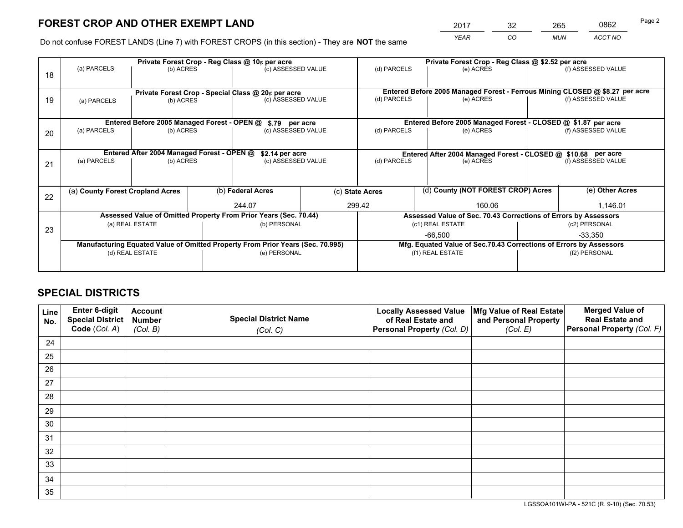*YEAR CO MUN ACCT NO* <sup>2017</sup> <sup>32</sup> <sup>265</sup> <sup>0862</sup>

Do not confuse FOREST LANDS (Line 7) with FOREST CROPS (in this section) - They are **NOT** the same

|    | Private Forest Crop - Reg Class @ 10¢ per acre                                 |           |  |                                                                  |                                                                 | Private Forest Crop - Reg Class @ \$2.52 per acre                                         |  |                                                               |               |                    |
|----|--------------------------------------------------------------------------------|-----------|--|------------------------------------------------------------------|-----------------------------------------------------------------|-------------------------------------------------------------------------------------------|--|---------------------------------------------------------------|---------------|--------------------|
| 18 | (a) PARCELS                                                                    | (b) ACRES |  | (c) ASSESSED VALUE                                               |                                                                 | (d) PARCELS                                                                               |  | (e) ACRES                                                     |               | (f) ASSESSED VALUE |
|    |                                                                                |           |  |                                                                  |                                                                 |                                                                                           |  |                                                               |               |                    |
|    |                                                                                |           |  | Private Forest Crop - Special Class @ 20¢ per acre               |                                                                 | Entered Before 2005 Managed Forest - Ferrous Mining CLOSED @ \$8.27 per acre              |  |                                                               |               |                    |
| 19 | (b) ACRES<br>(a) PARCELS                                                       |           |  | (c) ASSESSED VALUE                                               |                                                                 | (d) PARCELS                                                                               |  | (e) ACRES                                                     |               | (f) ASSESSED VALUE |
|    |                                                                                |           |  |                                                                  |                                                                 |                                                                                           |  |                                                               |               |                    |
|    |                                                                                |           |  | Entered Before 2005 Managed Forest - OPEN @ \$.79 per acre       |                                                                 |                                                                                           |  | Entered Before 2005 Managed Forest - CLOSED @ \$1.87 per acre |               |                    |
| 20 | (a) PARCELS                                                                    | (b) ACRES |  | (c) ASSESSED VALUE                                               |                                                                 | (d) PARCELS                                                                               |  | (e) ACRES                                                     |               | (f) ASSESSED VALUE |
|    |                                                                                |           |  |                                                                  |                                                                 |                                                                                           |  |                                                               |               |                    |
|    |                                                                                |           |  |                                                                  |                                                                 |                                                                                           |  |                                                               |               |                    |
|    | Entered After 2004 Managed Forest - OPEN @<br>(a) PARCELS<br>(b) ACRES         |           |  | \$2.14 per acre<br>(c) ASSESSED VALUE                            |                                                                 | Entered After 2004 Managed Forest - CLOSED @ \$10.68 per acre<br>(d) PARCELS<br>(e) ACRES |  | (f) ASSESSED VALUE                                            |               |                    |
| 21 |                                                                                |           |  |                                                                  |                                                                 |                                                                                           |  |                                                               |               |                    |
|    |                                                                                |           |  |                                                                  |                                                                 |                                                                                           |  |                                                               |               |                    |
|    |                                                                                |           |  | (b) Federal Acres                                                |                                                                 | (c) State Acres                                                                           |  | (d) County (NOT FOREST CROP) Acres                            |               | (e) Other Acres    |
| 22 | (a) County Forest Cropland Acres                                               |           |  |                                                                  |                                                                 |                                                                                           |  |                                                               |               |                    |
|    |                                                                                |           |  | 244.07                                                           |                                                                 | 299.42<br>160.06                                                                          |  |                                                               |               | 1,146.01           |
|    |                                                                                |           |  | Assessed Value of Omitted Property From Prior Years (Sec. 70.44) | Assessed Value of Sec. 70.43 Corrections of Errors by Assessors |                                                                                           |  |                                                               |               |                    |
|    | (a) REAL ESTATE                                                                |           |  | (b) PERSONAL                                                     |                                                                 | (c1) REAL ESTATE                                                                          |  |                                                               | (c2) PERSONAL |                    |
| 23 |                                                                                |           |  |                                                                  |                                                                 | $-66,500$                                                                                 |  | $-33,350$                                                     |               |                    |
|    | Manufacturing Equated Value of Omitted Property From Prior Years (Sec. 70.995) |           |  |                                                                  |                                                                 | Mfg. Equated Value of Sec.70.43 Corrections of Errors by Assessors                        |  |                                                               |               |                    |
|    | (d) REAL ESTATE                                                                |           |  | (e) PERSONAL                                                     |                                                                 | (f1) REAL ESTATE                                                                          |  | (f2) PERSONAL                                                 |               |                    |
|    |                                                                                |           |  |                                                                  |                                                                 |                                                                                           |  |                                                               |               |                    |
|    |                                                                                |           |  |                                                                  |                                                                 |                                                                                           |  |                                                               |               |                    |

## **SPECIAL DISTRICTS**

| Line<br>No. | Enter 6-digit<br><b>Special District</b> | <b>Account</b><br><b>Number</b> | <b>Special District Name</b> | <b>Locally Assessed Value</b><br>of Real Estate and | Mfg Value of Real Estate<br>and Personal Property | <b>Merged Value of</b><br><b>Real Estate and</b> |
|-------------|------------------------------------------|---------------------------------|------------------------------|-----------------------------------------------------|---------------------------------------------------|--------------------------------------------------|
|             | Code (Col. A)                            | (Col. B)                        | (Col. C)                     | Personal Property (Col. D)                          | (Col. E)                                          | Personal Property (Col. F)                       |
| 24          |                                          |                                 |                              |                                                     |                                                   |                                                  |
| 25          |                                          |                                 |                              |                                                     |                                                   |                                                  |
| 26          |                                          |                                 |                              |                                                     |                                                   |                                                  |
| 27          |                                          |                                 |                              |                                                     |                                                   |                                                  |
| 28          |                                          |                                 |                              |                                                     |                                                   |                                                  |
| 29          |                                          |                                 |                              |                                                     |                                                   |                                                  |
| 30          |                                          |                                 |                              |                                                     |                                                   |                                                  |
| 31          |                                          |                                 |                              |                                                     |                                                   |                                                  |
| 32          |                                          |                                 |                              |                                                     |                                                   |                                                  |
| 33          |                                          |                                 |                              |                                                     |                                                   |                                                  |
| 34          |                                          |                                 |                              |                                                     |                                                   |                                                  |
| 35          |                                          |                                 |                              |                                                     |                                                   |                                                  |

LGSSOA101WI-PA - 521C (R. 9-10) (Sec. 70.53)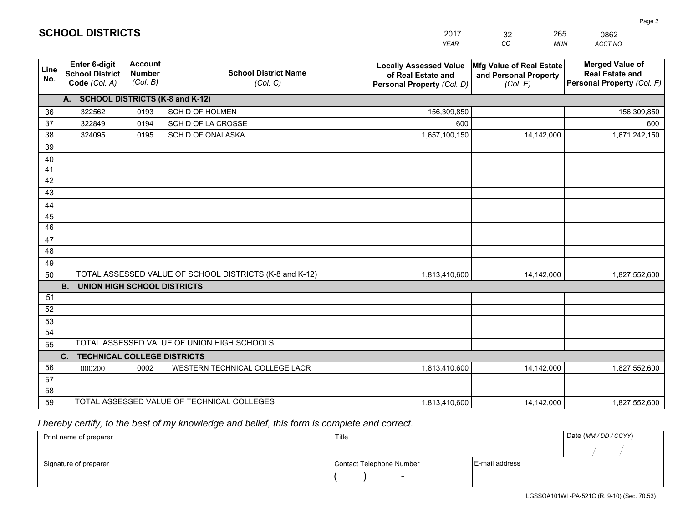|             |                                                                 |                                             |                                                         | <b>YEAR</b>                                                                       | CO<br><b>MUN</b>                                              | ACCT NO                                                                        |  |  |  |  |  |
|-------------|-----------------------------------------------------------------|---------------------------------------------|---------------------------------------------------------|-----------------------------------------------------------------------------------|---------------------------------------------------------------|--------------------------------------------------------------------------------|--|--|--|--|--|
| Line<br>No. | <b>Enter 6-digit</b><br><b>School District</b><br>Code (Col. A) | <b>Account</b><br><b>Number</b><br>(Col. B) | <b>School District Name</b><br>(Col. C)                 | <b>Locally Assessed Value</b><br>of Real Estate and<br>Personal Property (Col. D) | Mfg Value of Real Estate<br>and Personal Property<br>(Col. E) | <b>Merged Value of</b><br><b>Real Estate and</b><br>Personal Property (Col. F) |  |  |  |  |  |
|             | A. SCHOOL DISTRICTS (K-8 and K-12)                              |                                             |                                                         |                                                                                   |                                                               |                                                                                |  |  |  |  |  |
| 36          | 322562                                                          | 0193                                        | SCH D OF HOLMEN                                         | 156,309,850                                                                       |                                                               | 156,309,850                                                                    |  |  |  |  |  |
| 37          | 322849                                                          | 0194                                        | SCH D OF LA CROSSE                                      | 600                                                                               |                                                               | 600                                                                            |  |  |  |  |  |
| 38          | 324095                                                          | 0195                                        | SCH D OF ONALASKA                                       | 1,657,100,150                                                                     | 14,142,000                                                    | 1,671,242,150                                                                  |  |  |  |  |  |
| 39          |                                                                 |                                             |                                                         |                                                                                   |                                                               |                                                                                |  |  |  |  |  |
| 40          |                                                                 |                                             |                                                         |                                                                                   |                                                               |                                                                                |  |  |  |  |  |
| 41          |                                                                 |                                             |                                                         |                                                                                   |                                                               |                                                                                |  |  |  |  |  |
| 42          |                                                                 |                                             |                                                         |                                                                                   |                                                               |                                                                                |  |  |  |  |  |
| 43          |                                                                 |                                             |                                                         |                                                                                   |                                                               |                                                                                |  |  |  |  |  |
| 44          |                                                                 |                                             |                                                         |                                                                                   |                                                               |                                                                                |  |  |  |  |  |
| 45          |                                                                 |                                             |                                                         |                                                                                   |                                                               |                                                                                |  |  |  |  |  |
| 46          |                                                                 |                                             |                                                         |                                                                                   |                                                               |                                                                                |  |  |  |  |  |
| 47          |                                                                 |                                             |                                                         |                                                                                   |                                                               |                                                                                |  |  |  |  |  |
| 48          |                                                                 |                                             |                                                         |                                                                                   |                                                               |                                                                                |  |  |  |  |  |
| 49          |                                                                 |                                             |                                                         |                                                                                   |                                                               |                                                                                |  |  |  |  |  |
| 50          |                                                                 |                                             | TOTAL ASSESSED VALUE OF SCHOOL DISTRICTS (K-8 and K-12) | 1,813,410,600                                                                     | 14,142,000                                                    | 1,827,552,600                                                                  |  |  |  |  |  |
|             | <b>B.</b><br><b>UNION HIGH SCHOOL DISTRICTS</b>                 |                                             |                                                         |                                                                                   |                                                               |                                                                                |  |  |  |  |  |
| 51<br>52    |                                                                 |                                             |                                                         |                                                                                   |                                                               |                                                                                |  |  |  |  |  |
| 53          |                                                                 |                                             |                                                         |                                                                                   |                                                               |                                                                                |  |  |  |  |  |
| 54          |                                                                 |                                             |                                                         |                                                                                   |                                                               |                                                                                |  |  |  |  |  |
| 55          |                                                                 |                                             | TOTAL ASSESSED VALUE OF UNION HIGH SCHOOLS              |                                                                                   |                                                               |                                                                                |  |  |  |  |  |
|             | C.<br><b>TECHNICAL COLLEGE DISTRICTS</b>                        |                                             |                                                         |                                                                                   |                                                               |                                                                                |  |  |  |  |  |
| 56          | 000200                                                          | 0002                                        | WESTERN TECHNICAL COLLEGE LACR                          | 1,813,410,600                                                                     | 14,142,000                                                    | 1,827,552,600                                                                  |  |  |  |  |  |
| 57          |                                                                 |                                             |                                                         |                                                                                   |                                                               |                                                                                |  |  |  |  |  |
| 58          |                                                                 |                                             |                                                         |                                                                                   |                                                               |                                                                                |  |  |  |  |  |
| 59          |                                                                 |                                             | TOTAL ASSESSED VALUE OF TECHNICAL COLLEGES              | 1,813,410,600                                                                     | 14,142,000                                                    | 1,827,552,600                                                                  |  |  |  |  |  |

32

265

 *I hereby certify, to the best of my knowledge and belief, this form is complete and correct.*

**SCHOOL DISTRICTS**

| Print name of preparer | Title                    | Date (MM / DD / CCYY) |  |
|------------------------|--------------------------|-----------------------|--|
|                        |                          |                       |  |
| Signature of preparer  | Contact Telephone Number | E-mail address        |  |
|                        | $\overline{\phantom{0}}$ |                       |  |